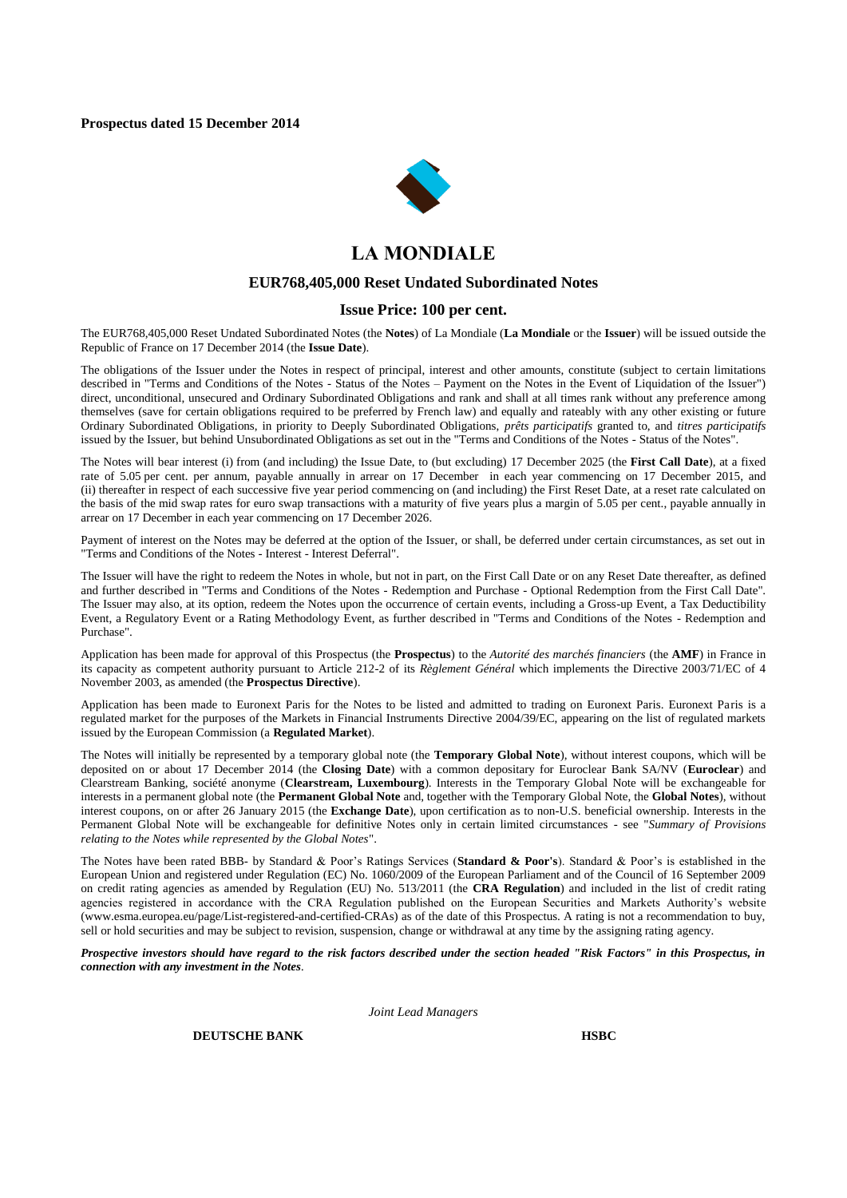

# **LA MONDIALE**

#### **EUR768,405,000 Reset Undated Subordinated Notes**

## **Issue Price: 100 per cent.**

The EUR768,405,000 Reset Undated Subordinated Notes (the **Notes**) of La Mondiale (**La Mondiale** or the **Issuer**) will be issued outside the Republic of France on 17 December 2014 (the **Issue Date**).

The obligations of the Issuer under the Notes in respect of principal, interest and other amounts, constitute (subject to certain limitations described in "Terms and Conditions of the Notes - Status of the Notes – Payment on the Notes in the Event of Liquidation of the Issuer") direct, unconditional, unsecured and Ordinary Subordinated Obligations and rank and shall at all times rank without any preference among themselves (save for certain obligations required to be preferred by French law) and equally and rateably with any other existing or future Ordinary Subordinated Obligations, in priority to Deeply Subordinated Obligations, *prêts participatifs* granted to, and *titres participatifs*  issued by the Issuer, but behind Unsubordinated Obligations as set out in the "Terms and Conditions of the Notes - Status of the Notes".

The Notes will bear interest (i) from (and including) the Issue Date, to (but excluding) 17 December 2025 (the **First Call Date**), at a fixed rate of 5.05 per cent. per annum, payable annually in arrear on 17 December in each year commencing on 17 December 2015, and (ii) thereafter in respect of each successive five year period commencing on (and including) the First Reset Date, at a reset rate calculated on the basis of the mid swap rates for euro swap transactions with a maturity of five years plus a margin of 5.05 per cent., payable annually in arrear on 17 December in each year commencing on 17 December 2026.

Payment of interest on the Notes may be deferred at the option of the Issuer, or shall, be deferred under certain circumstances, as set out in "Terms and Conditions of the Notes - Interest - Interest Deferral".

The Issuer will have the right to redeem the Notes in whole, but not in part, on the First Call Date or on any Reset Date thereafter, as defined and further described in "Terms and Conditions of the Notes - Redemption and Purchase - Optional Redemption from the First Call Date". The Issuer may also, at its option, redeem the Notes upon the occurrence of certain events, including a Gross-up Event, a Tax Deductibility Event, a Regulatory Event or a Rating Methodology Event, as further described in "Terms and Conditions of the Notes - Redemption and Purchase".

Application has been made for approval of this Prospectus (the **Prospectus**) to the *Autorité des marchés financiers* (the **AMF**) in France in its capacity as competent authority pursuant to Article 212-2 of its *Règlement Général* which implements the Directive 2003/71/EC of 4 November 2003, as amended (the **Prospectus Directive**).

Application has been made to Euronext Paris for the Notes to be listed and admitted to trading on Euronext Paris. Euronext Paris is a regulated market for the purposes of the Markets in Financial Instruments Directive 2004/39/EC, appearing on the list of regulated markets issued by the European Commission (a **Regulated Market**).

The Notes will initially be represented by a temporary global note (the **Temporary Global Note**), without interest coupons, which will be deposited on or about 17 December 2014 (the **Closing Date**) with a common depositary for Euroclear Bank SA/NV (**Euroclear**) and Clearstream Banking, société anonyme (**Clearstream, Luxembourg**). Interests in the Temporary Global Note will be exchangeable for interests in a permanent global note (the **Permanent Global Note** and, together with the Temporary Global Note, the **Global Notes**), without interest coupons, on or after 26 January 2015 (the **Exchange Date**), upon certification as to non-U.S. beneficial ownership. Interests in the Permanent Global Note will be exchangeable for definitive Notes only in certain limited circumstances - see "*Summary of Provisions relating to the Notes while represented by the Global Notes*".

The Notes have been rated BBB- by Standard & Poor's Ratings Services (**Standard & Poor's**). Standard & Poor's is established in the European Union and registered under Regulation (EC) No. 1060/2009 of the European Parliament and of the Council of 16 September 2009 on credit rating agencies as amended by Regulation (EU) No. 513/2011 (the **CRA Regulation**) and included in the list of credit rating agencies registered in accordance with the CRA Regulation published on the European Securities and Markets Authority's website (www.esma.europea.eu/page/List-registered-and-certified-CRAs) as of the date of this Prospectus. A rating is not a recommendation to buy, sell or hold securities and may be subject to revision, suspension, change or withdrawal at any time by the assigning rating agency.

*Prospective investors should have regard to the risk factors described under the section headed "Risk Factors" in this Prospectus, in connection with any investment in the Notes.*

*Joint Lead Managers*

**DEUTSCHE BANK HSBC**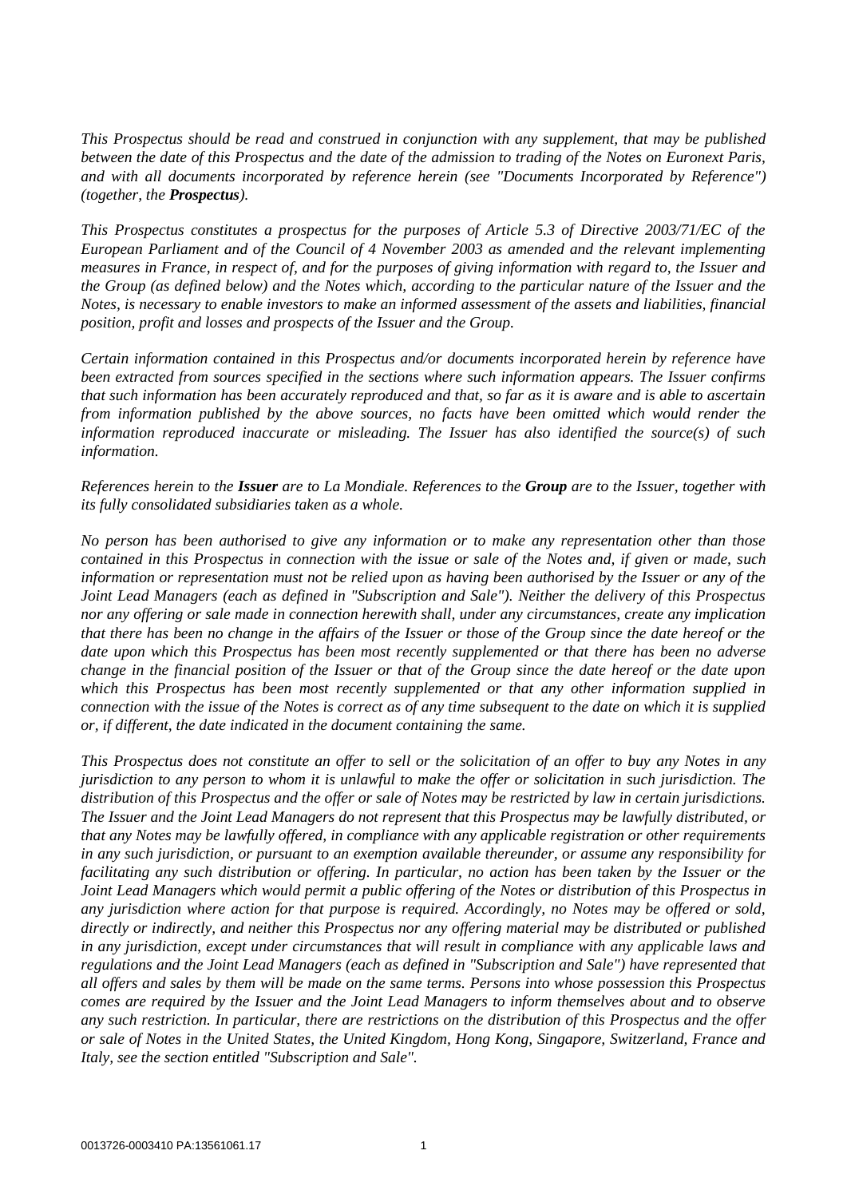*This Prospectus should be read and construed in conjunction with any supplement, that may be published between the date of this Prospectus and the date of the admission to trading of the Notes on Euronext Paris, and with all documents incorporated by reference herein (see "Documents Incorporated by Reference") (together, the Prospectus).*

*This Prospectus constitutes a prospectus for the purposes of Article 5.3 of Directive 2003/71/EC of the European Parliament and of the Council of 4 November 2003 as amended and the relevant implementing measures in France, in respect of, and for the purposes of giving information with regard to, the Issuer and the Group (as defined below) and the Notes which, according to the particular nature of the Issuer and the Notes, is necessary to enable investors to make an informed assessment of the assets and liabilities, financial position, profit and losses and prospects of the Issuer and the Group.*

*Certain information contained in this Prospectus and/or documents incorporated herein by reference have been extracted from sources specified in the sections where such information appears. The Issuer confirms that such information has been accurately reproduced and that, so far as it is aware and is able to ascertain from information published by the above sources, no facts have been omitted which would render the information reproduced inaccurate or misleading. The Issuer has also identified the source(s) of such information.*

*References herein to the Issuer are to La Mondiale. References to the Group are to the Issuer, together with its fully consolidated subsidiaries taken as a whole.*

*No person has been authorised to give any information or to make any representation other than those contained in this Prospectus in connection with the issue or sale of the Notes and, if given or made, such information or representation must not be relied upon as having been authorised by the Issuer or any of the Joint Lead Managers (each as defined in "Subscription and Sale"). Neither the delivery of this Prospectus nor any offering or sale made in connection herewith shall, under any circumstances, create any implication that there has been no change in the affairs of the Issuer or those of the Group since the date hereof or the date upon which this Prospectus has been most recently supplemented or that there has been no adverse change in the financial position of the Issuer or that of the Group since the date hereof or the date upon which this Prospectus has been most recently supplemented or that any other information supplied in connection with the issue of the Notes is correct as of any time subsequent to the date on which it is supplied or, if different, the date indicated in the document containing the same.*

*This Prospectus does not constitute an offer to sell or the solicitation of an offer to buy any Notes in any jurisdiction to any person to whom it is unlawful to make the offer or solicitation in such jurisdiction. The distribution of this Prospectus and the offer or sale of Notes may be restricted by law in certain jurisdictions. The Issuer and the Joint Lead Managers do not represent that this Prospectus may be lawfully distributed, or that any Notes may be lawfully offered, in compliance with any applicable registration or other requirements in any such jurisdiction, or pursuant to an exemption available thereunder, or assume any responsibility for facilitating any such distribution or offering. In particular, no action has been taken by the Issuer or the Joint Lead Managers which would permit a public offering of the Notes or distribution of this Prospectus in any jurisdiction where action for that purpose is required. Accordingly, no Notes may be offered or sold, directly or indirectly, and neither this Prospectus nor any offering material may be distributed or published in any jurisdiction, except under circumstances that will result in compliance with any applicable laws and regulations and the Joint Lead Managers (each as defined in "Subscription and Sale") have represented that all offers and sales by them will be made on the same terms. Persons into whose possession this Prospectus comes are required by the Issuer and the Joint Lead Managers to inform themselves about and to observe any such restriction. In particular, there are restrictions on the distribution of this Prospectus and the offer or sale of Notes in the United States, the United Kingdom, Hong Kong, Singapore, Switzerland, France and Italy, see the section entitled "Subscription and Sale".*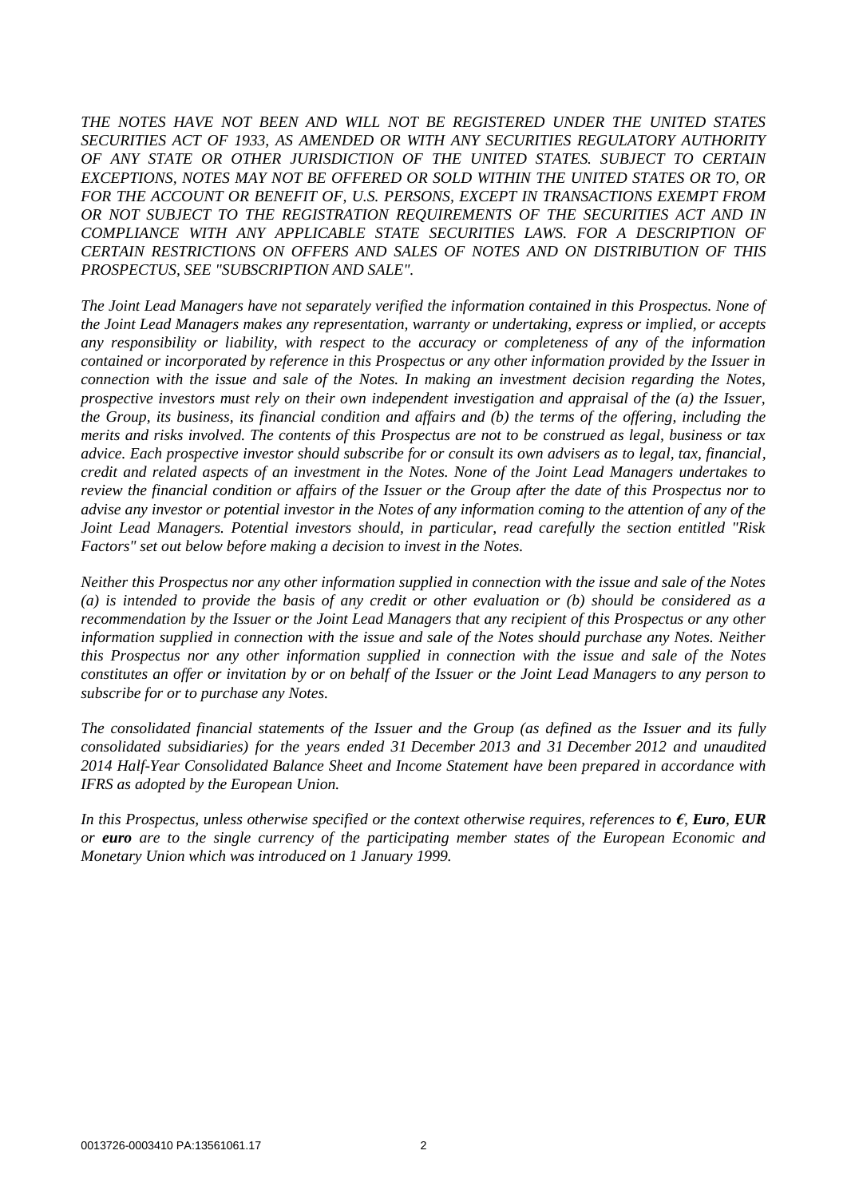*THE NOTES HAVE NOT BEEN AND WILL NOT BE REGISTERED UNDER THE UNITED STATES SECURITIES ACT OF 1933, AS AMENDED OR WITH ANY SECURITIES REGULATORY AUTHORITY OF ANY STATE OR OTHER JURISDICTION OF THE UNITED STATES. SUBJECT TO CERTAIN EXCEPTIONS, NOTES MAY NOT BE OFFERED OR SOLD WITHIN THE UNITED STATES OR TO, OR*  FOR THE ACCOUNT OR BENEFIT OF, U.S. PERSONS, EXCEPT IN TRANSACTIONS EXEMPT FROM *OR NOT SUBJECT TO THE REGISTRATION REQUIREMENTS OF THE SECURITIES ACT AND IN COMPLIANCE WITH ANY APPLICABLE STATE SECURITIES LAWS. FOR A DESCRIPTION OF CERTAIN RESTRICTIONS ON OFFERS AND SALES OF NOTES AND ON DISTRIBUTION OF THIS PROSPECTUS, SEE "SUBSCRIPTION AND SALE".*

*The Joint Lead Managers have not separately verified the information contained in this Prospectus. None of the Joint Lead Managers makes any representation, warranty or undertaking, express or implied, or accepts any responsibility or liability, with respect to the accuracy or completeness of any of the information contained or incorporated by reference in this Prospectus or any other information provided by the Issuer in connection with the issue and sale of the Notes. In making an investment decision regarding the Notes, prospective investors must rely on their own independent investigation and appraisal of the (a) the Issuer, the Group, its business, its financial condition and affairs and (b) the terms of the offering, including the merits and risks involved. The contents of this Prospectus are not to be construed as legal, business or tax advice. Each prospective investor should subscribe for or consult its own advisers as to legal, tax, financial, credit and related aspects of an investment in the Notes. None of the Joint Lead Managers undertakes to review the financial condition or affairs of the Issuer or the Group after the date of this Prospectus nor to advise any investor or potential investor in the Notes of any information coming to the attention of any of the Joint Lead Managers. Potential investors should, in particular, read carefully the section entitled "Risk Factors" set out below before making a decision to invest in the Notes.*

*Neither this Prospectus nor any other information supplied in connection with the issue and sale of the Notes (a) is intended to provide the basis of any credit or other evaluation or (b) should be considered as a recommendation by the Issuer or the Joint Lead Managers that any recipient of this Prospectus or any other information supplied in connection with the issue and sale of the Notes should purchase any Notes. Neither this Prospectus nor any other information supplied in connection with the issue and sale of the Notes constitutes an offer or invitation by or on behalf of the Issuer or the Joint Lead Managers to any person to subscribe for or to purchase any Notes.*

*The consolidated financial statements of the Issuer and the Group (as defined as the Issuer and its fully consolidated subsidiaries) for the years ended 31 December 2013 and 31 December 2012 and unaudited 2014 Half-Year Consolidated Balance Sheet and Income Statement have been prepared in accordance with IFRS as adopted by the European Union.*

*In this Prospectus, unless otherwise specified or the context otherwise requires, references to €, Euro, EUR or euro are to the single currency of the participating member states of the European Economic and Monetary Union which was introduced on 1 January 1999.*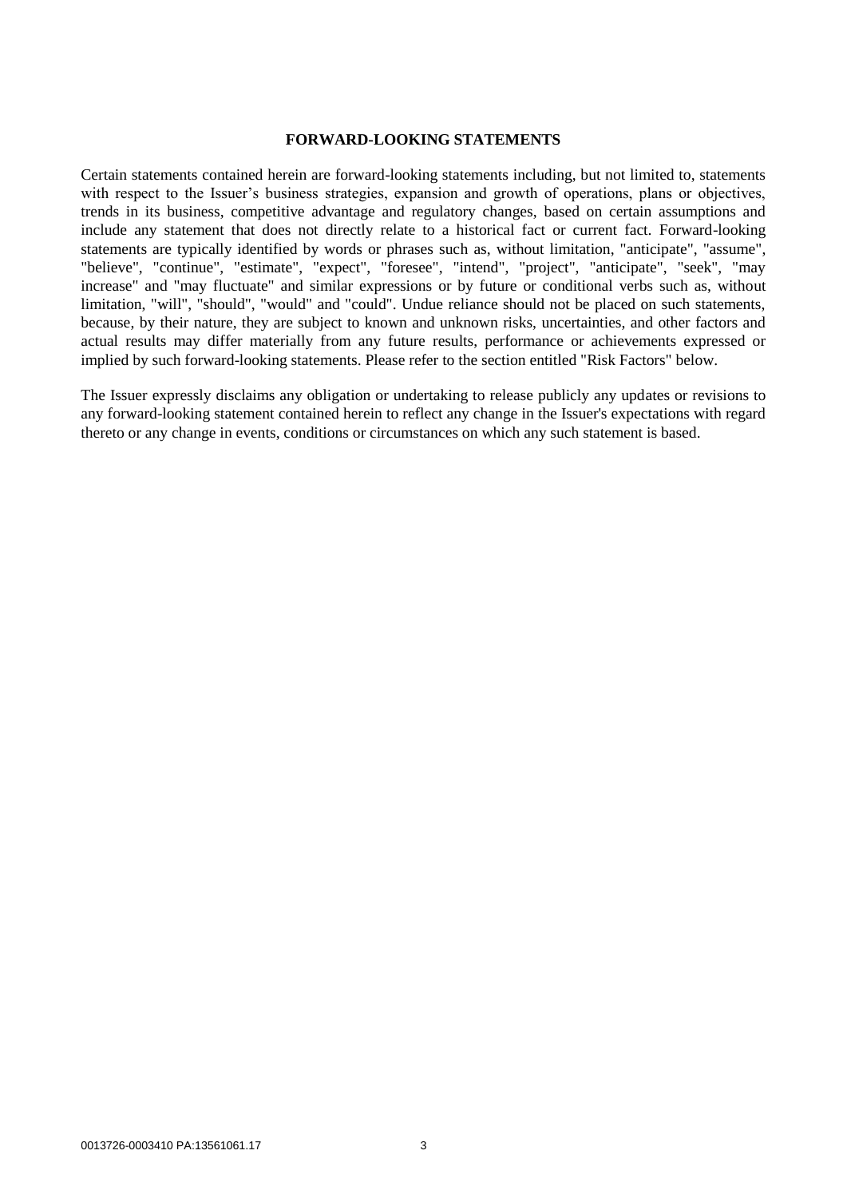## **FORWARD-LOOKING STATEMENTS**

Certain statements contained herein are forward-looking statements including, but not limited to, statements with respect to the Issuer's business strategies, expansion and growth of operations, plans or objectives, trends in its business, competitive advantage and regulatory changes, based on certain assumptions and include any statement that does not directly relate to a historical fact or current fact. Forward-looking statements are typically identified by words or phrases such as, without limitation, "anticipate", "assume", "believe", "continue", "estimate", "expect", "foresee", "intend", "project", "anticipate", "seek", "may increase" and "may fluctuate" and similar expressions or by future or conditional verbs such as, without limitation, "will", "should", "would" and "could". Undue reliance should not be placed on such statements, because, by their nature, they are subject to known and unknown risks, uncertainties, and other factors and actual results may differ materially from any future results, performance or achievements expressed or implied by such forward-looking statements. Please refer to the section entitled "Risk Factors" below.

The Issuer expressly disclaims any obligation or undertaking to release publicly any updates or revisions to any forward-looking statement contained herein to reflect any change in the Issuer's expectations with regard thereto or any change in events, conditions or circumstances on which any such statement is based.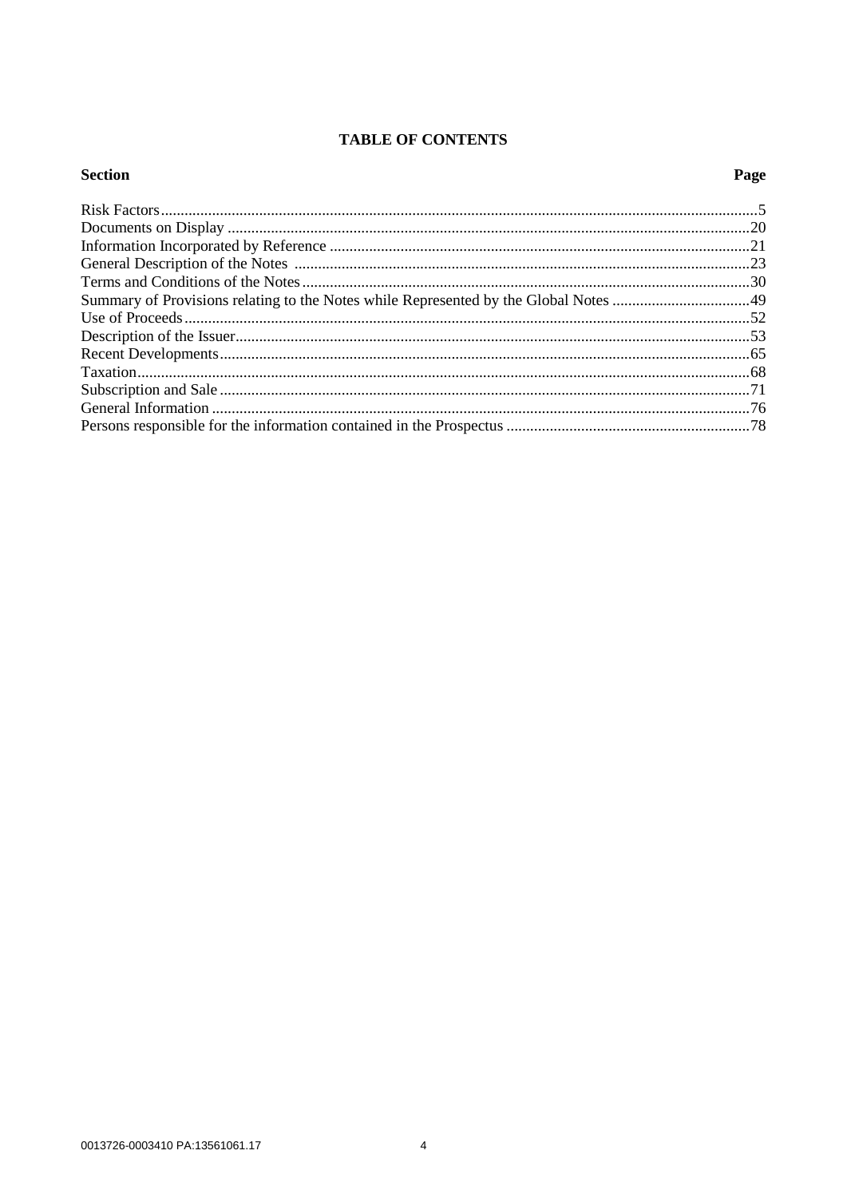# **TABLE OF CONTENTS**

| <b>Section</b> | Page |
|----------------|------|
|                |      |
|                |      |
|                |      |
|                |      |
|                |      |
|                |      |
|                |      |
|                |      |
|                |      |
|                |      |
|                |      |
|                |      |
|                |      |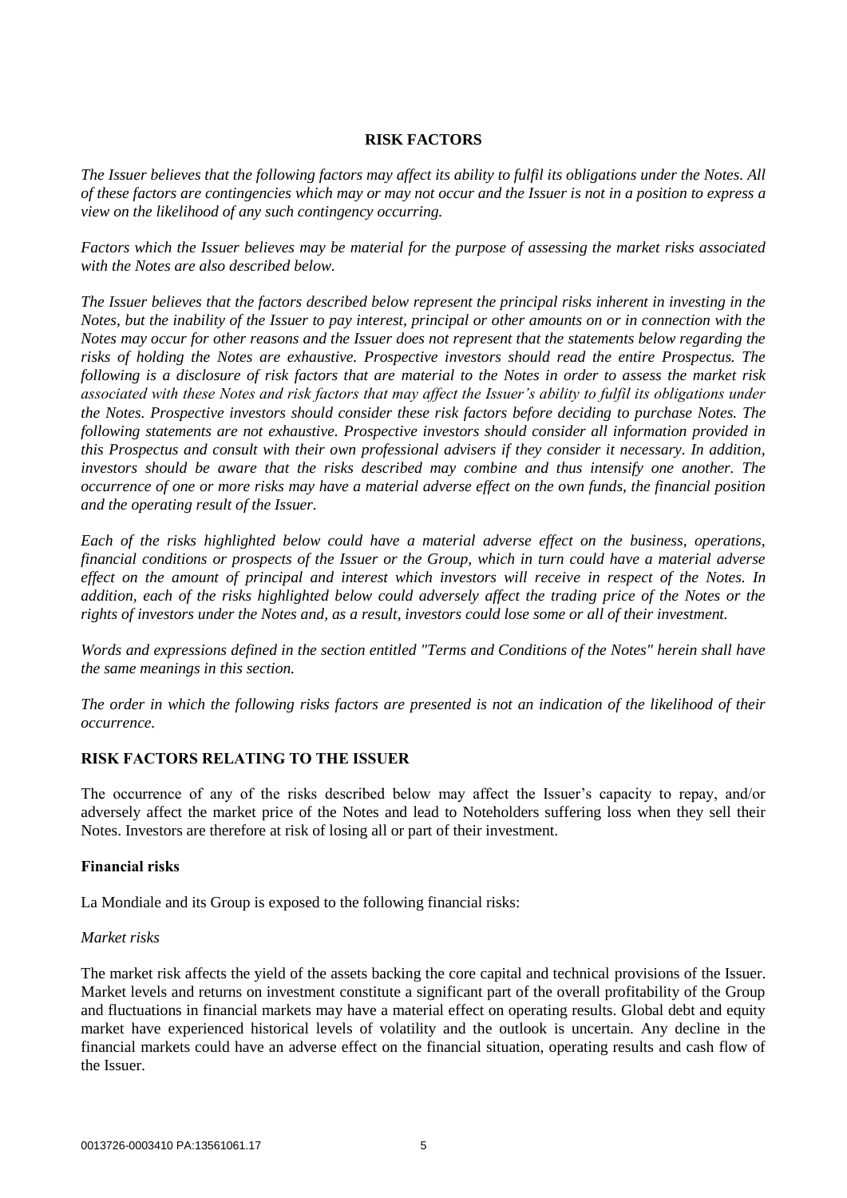# **RISK FACTORS**

*The Issuer believes that the following factors may affect its ability to fulfil its obligations under the Notes. All of these factors are contingencies which may or may not occur and the Issuer is not in a position to express a view on the likelihood of any such contingency occurring.*

*Factors which the Issuer believes may be material for the purpose of assessing the market risks associated with the Notes are also described below.*

*The Issuer believes that the factors described below represent the principal risks inherent in investing in the Notes, but the inability of the Issuer to pay interest, principal or other amounts on or in connection with the Notes may occur for other reasons and the Issuer does not represent that the statements below regarding the risks of holding the Notes are exhaustive. Prospective investors should read the entire Prospectus. The following is a disclosure of risk factors that are material to the Notes in order to assess the market risk associated with these Notes and risk factors that may affect the Issuer's ability to fulfil its obligations under the Notes. Prospective investors should consider these risk factors before deciding to purchase Notes. The following statements are not exhaustive. Prospective investors should consider all information provided in this Prospectus and consult with their own professional advisers if they consider it necessary. In addition, investors should be aware that the risks described may combine and thus intensify one another. The occurrence of one or more risks may have a material adverse effect on the own funds, the financial position and the operating result of the Issuer.*

*Each of the risks highlighted below could have a material adverse effect on the business, operations, financial conditions or prospects of the Issuer or the Group, which in turn could have a material adverse effect on the amount of principal and interest which investors will receive in respect of the Notes. In addition, each of the risks highlighted below could adversely affect the trading price of the Notes or the rights of investors under the Notes and, as a result, investors could lose some or all of their investment.* 

*Words and expressions defined in the section entitled "Terms and Conditions of the Notes" herein shall have the same meanings in this section.* 

*The order in which the following risks factors are presented is not an indication of the likelihood of their occurrence.*

# **RISK FACTORS RELATING TO THE ISSUER**

The occurrence of any of the risks described below may affect the Issuer's capacity to repay, and/or adversely affect the market price of the Notes and lead to Noteholders suffering loss when they sell their Notes. Investors are therefore at risk of losing all or part of their investment.

# **Financial risks**

La Mondiale and its Group is exposed to the following financial risks:

## *Market risks*

The market risk affects the yield of the assets backing the core capital and technical provisions of the Issuer. Market levels and returns on investment constitute a significant part of the overall profitability of the Group and fluctuations in financial markets may have a material effect on operating results. Global debt and equity market have experienced historical levels of volatility and the outlook is uncertain. Any decline in the financial markets could have an adverse effect on the financial situation, operating results and cash flow of the Issuer.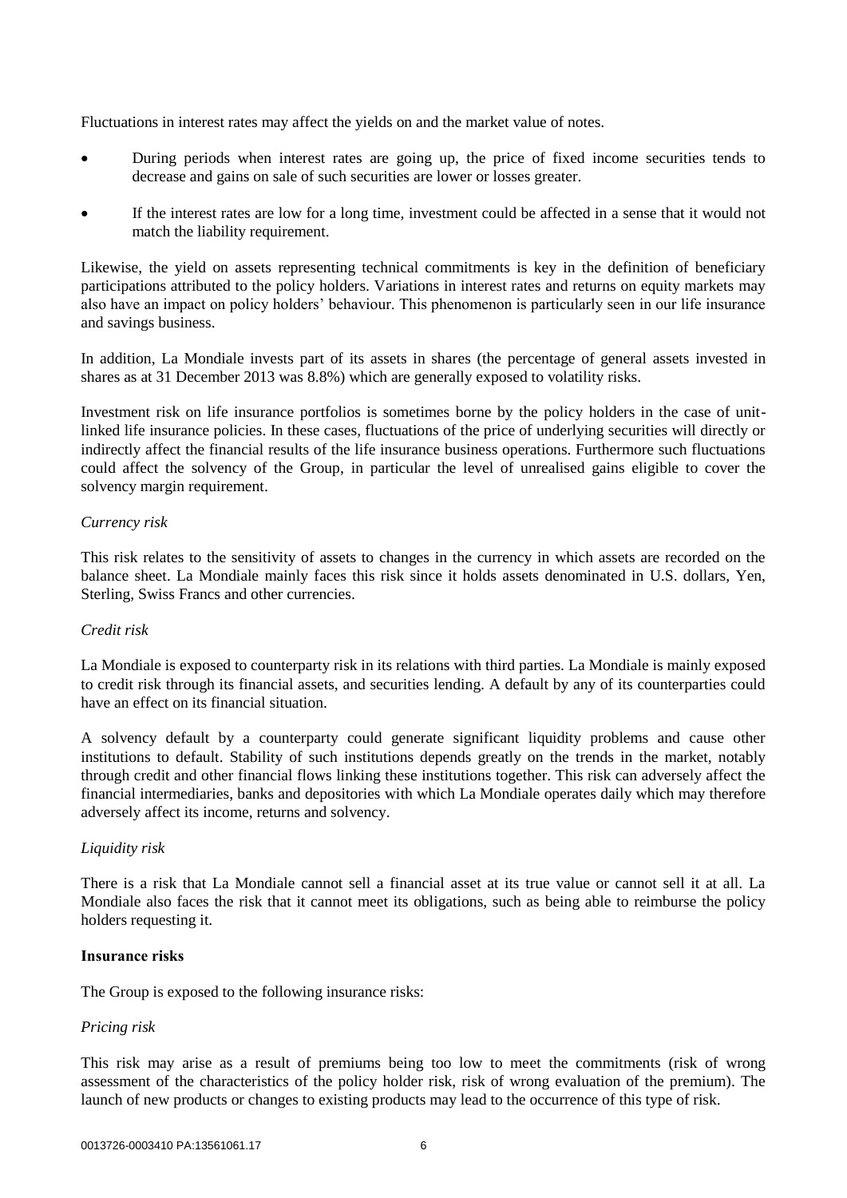Fluctuations in interest rates may affect the yields on and the market value of notes.

- During periods when interest rates are going up, the price of fixed income securities tends to decrease and gains on sale of such securities are lower or losses greater.
- If the interest rates are low for a long time, investment could be affected in a sense that it would not match the liability requirement.

Likewise, the yield on assets representing technical commitments is key in the definition of beneficiary participations attributed to the policy holders. Variations in interest rates and returns on equity markets may also have an impact on policy holders' behaviour. This phenomenon is particularly seen in our life insurance and savings business.

In addition, La Mondiale invests part of its assets in shares (the percentage of general assets invested in shares as at 31 December 2013 was 8.8%) which are generally exposed to volatility risks.

Investment risk on life insurance portfolios is sometimes borne by the policy holders in the case of unitlinked life insurance policies. In these cases, fluctuations of the price of underlying securities will directly or indirectly affect the financial results of the life insurance business operations. Furthermore such fluctuations could affect the solvency of the Group, in particular the level of unrealised gains eligible to cover the solvency margin requirement.

# *Currency risk*

This risk relates to the sensitivity of assets to changes in the currency in which assets are recorded on the balance sheet. La Mondiale mainly faces this risk since it holds assets denominated in U.S. dollars, Yen, Sterling, Swiss Francs and other currencies.

# *Credit risk*

La Mondiale is exposed to counterparty risk in its relations with third parties. La Mondiale is mainly exposed to credit risk through its financial assets, and securities lending. A default by any of its counterparties could have an effect on its financial situation.

A solvency default by a counterparty could generate significant liquidity problems and cause other institutions to default. Stability of such institutions depends greatly on the trends in the market, notably through credit and other financial flows linking these institutions together. This risk can adversely affect the financial intermediaries, banks and depositories with which La Mondiale operates daily which may therefore adversely affect its income, returns and solvency.

## *Liquidity risk*

There is a risk that La Mondiale cannot sell a financial asset at its true value or cannot sell it at all. La Mondiale also faces the risk that it cannot meet its obligations, such as being able to reimburse the policy holders requesting it.

## **Insurance risks**

The Group is exposed to the following insurance risks:

# *Pricing risk*

This risk may arise as a result of premiums being too low to meet the commitments (risk of wrong assessment of the characteristics of the policy holder risk, risk of wrong evaluation of the premium). The launch of new products or changes to existing products may lead to the occurrence of this type of risk.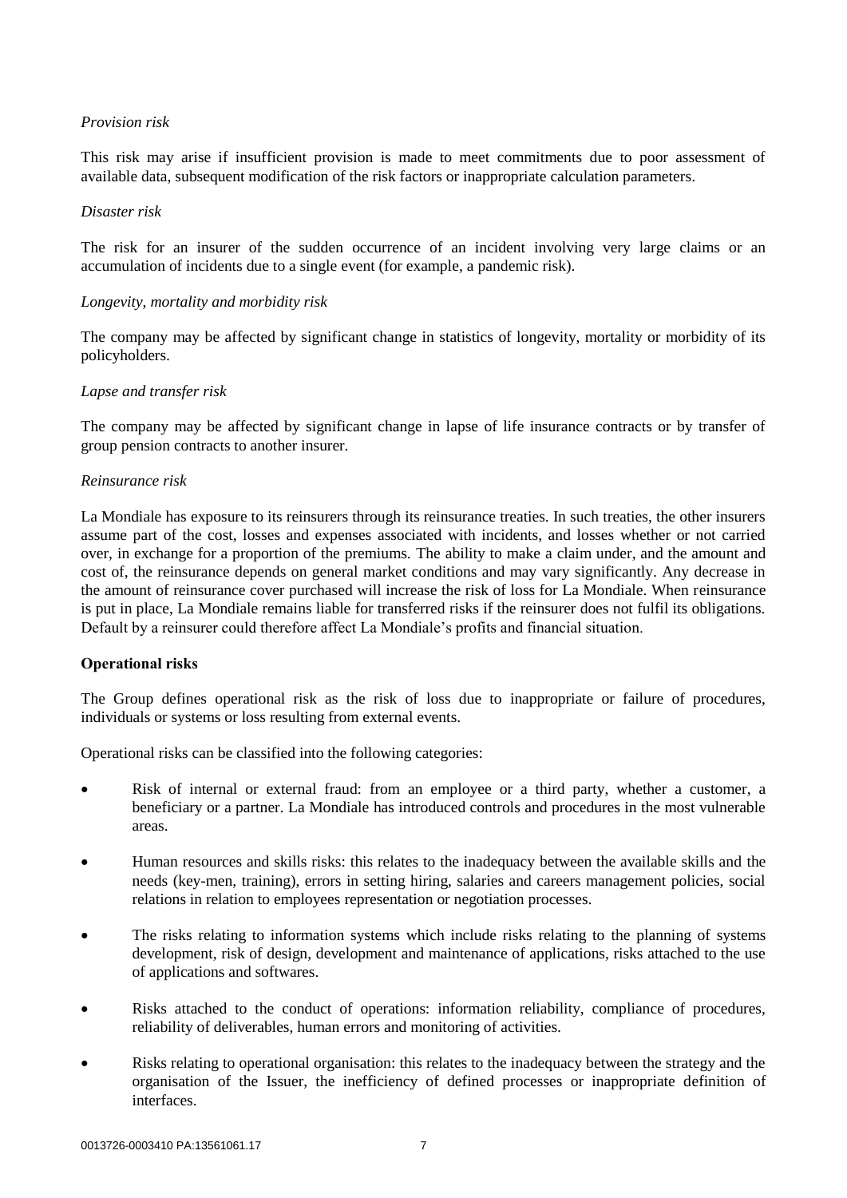# *Provision risk*

This risk may arise if insufficient provision is made to meet commitments due to poor assessment of available data, subsequent modification of the risk factors or inappropriate calculation parameters.

## *Disaster risk*

The risk for an insurer of the sudden occurrence of an incident involving very large claims or an accumulation of incidents due to a single event (for example, a pandemic risk).

# *Longevity, mortality and morbidity risk*

The company may be affected by significant change in statistics of longevity, mortality or morbidity of its policyholders.

# *Lapse and transfer risk*

The company may be affected by significant change in lapse of life insurance contracts or by transfer of group pension contracts to another insurer.

## *Reinsurance risk*

La Mondiale has exposure to its reinsurers through its reinsurance treaties. In such treaties, the other insurers assume part of the cost, losses and expenses associated with incidents, and losses whether or not carried over, in exchange for a proportion of the premiums. The ability to make a claim under, and the amount and cost of, the reinsurance depends on general market conditions and may vary significantly. Any decrease in the amount of reinsurance cover purchased will increase the risk of loss for La Mondiale. When reinsurance is put in place, La Mondiale remains liable for transferred risks if the reinsurer does not fulfil its obligations. Default by a reinsurer could therefore affect La Mondiale's profits and financial situation.

# **Operational risks**

The Group defines operational risk as the risk of loss due to inappropriate or failure of procedures, individuals or systems or loss resulting from external events.

Operational risks can be classified into the following categories:

- Risk of internal or external fraud: from an employee or a third party, whether a customer, a beneficiary or a partner. La Mondiale has introduced controls and procedures in the most vulnerable areas.
- Human resources and skills risks: this relates to the inadequacy between the available skills and the needs (key-men, training), errors in setting hiring, salaries and careers management policies, social relations in relation to employees representation or negotiation processes.
- The risks relating to information systems which include risks relating to the planning of systems development, risk of design, development and maintenance of applications, risks attached to the use of applications and softwares.
- Risks attached to the conduct of operations: information reliability, compliance of procedures, reliability of deliverables, human errors and monitoring of activities.
- Risks relating to operational organisation: this relates to the inadequacy between the strategy and the organisation of the Issuer, the inefficiency of defined processes or inappropriate definition of interfaces.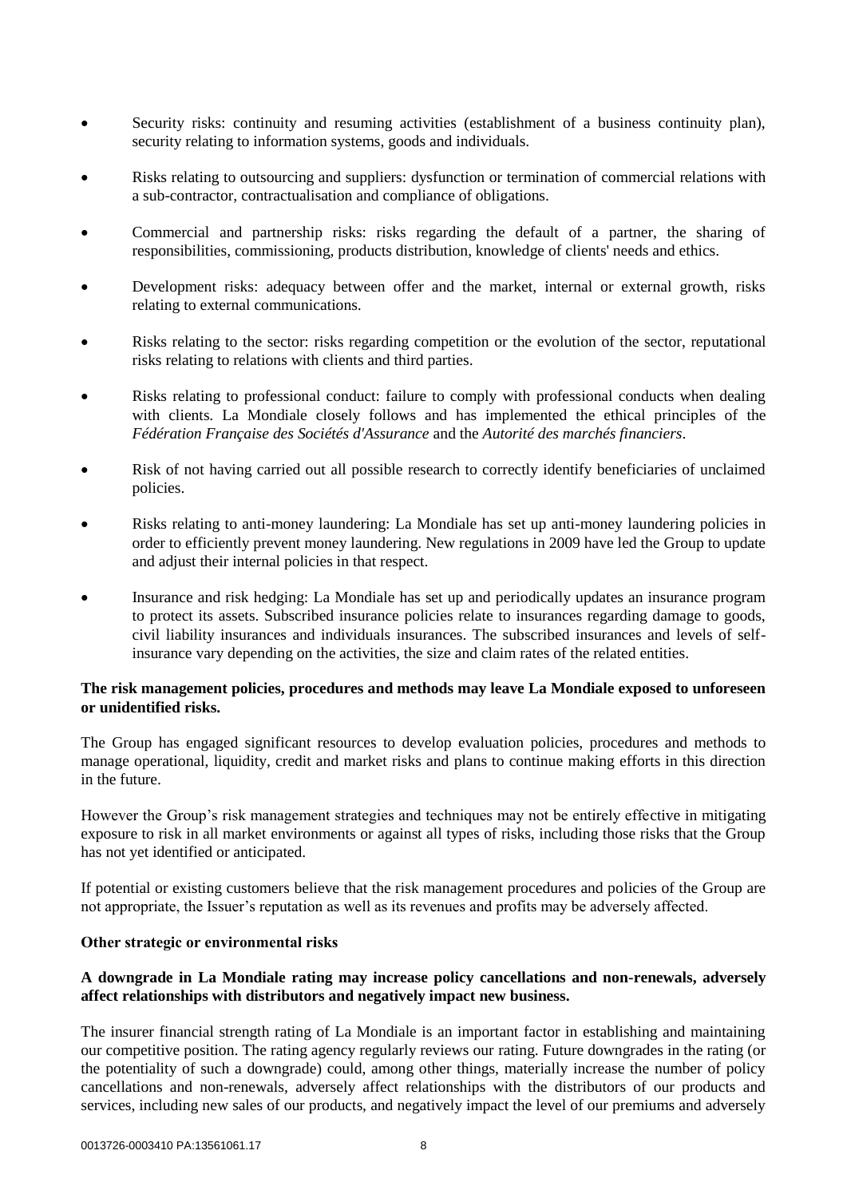- Security risks: continuity and resuming activities (establishment of a business continuity plan), security relating to information systems, goods and individuals.
- Risks relating to outsourcing and suppliers: dysfunction or termination of commercial relations with a sub-contractor, contractualisation and compliance of obligations.
- Commercial and partnership risks: risks regarding the default of a partner, the sharing of responsibilities, commissioning, products distribution, knowledge of clients' needs and ethics.
- Development risks: adequacy between offer and the market, internal or external growth, risks relating to external communications.
- Risks relating to the sector: risks regarding competition or the evolution of the sector, reputational risks relating to relations with clients and third parties.
- Risks relating to professional conduct: failure to comply with professional conducts when dealing with clients. La Mondiale closely follows and has implemented the ethical principles of the *Fédération Française des Sociétés d'Assurance* and the *Autorité des marchés financiers*.
- Risk of not having carried out all possible research to correctly identify beneficiaries of unclaimed policies.
- Risks relating to anti-money laundering: La Mondiale has set up anti-money laundering policies in order to efficiently prevent money laundering. New regulations in 2009 have led the Group to update and adjust their internal policies in that respect.
- Insurance and risk hedging: La Mondiale has set up and periodically updates an insurance program to protect its assets. Subscribed insurance policies relate to insurances regarding damage to goods, civil liability insurances and individuals insurances. The subscribed insurances and levels of selfinsurance vary depending on the activities, the size and claim rates of the related entities.

## **The risk management policies, procedures and methods may leave La Mondiale exposed to unforeseen or unidentified risks.**

The Group has engaged significant resources to develop evaluation policies, procedures and methods to manage operational, liquidity, credit and market risks and plans to continue making efforts in this direction in the future.

However the Group's risk management strategies and techniques may not be entirely effective in mitigating exposure to risk in all market environments or against all types of risks, including those risks that the Group has not yet identified or anticipated.

If potential or existing customers believe that the risk management procedures and policies of the Group are not appropriate, the Issuer's reputation as well as its revenues and profits may be adversely affected.

# **Other strategic or environmental risks**

# **A downgrade in La Mondiale rating may increase policy cancellations and non-renewals, adversely affect relationships with distributors and negatively impact new business.**

The insurer financial strength rating of La Mondiale is an important factor in establishing and maintaining our competitive position. The rating agency regularly reviews our rating. Future downgrades in the rating (or the potentiality of such a downgrade) could, among other things, materially increase the number of policy cancellations and non-renewals, adversely affect relationships with the distributors of our products and services, including new sales of our products, and negatively impact the level of our premiums and adversely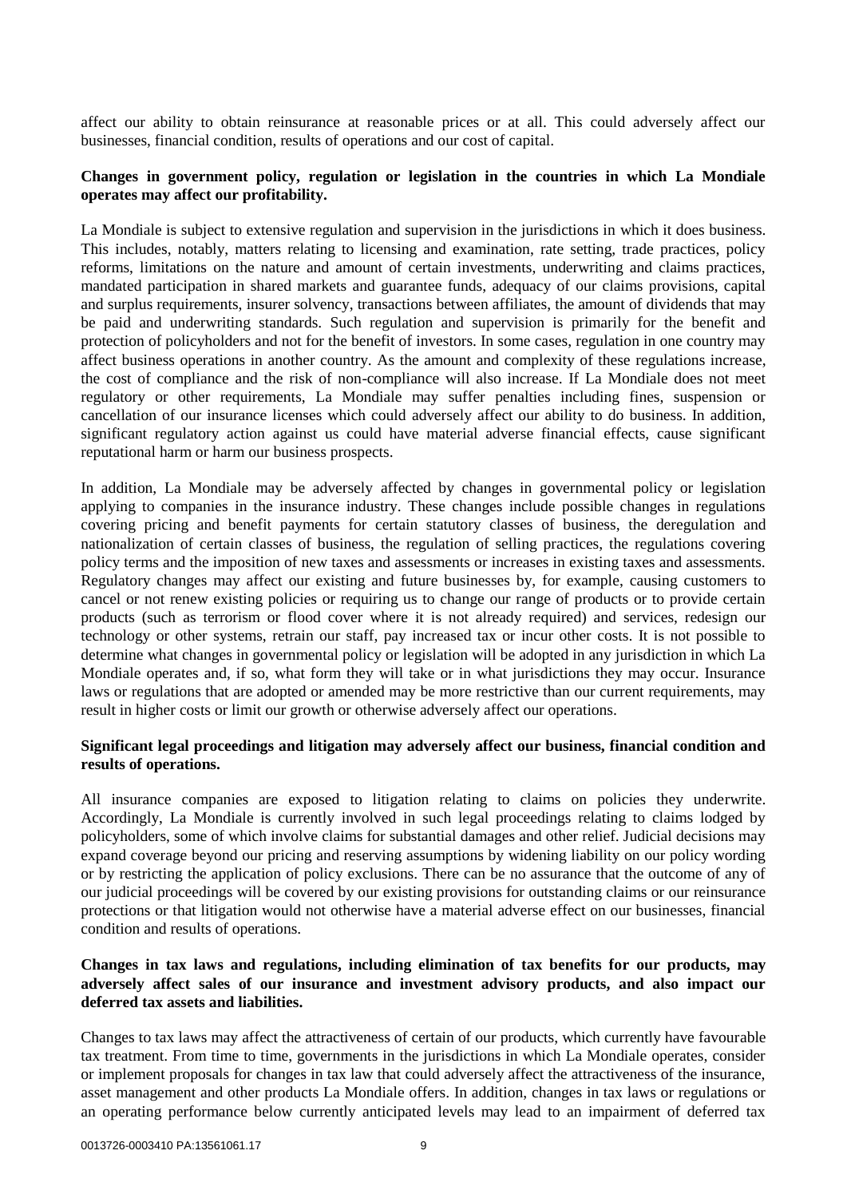affect our ability to obtain reinsurance at reasonable prices or at all. This could adversely affect our businesses, financial condition, results of operations and our cost of capital.

# **Changes in government policy, regulation or legislation in the countries in which La Mondiale operates may affect our profitability.**

La Mondiale is subject to extensive regulation and supervision in the jurisdictions in which it does business. This includes, notably, matters relating to licensing and examination, rate setting, trade practices, policy reforms, limitations on the nature and amount of certain investments, underwriting and claims practices, mandated participation in shared markets and guarantee funds, adequacy of our claims provisions, capital and surplus requirements, insurer solvency, transactions between affiliates, the amount of dividends that may be paid and underwriting standards. Such regulation and supervision is primarily for the benefit and protection of policyholders and not for the benefit of investors. In some cases, regulation in one country may affect business operations in another country. As the amount and complexity of these regulations increase, the cost of compliance and the risk of non-compliance will also increase. If La Mondiale does not meet regulatory or other requirements, La Mondiale may suffer penalties including fines, suspension or cancellation of our insurance licenses which could adversely affect our ability to do business. In addition, significant regulatory action against us could have material adverse financial effects, cause significant reputational harm or harm our business prospects.

In addition, La Mondiale may be adversely affected by changes in governmental policy or legislation applying to companies in the insurance industry. These changes include possible changes in regulations covering pricing and benefit payments for certain statutory classes of business, the deregulation and nationalization of certain classes of business, the regulation of selling practices, the regulations covering policy terms and the imposition of new taxes and assessments or increases in existing taxes and assessments. Regulatory changes may affect our existing and future businesses by, for example, causing customers to cancel or not renew existing policies or requiring us to change our range of products or to provide certain products (such as terrorism or flood cover where it is not already required) and services, redesign our technology or other systems, retrain our staff, pay increased tax or incur other costs. It is not possible to determine what changes in governmental policy or legislation will be adopted in any jurisdiction in which La Mondiale operates and, if so, what form they will take or in what jurisdictions they may occur. Insurance laws or regulations that are adopted or amended may be more restrictive than our current requirements, may result in higher costs or limit our growth or otherwise adversely affect our operations.

# **Significant legal proceedings and litigation may adversely affect our business, financial condition and results of operations.**

All insurance companies are exposed to litigation relating to claims on policies they underwrite. Accordingly, La Mondiale is currently involved in such legal proceedings relating to claims lodged by policyholders, some of which involve claims for substantial damages and other relief. Judicial decisions may expand coverage beyond our pricing and reserving assumptions by widening liability on our policy wording or by restricting the application of policy exclusions. There can be no assurance that the outcome of any of our judicial proceedings will be covered by our existing provisions for outstanding claims or our reinsurance protections or that litigation would not otherwise have a material adverse effect on our businesses, financial condition and results of operations.

# **Changes in tax laws and regulations, including elimination of tax benefits for our products, may adversely affect sales of our insurance and investment advisory products, and also impact our deferred tax assets and liabilities.**

Changes to tax laws may affect the attractiveness of certain of our products, which currently have favourable tax treatment. From time to time, governments in the jurisdictions in which La Mondiale operates, consider or implement proposals for changes in tax law that could adversely affect the attractiveness of the insurance, asset management and other products La Mondiale offers. In addition, changes in tax laws or regulations or an operating performance below currently anticipated levels may lead to an impairment of deferred tax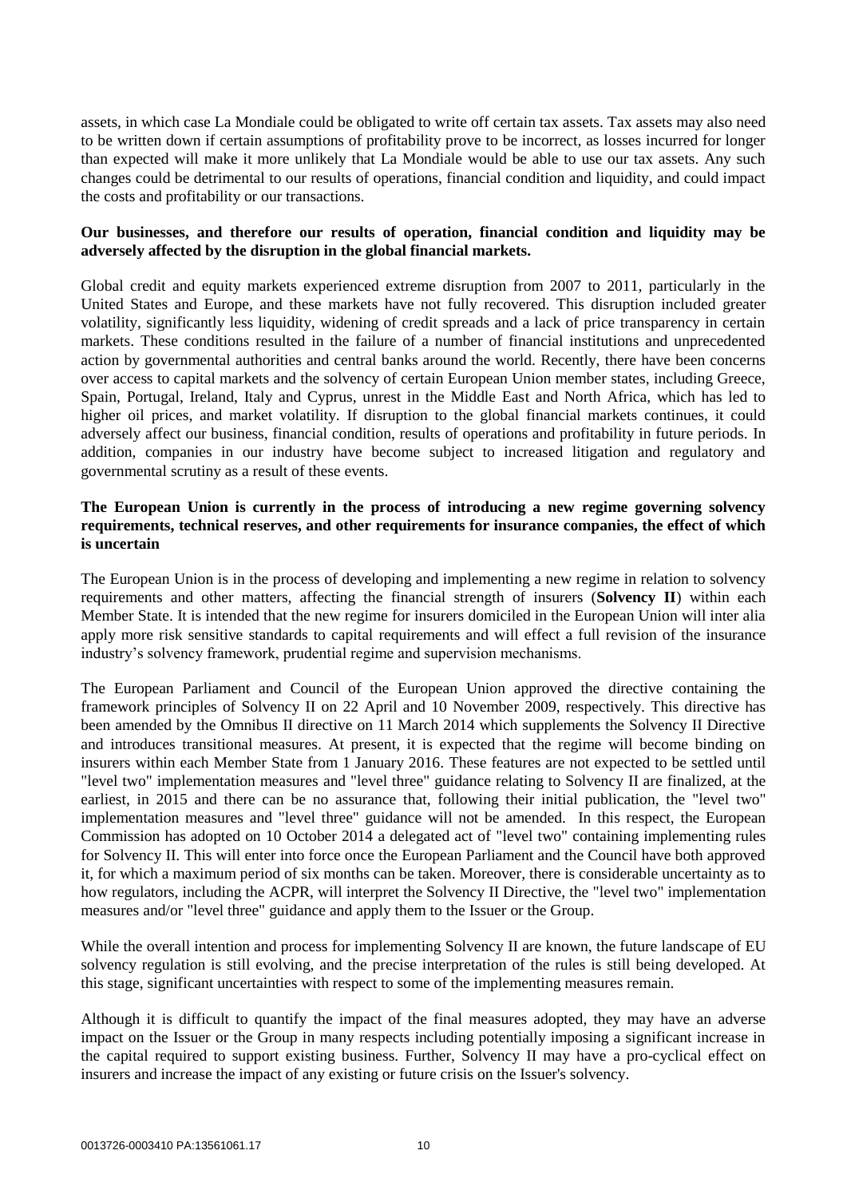assets, in which case La Mondiale could be obligated to write off certain tax assets. Tax assets may also need to be written down if certain assumptions of profitability prove to be incorrect, as losses incurred for longer than expected will make it more unlikely that La Mondiale would be able to use our tax assets. Any such changes could be detrimental to our results of operations, financial condition and liquidity, and could impact the costs and profitability or our transactions.

# **Our businesses, and therefore our results of operation, financial condition and liquidity may be adversely affected by the disruption in the global financial markets.**

Global credit and equity markets experienced extreme disruption from 2007 to 2011, particularly in the United States and Europe, and these markets have not fully recovered. This disruption included greater volatility, significantly less liquidity, widening of credit spreads and a lack of price transparency in certain markets. These conditions resulted in the failure of a number of financial institutions and unprecedented action by governmental authorities and central banks around the world. Recently, there have been concerns over access to capital markets and the solvency of certain European Union member states, including Greece, Spain, Portugal, Ireland, Italy and Cyprus, unrest in the Middle East and North Africa, which has led to higher oil prices, and market volatility. If disruption to the global financial markets continues, it could adversely affect our business, financial condition, results of operations and profitability in future periods. In addition, companies in our industry have become subject to increased litigation and regulatory and governmental scrutiny as a result of these events.

# **The European Union is currently in the process of introducing a new regime governing solvency requirements, technical reserves, and other requirements for insurance companies, the effect of which is uncertain**

The European Union is in the process of developing and implementing a new regime in relation to solvency requirements and other matters, affecting the financial strength of insurers (**Solvency II**) within each Member State. It is intended that the new regime for insurers domiciled in the European Union will inter alia apply more risk sensitive standards to capital requirements and will effect a full revision of the insurance industry's solvency framework, prudential regime and supervision mechanisms.

The European Parliament and Council of the European Union approved the directive containing the framework principles of Solvency II on 22 April and 10 November 2009, respectively. This directive has been amended by the Omnibus II directive on 11 March 2014 which supplements the Solvency II Directive and introduces transitional measures. At present, it is expected that the regime will become binding on insurers within each Member State from 1 January 2016. These features are not expected to be settled until "level two" implementation measures and "level three" guidance relating to Solvency II are finalized, at the earliest, in 2015 and there can be no assurance that, following their initial publication, the "level two" implementation measures and "level three" guidance will not be amended. In this respect, the European Commission has adopted on 10 October 2014 a delegated act of "level two" containing implementing rules for Solvency II. This will enter into force once the European Parliament and the Council have both approved it, for which a maximum period of six months can be taken. Moreover, there is considerable uncertainty as to how regulators, including the ACPR, will interpret the Solvency II Directive, the "level two" implementation measures and/or "level three" guidance and apply them to the Issuer or the Group.

While the overall intention and process for implementing Solvency II are known, the future landscape of EU solvency regulation is still evolving, and the precise interpretation of the rules is still being developed. At this stage, significant uncertainties with respect to some of the implementing measures remain.

Although it is difficult to quantify the impact of the final measures adopted, they may have an adverse impact on the Issuer or the Group in many respects including potentially imposing a significant increase in the capital required to support existing business. Further, Solvency II may have a pro-cyclical effect on insurers and increase the impact of any existing or future crisis on the Issuer's solvency.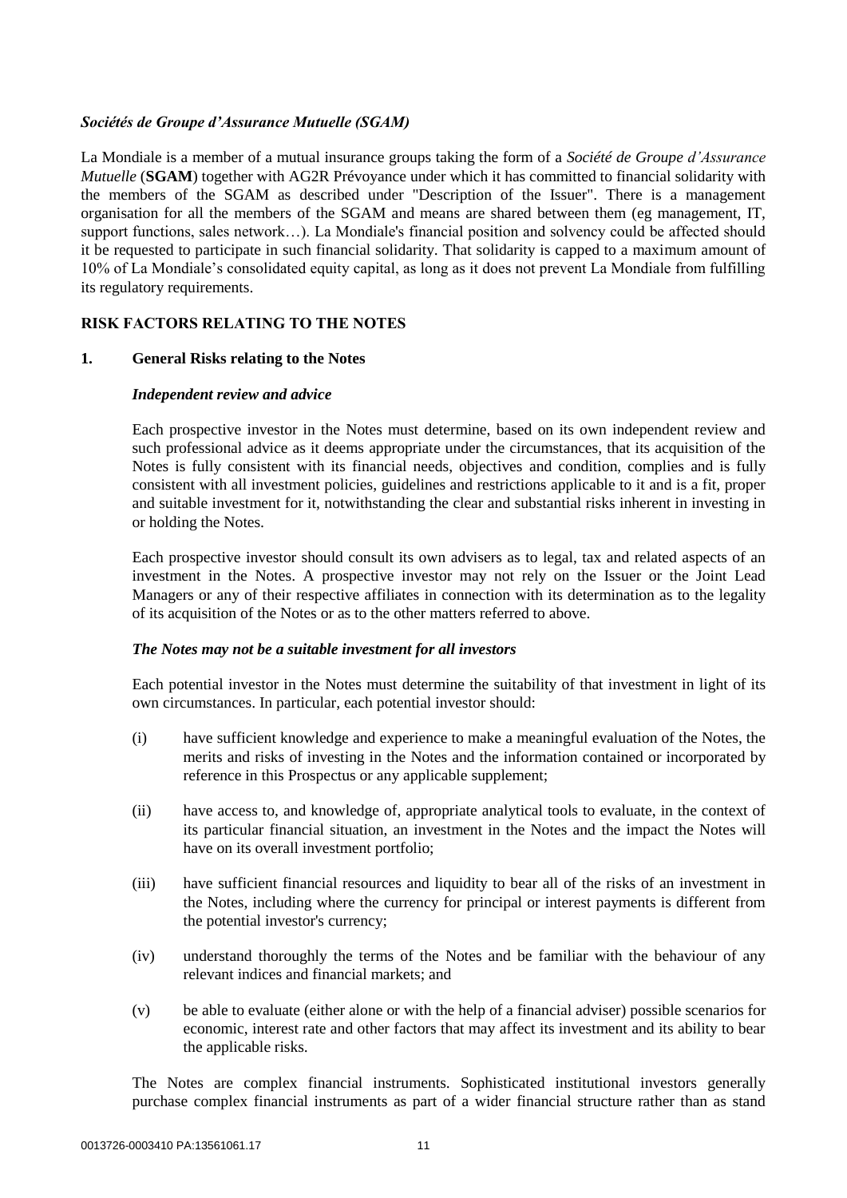# *Sociétés de Groupe d'Assurance Mutuelle (SGAM)*

La Mondiale is a member of a mutual insurance groups taking the form of a *Société de Groupe d'Assurance Mutuelle* (**SGAM**) together with AG2R Prévoyance under which it has committed to financial solidarity with the members of the SGAM as described under "Description of the Issuer". There is a management organisation for all the members of the SGAM and means are shared between them (eg management, IT, support functions, sales network…). La Mondiale's financial position and solvency could be affected should it be requested to participate in such financial solidarity. That solidarity is capped to a maximum amount of 10% of La Mondiale's consolidated equity capital, as long as it does not prevent La Mondiale from fulfilling its regulatory requirements.

# **RISK FACTORS RELATING TO THE NOTES**

# **1. General Risks relating to the Notes**

# *Independent review and advice*

Each prospective investor in the Notes must determine, based on its own independent review and such professional advice as it deems appropriate under the circumstances, that its acquisition of the Notes is fully consistent with its financial needs, objectives and condition, complies and is fully consistent with all investment policies, guidelines and restrictions applicable to it and is a fit, proper and suitable investment for it, notwithstanding the clear and substantial risks inherent in investing in or holding the Notes.

Each prospective investor should consult its own advisers as to legal, tax and related aspects of an investment in the Notes. A prospective investor may not rely on the Issuer or the Joint Lead Managers or any of their respective affiliates in connection with its determination as to the legality of its acquisition of the Notes or as to the other matters referred to above.

# *The Notes may not be a suitable investment for all investors*

Each potential investor in the Notes must determine the suitability of that investment in light of its own circumstances. In particular, each potential investor should:

- (i) have sufficient knowledge and experience to make a meaningful evaluation of the Notes, the merits and risks of investing in the Notes and the information contained or incorporated by reference in this Prospectus or any applicable supplement;
- (ii) have access to, and knowledge of, appropriate analytical tools to evaluate, in the context of its particular financial situation, an investment in the Notes and the impact the Notes will have on its overall investment portfolio;
- (iii) have sufficient financial resources and liquidity to bear all of the risks of an investment in the Notes, including where the currency for principal or interest payments is different from the potential investor's currency;
- (iv) understand thoroughly the terms of the Notes and be familiar with the behaviour of any relevant indices and financial markets; and
- (v) be able to evaluate (either alone or with the help of a financial adviser) possible scenarios for economic, interest rate and other factors that may affect its investment and its ability to bear the applicable risks.

The Notes are complex financial instruments. Sophisticated institutional investors generally purchase complex financial instruments as part of a wider financial structure rather than as stand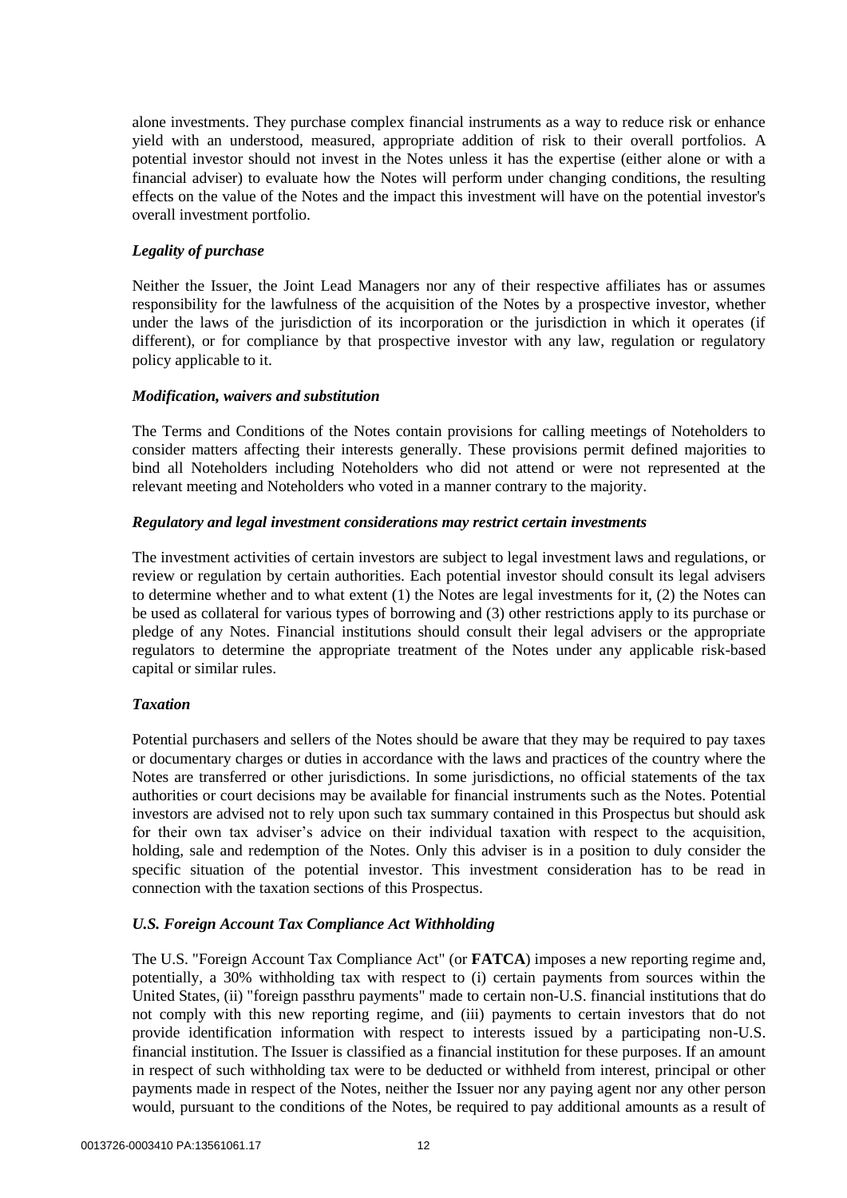alone investments. They purchase complex financial instruments as a way to reduce risk or enhance yield with an understood, measured, appropriate addition of risk to their overall portfolios. A potential investor should not invest in the Notes unless it has the expertise (either alone or with a financial adviser) to evaluate how the Notes will perform under changing conditions, the resulting effects on the value of the Notes and the impact this investment will have on the potential investor's overall investment portfolio.

# *Legality of purchase*

Neither the Issuer, the Joint Lead Managers nor any of their respective affiliates has or assumes responsibility for the lawfulness of the acquisition of the Notes by a prospective investor, whether under the laws of the jurisdiction of its incorporation or the jurisdiction in which it operates (if different), or for compliance by that prospective investor with any law, regulation or regulatory policy applicable to it.

# *Modification, waivers and substitution*

The Terms and Conditions of the Notes contain provisions for calling meetings of Noteholders to consider matters affecting their interests generally. These provisions permit defined majorities to bind all Noteholders including Noteholders who did not attend or were not represented at the relevant meeting and Noteholders who voted in a manner contrary to the majority.

# *Regulatory and legal investment considerations may restrict certain investments*

The investment activities of certain investors are subject to legal investment laws and regulations, or review or regulation by certain authorities. Each potential investor should consult its legal advisers to determine whether and to what extent (1) the Notes are legal investments for it, (2) the Notes can be used as collateral for various types of borrowing and (3) other restrictions apply to its purchase or pledge of any Notes. Financial institutions should consult their legal advisers or the appropriate regulators to determine the appropriate treatment of the Notes under any applicable risk-based capital or similar rules.

# *Taxation*

Potential purchasers and sellers of the Notes should be aware that they may be required to pay taxes or documentary charges or duties in accordance with the laws and practices of the country where the Notes are transferred or other jurisdictions. In some jurisdictions, no official statements of the tax authorities or court decisions may be available for financial instruments such as the Notes. Potential investors are advised not to rely upon such tax summary contained in this Prospectus but should ask for their own tax adviser's advice on their individual taxation with respect to the acquisition, holding, sale and redemption of the Notes. Only this adviser is in a position to duly consider the specific situation of the potential investor. This investment consideration has to be read in connection with the taxation sections of this Prospectus.

# *U.S. Foreign Account Tax Compliance Act Withholding*

The U.S. "Foreign Account Tax Compliance Act" (or **FATCA**) imposes a new reporting regime and, potentially, a 30% withholding tax with respect to (i) certain payments from sources within the United States, (ii) "foreign passthru payments" made to certain non-U.S. financial institutions that do not comply with this new reporting regime, and (iii) payments to certain investors that do not provide identification information with respect to interests issued by a participating non-U.S. financial institution. The Issuer is classified as a financial institution for these purposes. If an amount in respect of such withholding tax were to be deducted or withheld from interest, principal or other payments made in respect of the Notes, neither the Issuer nor any paying agent nor any other person would, pursuant to the conditions of the Notes, be required to pay additional amounts as a result of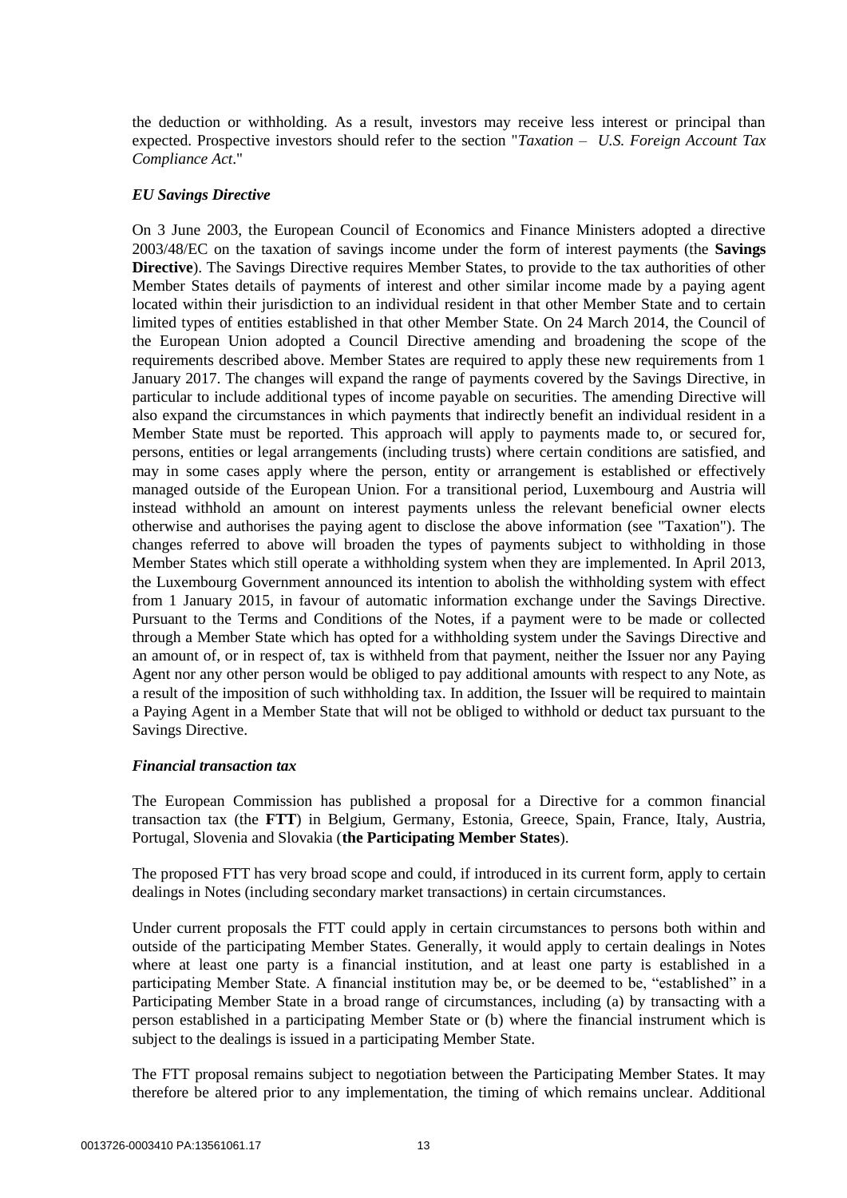the deduction or withholding. As a result, investors may receive less interest or principal than expected. Prospective investors should refer to the section "*Taxation* – *U.S. Foreign Account Tax Compliance Act*."

## *EU Savings Directive*

On 3 June 2003, the European Council of Economics and Finance Ministers adopted a directive 2003/48/EC on the taxation of savings income under the form of interest payments (the **Savings Directive**). The Savings Directive requires Member States, to provide to the tax authorities of other Member States details of payments of interest and other similar income made by a paying agent located within their jurisdiction to an individual resident in that other Member State and to certain limited types of entities established in that other Member State. On 24 March 2014, the Council of the European Union adopted a Council Directive amending and broadening the scope of the requirements described above. Member States are required to apply these new requirements from 1 January 2017. The changes will expand the range of payments covered by the Savings Directive, in particular to include additional types of income payable on securities. The amending Directive will also expand the circumstances in which payments that indirectly benefit an individual resident in a Member State must be reported. This approach will apply to payments made to, or secured for, persons, entities or legal arrangements (including trusts) where certain conditions are satisfied, and may in some cases apply where the person, entity or arrangement is established or effectively managed outside of the European Union. For a transitional period, Luxembourg and Austria will instead withhold an amount on interest payments unless the relevant beneficial owner elects otherwise and authorises the paying agent to disclose the above information (see "Taxation"). The changes referred to above will broaden the types of payments subject to withholding in those Member States which still operate a withholding system when they are implemented. In April 2013, the Luxembourg Government announced its intention to abolish the withholding system with effect from 1 January 2015, in favour of automatic information exchange under the Savings Directive. Pursuant to the Terms and Conditions of the Notes, if a payment were to be made or collected through a Member State which has opted for a withholding system under the Savings Directive and an amount of, or in respect of, tax is withheld from that payment, neither the Issuer nor any Paying Agent nor any other person would be obliged to pay additional amounts with respect to any Note, as a result of the imposition of such withholding tax. In addition, the Issuer will be required to maintain a Paying Agent in a Member State that will not be obliged to withhold or deduct tax pursuant to the Savings Directive.

## *Financial transaction tax*

The European Commission has published a proposal for a Directive for a common financial transaction tax (the **FTT**) in Belgium, Germany, Estonia, Greece, Spain, France, Italy, Austria, Portugal, Slovenia and Slovakia (**the Participating Member States**).

The proposed FTT has very broad scope and could, if introduced in its current form, apply to certain dealings in Notes (including secondary market transactions) in certain circumstances.

Under current proposals the FTT could apply in certain circumstances to persons both within and outside of the participating Member States. Generally, it would apply to certain dealings in Notes where at least one party is a financial institution, and at least one party is established in a participating Member State. A financial institution may be, or be deemed to be, "established" in a Participating Member State in a broad range of circumstances, including (a) by transacting with a person established in a participating Member State or (b) where the financial instrument which is subject to the dealings is issued in a participating Member State.

The FTT proposal remains subject to negotiation between the Participating Member States. It may therefore be altered prior to any implementation, the timing of which remains unclear. Additional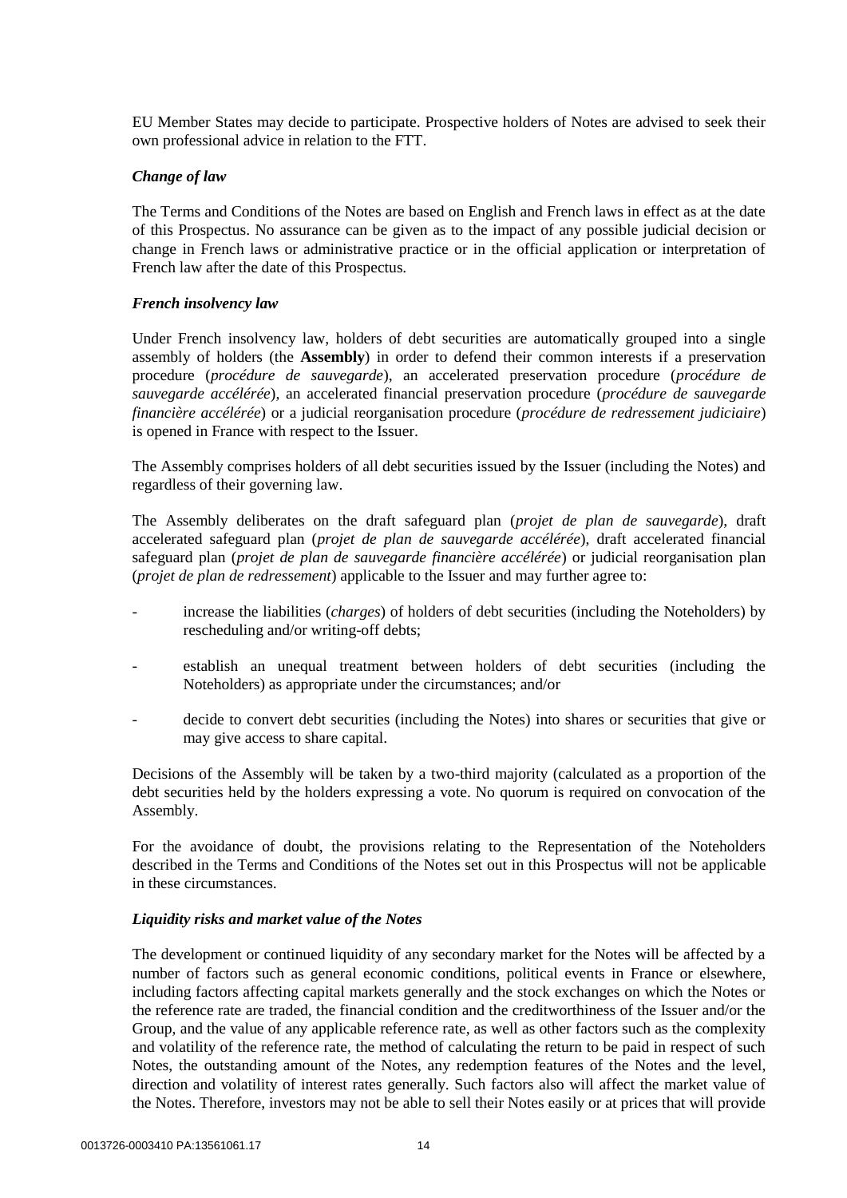EU Member States may decide to participate. Prospective holders of Notes are advised to seek their own professional advice in relation to the FTT.

## *Change of law*

The Terms and Conditions of the Notes are based on English and French laws in effect as at the date of this Prospectus. No assurance can be given as to the impact of any possible judicial decision or change in French laws or administrative practice or in the official application or interpretation of French law after the date of this Prospectus.

## *French insolvency law*

Under French insolvency law, holders of debt securities are automatically grouped into a single assembly of holders (the **Assembly**) in order to defend their common interests if a preservation procedure (*procédure de sauvegarde*), an accelerated preservation procedure (*procédure de sauvegarde accélérée*), an accelerated financial preservation procedure (*procédure de sauvegarde financière accélérée*) or a judicial reorganisation procedure (*procédure de redressement judiciaire*) is opened in France with respect to the Issuer.

The Assembly comprises holders of all debt securities issued by the Issuer (including the Notes) and regardless of their governing law.

The Assembly deliberates on the draft safeguard plan (*projet de plan de sauvegarde*), draft accelerated safeguard plan (*projet de plan de sauvegarde accélérée*), draft accelerated financial safeguard plan (*projet de plan de sauvegarde financière accélérée*) or judicial reorganisation plan (*projet de plan de redressement*) applicable to the Issuer and may further agree to:

- increase the liabilities (*charges*) of holders of debt securities (including the Noteholders) by rescheduling and/or writing-off debts;
- establish an unequal treatment between holders of debt securities (including the Noteholders) as appropriate under the circumstances; and/or
- decide to convert debt securities (including the Notes) into shares or securities that give or may give access to share capital.

Decisions of the Assembly will be taken by a two-third majority (calculated as a proportion of the debt securities held by the holders expressing a vote. No quorum is required on convocation of the Assembly.

For the avoidance of doubt, the provisions relating to the Representation of the Noteholders described in the Terms and Conditions of the Notes set out in this Prospectus will not be applicable in these circumstances.

# *Liquidity risks and market value of the Notes*

The development or continued liquidity of any secondary market for the Notes will be affected by a number of factors such as general economic conditions, political events in France or elsewhere, including factors affecting capital markets generally and the stock exchanges on which the Notes or the reference rate are traded, the financial condition and the creditworthiness of the Issuer and/or the Group, and the value of any applicable reference rate, as well as other factors such as the complexity and volatility of the reference rate, the method of calculating the return to be paid in respect of such Notes, the outstanding amount of the Notes, any redemption features of the Notes and the level, direction and volatility of interest rates generally. Such factors also will affect the market value of the Notes. Therefore, investors may not be able to sell their Notes easily or at prices that will provide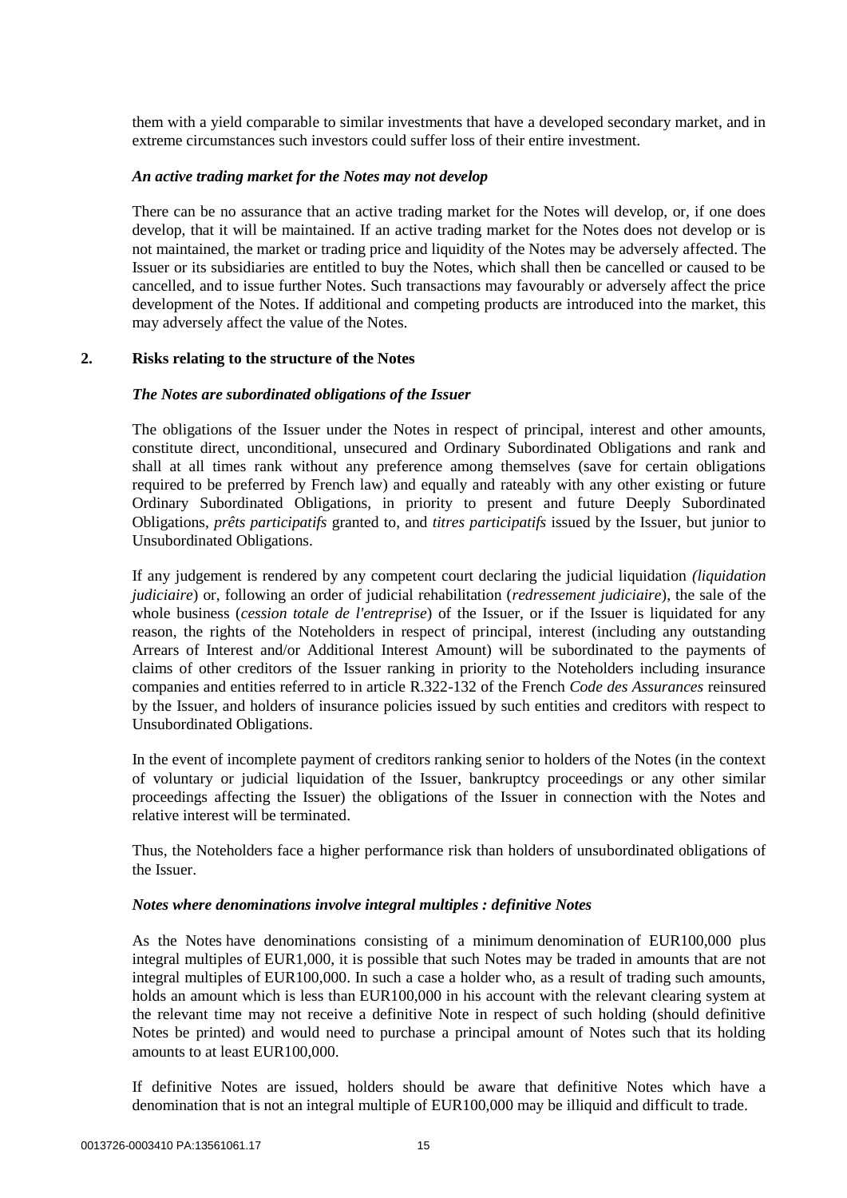them with a yield comparable to similar investments that have a developed secondary market, and in extreme circumstances such investors could suffer loss of their entire investment.

## *An active trading market for the Notes may not develop*

There can be no assurance that an active trading market for the Notes will develop, or, if one does develop, that it will be maintained. If an active trading market for the Notes does not develop or is not maintained, the market or trading price and liquidity of the Notes may be adversely affected. The Issuer or its subsidiaries are entitled to buy the Notes, which shall then be cancelled or caused to be cancelled, and to issue further Notes. Such transactions may favourably or adversely affect the price development of the Notes. If additional and competing products are introduced into the market, this may adversely affect the value of the Notes.

## **2. Risks relating to the structure of the Notes**

#### *The Notes are subordinated obligations of the Issuer*

The obligations of the Issuer under the Notes in respect of principal, interest and other amounts, constitute direct, unconditional, unsecured and Ordinary Subordinated Obligations and rank and shall at all times rank without any preference among themselves (save for certain obligations required to be preferred by French law) and equally and rateably with any other existing or future Ordinary Subordinated Obligations, in priority to present and future Deeply Subordinated Obligations, *prêts participatifs* granted to, and *titres participatifs* issued by the Issuer, but junior to Unsubordinated Obligations.

If any judgement is rendered by any competent court declaring the judicial liquidation *(liquidation judiciaire*) or, following an order of judicial rehabilitation (*redressement judiciaire*), the sale of the whole business (*cession totale de l'entreprise*) of the Issuer, or if the Issuer is liquidated for any reason, the rights of the Noteholders in respect of principal, interest (including any outstanding Arrears of Interest and/or Additional Interest Amount) will be subordinated to the payments of claims of other creditors of the Issuer ranking in priority to the Noteholders including insurance companies and entities referred to in article R.322-132 of the French *Code des Assurances* reinsured by the Issuer, and holders of insurance policies issued by such entities and creditors with respect to Unsubordinated Obligations.

In the event of incomplete payment of creditors ranking senior to holders of the Notes (in the context of voluntary or judicial liquidation of the Issuer, bankruptcy proceedings or any other similar proceedings affecting the Issuer) the obligations of the Issuer in connection with the Notes and relative interest will be terminated.

Thus, the Noteholders face a higher performance risk than holders of unsubordinated obligations of the Issuer.

#### *Notes where denominations involve integral multiples : definitive Notes*

As the Notes have denominations consisting of a minimum denomination of EUR100,000 plus integral multiples of EUR1,000, it is possible that such Notes may be traded in amounts that are not integral multiples of EUR100,000. In such a case a holder who, as a result of trading such amounts, holds an amount which is less than EUR100,000 in his account with the relevant clearing system at the relevant time may not receive a definitive Note in respect of such holding (should definitive Notes be printed) and would need to purchase a principal amount of Notes such that its holding amounts to at least EUR100,000.

If definitive Notes are issued, holders should be aware that definitive Notes which have a denomination that is not an integral multiple of EUR100,000 may be illiquid and difficult to trade.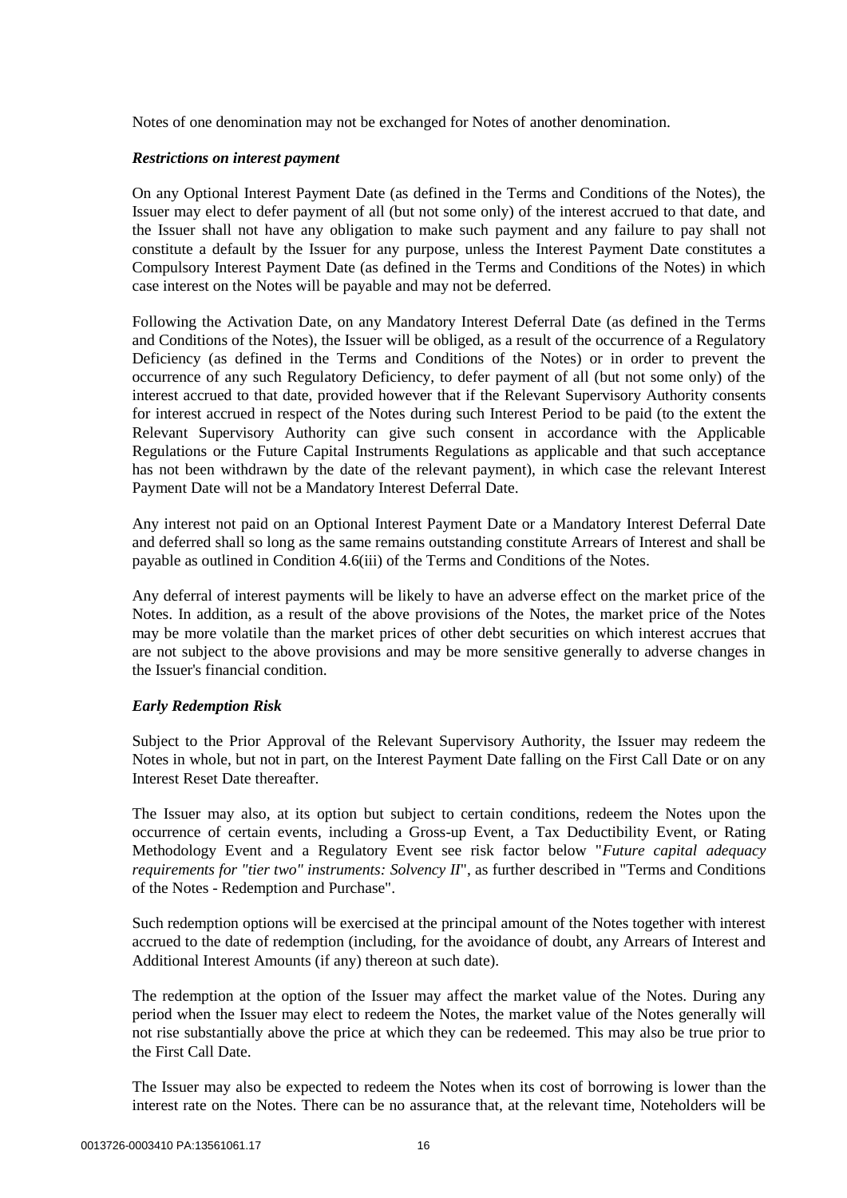Notes of one denomination may not be exchanged for Notes of another denomination.

## *Restrictions on interest payment*

On any Optional Interest Payment Date (as defined in the Terms and Conditions of the Notes), the Issuer may elect to defer payment of all (but not some only) of the interest accrued to that date, and the Issuer shall not have any obligation to make such payment and any failure to pay shall not constitute a default by the Issuer for any purpose, unless the Interest Payment Date constitutes a Compulsory Interest Payment Date (as defined in the Terms and Conditions of the Notes) in which case interest on the Notes will be payable and may not be deferred.

Following the Activation Date, on any Mandatory Interest Deferral Date (as defined in the Terms and Conditions of the Notes), the Issuer will be obliged, as a result of the occurrence of a Regulatory Deficiency (as defined in the Terms and Conditions of the Notes) or in order to prevent the occurrence of any such Regulatory Deficiency, to defer payment of all (but not some only) of the interest accrued to that date, provided however that if the Relevant Supervisory Authority consents for interest accrued in respect of the Notes during such Interest Period to be paid (to the extent the Relevant Supervisory Authority can give such consent in accordance with the Applicable Regulations or the Future Capital Instruments Regulations as applicable and that such acceptance has not been withdrawn by the date of the relevant payment), in which case the relevant Interest Payment Date will not be a Mandatory Interest Deferral Date.

Any interest not paid on an Optional Interest Payment Date or a Mandatory Interest Deferral Date and deferred shall so long as the same remains outstanding constitute Arrears of Interest and shall be payable as outlined in Condition [4.6\(iii\)](#page-35-0) of the Terms and Conditions of the Notes.

Any deferral of interest payments will be likely to have an adverse effect on the market price of the Notes. In addition, as a result of the above provisions of the Notes, the market price of the Notes may be more volatile than the market prices of other debt securities on which interest accrues that are not subject to the above provisions and may be more sensitive generally to adverse changes in the Issuer's financial condition.

# *Early Redemption Risk*

Subject to the Prior Approval of the Relevant Supervisory Authority, the Issuer may redeem the Notes in whole, but not in part, on the Interest Payment Date falling on the First Call Date or on any Interest Reset Date thereafter.

The Issuer may also, at its option but subject to certain conditions, redeem the Notes upon the occurrence of certain events, including a Gross-up Event, a Tax Deductibility Event, or Rating Methodology Event and a Regulatory Event see risk factor below "*Future capital adequacy requirements for "tier two" instruments: Solvency II*", as further described in "Terms and Conditions of the Notes - Redemption and Purchase".

Such redemption options will be exercised at the principal amount of the Notes together with interest accrued to the date of redemption (including, for the avoidance of doubt, any Arrears of Interest and Additional Interest Amounts (if any) thereon at such date).

The redemption at the option of the Issuer may affect the market value of the Notes. During any period when the Issuer may elect to redeem the Notes, the market value of the Notes generally will not rise substantially above the price at which they can be redeemed. This may also be true prior to the First Call Date.

The Issuer may also be expected to redeem the Notes when its cost of borrowing is lower than the interest rate on the Notes. There can be no assurance that, at the relevant time, Noteholders will be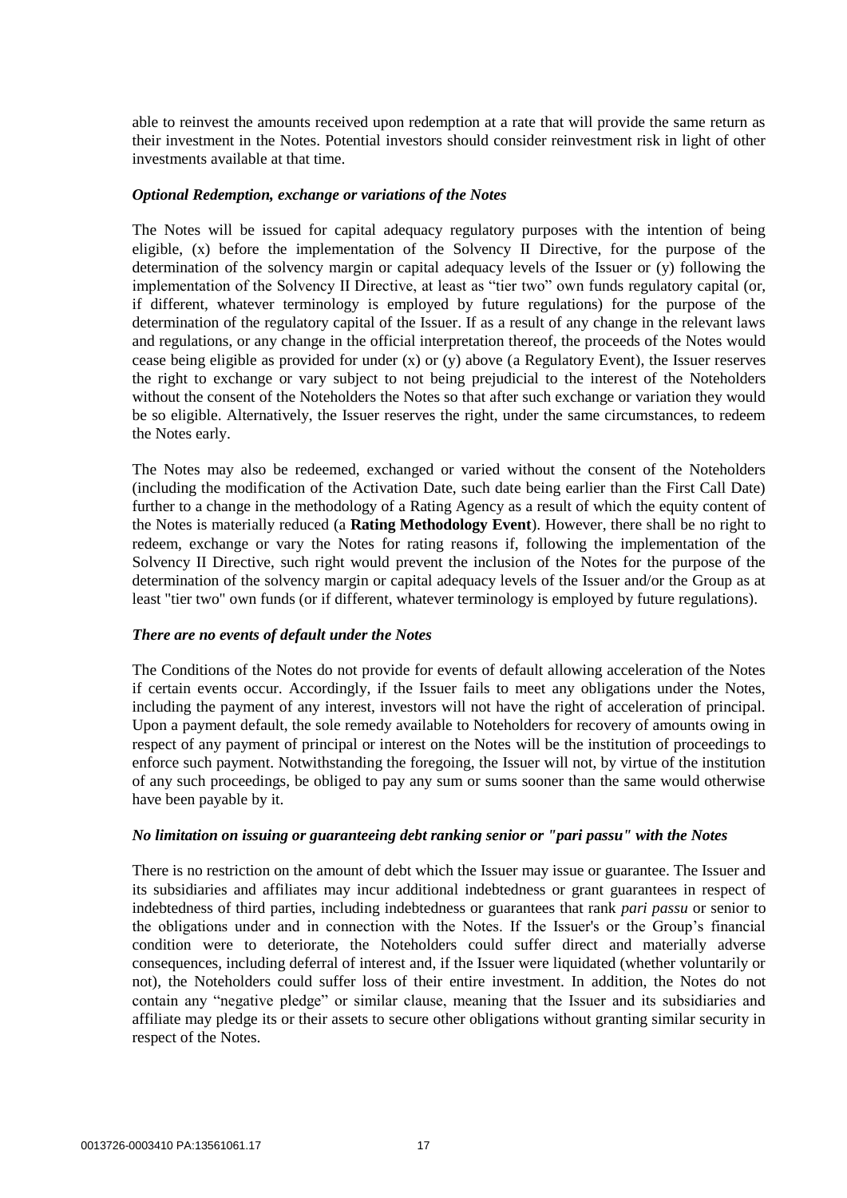able to reinvest the amounts received upon redemption at a rate that will provide the same return as their investment in the Notes. Potential investors should consider reinvestment risk in light of other investments available at that time.

#### *Optional Redemption, exchange or variations of the Notes*

The Notes will be issued for capital adequacy regulatory purposes with the intention of being eligible, (x) before the implementation of the Solvency II Directive, for the purpose of the determination of the solvency margin or capital adequacy levels of the Issuer or (y) following the implementation of the Solvency II Directive, at least as "tier two" own funds regulatory capital (or, if different, whatever terminology is employed by future regulations) for the purpose of the determination of the regulatory capital of the Issuer. If as a result of any change in the relevant laws and regulations, or any change in the official interpretation thereof, the proceeds of the Notes would cease being eligible as provided for under (x) or (y) above (a Regulatory Event), the Issuer reserves the right to exchange or vary subject to not being prejudicial to the interest of the Noteholders without the consent of the Noteholders the Notes so that after such exchange or variation they would be so eligible. Alternatively, the Issuer reserves the right, under the same circumstances, to redeem the Notes early.

The Notes may also be redeemed, exchanged or varied without the consent of the Noteholders (including the modification of the Activation Date, such date being earlier than the First Call Date) further to a change in the methodology of a Rating Agency as a result of which the equity content of the Notes is materially reduced (a **Rating Methodology Event**). However, there shall be no right to redeem, exchange or vary the Notes for rating reasons if, following the implementation of the Solvency II Directive, such right would prevent the inclusion of the Notes for the purpose of the determination of the solvency margin or capital adequacy levels of the Issuer and/or the Group as at least "tier two" own funds (or if different, whatever terminology is employed by future regulations).

## *There are no events of default under the Notes*

The Conditions of the Notes do not provide for events of default allowing acceleration of the Notes if certain events occur. Accordingly, if the Issuer fails to meet any obligations under the Notes, including the payment of any interest, investors will not have the right of acceleration of principal. Upon a payment default, the sole remedy available to Noteholders for recovery of amounts owing in respect of any payment of principal or interest on the Notes will be the institution of proceedings to enforce such payment. Notwithstanding the foregoing, the Issuer will not, by virtue of the institution of any such proceedings, be obliged to pay any sum or sums sooner than the same would otherwise have been payable by it.

## *No limitation on issuing or guaranteeing debt ranking senior or "pari passu" with the Notes*

There is no restriction on the amount of debt which the Issuer may issue or guarantee. The Issuer and its subsidiaries and affiliates may incur additional indebtedness or grant guarantees in respect of indebtedness of third parties, including indebtedness or guarantees that rank *pari passu* or senior to the obligations under and in connection with the Notes. If the Issuer's or the Group's financial condition were to deteriorate, the Noteholders could suffer direct and materially adverse consequences, including deferral of interest and, if the Issuer were liquidated (whether voluntarily or not), the Noteholders could suffer loss of their entire investment. In addition, the Notes do not contain any "negative pledge" or similar clause, meaning that the Issuer and its subsidiaries and affiliate may pledge its or their assets to secure other obligations without granting similar security in respect of the Notes.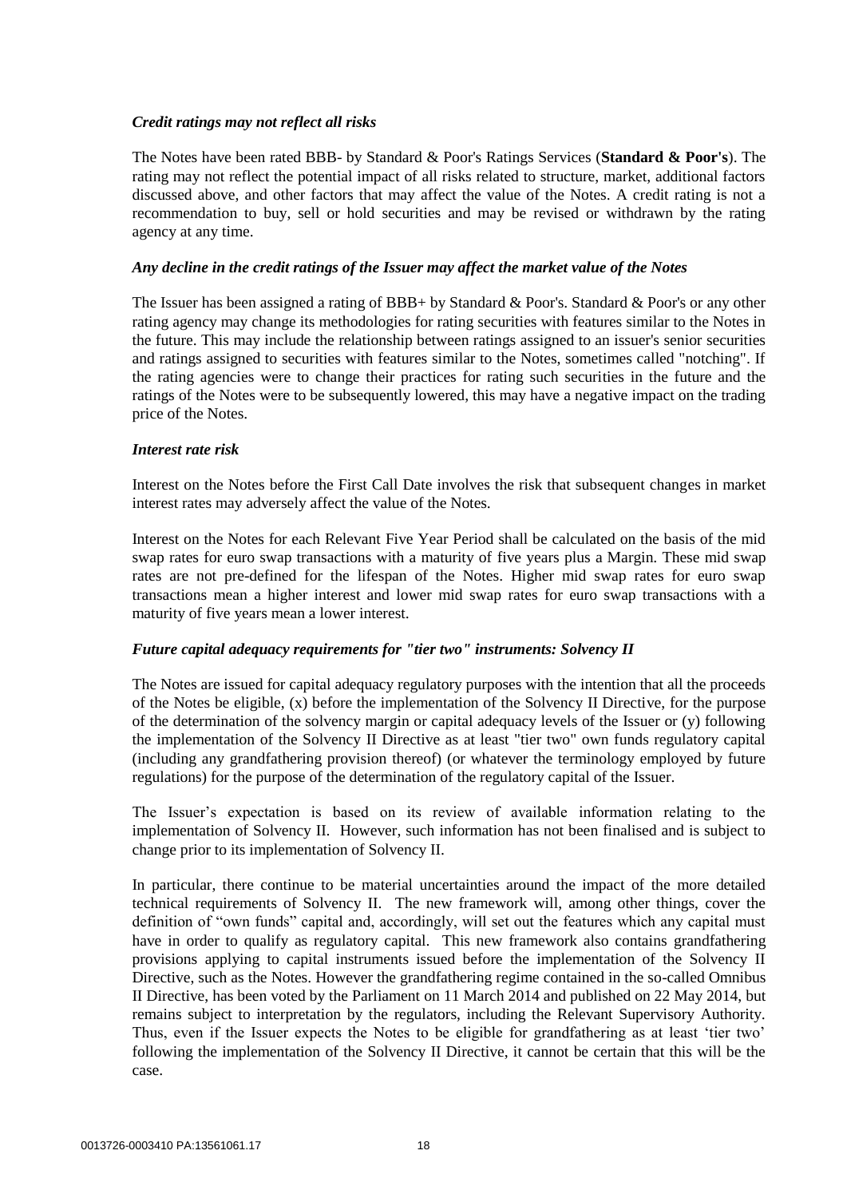# *Credit ratings may not reflect all risks*

The Notes have been rated BBB- by Standard & Poor's Ratings Services (**Standard & Poor's**). The rating may not reflect the potential impact of all risks related to structure, market, additional factors discussed above, and other factors that may affect the value of the Notes. A credit rating is not a recommendation to buy, sell or hold securities and may be revised or withdrawn by the rating agency at any time.

# *Any decline in the credit ratings of the Issuer may affect the market value of the Notes*

The Issuer has been assigned a rating of BBB+ by Standard & Poor's. Standard & Poor's or any other rating agency may change its methodologies for rating securities with features similar to the Notes in the future. This may include the relationship between ratings assigned to an issuer's senior securities and ratings assigned to securities with features similar to the Notes, sometimes called "notching". If the rating agencies were to change their practices for rating such securities in the future and the ratings of the Notes were to be subsequently lowered, this may have a negative impact on the trading price of the Notes.

# *Interest rate risk*

Interest on the Notes before the First Call Date involves the risk that subsequent changes in market interest rates may adversely affect the value of the Notes.

Interest on the Notes for each Relevant Five Year Period shall be calculated on the basis of the mid swap rates for euro swap transactions with a maturity of five years plus a Margin. These mid swap rates are not pre-defined for the lifespan of the Notes. Higher mid swap rates for euro swap transactions mean a higher interest and lower mid swap rates for euro swap transactions with a maturity of five years mean a lower interest.

# *Future capital adequacy requirements for "tier two" instruments: Solvency II*

The Notes are issued for capital adequacy regulatory purposes with the intention that all the proceeds of the Notes be eligible, (x) before the implementation of the Solvency II Directive, for the purpose of the determination of the solvency margin or capital adequacy levels of the Issuer or (y) following the implementation of the Solvency II Directive as at least "tier two" own funds regulatory capital (including any grandfathering provision thereof) (or whatever the terminology employed by future regulations) for the purpose of the determination of the regulatory capital of the Issuer.

The Issuer's expectation is based on its review of available information relating to the implementation of Solvency II. However, such information has not been finalised and is subject to change prior to its implementation of Solvency II.

In particular, there continue to be material uncertainties around the impact of the more detailed technical requirements of Solvency II. The new framework will, among other things, cover the definition of "own funds" capital and, accordingly, will set out the features which any capital must have in order to qualify as regulatory capital. This new framework also contains grandfathering provisions applying to capital instruments issued before the implementation of the Solvency II Directive, such as the Notes. However the grandfathering regime contained in the so-called Omnibus II Directive, has been voted by the Parliament on 11 March 2014 and published on 22 May 2014, but remains subject to interpretation by the regulators, including the Relevant Supervisory Authority. Thus, even if the Issuer expects the Notes to be eligible for grandfathering as at least 'tier two' following the implementation of the Solvency II Directive, it cannot be certain that this will be the case.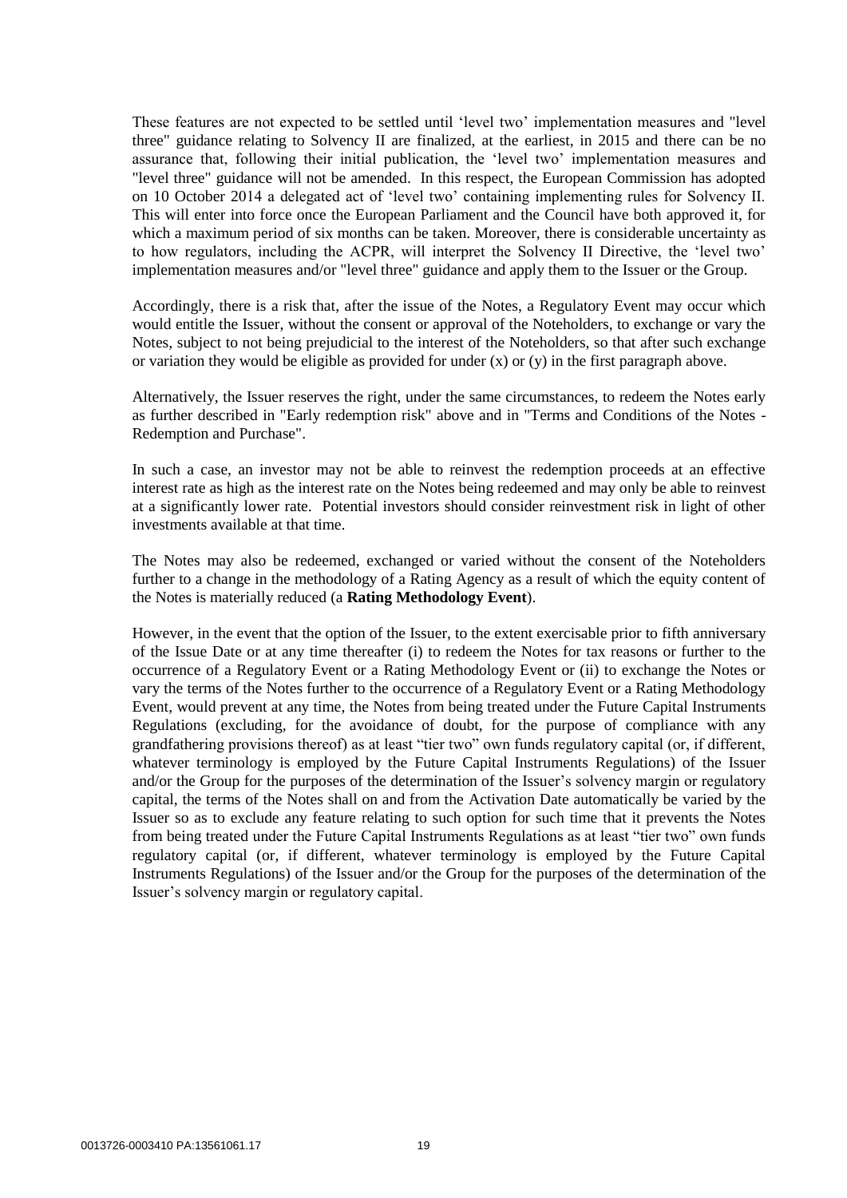These features are not expected to be settled until 'level two' implementation measures and "level three" guidance relating to Solvency II are finalized, at the earliest, in 2015 and there can be no assurance that, following their initial publication, the 'level two' implementation measures and "level three" guidance will not be amended. In this respect, the European Commission has adopted on 10 October 2014 a delegated act of 'level two' containing implementing rules for Solvency II. This will enter into force once the European Parliament and the Council have both approved it, for which a maximum period of six months can be taken. Moreover, there is considerable uncertainty as to how regulators, including the ACPR, will interpret the Solvency II Directive, the 'level two' implementation measures and/or "level three" guidance and apply them to the Issuer or the Group.

Accordingly, there is a risk that, after the issue of the Notes, a Regulatory Event may occur which would entitle the Issuer, without the consent or approval of the Noteholders, to exchange or vary the Notes, subject to not being prejudicial to the interest of the Noteholders, so that after such exchange or variation they would be eligible as provided for under (x) or (y) in the first paragraph above.

Alternatively, the Issuer reserves the right, under the same circumstances, to redeem the Notes early as further described in "Early redemption risk" above and in "Terms and Conditions of the Notes - Redemption and Purchase".

In such a case, an investor may not be able to reinvest the redemption proceeds at an effective interest rate as high as the interest rate on the Notes being redeemed and may only be able to reinvest at a significantly lower rate. Potential investors should consider reinvestment risk in light of other investments available at that time.

The Notes may also be redeemed, exchanged or varied without the consent of the Noteholders further to a change in the methodology of a Rating Agency as a result of which the equity content of the Notes is materially reduced (a **Rating Methodology Event**).

However, in the event that the option of the Issuer, to the extent exercisable prior to fifth anniversary of the Issue Date or at any time thereafter (i) to redeem the Notes for tax reasons or further to the occurrence of a Regulatory Event or a Rating Methodology Event or (ii) to exchange the Notes or vary the terms of the Notes further to the occurrence of a Regulatory Event or a Rating Methodology Event, would prevent at any time, the Notes from being treated under the Future Capital Instruments Regulations (excluding, for the avoidance of doubt, for the purpose of compliance with any grandfathering provisions thereof) as at least "tier two" own funds regulatory capital (or, if different, whatever terminology is employed by the Future Capital Instruments Regulations) of the Issuer and/or the Group for the purposes of the determination of the Issuer's solvency margin or regulatory capital, the terms of the Notes shall on and from the Activation Date automatically be varied by the Issuer so as to exclude any feature relating to such option for such time that it prevents the Notes from being treated under the Future Capital Instruments Regulations as at least "tier two" own funds regulatory capital (or, if different, whatever terminology is employed by the Future Capital Instruments Regulations) of the Issuer and/or the Group for the purposes of the determination of the Issuer's solvency margin or regulatory capital.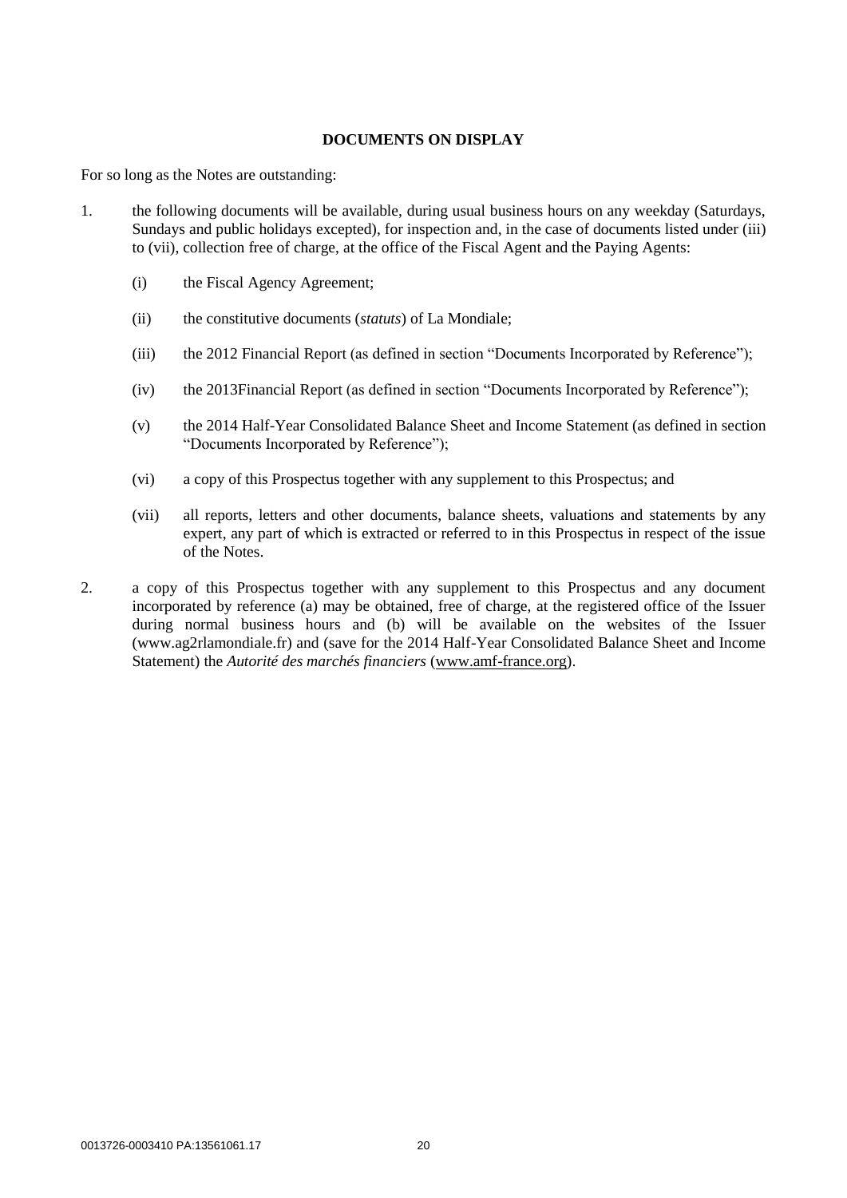# **DOCUMENTS ON DISPLAY**

For so long as the Notes are outstanding:

- <span id="page-20-0"></span>1. the following documents will be available, during usual business hours on any weekday (Saturdays, Sundays and public holidays excepted), for inspection and, in the case of documents listed under [\(iii\)](#page-20-0) to [\(vii\),](#page-20-1) collection free of charge, at the office of the Fiscal Agent and the Paying Agents:
	- (i) the Fiscal Agency Agreement;
	- (ii) the constitutive documents (*statuts*) of La Mondiale;
	- (iii) the 2012 Financial Report (as defined in section "Documents Incorporated by Reference");
	- (iv) the 2013Financial Report (as defined in section "Documents Incorporated by Reference");
	- (v) the 2014 Half-Year Consolidated Balance Sheet and Income Statement (as defined in section "Documents Incorporated by Reference");
	- (vi) a copy of this Prospectus together with any supplement to this Prospectus; and
	- (vii) all reports, letters and other documents, balance sheets, valuations and statements by any expert, any part of which is extracted or referred to in this Prospectus in respect of the issue of the Notes.
- <span id="page-20-1"></span>2. a copy of this Prospectus together with any supplement to this Prospectus and any document incorporated by reference (a) may be obtained, free of charge, at the registered office of the Issuer during normal business hours and (b) will be available on the websites of the Issuer (www.ag2rlamondiale.fr) and (save for the 2014 Half-Year Consolidated Balance Sheet and Income Statement) the *Autorité des marchés financiers* [\(www.amf-france.org\)](http://www.amf-france.org/).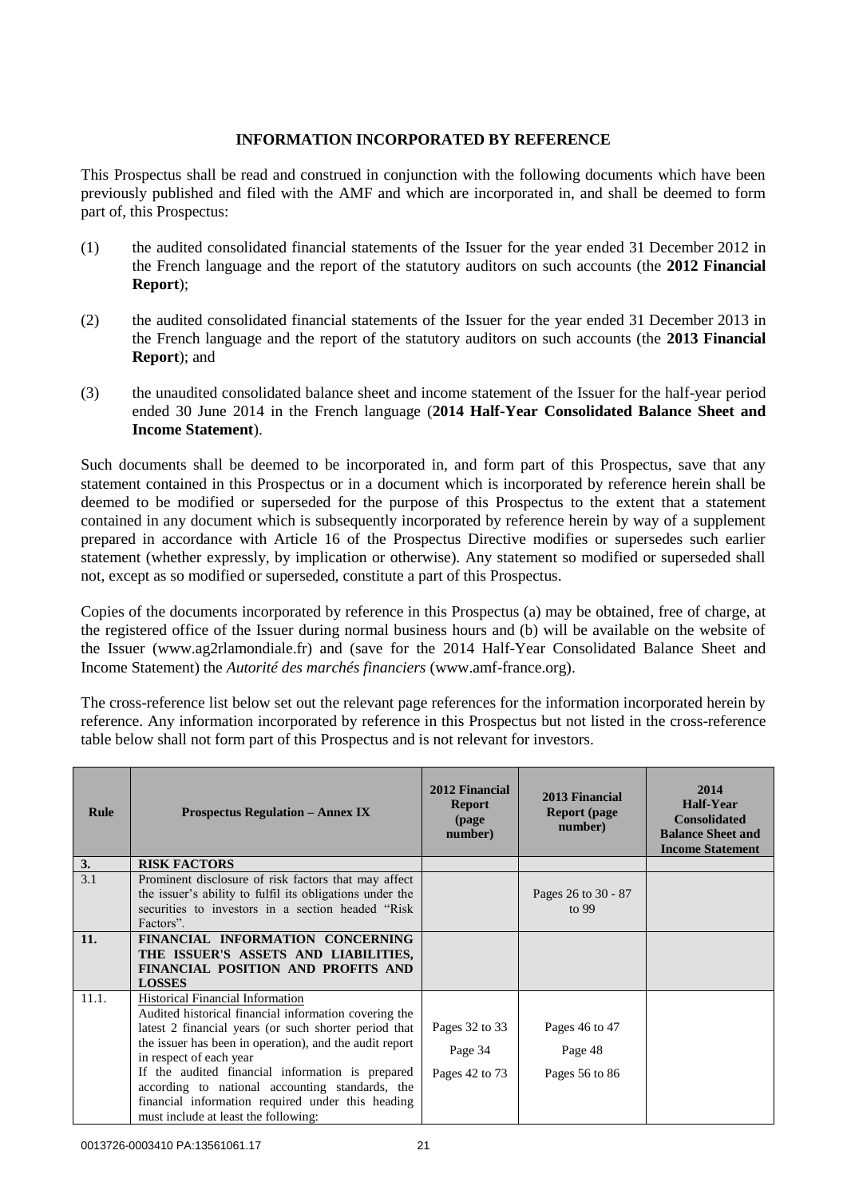# **INFORMATION INCORPORATED BY REFERENCE**

This Prospectus shall be read and construed in conjunction with the following documents which have been previously published and filed with the AMF and which are incorporated in, and shall be deemed to form part of, this Prospectus:

- (1) the audited consolidated financial statements of the Issuer for the year ended 31 December 2012 in the French language and the report of the statutory auditors on such accounts (the **2012 Financial Report**);
- (2) the audited consolidated financial statements of the Issuer for the year ended 31 December 2013 in the French language and the report of the statutory auditors on such accounts (the **2013 Financial Report**); and
- (3) the unaudited consolidated balance sheet and income statement of the Issuer for the half-year period ended 30 June 2014 in the French language (**2014 Half-Year Consolidated Balance Sheet and Income Statement**).

Such documents shall be deemed to be incorporated in, and form part of this Prospectus, save that any statement contained in this Prospectus or in a document which is incorporated by reference herein shall be deemed to be modified or superseded for the purpose of this Prospectus to the extent that a statement contained in any document which is subsequently incorporated by reference herein by way of a supplement prepared in accordance with Article 16 of the Prospectus Directive modifies or supersedes such earlier statement (whether expressly, by implication or otherwise). Any statement so modified or superseded shall not, except as so modified or superseded, constitute a part of this Prospectus.

Copies of the documents incorporated by reference in this Prospectus (a) may be obtained, free of charge, at the registered office of the Issuer during normal business hours and (b) will be available on the website of the Issuer (www.ag2rlamondiale.fr) and (save for the 2014 Half-Year Consolidated Balance Sheet and Income Statement) the *Autorité des marchés financiers* (www.amf-france.org).

The cross-reference list below set out the relevant page references for the information incorporated herein by reference. Any information incorporated by reference in this Prospectus but not listed in the cross-reference table below shall not form part of this Prospectus and is not relevant for investors.

| <b>Rule</b> | <b>Prospectus Regulation – Annex IX</b>                                                                                                                                                                                                                                                                                                                                                                                                             | 2012 Financial<br><b>Report</b><br>(page<br>number) | 2013 Financial<br><b>Report</b> (page)<br>number) | 2014<br>Half-Year<br><b>Consolidated</b><br><b>Balance Sheet and</b><br><b>Income Statement</b> |
|-------------|-----------------------------------------------------------------------------------------------------------------------------------------------------------------------------------------------------------------------------------------------------------------------------------------------------------------------------------------------------------------------------------------------------------------------------------------------------|-----------------------------------------------------|---------------------------------------------------|-------------------------------------------------------------------------------------------------|
| 3.          | <b>RISK FACTORS</b>                                                                                                                                                                                                                                                                                                                                                                                                                                 |                                                     |                                                   |                                                                                                 |
| 3.1         | Prominent disclosure of risk factors that may affect<br>the issuer's ability to fulfil its obligations under the<br>securities to investors in a section headed "Risk"<br>Factors".                                                                                                                                                                                                                                                                 |                                                     | Pages 26 to 30 - 87<br>to $99$                    |                                                                                                 |
| 11.         | FINANCIAL INFORMATION CONCERNING<br>THE ISSUER'S ASSETS AND LIABILITIES,<br>FINANCIAL POSITION AND PROFITS AND<br><b>LOSSES</b>                                                                                                                                                                                                                                                                                                                     |                                                     |                                                   |                                                                                                 |
| 11.1.       | <b>Historical Financial Information</b><br>Audited historical financial information covering the<br>latest 2 financial years (or such shorter period that<br>the issuer has been in operation), and the audit report<br>in respect of each year<br>If the audited financial information is prepared<br>according to national accounting standards, the<br>financial information required under this heading<br>must include at least the following: | Pages 32 to 33<br>Page 34<br>Pages 42 to 73         | Pages 46 to 47<br>Page 48<br>Pages 56 to 86       |                                                                                                 |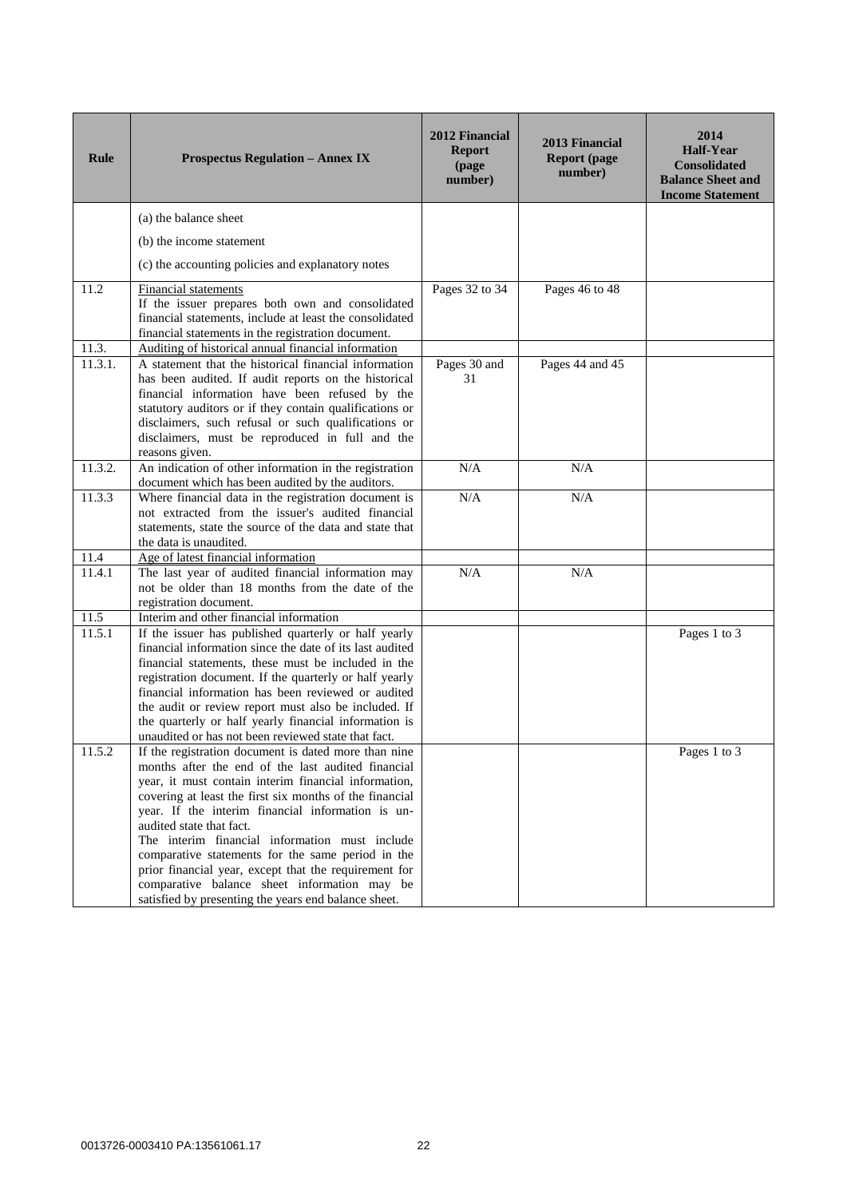| <b>Rule</b> | <b>Prospectus Regulation - Annex IX</b>                                                                                                                                                                                                                                                                                                                                                                                                                                                                                                                                                | 2012 Financial<br><b>Report</b><br>(page<br>number) | 2013 Financial<br><b>Report (page)</b><br>number) | 2014<br><b>Half-Year</b><br><b>Consolidated</b><br><b>Balance Sheet and</b><br><b>Income Statement</b> |
|-------------|----------------------------------------------------------------------------------------------------------------------------------------------------------------------------------------------------------------------------------------------------------------------------------------------------------------------------------------------------------------------------------------------------------------------------------------------------------------------------------------------------------------------------------------------------------------------------------------|-----------------------------------------------------|---------------------------------------------------|--------------------------------------------------------------------------------------------------------|
|             | (a) the balance sheet                                                                                                                                                                                                                                                                                                                                                                                                                                                                                                                                                                  |                                                     |                                                   |                                                                                                        |
|             | (b) the income statement                                                                                                                                                                                                                                                                                                                                                                                                                                                                                                                                                               |                                                     |                                                   |                                                                                                        |
|             | (c) the accounting policies and explanatory notes                                                                                                                                                                                                                                                                                                                                                                                                                                                                                                                                      |                                                     |                                                   |                                                                                                        |
| 11.2        | <b>Financial statements</b><br>If the issuer prepares both own and consolidated<br>financial statements, include at least the consolidated<br>financial statements in the registration document.                                                                                                                                                                                                                                                                                                                                                                                       | Pages 32 to 34                                      | Pages 46 to 48                                    |                                                                                                        |
| 11.3.       | Auditing of historical annual financial information                                                                                                                                                                                                                                                                                                                                                                                                                                                                                                                                    |                                                     |                                                   |                                                                                                        |
| 11.3.1.     | A statement that the historical financial information<br>has been audited. If audit reports on the historical<br>financial information have been refused by the<br>statutory auditors or if they contain qualifications or<br>disclaimers, such refusal or such qualifications or<br>disclaimers, must be reproduced in full and the<br>reasons given.                                                                                                                                                                                                                                 | Pages 30 and<br>31                                  | Pages 44 and 45                                   |                                                                                                        |
| 11.3.2.     | An indication of other information in the registration<br>document which has been audited by the auditors.                                                                                                                                                                                                                                                                                                                                                                                                                                                                             | N/A                                                 | N/A                                               |                                                                                                        |
| 11.3.3      | Where financial data in the registration document is<br>not extracted from the issuer's audited financial<br>statements, state the source of the data and state that<br>the data is unaudited.                                                                                                                                                                                                                                                                                                                                                                                         | N/A                                                 | N/A                                               |                                                                                                        |
| 11.4        | Age of latest financial information                                                                                                                                                                                                                                                                                                                                                                                                                                                                                                                                                    |                                                     |                                                   |                                                                                                        |
| 11.4.1      | The last year of audited financial information may<br>not be older than 18 months from the date of the<br>registration document.                                                                                                                                                                                                                                                                                                                                                                                                                                                       | N/A                                                 | N/A                                               |                                                                                                        |
| 11.5        | Interim and other financial information                                                                                                                                                                                                                                                                                                                                                                                                                                                                                                                                                |                                                     |                                                   |                                                                                                        |
| 11.5.1      | If the issuer has published quarterly or half yearly<br>financial information since the date of its last audited<br>financial statements, these must be included in the<br>registration document. If the quarterly or half yearly<br>financial information has been reviewed or audited<br>the audit or review report must also be included. If<br>the quarterly or half yearly financial information is<br>unaudited or has not been reviewed state that fact.                                                                                                                        |                                                     |                                                   | Pages 1 to 3                                                                                           |
| 11.5.2      | If the registration document is dated more than nine<br>months after the end of the last audited financial<br>year, it must contain interim financial information,<br>covering at least the first six months of the financial<br>year. If the interim financial information is un-<br>audited state that fact.<br>The interim financial information must include<br>comparative statements for the same period in the<br>prior financial year, except that the requirement for<br>comparative balance sheet information may be<br>satisfied by presenting the years end balance sheet. |                                                     |                                                   | Pages 1 to 3                                                                                           |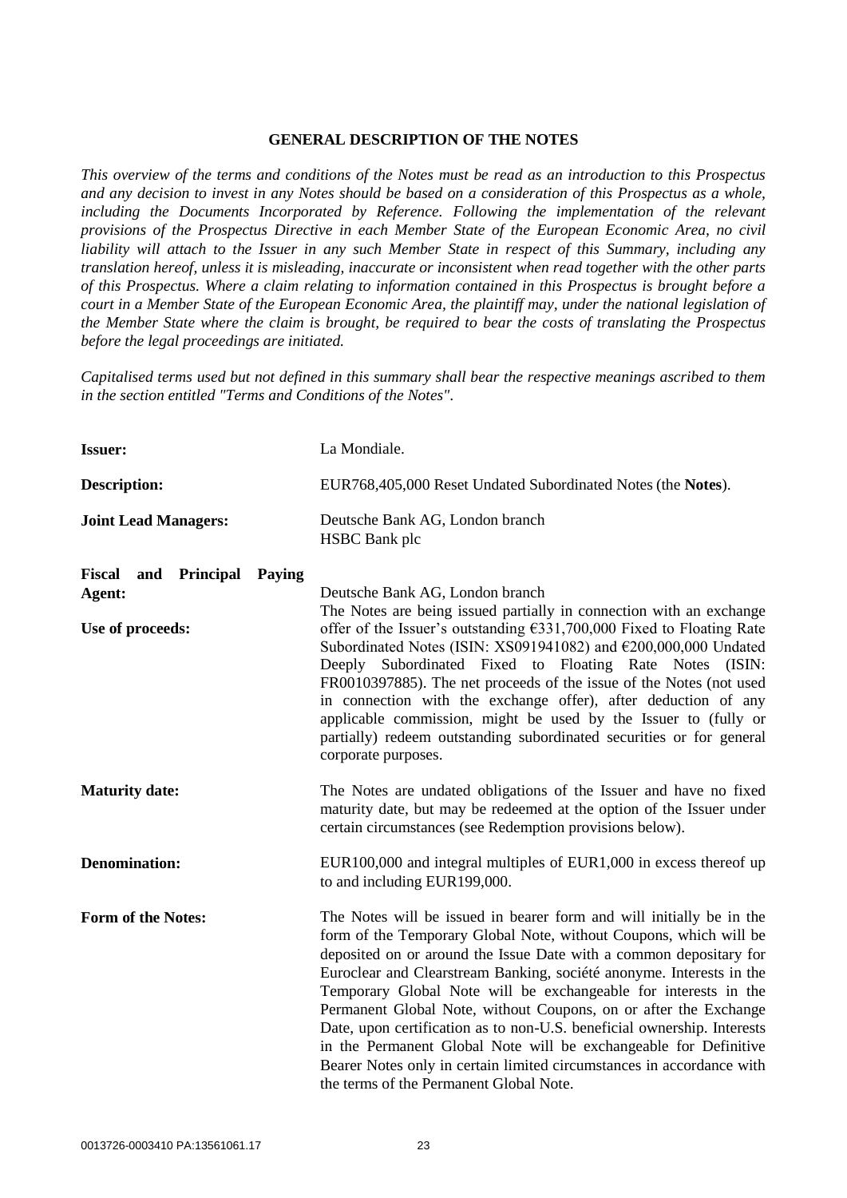## **GENERAL DESCRIPTION OF THE NOTES**

*This overview of the terms and conditions of the Notes must be read as an introduction to this Prospectus and any decision to invest in any Notes should be based on a consideration of this Prospectus as a whole, including the Documents Incorporated by Reference. Following the implementation of the relevant provisions of the Prospectus Directive in each Member State of the European Economic Area, no civil liability will attach to the Issuer in any such Member State in respect of this Summary, including any translation hereof, unless it is misleading, inaccurate or inconsistent when read together with the other parts of this Prospectus. Where a claim relating to information contained in this Prospectus is brought before a court in a Member State of the European Economic Area, the plaintiff may, under the national legislation of the Member State where the claim is brought, be required to bear the costs of translating the Prospectus before the legal proceedings are initiated.* 

*Capitalised terms used but not defined in this summary shall bear the respective meanings ascribed to them in the section entitled "Terms and Conditions of the Notes".*

| <b>Issuer:</b>                                                      | La Mondiale.                                                                                                                                                                                                                                                                                                                                                                                                                                                                                                                                                                                                                                                                                      |
|---------------------------------------------------------------------|---------------------------------------------------------------------------------------------------------------------------------------------------------------------------------------------------------------------------------------------------------------------------------------------------------------------------------------------------------------------------------------------------------------------------------------------------------------------------------------------------------------------------------------------------------------------------------------------------------------------------------------------------------------------------------------------------|
| Description:                                                        | EUR768,405,000 Reset Undated Subordinated Notes (the Notes).                                                                                                                                                                                                                                                                                                                                                                                                                                                                                                                                                                                                                                      |
| <b>Joint Lead Managers:</b>                                         | Deutsche Bank AG, London branch<br><b>HSBC</b> Bank plc                                                                                                                                                                                                                                                                                                                                                                                                                                                                                                                                                                                                                                           |
| <b>Fiscal and Principal</b><br>Paying<br>Agent:<br>Use of proceeds: | Deutsche Bank AG, London branch<br>The Notes are being issued partially in connection with an exchange<br>offer of the Issuer's outstanding $£331,700,000$ Fixed to Floating Rate<br>Subordinated Notes (ISIN: XS091941082) and €200,000,000 Undated<br>Deeply Subordinated Fixed to Floating Rate Notes<br>(ISIN:<br>FR0010397885). The net proceeds of the issue of the Notes (not used<br>in connection with the exchange offer), after deduction of any<br>applicable commission, might be used by the Issuer to (fully or<br>partially) redeem outstanding subordinated securities or for general<br>corporate purposes.                                                                     |
| <b>Maturity date:</b>                                               | The Notes are undated obligations of the Issuer and have no fixed<br>maturity date, but may be redeemed at the option of the Issuer under<br>certain circumstances (see Redemption provisions below).                                                                                                                                                                                                                                                                                                                                                                                                                                                                                             |
| <b>Denomination:</b>                                                | $EUR100,000$ and integral multiples of $EUR1,000$ in excess thereof up<br>to and including EUR199,000.                                                                                                                                                                                                                                                                                                                                                                                                                                                                                                                                                                                            |
| Form of the Notes:                                                  | The Notes will be issued in bearer form and will initially be in the<br>form of the Temporary Global Note, without Coupons, which will be<br>deposited on or around the Issue Date with a common depositary for<br>Euroclear and Clearstream Banking, société anonyme. Interests in the<br>Temporary Global Note will be exchangeable for interests in the<br>Permanent Global Note, without Coupons, on or after the Exchange<br>Date, upon certification as to non-U.S. beneficial ownership. Interests<br>in the Permanent Global Note will be exchangeable for Definitive<br>Bearer Notes only in certain limited circumstances in accordance with<br>the terms of the Permanent Global Note. |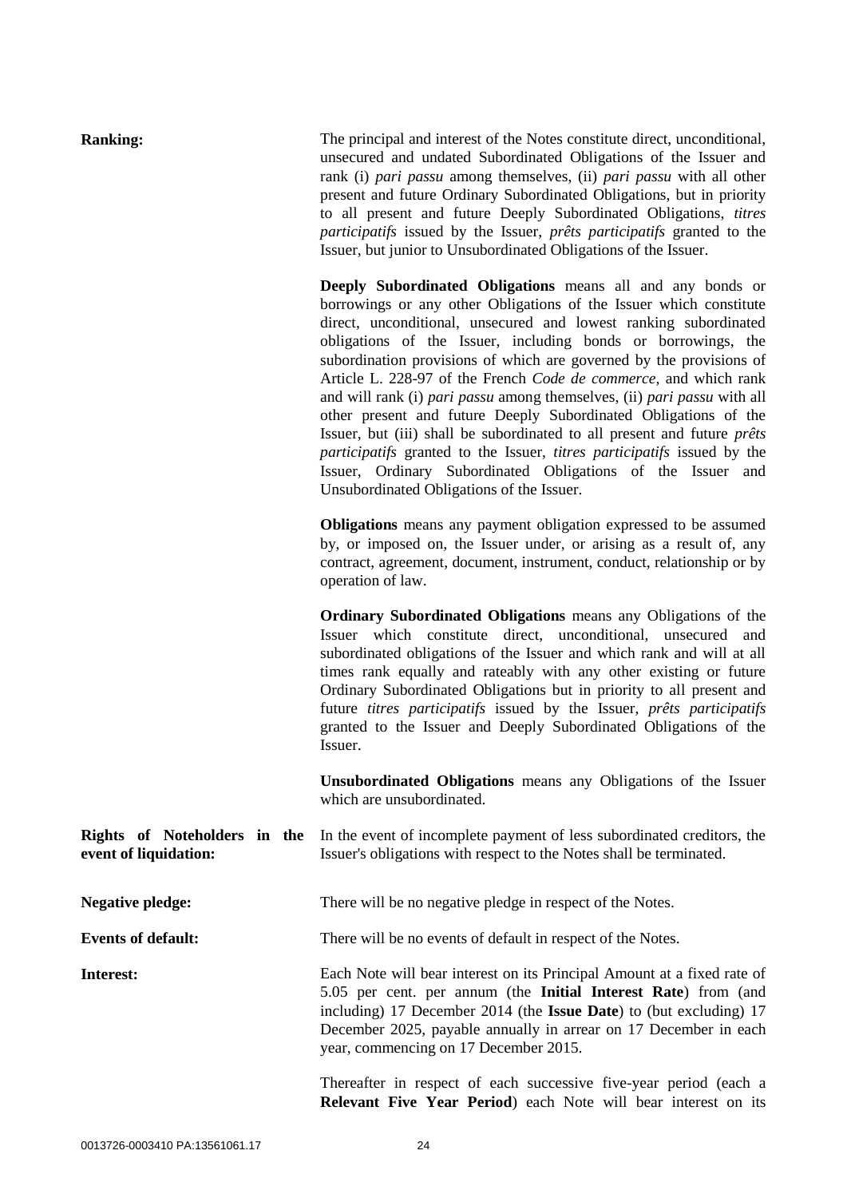| <b>Ranking:</b>                                       | The principal and interest of the Notes constitute direct, unconditional,<br>unsecured and undated Subordinated Obligations of the Issuer and<br>rank (i) pari passu among themselves, (ii) pari passu with all other<br>present and future Ordinary Subordinated Obligations, but in priority<br>to all present and future Deeply Subordinated Obligations, titres<br>participatifs issued by the Issuer, prêts participatifs granted to the<br>Issuer, but junior to Unsubordinated Obligations of the Issuer.                                                                                                                                                                                                                                                                                                                        |
|-------------------------------------------------------|-----------------------------------------------------------------------------------------------------------------------------------------------------------------------------------------------------------------------------------------------------------------------------------------------------------------------------------------------------------------------------------------------------------------------------------------------------------------------------------------------------------------------------------------------------------------------------------------------------------------------------------------------------------------------------------------------------------------------------------------------------------------------------------------------------------------------------------------|
|                                                       | Deeply Subordinated Obligations means all and any bonds or<br>borrowings or any other Obligations of the Issuer which constitute<br>direct, unconditional, unsecured and lowest ranking subordinated<br>obligations of the Issuer, including bonds or borrowings, the<br>subordination provisions of which are governed by the provisions of<br>Article L. 228-97 of the French Code de commerce, and which rank<br>and will rank (i) pari passu among themselves, (ii) pari passu with all<br>other present and future Deeply Subordinated Obligations of the<br>Issuer, but (iii) shall be subordinated to all present and future <i>prêts</i><br>participatifs granted to the Issuer, titres participatifs issued by the<br>Issuer, Ordinary Subordinated Obligations of the Issuer and<br>Unsubordinated Obligations of the Issuer. |
|                                                       | <b>Obligations</b> means any payment obligation expressed to be assumed<br>by, or imposed on, the Issuer under, or arising as a result of, any<br>contract, agreement, document, instrument, conduct, relationship or by<br>operation of law.                                                                                                                                                                                                                                                                                                                                                                                                                                                                                                                                                                                           |
|                                                       | <b>Ordinary Subordinated Obligations</b> means any Obligations of the<br>Issuer which constitute direct, unconditional, unsecured and<br>subordinated obligations of the Issuer and which rank and will at all<br>times rank equally and rateably with any other existing or future<br>Ordinary Subordinated Obligations but in priority to all present and<br>future titres participatifs issued by the Issuer, prêts participatifs<br>granted to the Issuer and Deeply Subordinated Obligations of the<br>Issuer.                                                                                                                                                                                                                                                                                                                     |
|                                                       | Unsubordinated Obligations means any Obligations of the Issuer<br>which are unsubordinated.                                                                                                                                                                                                                                                                                                                                                                                                                                                                                                                                                                                                                                                                                                                                             |
| Rights of Noteholders in the<br>event of liquidation: | In the event of incomplete payment of less subordinated creditors, the<br>Issuer's obligations with respect to the Notes shall be terminated.                                                                                                                                                                                                                                                                                                                                                                                                                                                                                                                                                                                                                                                                                           |
| <b>Negative pledge:</b>                               | There will be no negative pledge in respect of the Notes.                                                                                                                                                                                                                                                                                                                                                                                                                                                                                                                                                                                                                                                                                                                                                                               |
| <b>Events of default:</b>                             | There will be no events of default in respect of the Notes.                                                                                                                                                                                                                                                                                                                                                                                                                                                                                                                                                                                                                                                                                                                                                                             |
| Interest:                                             | Each Note will bear interest on its Principal Amount at a fixed rate of<br>5.05 per cent. per annum (the Initial Interest Rate) from (and<br>including) 17 December 2014 (the Issue Date) to (but excluding) 17<br>December 2025, payable annually in arrear on 17 December in each<br>year, commencing on 17 December 2015.                                                                                                                                                                                                                                                                                                                                                                                                                                                                                                            |

Thereafter in respect of each successive five-year period (each a **Relevant Five Year Period**) each Note will bear interest on its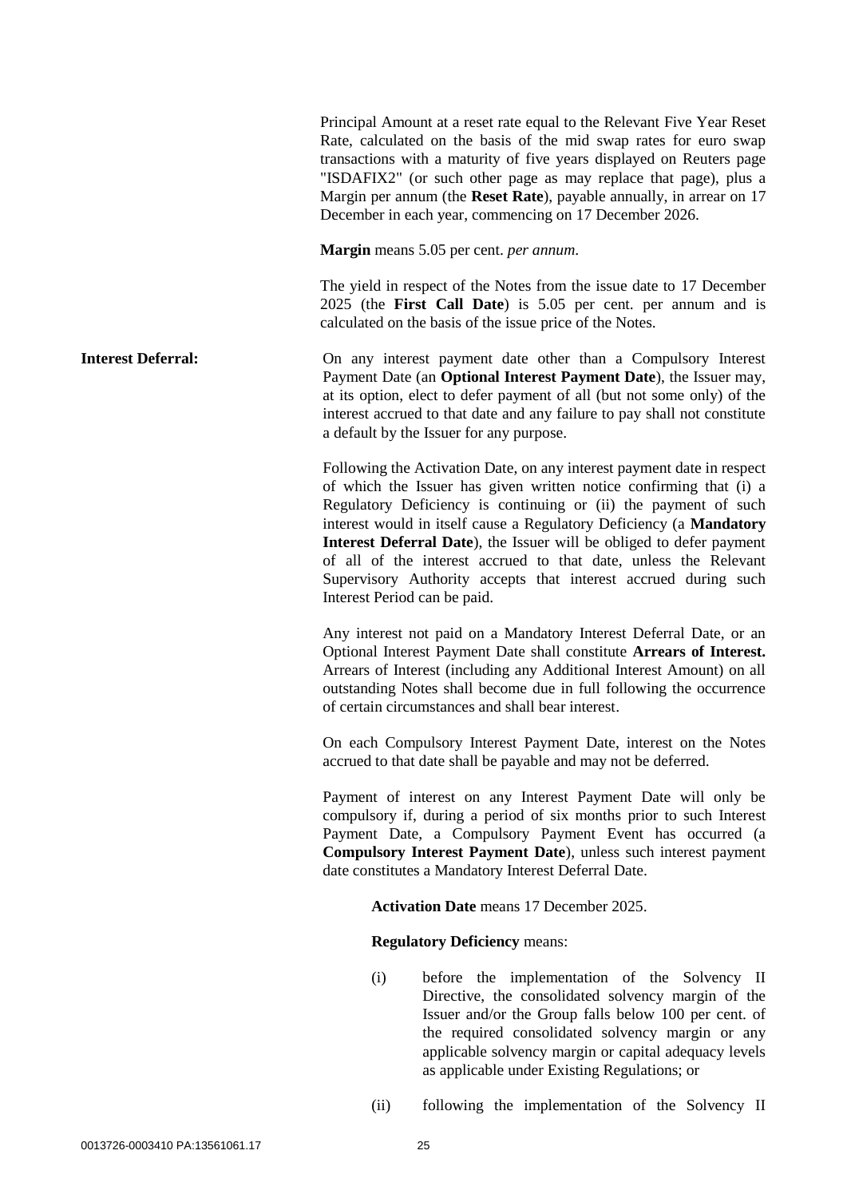Principal Amount at a reset rate equal to the Relevant Five Year Reset Rate, calculated on the basis of the mid swap rates for euro swap transactions with a maturity of five years displayed on Reuters page "ISDAFIX2" (or such other page as may replace that page), plus a Margin per annum (the **Reset Rate**), payable annually, in arrear on 17 December in each year, commencing on 17 December 2026.

**Margin** means 5.05 per cent. *per annum*.

The yield in respect of the Notes from the issue date to 17 December 2025 (the **First Call Date**) is 5.05 per cent. per annum and is calculated on the basis of the issue price of the Notes.

**Interest Deferral:** On any interest payment date other than a Compulsory Interest Payment Date (an **Optional Interest Payment Date**), the Issuer may, at its option, elect to defer payment of all (but not some only) of the interest accrued to that date and any failure to pay shall not constitute a default by the Issuer for any purpose.

> Following the Activation Date, on any interest payment date in respect of which the Issuer has given written notice confirming that (i) a Regulatory Deficiency is continuing or (ii) the payment of such interest would in itself cause a Regulatory Deficiency (a **Mandatory Interest Deferral Date**), the Issuer will be obliged to defer payment of all of the interest accrued to that date, unless the Relevant Supervisory Authority accepts that interest accrued during such Interest Period can be paid.

> Any interest not paid on a Mandatory Interest Deferral Date, or an Optional Interest Payment Date shall constitute **Arrears of Interest.**  Arrears of Interest (including any Additional Interest Amount) on all outstanding Notes shall become due in full following the occurrence of certain circumstances and shall bear interest.

> On each Compulsory Interest Payment Date, interest on the Notes accrued to that date shall be payable and may not be deferred.

> Payment of interest on any Interest Payment Date will only be compulsory if, during a period of six months prior to such Interest Payment Date, a Compulsory Payment Event has occurred (a **Compulsory Interest Payment Date**), unless such interest payment date constitutes a Mandatory Interest Deferral Date.

> > **Activation Date** means 17 December 2025.

**Regulatory Deficiency** means:

- (i) before the implementation of the Solvency II Directive, the consolidated solvency margin of the Issuer and/or the Group falls below 100 per cent. of the required consolidated solvency margin or any applicable solvency margin or capital adequacy levels as applicable under Existing Regulations; or
- (ii) following the implementation of the Solvency II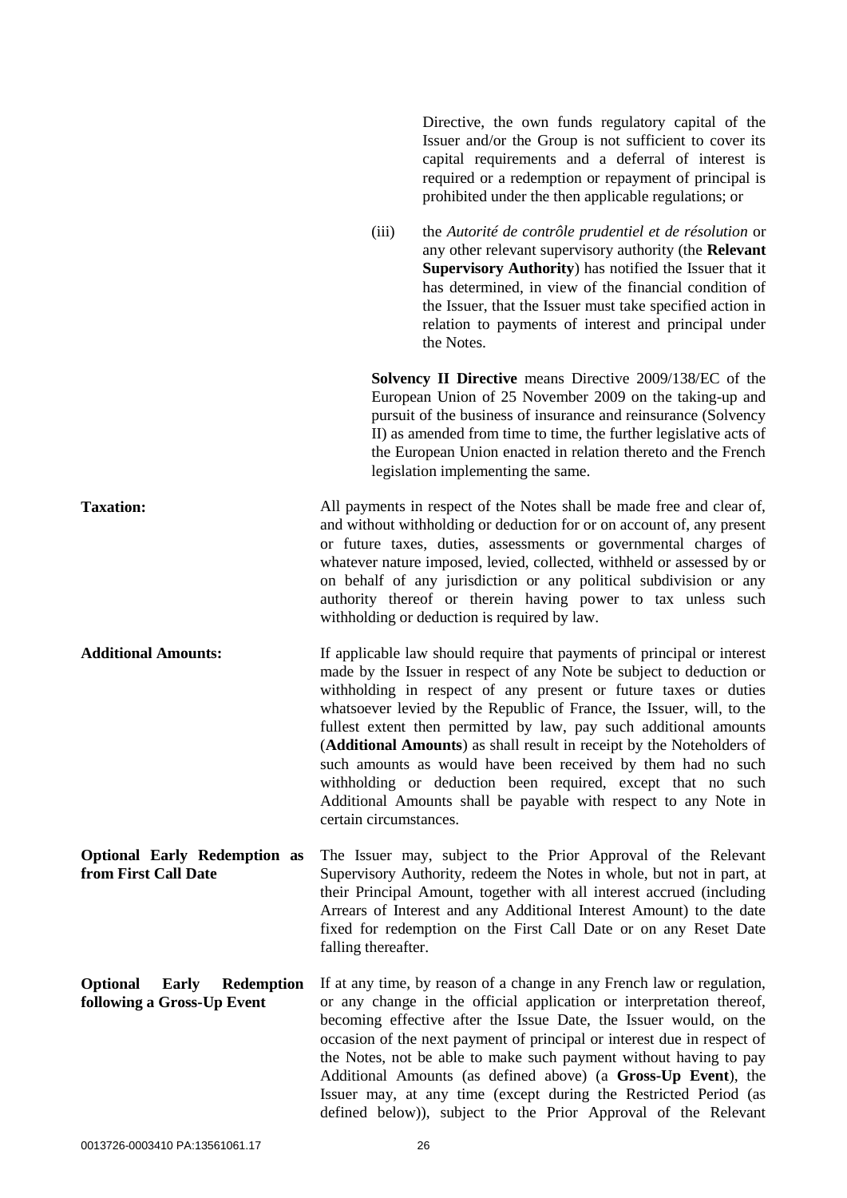Directive, the own funds regulatory capital of the Issuer and/or the Group is not sufficient to cover its capital requirements and a deferral of interest is required or a redemption or repayment of principal is prohibited under the then applicable regulations; or

(iii) the *Autorité de contrôle prudentiel et de résolution* or any other relevant supervisory authority (the **Relevant Supervisory Authority**) has notified the Issuer that it has determined, in view of the financial condition of the Issuer, that the Issuer must take specified action in relation to payments of interest and principal under the Notes.

**Solvency II Directive** means Directive 2009/138/EC of the European Union of 25 November 2009 on the taking-up and pursuit of the business of insurance and reinsurance (Solvency II) as amended from time to time, the further legislative acts of the European Union enacted in relation thereto and the French legislation implementing the same.

**Taxation:** All payments in respect of the Notes shall be made free and clear of, and without withholding or deduction for or on account of, any present or future taxes, duties, assessments or governmental charges of whatever nature imposed, levied, collected, withheld or assessed by or on behalf of any jurisdiction or any political subdivision or any authority thereof or therein having power to tax unless such withholding or deduction is required by law.

**Additional Amounts:** If applicable law should require that payments of principal or interest made by the Issuer in respect of any Note be subject to deduction or withholding in respect of any present or future taxes or duties whatsoever levied by the Republic of France, the Issuer, will, to the fullest extent then permitted by law, pay such additional amounts (**Additional Amounts**) as shall result in receipt by the Noteholders of such amounts as would have been received by them had no such withholding or deduction been required, except that no such Additional Amounts shall be payable with respect to any Note in certain circumstances.

**Optional Early Redemption as from First Call Date** The Issuer may, subject to the Prior Approval of the Relevant Supervisory Authority, redeem the Notes in whole, but not in part, at their Principal Amount, together with all interest accrued (including Arrears of Interest and any Additional Interest Amount) to the date fixed for redemption on the First Call Date or on any Reset Date falling thereafter.

**Optional Early Redemption following a Gross-Up Event** If at any time, by reason of a change in any French law or regulation, or any change in the official application or interpretation thereof, becoming effective after the Issue Date, the Issuer would, on the occasion of the next payment of principal or interest due in respect of the Notes, not be able to make such payment without having to pay Additional Amounts (as defined above) (a **Gross-Up Event**), the Issuer may, at any time (except during the Restricted Period (as defined below)), subject to the Prior Approval of the Relevant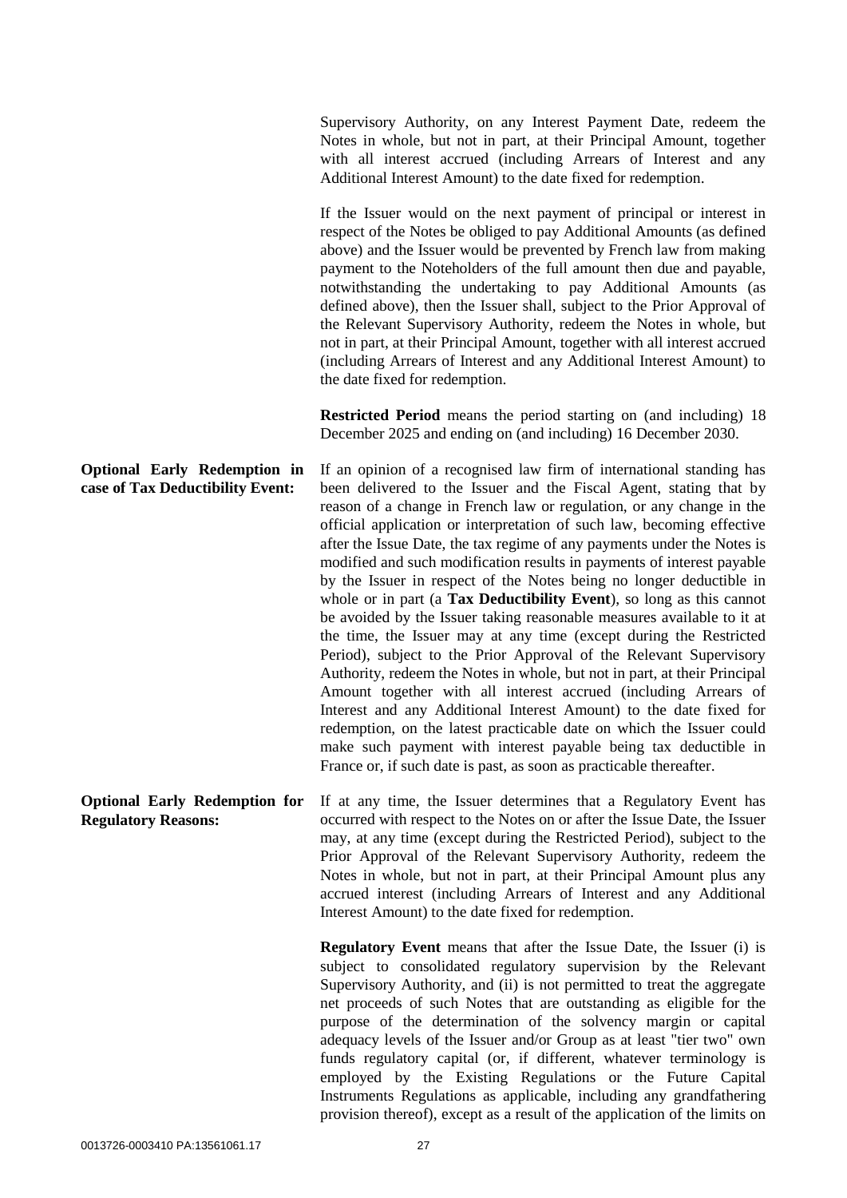Supervisory Authority, on any Interest Payment Date, redeem the Notes in whole, but not in part, at their Principal Amount, together with all interest accrued (including Arrears of Interest and any Additional Interest Amount) to the date fixed for redemption.

If the Issuer would on the next payment of principal or interest in respect of the Notes be obliged to pay Additional Amounts (as defined above) and the Issuer would be prevented by French law from making payment to the Noteholders of the full amount then due and payable, notwithstanding the undertaking to pay Additional Amounts (as defined above), then the Issuer shall, subject to the Prior Approval of the Relevant Supervisory Authority, redeem the Notes in whole, but not in part, at their Principal Amount, together with all interest accrued (including Arrears of Interest and any Additional Interest Amount) to the date fixed for redemption.

**Restricted Period** means the period starting on (and including) 18 December 2025 and ending on (and including) 16 December 2030.

If an opinion of a recognised law firm of international standing has been delivered to the Issuer and the Fiscal Agent, stating that by reason of a change in French law or regulation, or any change in the official application or interpretation of such law, becoming effective after the Issue Date, the tax regime of any payments under the Notes is modified and such modification results in payments of interest payable by the Issuer in respect of the Notes being no longer deductible in whole or in part (a **Tax Deductibility Event**), so long as this cannot be avoided by the Issuer taking reasonable measures available to it at the time, the Issuer may at any time (except during the Restricted Period), subject to the Prior Approval of the Relevant Supervisory Authority, redeem the Notes in whole, but not in part, at their Principal Amount together with all interest accrued (including Arrears of Interest and any Additional Interest Amount) to the date fixed for redemption, on the latest practicable date on which the Issuer could make such payment with interest payable being tax deductible in France or, if such date is past, as soon as practicable thereafter.

**Regulatory Reasons:** If at any time, the Issuer determines that a Regulatory Event has occurred with respect to the Notes on or after the Issue Date, the Issuer may, at any time (except during the Restricted Period), subject to the Prior Approval of the Relevant Supervisory Authority, redeem the Notes in whole, but not in part, at their Principal Amount plus any accrued interest (including Arrears of Interest and any Additional Interest Amount) to the date fixed for redemption.

> **Regulatory Event** means that after the Issue Date, the Issuer (i) is subject to consolidated regulatory supervision by the Relevant Supervisory Authority, and (ii) is not permitted to treat the aggregate net proceeds of such Notes that are outstanding as eligible for the purpose of the determination of the solvency margin or capital adequacy levels of the Issuer and/or Group as at least "tier two" own funds regulatory capital (or, if different, whatever terminology is employed by the Existing Regulations or the Future Capital Instruments Regulations as applicable, including any grandfathering provision thereof), except as a result of the application of the limits on

# **Optional Early Redemption in case of Tax Deductibility Event:**

# **Optional Early Redemption for**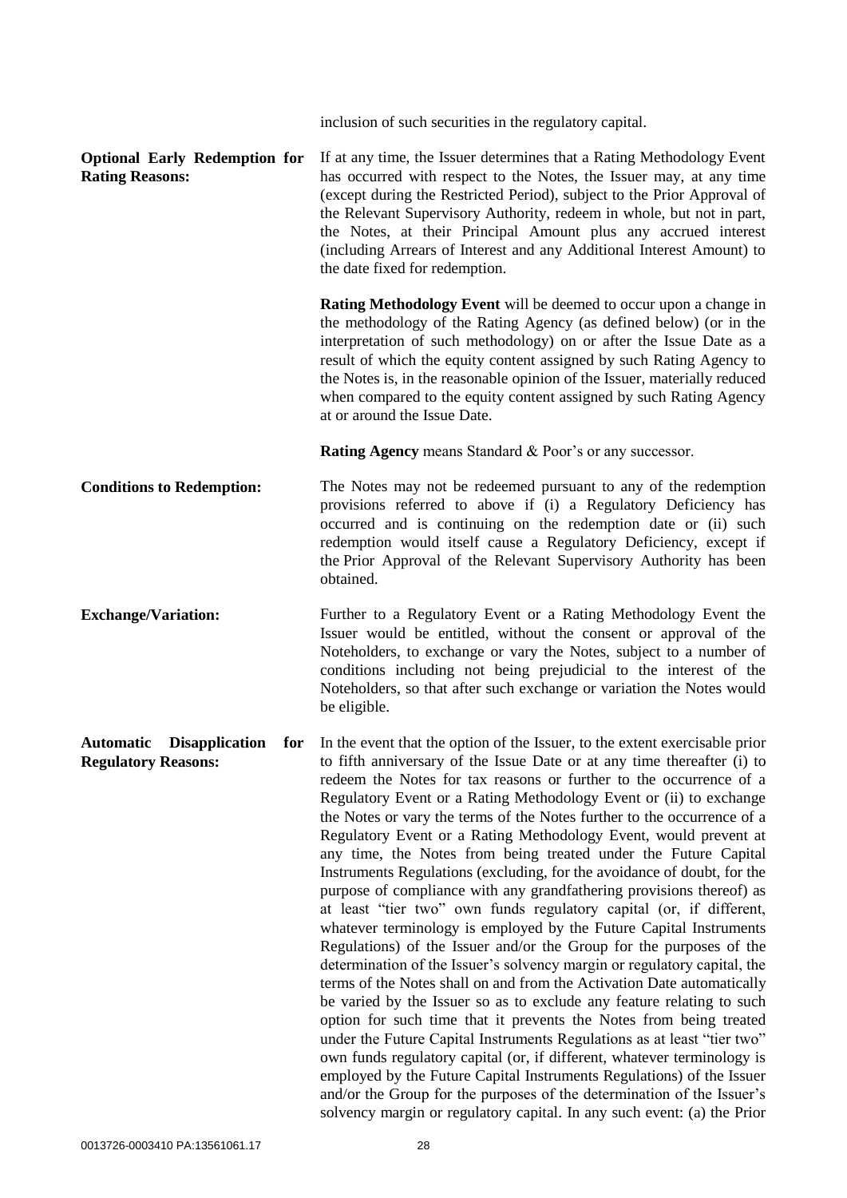|                                                                         |     | inclusion of such securities in the regulatory capital.                                                                                                                                                                                                                                                                                                                                                                                                                                                                                                                                                                                                                                                                                                                                                                                                                                                                                                                                                                                                                                                                                                                                                                                                                                                                                                                                                                                                                                                                                                                              |
|-------------------------------------------------------------------------|-----|--------------------------------------------------------------------------------------------------------------------------------------------------------------------------------------------------------------------------------------------------------------------------------------------------------------------------------------------------------------------------------------------------------------------------------------------------------------------------------------------------------------------------------------------------------------------------------------------------------------------------------------------------------------------------------------------------------------------------------------------------------------------------------------------------------------------------------------------------------------------------------------------------------------------------------------------------------------------------------------------------------------------------------------------------------------------------------------------------------------------------------------------------------------------------------------------------------------------------------------------------------------------------------------------------------------------------------------------------------------------------------------------------------------------------------------------------------------------------------------------------------------------------------------------------------------------------------------|
| <b>Optional Early Redemption for</b><br><b>Rating Reasons:</b>          |     | If at any time, the Issuer determines that a Rating Methodology Event<br>has occurred with respect to the Notes, the Issuer may, at any time<br>(except during the Restricted Period), subject to the Prior Approval of<br>the Relevant Supervisory Authority, redeem in whole, but not in part,<br>the Notes, at their Principal Amount plus any accrued interest<br>(including Arrears of Interest and any Additional Interest Amount) to<br>the date fixed for redemption.                                                                                                                                                                                                                                                                                                                                                                                                                                                                                                                                                                                                                                                                                                                                                                                                                                                                                                                                                                                                                                                                                                        |
|                                                                         |     | Rating Methodology Event will be deemed to occur upon a change in<br>the methodology of the Rating Agency (as defined below) (or in the<br>interpretation of such methodology) on or after the Issue Date as a<br>result of which the equity content assigned by such Rating Agency to<br>the Notes is, in the reasonable opinion of the Issuer, materially reduced<br>when compared to the equity content assigned by such Rating Agency<br>at or around the Issue Date.                                                                                                                                                                                                                                                                                                                                                                                                                                                                                                                                                                                                                                                                                                                                                                                                                                                                                                                                                                                                                                                                                                            |
|                                                                         |     | <b>Rating Agency means Standard &amp; Poor's or any successor.</b>                                                                                                                                                                                                                                                                                                                                                                                                                                                                                                                                                                                                                                                                                                                                                                                                                                                                                                                                                                                                                                                                                                                                                                                                                                                                                                                                                                                                                                                                                                                   |
| <b>Conditions to Redemption:</b>                                        |     | The Notes may not be redeemed pursuant to any of the redemption<br>provisions referred to above if (i) a Regulatory Deficiency has<br>occurred and is continuing on the redemption date or (ii) such<br>redemption would itself cause a Regulatory Deficiency, except if<br>the Prior Approval of the Relevant Supervisory Authority has been<br>obtained.                                                                                                                                                                                                                                                                                                                                                                                                                                                                                                                                                                                                                                                                                                                                                                                                                                                                                                                                                                                                                                                                                                                                                                                                                           |
| <b>Exchange/Variation:</b>                                              |     | Further to a Regulatory Event or a Rating Methodology Event the<br>Issuer would be entitled, without the consent or approval of the<br>Noteholders, to exchange or vary the Notes, subject to a number of<br>conditions including not being prejudicial to the interest of the<br>Noteholders, so that after such exchange or variation the Notes would<br>be eligible.                                                                                                                                                                                                                                                                                                                                                                                                                                                                                                                                                                                                                                                                                                                                                                                                                                                                                                                                                                                                                                                                                                                                                                                                              |
| <b>Automatic</b><br><b>Disapplication</b><br><b>Regulatory Reasons:</b> | for | In the event that the option of the Issuer, to the extent exercisable prior<br>to fifth anniversary of the Issue Date or at any time thereafter (i) to<br>redeem the Notes for tax reasons or further to the occurrence of a<br>Regulatory Event or a Rating Methodology Event or (ii) to exchange<br>the Notes or vary the terms of the Notes further to the occurrence of a<br>Regulatory Event or a Rating Methodology Event, would prevent at<br>any time, the Notes from being treated under the Future Capital<br>Instruments Regulations (excluding, for the avoidance of doubt, for the<br>purpose of compliance with any grandfathering provisions thereof) as<br>at least "tier two" own funds regulatory capital (or, if different,<br>whatever terminology is employed by the Future Capital Instruments<br>Regulations) of the Issuer and/or the Group for the purposes of the<br>determination of the Issuer's solvency margin or regulatory capital, the<br>terms of the Notes shall on and from the Activation Date automatically<br>be varied by the Issuer so as to exclude any feature relating to such<br>option for such time that it prevents the Notes from being treated<br>under the Future Capital Instruments Regulations as at least "tier two"<br>own funds regulatory capital (or, if different, whatever terminology is<br>employed by the Future Capital Instruments Regulations) of the Issuer<br>and/or the Group for the purposes of the determination of the Issuer's<br>solvency margin or regulatory capital. In any such event: (a) the Prior |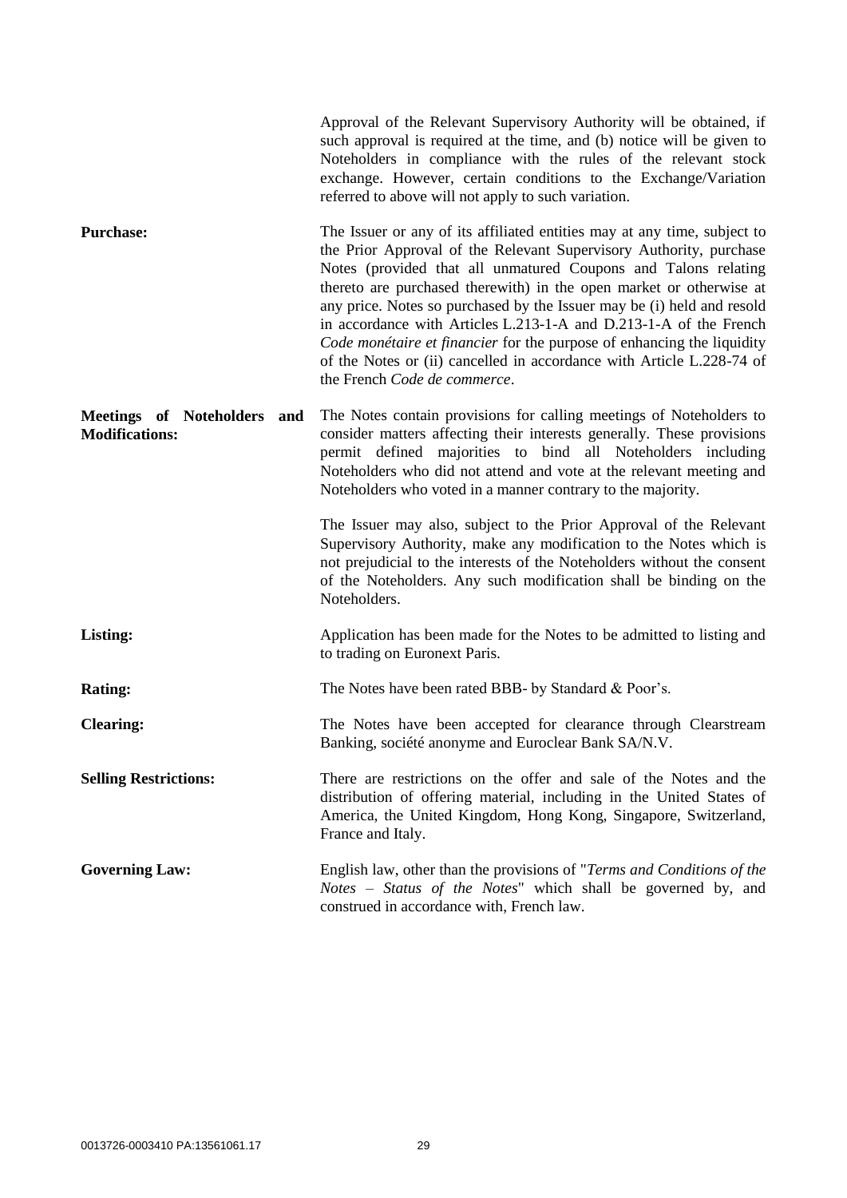|                                                      | Approval of the Relevant Supervisory Authority will be obtained, if<br>such approval is required at the time, and (b) notice will be given to<br>Noteholders in compliance with the rules of the relevant stock<br>exchange. However, certain conditions to the Exchange/Variation<br>referred to above will not apply to such variation.                                                                                                                                                                                                                                                                                 |
|------------------------------------------------------|---------------------------------------------------------------------------------------------------------------------------------------------------------------------------------------------------------------------------------------------------------------------------------------------------------------------------------------------------------------------------------------------------------------------------------------------------------------------------------------------------------------------------------------------------------------------------------------------------------------------------|
| <b>Purchase:</b>                                     | The Issuer or any of its affiliated entities may at any time, subject to<br>the Prior Approval of the Relevant Supervisory Authority, purchase<br>Notes (provided that all unmatured Coupons and Talons relating<br>thereto are purchased therewith) in the open market or otherwise at<br>any price. Notes so purchased by the Issuer may be (i) held and resold<br>in accordance with Articles L.213-1-A and D.213-1-A of the French<br>Code monétaire et financier for the purpose of enhancing the liquidity<br>of the Notes or (ii) cancelled in accordance with Article L.228-74 of<br>the French Code de commerce. |
| Meetings of Noteholders and<br><b>Modifications:</b> | The Notes contain provisions for calling meetings of Noteholders to<br>consider matters affecting their interests generally. These provisions<br>permit defined majorities to bind all Noteholders including<br>Noteholders who did not attend and vote at the relevant meeting and<br>Noteholders who voted in a manner contrary to the majority.                                                                                                                                                                                                                                                                        |
|                                                      | The Issuer may also, subject to the Prior Approval of the Relevant<br>Supervisory Authority, make any modification to the Notes which is<br>not prejudicial to the interests of the Noteholders without the consent<br>of the Noteholders. Any such modification shall be binding on the<br>Noteholders.                                                                                                                                                                                                                                                                                                                  |
| Listing:                                             | Application has been made for the Notes to be admitted to listing and<br>to trading on Euronext Paris.                                                                                                                                                                                                                                                                                                                                                                                                                                                                                                                    |
| <b>Rating:</b>                                       | The Notes have been rated BBB- by Standard & Poor's.                                                                                                                                                                                                                                                                                                                                                                                                                                                                                                                                                                      |
| <b>Clearing:</b>                                     | The Notes have been accepted for clearance through Clearstream<br>Banking, société anonyme and Euroclear Bank SA/N.V.                                                                                                                                                                                                                                                                                                                                                                                                                                                                                                     |
| <b>Selling Restrictions:</b>                         | There are restrictions on the offer and sale of the Notes and the<br>distribution of offering material, including in the United States of<br>America, the United Kingdom, Hong Kong, Singapore, Switzerland,<br>France and Italy.                                                                                                                                                                                                                                                                                                                                                                                         |
| <b>Governing Law:</b>                                | English law, other than the provisions of "Terms and Conditions of the<br>Notes - Status of the Notes" which shall be governed by, and<br>construed in accordance with, French law.                                                                                                                                                                                                                                                                                                                                                                                                                                       |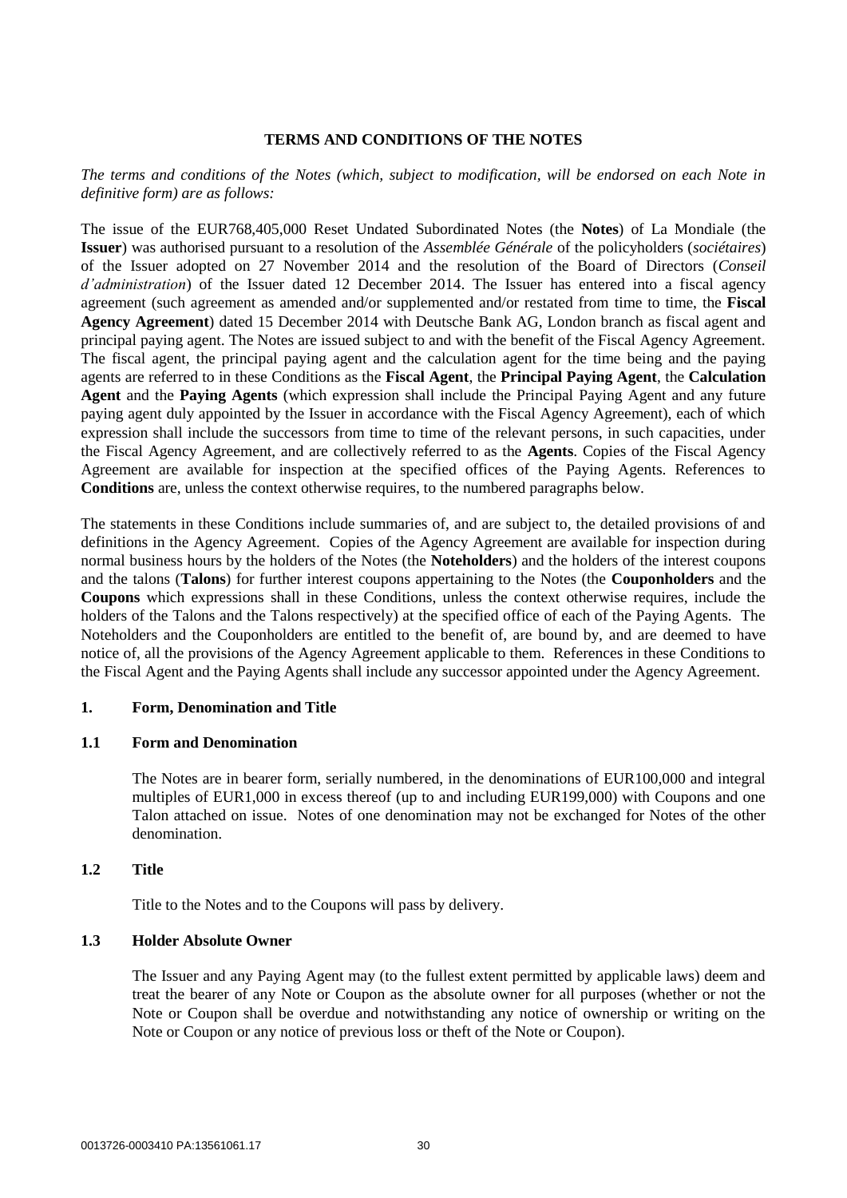# **TERMS AND CONDITIONS OF THE NOTES**

*The terms and conditions of the Notes (which, subject to modification, will be endorsed on each Note in definitive form) are as follows:*

The issue of the EUR768,405,000 Reset Undated Subordinated Notes (the **Notes**) of La Mondiale (the **Issuer**) was authorised pursuant to a resolution of the *Assemblée Générale* of the policyholders (*sociétaires*) of the Issuer adopted on 27 November 2014 and the resolution of the Board of Directors (*Conseil d'administration*) of the Issuer dated 12 December 2014. The Issuer has entered into a fiscal agency agreement (such agreement as amended and/or supplemented and/or restated from time to time, the **Fiscal Agency Agreement**) dated 15 December 2014 with Deutsche Bank AG, London branch as fiscal agent and principal paying agent. The Notes are issued subject to and with the benefit of the Fiscal Agency Agreement. The fiscal agent, the principal paying agent and the calculation agent for the time being and the paying agents are referred to in these Conditions as the **Fiscal Agent**, the **Principal Paying Agent**, the **Calculation Agent** and the **Paying Agents** (which expression shall include the Principal Paying Agent and any future paying agent duly appointed by the Issuer in accordance with the Fiscal Agency Agreement), each of which expression shall include the successors from time to time of the relevant persons, in such capacities, under the Fiscal Agency Agreement, and are collectively referred to as the **Agents**. Copies of the Fiscal Agency Agreement are available for inspection at the specified offices of the Paying Agents. References to **Conditions** are, unless the context otherwise requires, to the numbered paragraphs below.

The statements in these Conditions include summaries of, and are subject to, the detailed provisions of and definitions in the Agency Agreement. Copies of the Agency Agreement are available for inspection during normal business hours by the holders of the Notes (the **Noteholders**) and the holders of the interest coupons and the talons (**Talons**) for further interest coupons appertaining to the Notes (the **Couponholders** and the **Coupons** which expressions shall in these Conditions, unless the context otherwise requires, include the holders of the Talons and the Talons respectively) at the specified office of each of the Paying Agents. The Noteholders and the Couponholders are entitled to the benefit of, are bound by, and are deemed to have notice of, all the provisions of the Agency Agreement applicable to them. References in these Conditions to the Fiscal Agent and the Paying Agents shall include any successor appointed under the Agency Agreement.

## **1. Form, Denomination and Title**

## **1.1 Form and Denomination**

The Notes are in bearer form, serially numbered, in the denominations of EUR100,000 and integral multiples of EUR1,000 in excess thereof (up to and including EUR199,000) with Coupons and one Talon attached on issue. Notes of one denomination may not be exchanged for Notes of the other denomination.

# **1.2 Title**

Title to the Notes and to the Coupons will pass by delivery.

## **1.3 Holder Absolute Owner**

The Issuer and any Paying Agent may (to the fullest extent permitted by applicable laws) deem and treat the bearer of any Note or Coupon as the absolute owner for all purposes (whether or not the Note or Coupon shall be overdue and notwithstanding any notice of ownership or writing on the Note or Coupon or any notice of previous loss or theft of the Note or Coupon).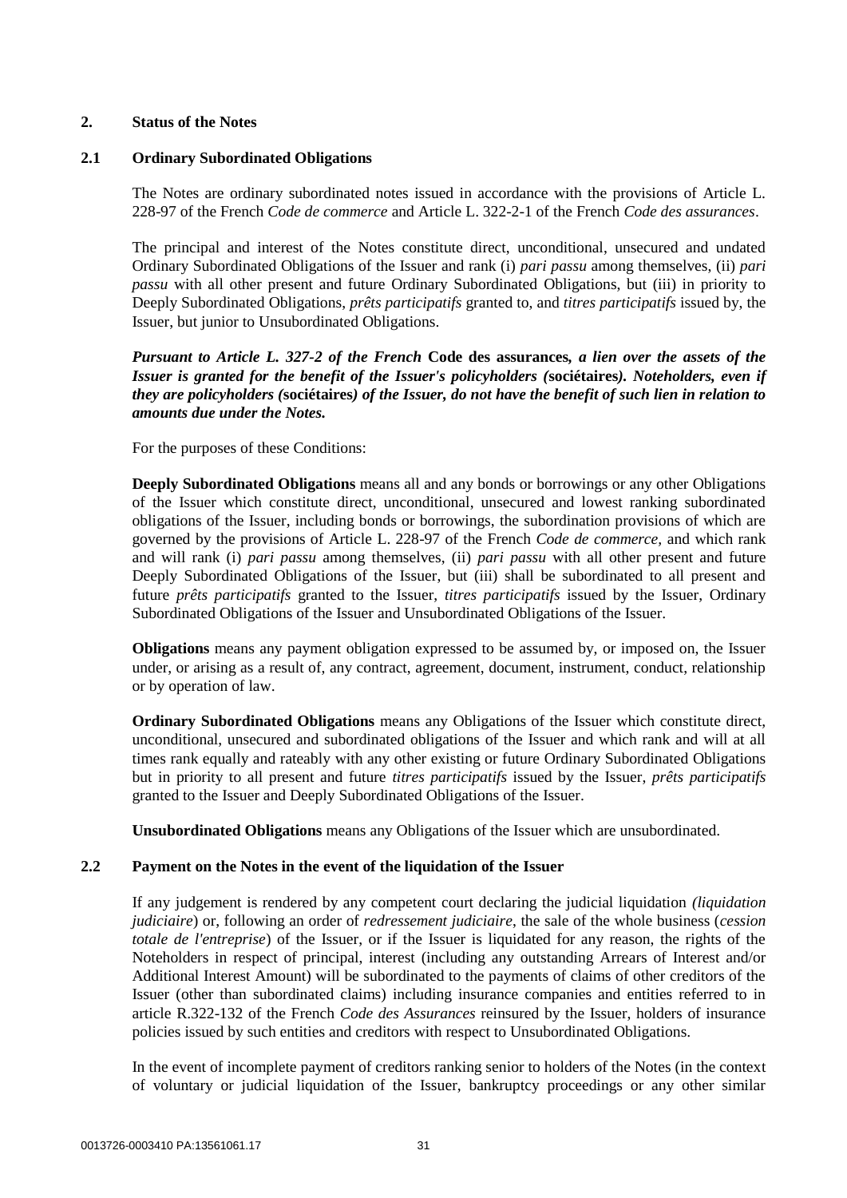## **2. Status of the Notes**

## **2.1 Ordinary Subordinated Obligations**

The Notes are ordinary subordinated notes issued in accordance with the provisions of Article L. 228-97 of the French *Code de commerce* and Article L. 322-2-1 of the French *Code des assurances*.

The principal and interest of the Notes constitute direct, unconditional, unsecured and undated Ordinary Subordinated Obligations of the Issuer and rank (i) *pari passu* among themselves, (ii) *pari passu* with all other present and future Ordinary Subordinated Obligations, but (iii) in priority to Deeply Subordinated Obligations, *prêts participatifs* granted to, and *titres participatifs* issued by, the Issuer, but junior to Unsubordinated Obligations.

*Pursuant to Article L. 327-2 of the French* **Code des assurances***, a lien over the assets of the Issuer is granted for the benefit of the Issuer's policyholders (***sociétaires***). Noteholders, even if they are policyholders (***sociétaires***) of the Issuer, do not have the benefit of such lien in relation to amounts due under the Notes.*

For the purposes of these Conditions:

**Deeply Subordinated Obligations** means all and any bonds or borrowings or any other Obligations of the Issuer which constitute direct, unconditional, unsecured and lowest ranking subordinated obligations of the Issuer, including bonds or borrowings, the subordination provisions of which are governed by the provisions of Article L. 228-97 of the French *Code de commerce,* and which rank and will rank (i) *pari passu* among themselves, (ii) *pari passu* with all other present and future Deeply Subordinated Obligations of the Issuer, but (iii) shall be subordinated to all present and future *prêts participatifs* granted to the Issuer, *titres participatifs* issued by the Issuer, Ordinary Subordinated Obligations of the Issuer and Unsubordinated Obligations of the Issuer.

**Obligations** means any payment obligation expressed to be assumed by, or imposed on, the Issuer under, or arising as a result of, any contract, agreement, document, instrument, conduct, relationship or by operation of law.

**Ordinary Subordinated Obligations** means any Obligations of the Issuer which constitute direct, unconditional, unsecured and subordinated obligations of the Issuer and which rank and will at all times rank equally and rateably with any other existing or future Ordinary Subordinated Obligations but in priority to all present and future *titres participatifs* issued by the Issuer, *prêts participatifs* granted to the Issuer and Deeply Subordinated Obligations of the Issuer.

**Unsubordinated Obligations** means any Obligations of the Issuer which are unsubordinated.

# **2.2 Payment on the Notes in the event of the liquidation of the Issuer**

If any judgement is rendered by any competent court declaring the judicial liquidation *(liquidation judiciaire*) or, following an order of *redressement judiciaire*, the sale of the whole business (*cession totale de l'entreprise*) of the Issuer, or if the Issuer is liquidated for any reason, the rights of the Noteholders in respect of principal, interest (including any outstanding Arrears of Interest and/or Additional Interest Amount) will be subordinated to the payments of claims of other creditors of the Issuer (other than subordinated claims) including insurance companies and entities referred to in article R.322-132 of the French *Code des Assurances* reinsured by the Issuer, holders of insurance policies issued by such entities and creditors with respect to Unsubordinated Obligations.

In the event of incomplete payment of creditors ranking senior to holders of the Notes (in the context of voluntary or judicial liquidation of the Issuer, bankruptcy proceedings or any other similar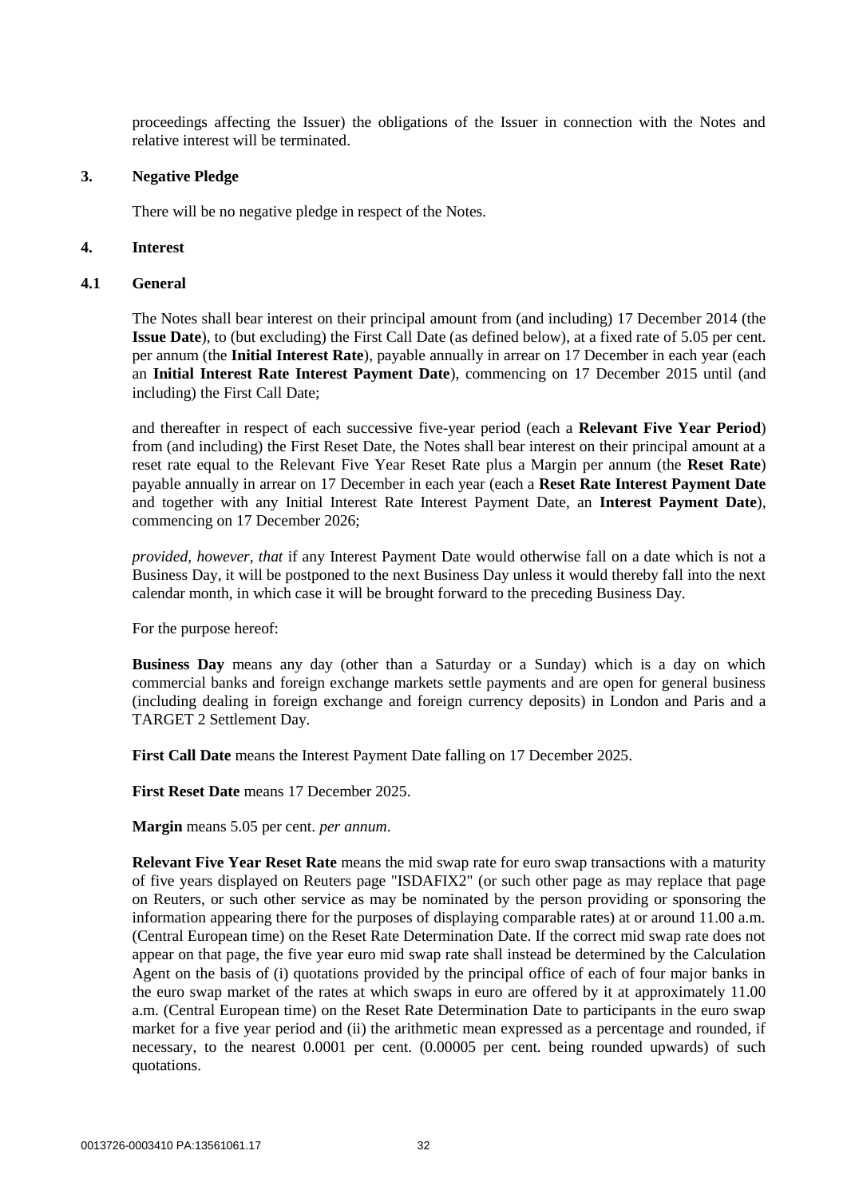proceedings affecting the Issuer) the obligations of the Issuer in connection with the Notes and relative interest will be terminated.

## **3. Negative Pledge**

There will be no negative pledge in respect of the Notes.

## <span id="page-32-0"></span>**4. Interest**

## **4.1 General**

The Notes shall bear interest on their principal amount from (and including) 17 December 2014 (the **Issue Date**), to (but excluding) the First Call Date (as defined below), at a fixed rate of 5.05 per cent. per annum (the **Initial Interest Rate**), payable annually in arrear on 17 December in each year (each an **Initial Interest Rate Interest Payment Date**), commencing on 17 December 2015 until (and including) the First Call Date;

and thereafter in respect of each successive five-year period (each a **Relevant Five Year Period**) from (and including) the First Reset Date, the Notes shall bear interest on their principal amount at a reset rate equal to the Relevant Five Year Reset Rate plus a Margin per annum (the **Reset Rate**) payable annually in arrear on 17 December in each year (each a **Reset Rate Interest Payment Date** and together with any Initial Interest Rate Interest Payment Date, an **Interest Payment Date**), commencing on 17 December 2026;

*provided, however, that* if any Interest Payment Date would otherwise fall on a date which is not a Business Day, it will be postponed to the next Business Day unless it would thereby fall into the next calendar month, in which case it will be brought forward to the preceding Business Day.

For the purpose hereof:

**Business Day** means any day (other than a Saturday or a Sunday) which is a day on which commercial banks and foreign exchange markets settle payments and are open for general business (including dealing in foreign exchange and foreign currency deposits) in London and Paris and a TARGET 2 Settlement Day.

**First Call Date** means the Interest Payment Date falling on 17 December 2025.

**First Reset Date** means 17 December 2025.

**Margin** means 5.05 per cent. *per annum*.

**Relevant Five Year Reset Rate** means the mid swap rate for euro swap transactions with a maturity of five years displayed on Reuters page "ISDAFIX2" (or such other page as may replace that page on Reuters, or such other service as may be nominated by the person providing or sponsoring the information appearing there for the purposes of displaying comparable rates) at or around 11.00 a.m. (Central European time) on the Reset Rate Determination Date. If the correct mid swap rate does not appear on that page, the five year euro mid swap rate shall instead be determined by the Calculation Agent on the basis of (i) quotations provided by the principal office of each of four major banks in the euro swap market of the rates at which swaps in euro are offered by it at approximately 11.00 a.m. (Central European time) on the Reset Rate Determination Date to participants in the euro swap market for a five year period and (ii) the arithmetic mean expressed as a percentage and rounded, if necessary, to the nearest 0.0001 per cent. (0.00005 per cent. being rounded upwards) of such quotations.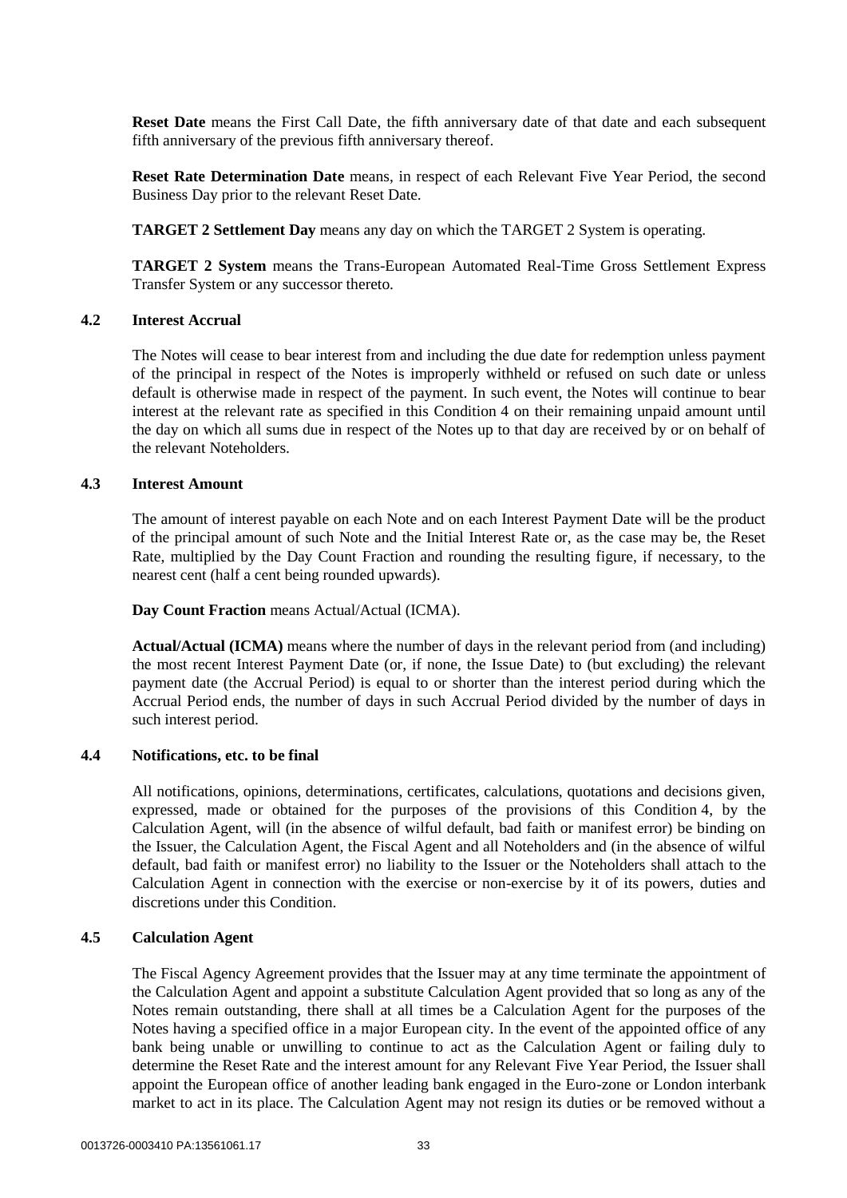**Reset Date** means the First Call Date, the fifth anniversary date of that date and each subsequent fifth anniversary of the previous fifth anniversary thereof.

**Reset Rate Determination Date** means, in respect of each Relevant Five Year Period, the second Business Day prior to the relevant Reset Date.

**TARGET 2 Settlement Day** means any day on which the TARGET 2 System is operating.

**TARGET 2 System** means the Trans-European Automated Real-Time Gross Settlement Express Transfer System or any successor thereto.

## **4.2 Interest Accrual**

The Notes will cease to bear interest from and including the due date for redemption unless payment of the principal in respect of the Notes is improperly withheld or refused on such date or unless default is otherwise made in respect of the payment. In such event, the Notes will continue to bear interest at the relevant rate as specified in this Condition [4](#page-32-0) on their remaining unpaid amount until the day on which all sums due in respect of the Notes up to that day are received by or on behalf of the relevant Noteholders.

## **4.3 Interest Amount**

The amount of interest payable on each Note and on each Interest Payment Date will be the product of the principal amount of such Note and the Initial Interest Rate or, as the case may be, the Reset Rate, multiplied by the Day Count Fraction and rounding the resulting figure, if necessary, to the nearest cent (half a cent being rounded upwards).

## **Day Count Fraction** means Actual/Actual (ICMA).

**Actual/Actual (ICMA)** means where the number of days in the relevant period from (and including) the most recent Interest Payment Date (or, if none, the Issue Date) to (but excluding) the relevant payment date (the Accrual Period) is equal to or shorter than the interest period during which the Accrual Period ends, the number of days in such Accrual Period divided by the number of days in such interest period.

# **4.4 Notifications, etc. to be final**

All notifications, opinions, determinations, certificates, calculations, quotations and decisions given, expressed, made or obtained for the purposes of the provisions of this Condition [4,](#page-32-0) by the Calculation Agent, will (in the absence of wilful default, bad faith or manifest error) be binding on the Issuer, the Calculation Agent, the Fiscal Agent and all Noteholders and (in the absence of wilful default, bad faith or manifest error) no liability to the Issuer or the Noteholders shall attach to the Calculation Agent in connection with the exercise or non-exercise by it of its powers, duties and discretions under this Condition.

# **4.5 Calculation Agent**

The Fiscal Agency Agreement provides that the Issuer may at any time terminate the appointment of the Calculation Agent and appoint a substitute Calculation Agent provided that so long as any of the Notes remain outstanding, there shall at all times be a Calculation Agent for the purposes of the Notes having a specified office in a major European city. In the event of the appointed office of any bank being unable or unwilling to continue to act as the Calculation Agent or failing duly to determine the Reset Rate and the interest amount for any Relevant Five Year Period, the Issuer shall appoint the European office of another leading bank engaged in the Euro-zone or London interbank market to act in its place. The Calculation Agent may not resign its duties or be removed without a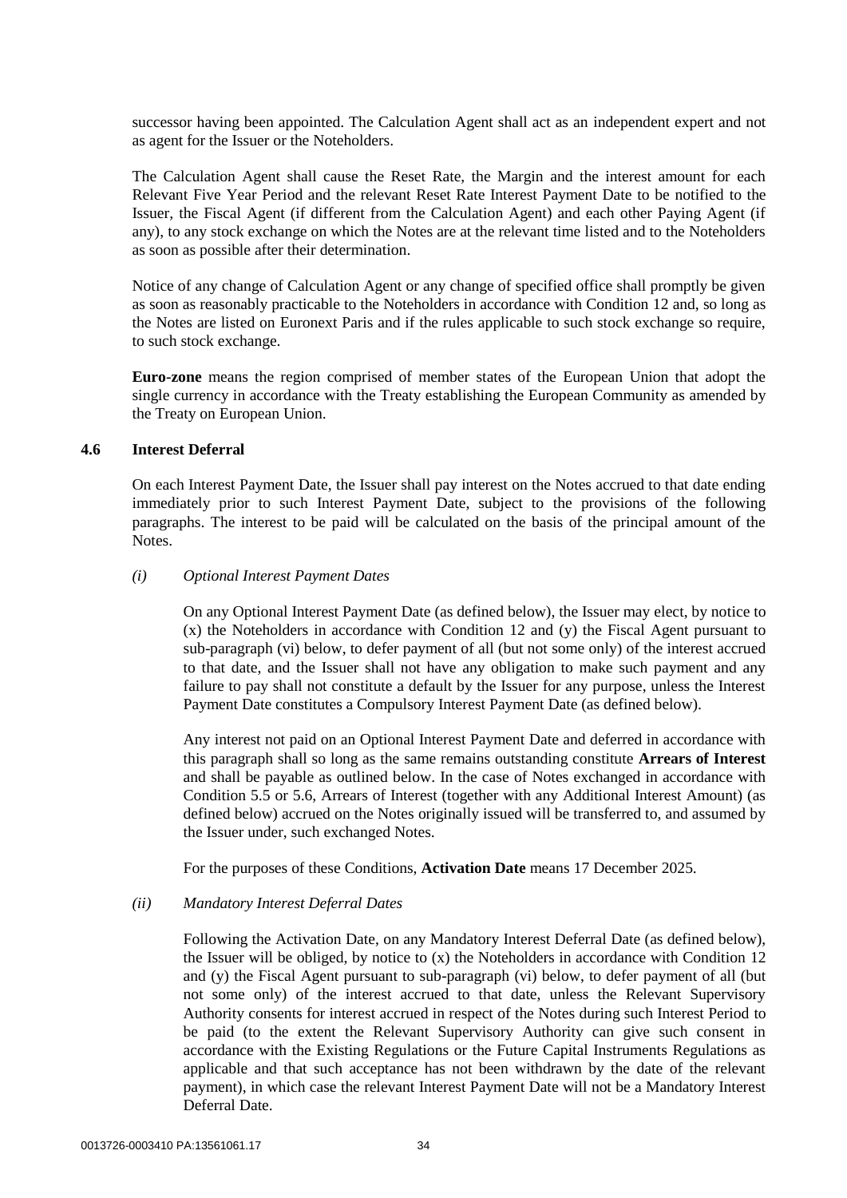successor having been appointed. The Calculation Agent shall act as an independent expert and not as agent for the Issuer or the Noteholders.

The Calculation Agent shall cause the Reset Rate, the Margin and the interest amount for each Relevant Five Year Period and the relevant Reset Rate Interest Payment Date to be notified to the Issuer, the Fiscal Agent (if different from the Calculation Agent) and each other Paying Agent (if any), to any stock exchange on which the Notes are at the relevant time listed and to the Noteholders as soon as possible after their determination.

Notice of any change of Calculation Agent or any change of specified office shall promptly be given as soon as reasonably practicable to the Noteholders in accordance with Condition [12](#page-47-0) and, so long as the Notes are listed on Euronext Paris and if the rules applicable to such stock exchange so require, to such stock exchange.

**Euro-zone** means the region comprised of member states of the European Union that adopt the single currency in accordance with the Treaty establishing the European Community as amended by the Treaty on European Union.

## **4.6 Interest Deferral**

On each Interest Payment Date, the Issuer shall pay interest on the Notes accrued to that date ending immediately prior to such Interest Payment Date, subject to the provisions of the following paragraphs. The interest to be paid will be calculated on the basis of the principal amount of the Notes.

## <span id="page-34-0"></span>*(i) Optional Interest Payment Dates*

On any Optional Interest Payment Date (as defined below), the Issuer may elect, by notice to (x) the Noteholders in accordance with Condition [12](#page-47-0) and (y) the Fiscal Agent pursuant to sub-paragraph [\(vi\) below,](#page-38-0) to defer payment of all (but not some only) of the interest accrued to that date, and the Issuer shall not have any obligation to make such payment and any failure to pay shall not constitute a default by the Issuer for any purpose, unless the Interest Payment Date constitutes a Compulsory Interest Payment Date (as defined below).

Any interest not paid on an Optional Interest Payment Date and deferred in accordance with this paragraph shall so long as the same remains outstanding constitute **Arrears of Interest** and shall be payable as outlined below. In the case of Notes exchanged in accordance with Condition [5.5](#page-40-0) or [5.6,](#page-41-0) Arrears of Interest (together with any Additional Interest Amount) (as defined below) accrued on the Notes originally issued will be transferred to, and assumed by the Issuer under, such exchanged Notes.

For the purposes of these Conditions, **Activation Date** means 17 December 2025.

## <span id="page-34-1"></span>*(ii) Mandatory Interest Deferral Dates*

Following the Activation Date, on any Mandatory Interest Deferral Date (as defined below), the Issuer will be obliged, by notice to (x) the Noteholders in accordance with Condition [12](#page-47-0) and (y) the Fiscal Agent pursuant to sub-paragraph [\(vi\) below,](#page-38-0) to defer payment of all (but not some only) of the interest accrued to that date, unless the Relevant Supervisory Authority consents for interest accrued in respect of the Notes during such Interest Period to be paid (to the extent the Relevant Supervisory Authority can give such consent in accordance with the Existing Regulations or the Future Capital Instruments Regulations as applicable and that such acceptance has not been withdrawn by the date of the relevant payment), in which case the relevant Interest Payment Date will not be a Mandatory Interest Deferral Date.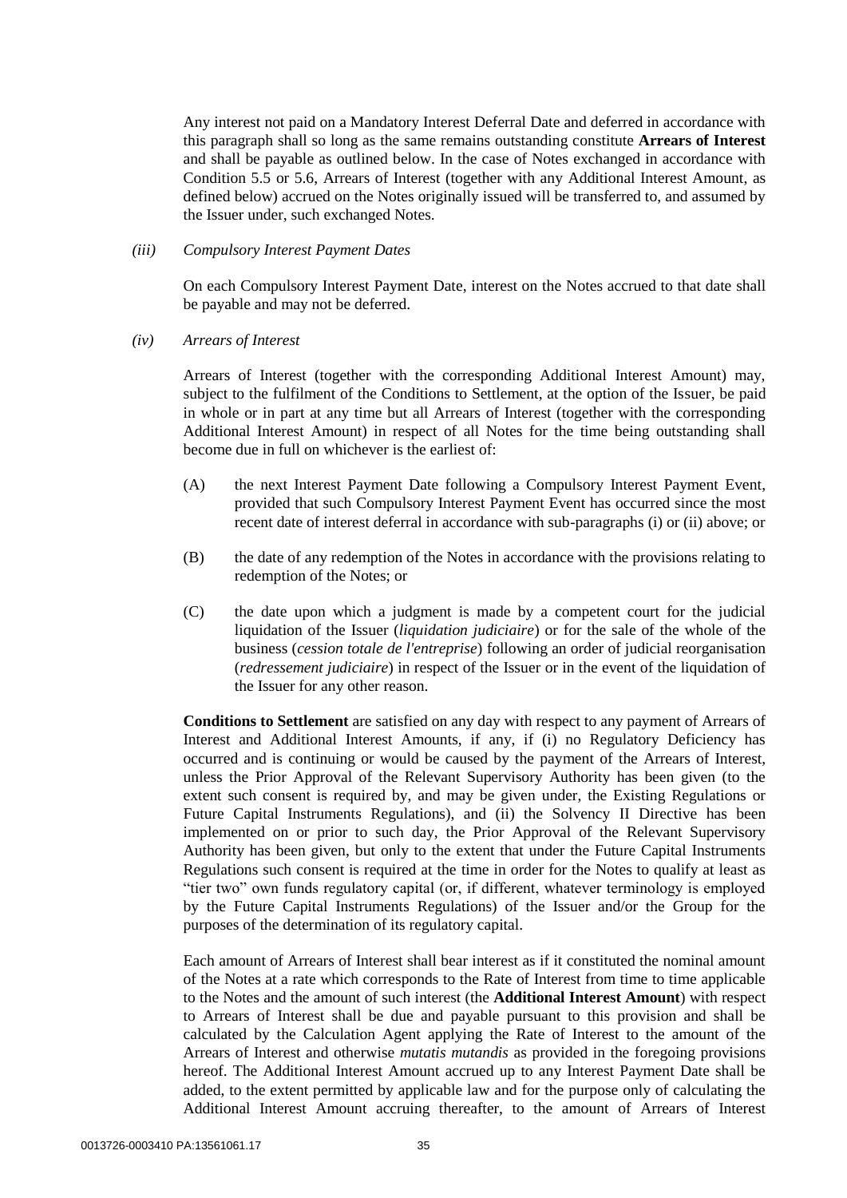Any interest not paid on a Mandatory Interest Deferral Date and deferred in accordance with this paragraph shall so long as the same remains outstanding constitute **Arrears of Interest** and shall be payable as outlined below. In the case of Notes exchanged in accordance with Condition [5.5](#page-40-0) or [5.6,](#page-41-0) Arrears of Interest (together with any Additional Interest Amount, as defined below) accrued on the Notes originally issued will be transferred to, and assumed by the Issuer under, such exchanged Notes.

## <span id="page-35-0"></span>*(iii) Compulsory Interest Payment Dates*

On each Compulsory Interest Payment Date, interest on the Notes accrued to that date shall be payable and may not be deferred.

## *(iv) Arrears of Interest*

Arrears of Interest (together with the corresponding Additional Interest Amount) may, subject to the fulfilment of the Conditions to Settlement, at the option of the Issuer, be paid in whole or in part at any time but all Arrears of Interest (together with the corresponding Additional Interest Amount) in respect of all Notes for the time being outstanding shall become due in full on whichever is the earliest of:

- (A) the next Interest Payment Date following a Compulsory Interest Payment Event, provided that such Compulsory Interest Payment Event has occurred since the most recent date of interest deferral in accordance with sub-paragraphs [\(i\)](#page-34-0) or [\(ii\) above;](#page-34-1) or
- (B) the date of any redemption of the Notes in accordance with the provisions relating to redemption of the Notes; or
- (C) the date upon which a judgment is made by a competent court for the judicial liquidation of the Issuer (*liquidation judiciaire*) or for the sale of the whole of the business (*cession totale de l'entreprise*) following an order of judicial reorganisation (*redressement judiciaire*) in respect of the Issuer or in the event of the liquidation of the Issuer for any other reason.

**Conditions to Settlement** are satisfied on any day with respect to any payment of Arrears of Interest and Additional Interest Amounts, if any, if (i) no Regulatory Deficiency has occurred and is continuing or would be caused by the payment of the Arrears of Interest, unless the Prior Approval of the Relevant Supervisory Authority has been given (to the extent such consent is required by, and may be given under, the Existing Regulations or Future Capital Instruments Regulations), and (ii) the Solvency II Directive has been implemented on or prior to such day, the Prior Approval of the Relevant Supervisory Authority has been given, but only to the extent that under the Future Capital Instruments Regulations such consent is required at the time in order for the Notes to qualify at least as "tier two" own funds regulatory capital (or, if different, whatever terminology is employed by the Future Capital Instruments Regulations) of the Issuer and/or the Group for the purposes of the determination of its regulatory capital.

Each amount of Arrears of Interest shall bear interest as if it constituted the nominal amount of the Notes at a rate which corresponds to the Rate of Interest from time to time applicable to the Notes and the amount of such interest (the **Additional Interest Amount**) with respect to Arrears of Interest shall be due and payable pursuant to this provision and shall be calculated by the Calculation Agent applying the Rate of Interest to the amount of the Arrears of Interest and otherwise *mutatis mutandis* as provided in the foregoing provisions hereof. The Additional Interest Amount accrued up to any Interest Payment Date shall be added, to the extent permitted by applicable law and for the purpose only of calculating the Additional Interest Amount accruing thereafter, to the amount of Arrears of Interest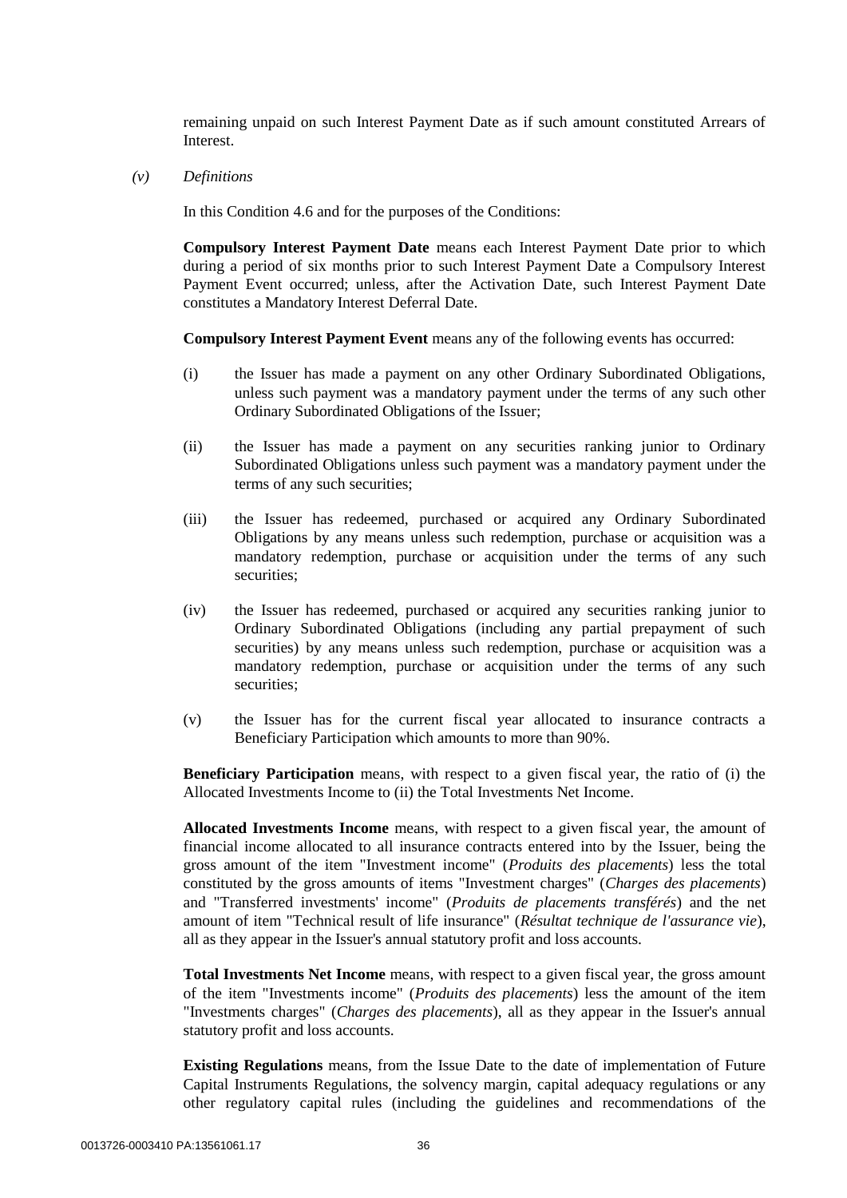remaining unpaid on such Interest Payment Date as if such amount constituted Arrears of Interest.

*(v) Definitions*

In this Condition [4.6](#page-34-0) and for the purposes of the Conditions:

**Compulsory Interest Payment Date** means each Interest Payment Date prior to which during a period of six months prior to such Interest Payment Date a Compulsory Interest Payment Event occurred; unless, after the Activation Date, such Interest Payment Date constitutes a Mandatory Interest Deferral Date.

**Compulsory Interest Payment Event** means any of the following events has occurred:

- (i) the Issuer has made a payment on any other Ordinary Subordinated Obligations, unless such payment was a mandatory payment under the terms of any such other Ordinary Subordinated Obligations of the Issuer;
- (ii) the Issuer has made a payment on any securities ranking junior to Ordinary Subordinated Obligations unless such payment was a mandatory payment under the terms of any such securities;
- (iii) the Issuer has redeemed, purchased or acquired any Ordinary Subordinated Obligations by any means unless such redemption, purchase or acquisition was a mandatory redemption, purchase or acquisition under the terms of any such securities;
- (iv) the Issuer has redeemed, purchased or acquired any securities ranking junior to Ordinary Subordinated Obligations (including any partial prepayment of such securities) by any means unless such redemption, purchase or acquisition was a mandatory redemption, purchase or acquisition under the terms of any such securities;
- (v) the Issuer has for the current fiscal year allocated to insurance contracts a Beneficiary Participation which amounts to more than 90%.

**Beneficiary Participation** means, with respect to a given fiscal year, the ratio of (i) the Allocated Investments Income to (ii) the Total Investments Net Income.

**Allocated Investments Income** means, with respect to a given fiscal year, the amount of financial income allocated to all insurance contracts entered into by the Issuer, being the gross amount of the item "Investment income" (*Produits des placements*) less the total constituted by the gross amounts of items "Investment charges" (*Charges des placements*) and "Transferred investments' income" (*Produits de placements transférés*) and the net amount of item "Technical result of life insurance" (*Résultat technique de l'assurance vie*), all as they appear in the Issuer's annual statutory profit and loss accounts.

Total Investments Net Income means, with respect to a given fiscal year, the gross amount of the item "Investments income" (*Produits des placements*) less the amount of the item "Investments charges" (*Charges des placements*), all as they appear in the Issuer's annual statutory profit and loss accounts.

**Existing Regulations** means, from the Issue Date to the date of implementation of Future Capital Instruments Regulations, the solvency margin, capital adequacy regulations or any other regulatory capital rules (including the guidelines and recommendations of the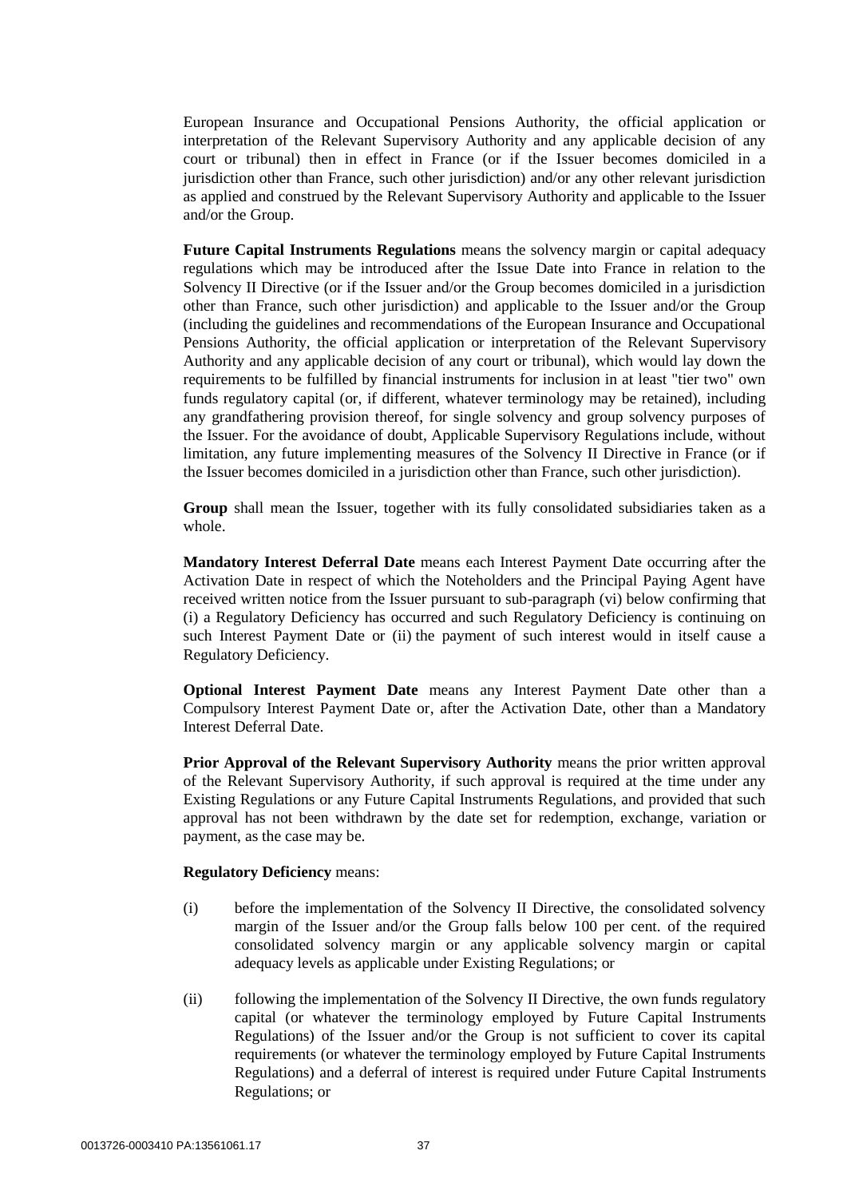European Insurance and Occupational Pensions Authority, the official application or interpretation of the Relevant Supervisory Authority and any applicable decision of any court or tribunal) then in effect in France (or if the Issuer becomes domiciled in a jurisdiction other than France, such other jurisdiction) and/or any other relevant jurisdiction as applied and construed by the Relevant Supervisory Authority and applicable to the Issuer and/or the Group.

**Future Capital Instruments Regulations** means the solvency margin or capital adequacy regulations which may be introduced after the Issue Date into France in relation to the Solvency II Directive (or if the Issuer and/or the Group becomes domiciled in a jurisdiction other than France, such other jurisdiction) and applicable to the Issuer and/or the Group (including the guidelines and recommendations of the European Insurance and Occupational Pensions Authority, the official application or interpretation of the Relevant Supervisory Authority and any applicable decision of any court or tribunal), which would lay down the requirements to be fulfilled by financial instruments for inclusion in at least "tier two" own funds regulatory capital (or, if different, whatever terminology may be retained), including any grandfathering provision thereof, for single solvency and group solvency purposes of the Issuer. For the avoidance of doubt, Applicable Supervisory Regulations include, without limitation, any future implementing measures of the Solvency II Directive in France (or if the Issuer becomes domiciled in a jurisdiction other than France, such other jurisdiction).

**Group** shall mean the Issuer, together with its fully consolidated subsidiaries taken as a whole.

**Mandatory Interest Deferral Date** means each Interest Payment Date occurring after the Activation Date in respect of which the Noteholders and the Principal Paying Agent have received written notice from the Issuer pursuant to sub-paragraph [\(vi\) below](#page-38-0) confirming that (i) a Regulatory Deficiency has occurred and such Regulatory Deficiency is continuing on such Interest Payment Date or (ii) the payment of such interest would in itself cause a Regulatory Deficiency.

**Optional Interest Payment Date** means any Interest Payment Date other than a Compulsory Interest Payment Date or, after the Activation Date, other than a Mandatory Interest Deferral Date.

**Prior Approval of the Relevant Supervisory Authority** means the prior written approval of the Relevant Supervisory Authority, if such approval is required at the time under any Existing Regulations or any Future Capital Instruments Regulations, and provided that such approval has not been withdrawn by the date set for redemption, exchange, variation or payment, as the case may be.

#### **Regulatory Deficiency** means:

- (i) before the implementation of the Solvency II Directive, the consolidated solvency margin of the Issuer and/or the Group falls below 100 per cent. of the required consolidated solvency margin or any applicable solvency margin or capital adequacy levels as applicable under Existing Regulations; or
- (ii) following the implementation of the Solvency II Directive, the own funds regulatory capital (or whatever the terminology employed by Future Capital Instruments Regulations) of the Issuer and/or the Group is not sufficient to cover its capital requirements (or whatever the terminology employed by Future Capital Instruments Regulations) and a deferral of interest is required under Future Capital Instruments Regulations; or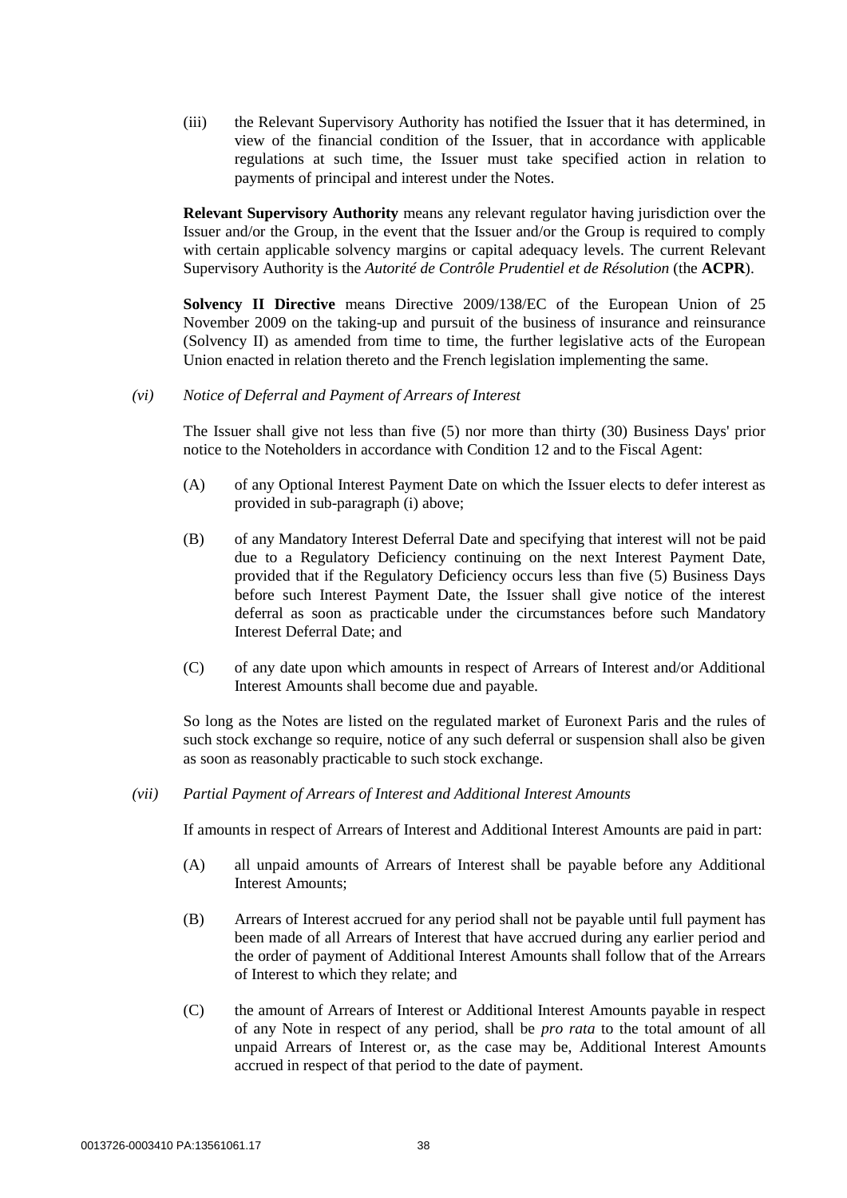(iii) the Relevant Supervisory Authority has notified the Issuer that it has determined, in view of the financial condition of the Issuer, that in accordance with applicable regulations at such time, the Issuer must take specified action in relation to payments of principal and interest under the Notes.

**Relevant Supervisory Authority** means any relevant regulator having jurisdiction over the Issuer and/or the Group, in the event that the Issuer and/or the Group is required to comply with certain applicable solvency margins or capital adequacy levels. The current Relevant Supervisory Authority is the *Autorité de Contrôle Prudentiel et de Résolution* (the **ACPR**).

**Solvency II Directive** means Directive 2009/138/EC of the European Union of 25 November 2009 on the taking-up and pursuit of the business of insurance and reinsurance (Solvency II) as amended from time to time, the further legislative acts of the European Union enacted in relation thereto and the French legislation implementing the same.

<span id="page-38-0"></span>*(vi) Notice of Deferral and Payment of Arrears of Interest*

The Issuer shall give not less than five (5) nor more than thirty (30) Business Days' prior notice to the Noteholders in accordance with Condition [12](#page-47-0) and to the Fiscal Agent:

- (A) of any Optional Interest Payment Date on which the Issuer elects to defer interest as provided in sub-paragrap[h \(i\) above;](#page-34-1)
- (B) of any Mandatory Interest Deferral Date and specifying that interest will not be paid due to a Regulatory Deficiency continuing on the next Interest Payment Date, provided that if the Regulatory Deficiency occurs less than five (5) Business Days before such Interest Payment Date, the Issuer shall give notice of the interest deferral as soon as practicable under the circumstances before such Mandatory Interest Deferral Date; and
- (C) of any date upon which amounts in respect of Arrears of Interest and/or Additional Interest Amounts shall become due and payable.

So long as the Notes are listed on the regulated market of Euronext Paris and the rules of such stock exchange so require, notice of any such deferral or suspension shall also be given as soon as reasonably practicable to such stock exchange.

*(vii) Partial Payment of Arrears of Interest and Additional Interest Amounts*

If amounts in respect of Arrears of Interest and Additional Interest Amounts are paid in part:

- (A) all unpaid amounts of Arrears of Interest shall be payable before any Additional Interest Amounts;
- (B) Arrears of Interest accrued for any period shall not be payable until full payment has been made of all Arrears of Interest that have accrued during any earlier period and the order of payment of Additional Interest Amounts shall follow that of the Arrears of Interest to which they relate; and
- (C) the amount of Arrears of Interest or Additional Interest Amounts payable in respect of any Note in respect of any period, shall be *pro rata* to the total amount of all unpaid Arrears of Interest or, as the case may be, Additional Interest Amounts accrued in respect of that period to the date of payment.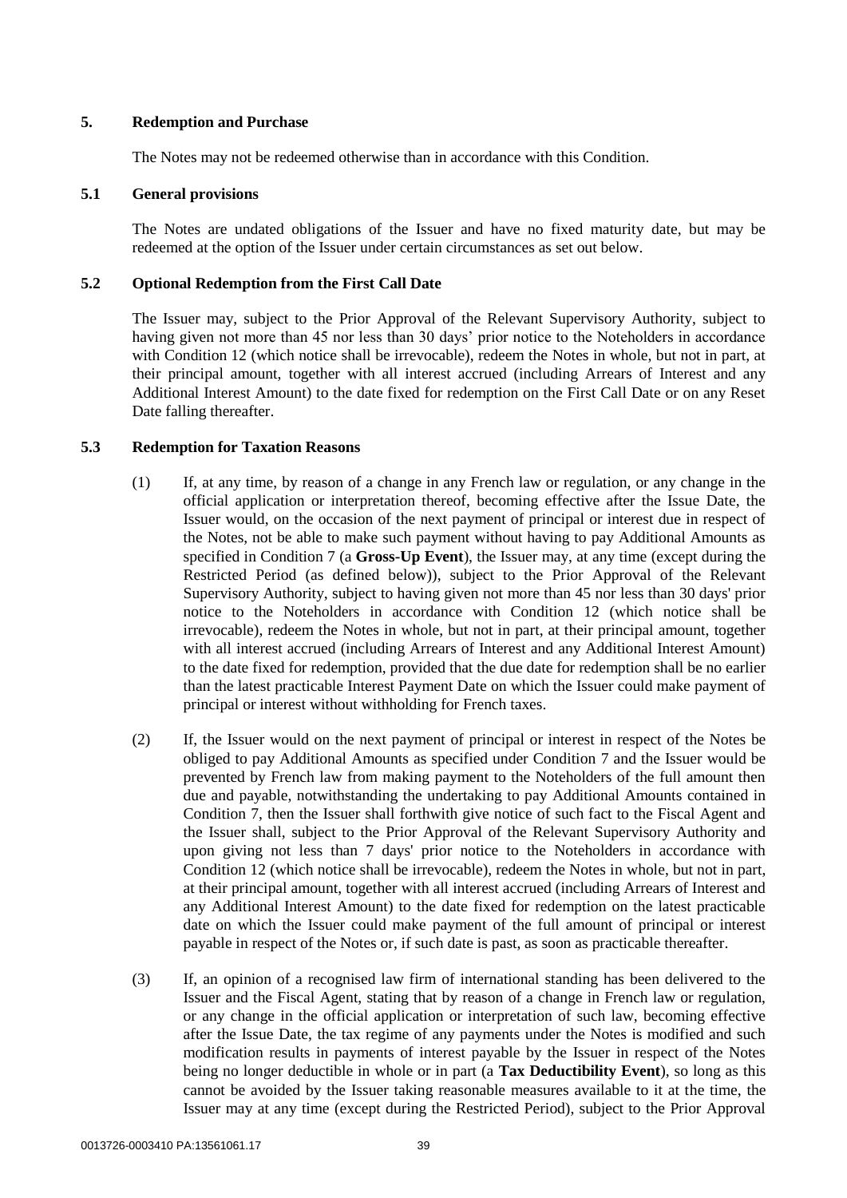### <span id="page-39-0"></span>**5. Redemption and Purchase**

The Notes may not be redeemed otherwise than in accordance with this Condition.

#### **5.1 General provisions**

The Notes are undated obligations of the Issuer and have no fixed maturity date, but may be redeemed at the option of the Issuer under certain circumstances as set out below.

### **5.2 Optional Redemption from the First Call Date**

The Issuer may, subject to the Prior Approval of the Relevant Supervisory Authority, subject to having given not more than 45 nor less than 30 days' prior notice to the Noteholders in accordance with Condition [12](#page-47-0) (which notice shall be irrevocable), redeem the Notes in whole, but not in part, at their principal amount, together with all interest accrued (including Arrears of Interest and any Additional Interest Amount) to the date fixed for redemption on the First Call Date or on any Reset Date falling thereafter.

### **5.3 Redemption for Taxation Reasons**

- (1) If, at any time, by reason of a change in any French law or regulation, or any change in the official application or interpretation thereof, becoming effective after the Issue Date, the Issuer would, on the occasion of the next payment of principal or interest due in respect of the Notes, not be able to make such payment without having to pay Additional Amounts as specified in Condition [7](#page-44-0) (a **Gross-Up Event**), the Issuer may, at any time (except during the Restricted Period (as defined below)), subject to the Prior Approval of the Relevant Supervisory Authority, subject to having given not more than 45 nor less than 30 days' prior notice to the Noteholders in accordance with Condition [12](#page-47-0) (which notice shall be irrevocable), redeem the Notes in whole, but not in part, at their principal amount, together with all interest accrued (including Arrears of Interest and any Additional Interest Amount) to the date fixed for redemption, provided that the due date for redemption shall be no earlier than the latest practicable Interest Payment Date on which the Issuer could make payment of principal or interest without withholding for French taxes.
- (2) If, the Issuer would on the next payment of principal or interest in respect of the Notes be obliged to pay Additional Amounts as specified under Condition [7](#page-44-0) and the Issuer would be prevented by French law from making payment to the Noteholders of the full amount then due and payable, notwithstanding the undertaking to pay Additional Amounts contained in Condition [7,](#page-44-0) then the Issuer shall forthwith give notice of such fact to the Fiscal Agent and the Issuer shall, subject to the Prior Approval of the Relevant Supervisory Authority and upon giving not less than 7 days' prior notice to the Noteholders in accordance with Condition [12](#page-47-0) (which notice shall be irrevocable), redeem the Notes in whole, but not in part, at their principal amount, together with all interest accrued (including Arrears of Interest and any Additional Interest Amount) to the date fixed for redemption on the latest practicable date on which the Issuer could make payment of the full amount of principal or interest payable in respect of the Notes or, if such date is past, as soon as practicable thereafter.
- (3) If, an opinion of a recognised law firm of international standing has been delivered to the Issuer and the Fiscal Agent, stating that by reason of a change in French law or regulation, or any change in the official application or interpretation of such law, becoming effective after the Issue Date, the tax regime of any payments under the Notes is modified and such modification results in payments of interest payable by the Issuer in respect of the Notes being no longer deductible in whole or in part (a **Tax Deductibility Event**), so long as this cannot be avoided by the Issuer taking reasonable measures available to it at the time, the Issuer may at any time (except during the Restricted Period), subject to the Prior Approval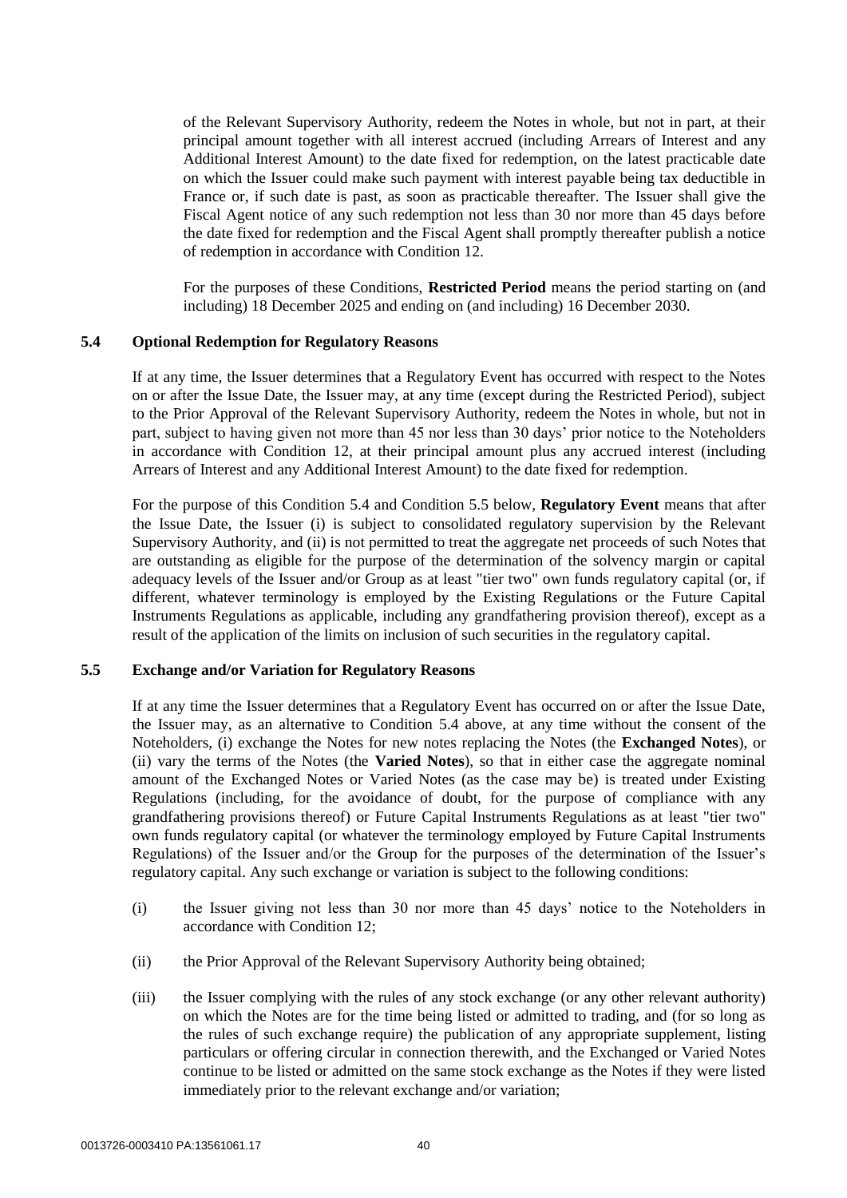of the Relevant Supervisory Authority, redeem the Notes in whole, but not in part, at their principal amount together with all interest accrued (including Arrears of Interest and any Additional Interest Amount) to the date fixed for redemption, on the latest practicable date on which the Issuer could make such payment with interest payable being tax deductible in France or, if such date is past, as soon as practicable thereafter. The Issuer shall give the Fiscal Agent notice of any such redemption not less than 30 nor more than 45 days before the date fixed for redemption and the Fiscal Agent shall promptly thereafter publish a notice of redemption in accordance with Condition [12.](#page-47-0)

For the purposes of these Conditions, **Restricted Period** means the period starting on (and including) 18 December 2025 and ending on (and including) 16 December 2030.

#### <span id="page-40-0"></span>**5.4 Optional Redemption for Regulatory Reasons**

If at any time, the Issuer determines that a Regulatory Event has occurred with respect to the Notes on or after the Issue Date, the Issuer may, at any time (except during the Restricted Period), subject to the Prior Approval of the Relevant Supervisory Authority, redeem the Notes in whole, but not in part, subject to having given not more than 45 nor less than 30 days' prior notice to the Noteholders in accordance with Condition [12,](#page-47-0) at their principal amount plus any accrued interest (including Arrears of Interest and any Additional Interest Amount) to the date fixed for redemption.

For the purpose of this Condition [5.4](#page-40-0) and Condition [5.5 below,](#page-40-1) **Regulatory Event** means that after the Issue Date, the Issuer (i) is subject to consolidated regulatory supervision by the Relevant Supervisory Authority, and (ii) is not permitted to treat the aggregate net proceeds of such Notes that are outstanding as eligible for the purpose of the determination of the solvency margin or capital adequacy levels of the Issuer and/or Group as at least "tier two" own funds regulatory capital (or, if different, whatever terminology is employed by the Existing Regulations or the Future Capital Instruments Regulations as applicable, including any grandfathering provision thereof), except as a result of the application of the limits on inclusion of such securities in the regulatory capital.

#### <span id="page-40-1"></span>**5.5 Exchange and/or Variation for Regulatory Reasons**

If at any time the Issuer determines that a Regulatory Event has occurred on or after the Issue Date, the Issuer may, as an alternative to Condition [5.4 above,](#page-40-0) at any time without the consent of the Noteholders, (i) exchange the Notes for new notes replacing the Notes (the **Exchanged Notes**), or (ii) vary the terms of the Notes (the **Varied Notes**), so that in either case the aggregate nominal amount of the Exchanged Notes or Varied Notes (as the case may be) is treated under Existing Regulations (including, for the avoidance of doubt, for the purpose of compliance with any grandfathering provisions thereof) or Future Capital Instruments Regulations as at least "tier two" own funds regulatory capital (or whatever the terminology employed by Future Capital Instruments Regulations) of the Issuer and/or the Group for the purposes of the determination of the Issuer's regulatory capital. Any such exchange or variation is subject to the following conditions:

- <span id="page-40-2"></span>(i) the Issuer giving not less than 30 nor more than 45 days' notice to the Noteholders in accordance with Condition [12;](#page-47-0)
- (ii) the Prior Approval of the Relevant Supervisory Authority being obtained;
- (iii) the Issuer complying with the rules of any stock exchange (or any other relevant authority) on which the Notes are for the time being listed or admitted to trading, and (for so long as the rules of such exchange require) the publication of any appropriate supplement, listing particulars or offering circular in connection therewith, and the Exchanged or Varied Notes continue to be listed or admitted on the same stock exchange as the Notes if they were listed immediately prior to the relevant exchange and/or variation;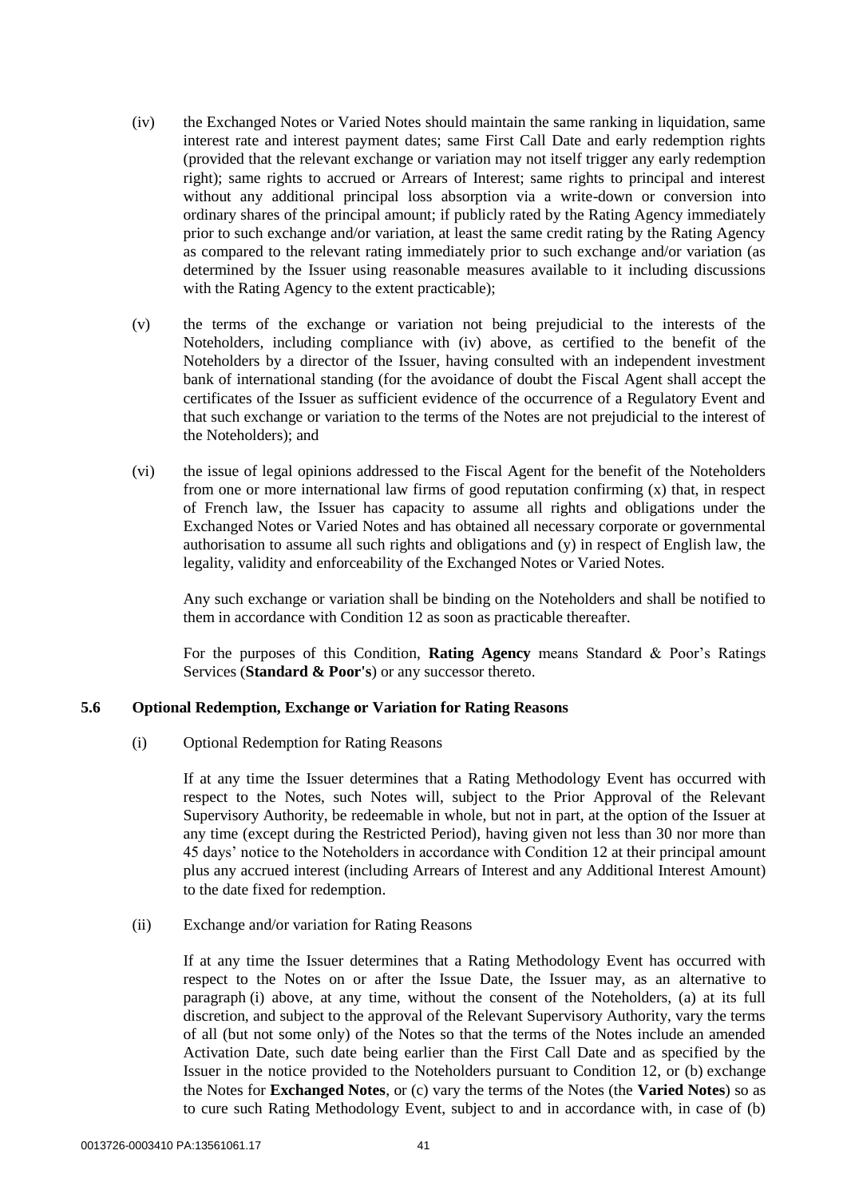- <span id="page-41-0"></span>(iv) the Exchanged Notes or Varied Notes should maintain the same ranking in liquidation, same interest rate and interest payment dates; same First Call Date and early redemption rights (provided that the relevant exchange or variation may not itself trigger any early redemption right); same rights to accrued or Arrears of Interest; same rights to principal and interest without any additional principal loss absorption via a write-down or conversion into ordinary shares of the principal amount; if publicly rated by the Rating Agency immediately prior to such exchange and/or variation, at least the same credit rating by the Rating Agency as compared to the relevant rating immediately prior to such exchange and/or variation (as determined by the Issuer using reasonable measures available to it including discussions with the Rating Agency to the extent practicable);
- <span id="page-41-3"></span>(v) the terms of the exchange or variation not being prejudicial to the interests of the Noteholders, including compliance with [\(iv\) above,](#page-41-0) as certified to the benefit of the Noteholders by a director of the Issuer, having consulted with an independent investment bank of international standing (for the avoidance of doubt the Fiscal Agent shall accept the certificates of the Issuer as sufficient evidence of the occurrence of a Regulatory Event and that such exchange or variation to the terms of the Notes are not prejudicial to the interest of the Noteholders); and
- <span id="page-41-2"></span>(vi) the issue of legal opinions addressed to the Fiscal Agent for the benefit of the Noteholders from one or more international law firms of good reputation confirming (x) that, in respect of French law, the Issuer has capacity to assume all rights and obligations under the Exchanged Notes or Varied Notes and has obtained all necessary corporate or governmental authorisation to assume all such rights and obligations and (y) in respect of English law, the legality, validity and enforceability of the Exchanged Notes or Varied Notes.

Any such exchange or variation shall be binding on the Noteholders and shall be notified to them in accordance with Condition [12](#page-47-0) as soon as practicable thereafter.

For the purposes of this Condition, **Rating Agency** means Standard & Poor's Ratings Services (**Standard & Poor's**) or any successor thereto.

### <span id="page-41-1"></span>**5.6 Optional Redemption, Exchange or Variation for Rating Reasons**

(i) Optional Redemption for Rating Reasons

If at any time the Issuer determines that a Rating Methodology Event has occurred with respect to the Notes, such Notes will, subject to the Prior Approval of the Relevant Supervisory Authority, be redeemable in whole, but not in part, at the option of the Issuer at any time (except during the Restricted Period), having given not less than 30 nor more than 45 days' notice to the Noteholders in accordance with Condition [12](#page-47-0) at their principal amount plus any accrued interest (including Arrears of Interest and any Additional Interest Amount) to the date fixed for redemption.

(ii) Exchange and/or variation for Rating Reasons

If at any time the Issuer determines that a Rating Methodology Event has occurred with respect to the Notes on or after the Issue Date, the Issuer may, as an alternative to paragraph [\(i\) above,](#page-41-1) at any time, without the consent of the Noteholders, (a) at its full discretion, and subject to the approval of the Relevant Supervisory Authority, vary the terms of all (but not some only) of the Notes so that the terms of the Notes include an amended Activation Date, such date being earlier than the First Call Date and as specified by the Issuer in the notice provided to the Noteholders pursuant to Condition [12,](#page-47-0) or (b) exchange the Notes for **Exchanged Notes**, or (c) vary the terms of the Notes (the **Varied Notes**) so as to cure such Rating Methodology Event, subject to and in accordance with, in case of (b)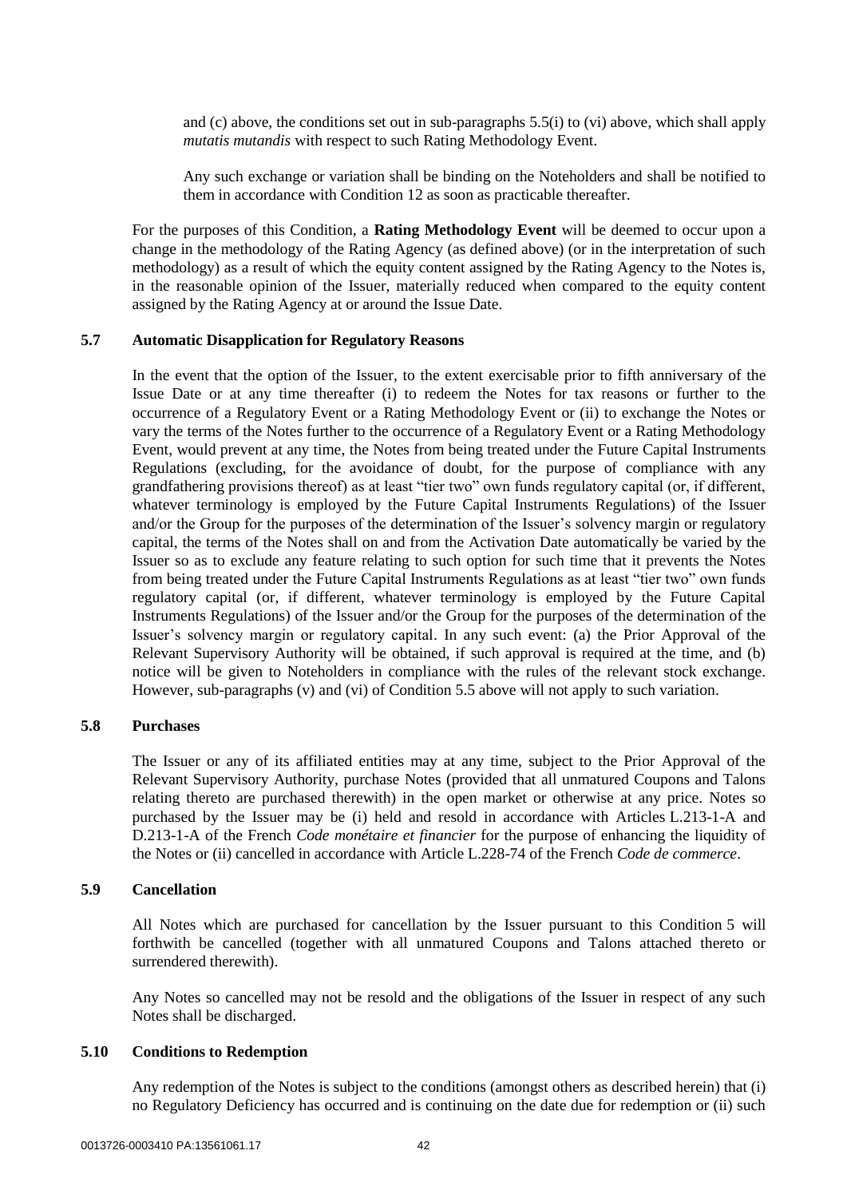and (c) above, the conditions set out in sub-paragraphs [5.5\(i\)](#page-40-2) to [\(vi\) above,](#page-41-2) which shall apply *mutatis mutandis* with respect to such Rating Methodology Event.

Any such exchange or variation shall be binding on the Noteholders and shall be notified to them in accordance with Condition [12](#page-47-0) as soon as practicable thereafter.

For the purposes of this Condition, a **Rating Methodology Event** will be deemed to occur upon a change in the methodology of the Rating Agency (as defined above) (or in the interpretation of such methodology) as a result of which the equity content assigned by the Rating Agency to the Notes is, in the reasonable opinion of the Issuer, materially reduced when compared to the equity content assigned by the Rating Agency at or around the Issue Date.

### <span id="page-42-0"></span>**5.7 Automatic Disapplication for Regulatory Reasons**

In the event that the option of the Issuer, to the extent exercisable prior to fifth anniversary of the Issue Date or at any time thereafter (i) to redeem the Notes for tax reasons or further to the occurrence of a Regulatory Event or a Rating Methodology Event or (ii) to exchange the Notes or vary the terms of the Notes further to the occurrence of a Regulatory Event or a Rating Methodology Event, would prevent at any time, the Notes from being treated under the Future Capital Instruments Regulations (excluding, for the avoidance of doubt, for the purpose of compliance with any grandfathering provisions thereof) as at least "tier two" own funds regulatory capital (or, if different, whatever terminology is employed by the Future Capital Instruments Regulations) of the Issuer and/or the Group for the purposes of the determination of the Issuer's solvency margin or regulatory capital, the terms of the Notes shall on and from the Activation Date automatically be varied by the Issuer so as to exclude any feature relating to such option for such time that it prevents the Notes from being treated under the Future Capital Instruments Regulations as at least "tier two" own funds regulatory capital (or, if different, whatever terminology is employed by the Future Capital Instruments Regulations) of the Issuer and/or the Group for the purposes of the determination of the Issuer's solvency margin or regulatory capital. In any such event: (a) the Prior Approval of the Relevant Supervisory Authority will be obtained, if such approval is required at the time, and (b) notice will be given to Noteholders in compliance with the rules of the relevant stock exchange. However, sub-paragraph[s \(v\)](#page-41-3) and [\(vi\)](#page-41-2) of Condition [5.5 above](#page-40-1) will not apply to such variation.

### **5.8 Purchases**

The Issuer or any of its affiliated entities may at any time, subject to the Prior Approval of the Relevant Supervisory Authority, purchase Notes (provided that all unmatured Coupons and Talons relating thereto are purchased therewith) in the open market or otherwise at any price. Notes so purchased by the Issuer may be (i) held and resold in accordance with Articles L.213-1-A and D.213-1-A of the French *Code monétaire et financier* for the purpose of enhancing the liquidity of the Notes or (ii) cancelled in accordance with Article L.228-74 of the French *Code de commerce*.

#### **5.9 Cancellation**

All Notes which are purchased for cancellation by the Issuer pursuant to this Condition [5](#page-39-0) will forthwith be cancelled (together with all unmatured Coupons and Talons attached thereto or surrendered therewith).

Any Notes so cancelled may not be resold and the obligations of the Issuer in respect of any such Notes shall be discharged.

#### **5.10 Conditions to Redemption**

Any redemption of the Notes is subject to the conditions (amongst others as described herein) that (i) no Regulatory Deficiency has occurred and is continuing on the date due for redemption or (ii) such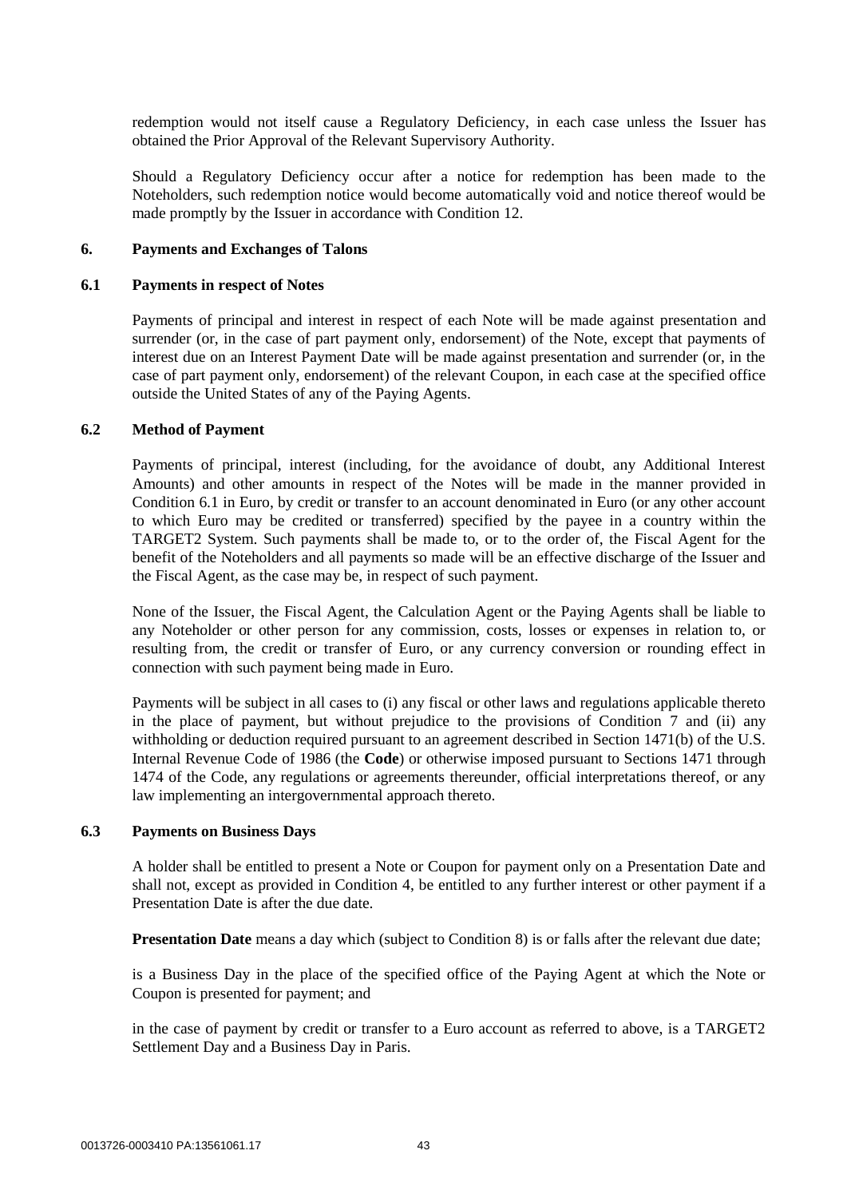redemption would not itself cause a Regulatory Deficiency, in each case unless the Issuer has obtained the Prior Approval of the Relevant Supervisory Authority.

Should a Regulatory Deficiency occur after a notice for redemption has been made to the Noteholders, such redemption notice would become automatically void and notice thereof would be made promptly by the Issuer in accordance with Condition [12.](#page-47-0)

#### <span id="page-43-2"></span><span id="page-43-0"></span>**6. Payments and Exchanges of Talons**

#### **6.1 Payments in respect of Notes**

Payments of principal and interest in respect of each Note will be made against presentation and surrender (or, in the case of part payment only, endorsement) of the Note, except that payments of interest due on an Interest Payment Date will be made against presentation and surrender (or, in the case of part payment only, endorsement) of the relevant Coupon, in each case at the specified office outside the United States of any of the Paying Agents.

#### **6.2 Method of Payment**

Payments of principal, interest (including, for the avoidance of doubt, any Additional Interest Amounts) and other amounts in respect of the Notes will be made in the manner provided in Condition [6.1](#page-43-0) in Euro, by credit or transfer to an account denominated in Euro (or any other account to which Euro may be credited or transferred) specified by the payee in a country within the TARGET2 System. Such payments shall be made to, or to the order of, the Fiscal Agent for the benefit of the Noteholders and all payments so made will be an effective discharge of the Issuer and the Fiscal Agent, as the case may be, in respect of such payment.

None of the Issuer, the Fiscal Agent, the Calculation Agent or the Paying Agents shall be liable to any Noteholder or other person for any commission, costs, losses or expenses in relation to, or resulting from, the credit or transfer of Euro, or any currency conversion or rounding effect in connection with such payment being made in Euro.

Payments will be subject in all cases to (i) any fiscal or other laws and regulations applicable thereto in the place of payment, but without prejudice to the provisions of Condition [7](#page-44-0) and (ii) any withholding or deduction required pursuant to an agreement described in Section 1471(b) of the U.S. Internal Revenue Code of 1986 (the **Code**) or otherwise imposed pursuant to Sections 1471 through 1474 of the Code, any regulations or agreements thereunder, official interpretations thereof, or any law implementing an intergovernmental approach thereto.

#### <span id="page-43-1"></span>**6.3 Payments on Business Days**

A holder shall be entitled to present a Note or Coupon for payment only on a Presentation Date and shall not, except as provided in Condition [4,](#page-32-0) be entitled to any further interest or other payment if a Presentation Date is after the due date.

**Presentation Date** means a day which (subject to Condition [8\)](#page-45-0) is or falls after the relevant due date;

is a Business Day in the place of the specified office of the Paying Agent at which the Note or Coupon is presented for payment; and

in the case of payment by credit or transfer to a Euro account as referred to above, is a TARGET2 Settlement Day and a Business Day in Paris.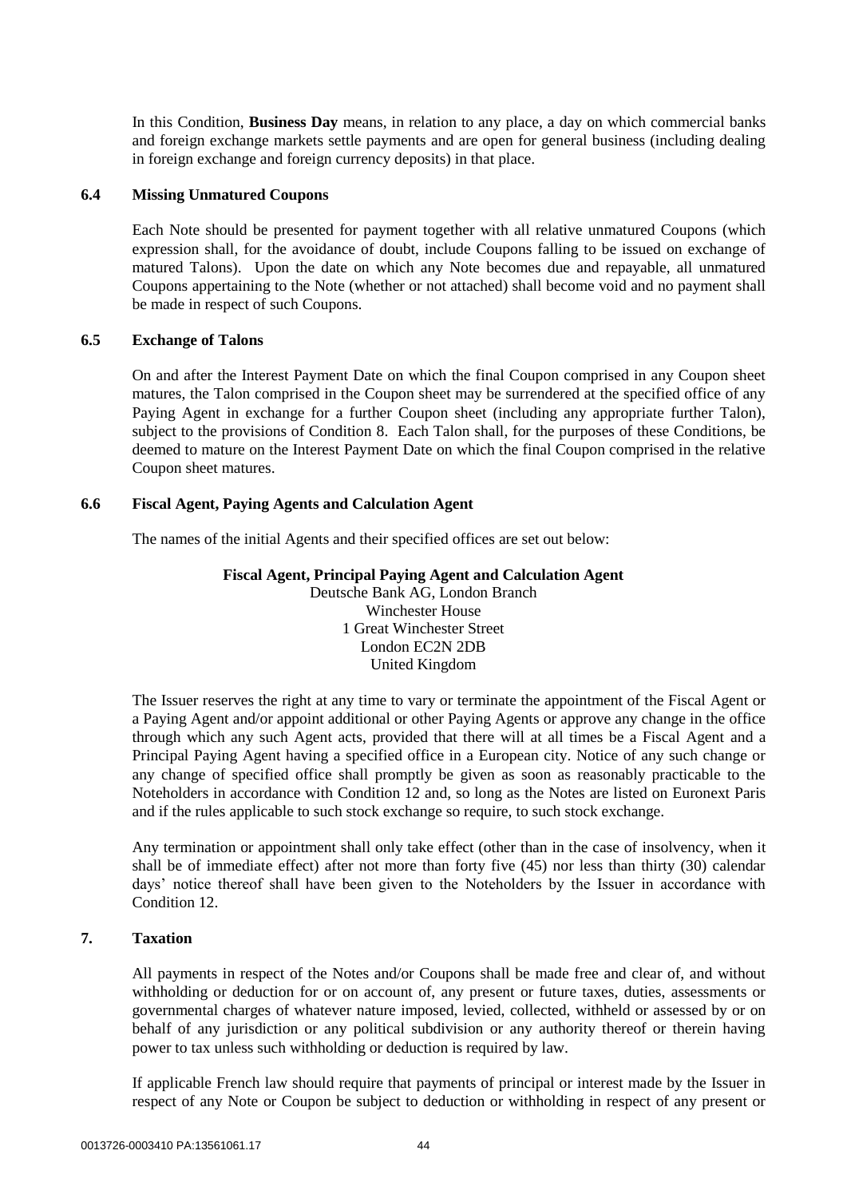In this Condition, **Business Day** means, in relation to any place, a day on which commercial banks and foreign exchange markets settle payments and are open for general business (including dealing in foreign exchange and foreign currency deposits) in that place.

### **6.4 Missing Unmatured Coupons**

Each Note should be presented for payment together with all relative unmatured Coupons (which expression shall, for the avoidance of doubt, include Coupons falling to be issued on exchange of matured Talons). Upon the date on which any Note becomes due and repayable, all unmatured Coupons appertaining to the Note (whether or not attached) shall become void and no payment shall be made in respect of such Coupons.

#### **6.5 Exchange of Talons**

On and after the Interest Payment Date on which the final Coupon comprised in any Coupon sheet matures, the Talon comprised in the Coupon sheet may be surrendered at the specified office of any Paying Agent in exchange for a further Coupon sheet (including any appropriate further Talon), subject to the provisions of Condition [8.](#page-45-0) Each Talon shall, for the purposes of these Conditions, be deemed to mature on the Interest Payment Date on which the final Coupon comprised in the relative Coupon sheet matures.

### **6.6 Fiscal Agent, Paying Agents and Calculation Agent**

The names of the initial Agents and their specified offices are set out below:

### **Fiscal Agent, Principal Paying Agent and Calculation Agent**

Deutsche Bank AG, London Branch Winchester House 1 Great Winchester Street London EC2N 2DB United Kingdom

The Issuer reserves the right at any time to vary or terminate the appointment of the Fiscal Agent or a Paying Agent and/or appoint additional or other Paying Agents or approve any change in the office through which any such Agent acts, provided that there will at all times be a Fiscal Agent and a Principal Paying Agent having a specified office in a European city. Notice of any such change or any change of specified office shall promptly be given as soon as reasonably practicable to the Noteholders in accordance with Condition [12](#page-47-0) and, so long as the Notes are listed on Euronext Paris and if the rules applicable to such stock exchange so require, to such stock exchange.

Any termination or appointment shall only take effect (other than in the case of insolvency, when it shall be of immediate effect) after not more than forty five (45) nor less than thirty (30) calendar days' notice thereof shall have been given to the Noteholders by the Issuer in accordance with Conditio[n 12.](#page-47-0)

### <span id="page-44-0"></span>**7. Taxation**

All payments in respect of the Notes and/or Coupons shall be made free and clear of, and without withholding or deduction for or on account of, any present or future taxes, duties, assessments or governmental charges of whatever nature imposed, levied, collected, withheld or assessed by or on behalf of any jurisdiction or any political subdivision or any authority thereof or therein having power to tax unless such withholding or deduction is required by law.

If applicable French law should require that payments of principal or interest made by the Issuer in respect of any Note or Coupon be subject to deduction or withholding in respect of any present or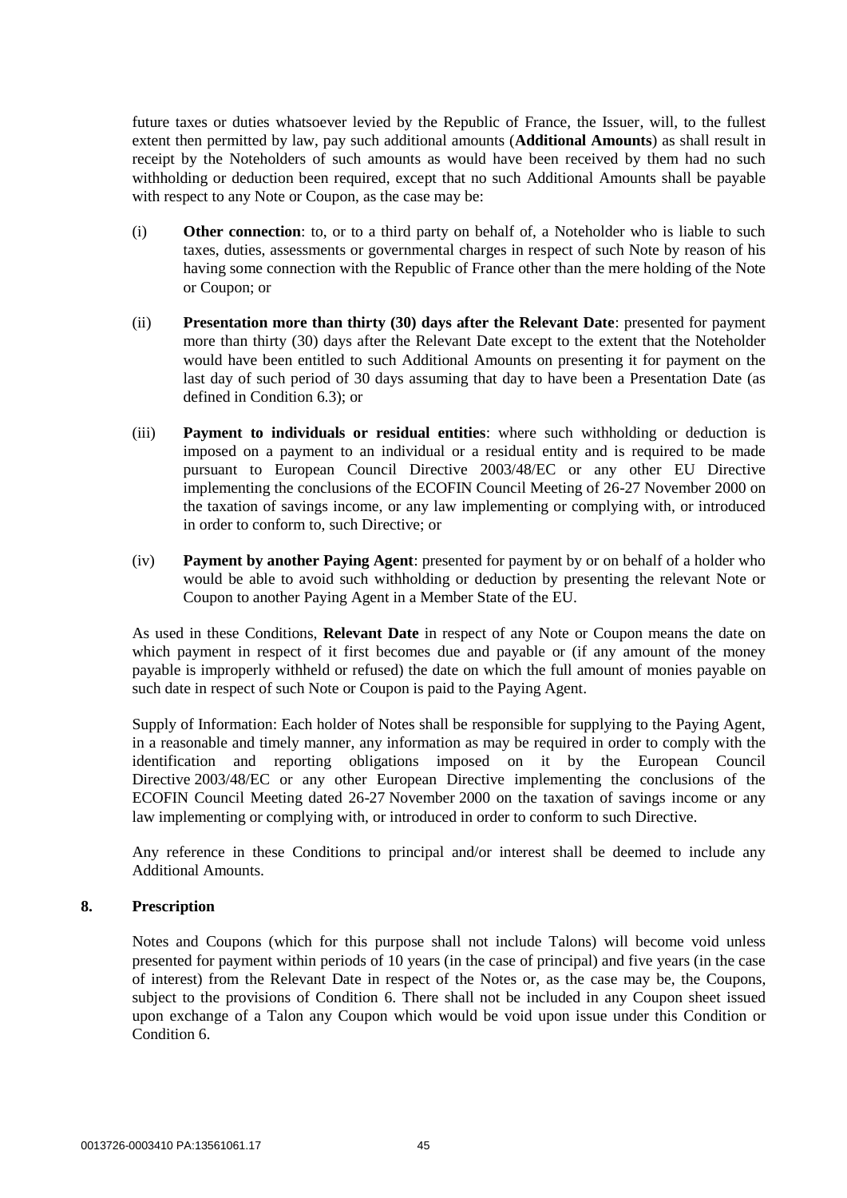future taxes or duties whatsoever levied by the Republic of France, the Issuer, will, to the fullest extent then permitted by law, pay such additional amounts (**Additional Amounts**) as shall result in receipt by the Noteholders of such amounts as would have been received by them had no such withholding or deduction been required, except that no such Additional Amounts shall be payable with respect to any Note or Coupon, as the case may be:

- (i) **Other connection**: to, or to a third party on behalf of, a Noteholder who is liable to such taxes, duties, assessments or governmental charges in respect of such Note by reason of his having some connection with the Republic of France other than the mere holding of the Note or Coupon; or
- (ii) **Presentation more than thirty (30) days after the Relevant Date**: presented for payment more than thirty (30) days after the Relevant Date except to the extent that the Noteholder would have been entitled to such Additional Amounts on presenting it for payment on the last day of such period of 30 days assuming that day to have been a Presentation Date (as defined in Conditio[n 6.3\)](#page-43-1); or
- (iii) **Payment to individuals or residual entities**: where such withholding or deduction is imposed on a payment to an individual or a residual entity and is required to be made pursuant to European Council Directive 2003/48/EC or any other EU Directive implementing the conclusions of the ECOFIN Council Meeting of 26-27 November 2000 on the taxation of savings income, or any law implementing or complying with, or introduced in order to conform to, such Directive; or
- (iv) **Payment by another Paying Agent**: presented for payment by or on behalf of a holder who would be able to avoid such withholding or deduction by presenting the relevant Note or Coupon to another Paying Agent in a Member State of the EU.

As used in these Conditions, **Relevant Date** in respect of any Note or Coupon means the date on which payment in respect of it first becomes due and payable or (if any amount of the money payable is improperly withheld or refused) the date on which the full amount of monies payable on such date in respect of such Note or Coupon is paid to the Paying Agent.

Supply of Information: Each holder of Notes shall be responsible for supplying to the Paying Agent, in a reasonable and timely manner, any information as may be required in order to comply with the identification and reporting obligations imposed on it by the European Council Directive 2003/48/EC or any other European Directive implementing the conclusions of the ECOFIN Council Meeting dated 26-27 November 2000 on the taxation of savings income or any law implementing or complying with, or introduced in order to conform to such Directive.

Any reference in these Conditions to principal and/or interest shall be deemed to include any Additional Amounts.

### <span id="page-45-0"></span>**8. Prescription**

Notes and Coupons (which for this purpose shall not include Talons) will become void unless presented for payment within periods of 10 years (in the case of principal) and five years (in the case of interest) from the Relevant Date in respect of the Notes or, as the case may be, the Coupons, subject to the provisions of Condition [6.](#page-43-2) There shall not be included in any Coupon sheet issued upon exchange of a Talon any Coupon which would be void upon issue under this Condition or Conditio[n 6.](#page-43-2)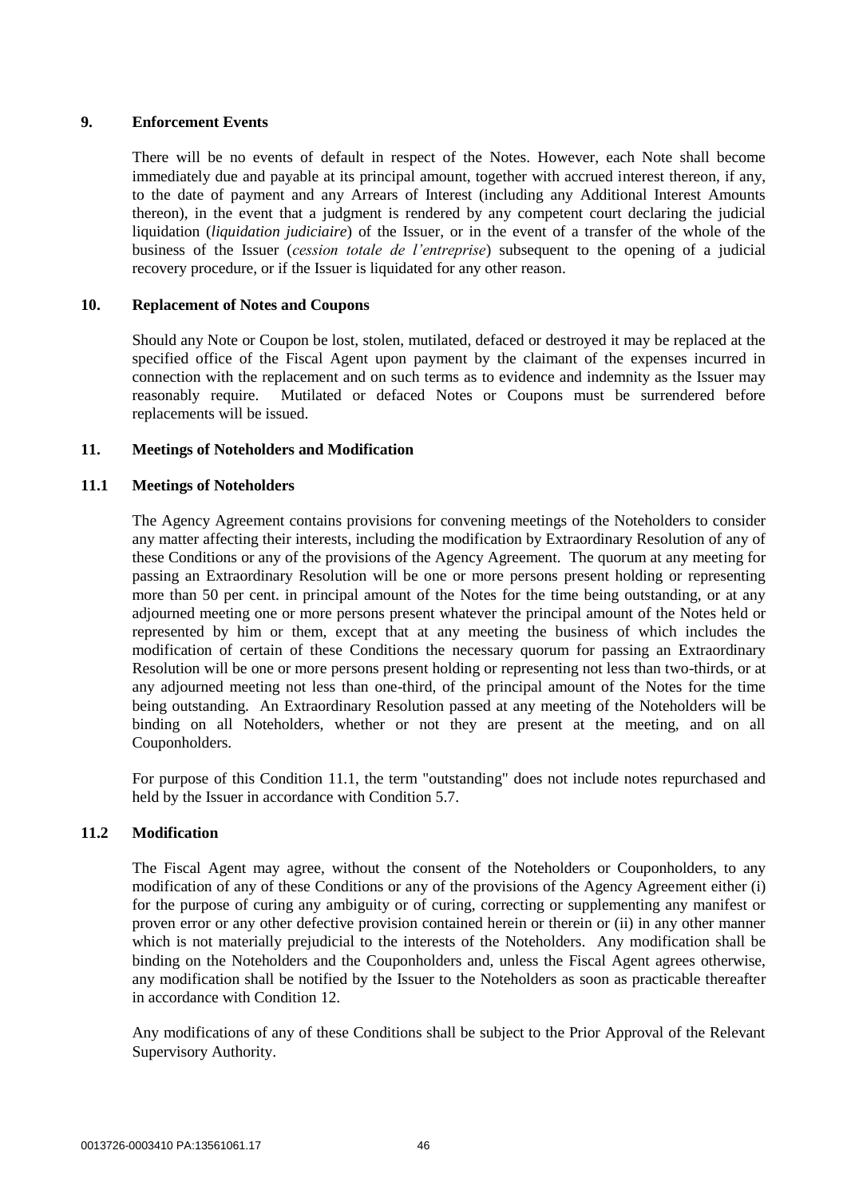# <span id="page-46-1"></span>**9. Enforcement Events**

There will be no events of default in respect of the Notes. However, each Note shall become immediately due and payable at its principal amount, together with accrued interest thereon, if any, to the date of payment and any Arrears of Interest (including any Additional Interest Amounts thereon), in the event that a judgment is rendered by any competent court declaring the judicial liquidation (*liquidation judiciaire*) of the Issuer, or in the event of a transfer of the whole of the business of the Issuer (*cession totale de l'entreprise*) subsequent to the opening of a judicial recovery procedure, or if the Issuer is liquidated for any other reason.

# **10. Replacement of Notes and Coupons**

Should any Note or Coupon be lost, stolen, mutilated, defaced or destroyed it may be replaced at the specified office of the Fiscal Agent upon payment by the claimant of the expenses incurred in connection with the replacement and on such terms as to evidence and indemnity as the Issuer may reasonably require. Mutilated or defaced Notes or Coupons must be surrendered before replacements will be issued.

# <span id="page-46-0"></span>**11. Meetings of Noteholders and Modification**

# **11.1 Meetings of Noteholders**

The Agency Agreement contains provisions for convening meetings of the Noteholders to consider any matter affecting their interests, including the modification by Extraordinary Resolution of any of these Conditions or any of the provisions of the Agency Agreement. The quorum at any meeting for passing an Extraordinary Resolution will be one or more persons present holding or representing more than 50 per cent. in principal amount of the Notes for the time being outstanding, or at any adjourned meeting one or more persons present whatever the principal amount of the Notes held or represented by him or them, except that at any meeting the business of which includes the modification of certain of these Conditions the necessary quorum for passing an Extraordinary Resolution will be one or more persons present holding or representing not less than two-thirds, or at any adjourned meeting not less than one-third, of the principal amount of the Notes for the time being outstanding. An Extraordinary Resolution passed at any meeting of the Noteholders will be binding on all Noteholders, whether or not they are present at the meeting, and on all Couponholders.

For purpose of this Condition [11.1,](#page-46-0) the term "outstanding" does not include notes repurchased and held by the Issuer in accordance with Condition [5.7.](#page-42-0)

### **11.2 Modification**

The Fiscal Agent may agree, without the consent of the Noteholders or Couponholders, to any modification of any of these Conditions or any of the provisions of the Agency Agreement either (i) for the purpose of curing any ambiguity or of curing, correcting or supplementing any manifest or proven error or any other defective provision contained herein or therein or (ii) in any other manner which is not materially prejudicial to the interests of the Noteholders. Any modification shall be binding on the Noteholders and the Couponholders and, unless the Fiscal Agent agrees otherwise, any modification shall be notified by the Issuer to the Noteholders as soon as practicable thereafter in accordance with Condition [12.](#page-47-0)

Any modifications of any of these Conditions shall be subject to the Prior Approval of the Relevant Supervisory Authority.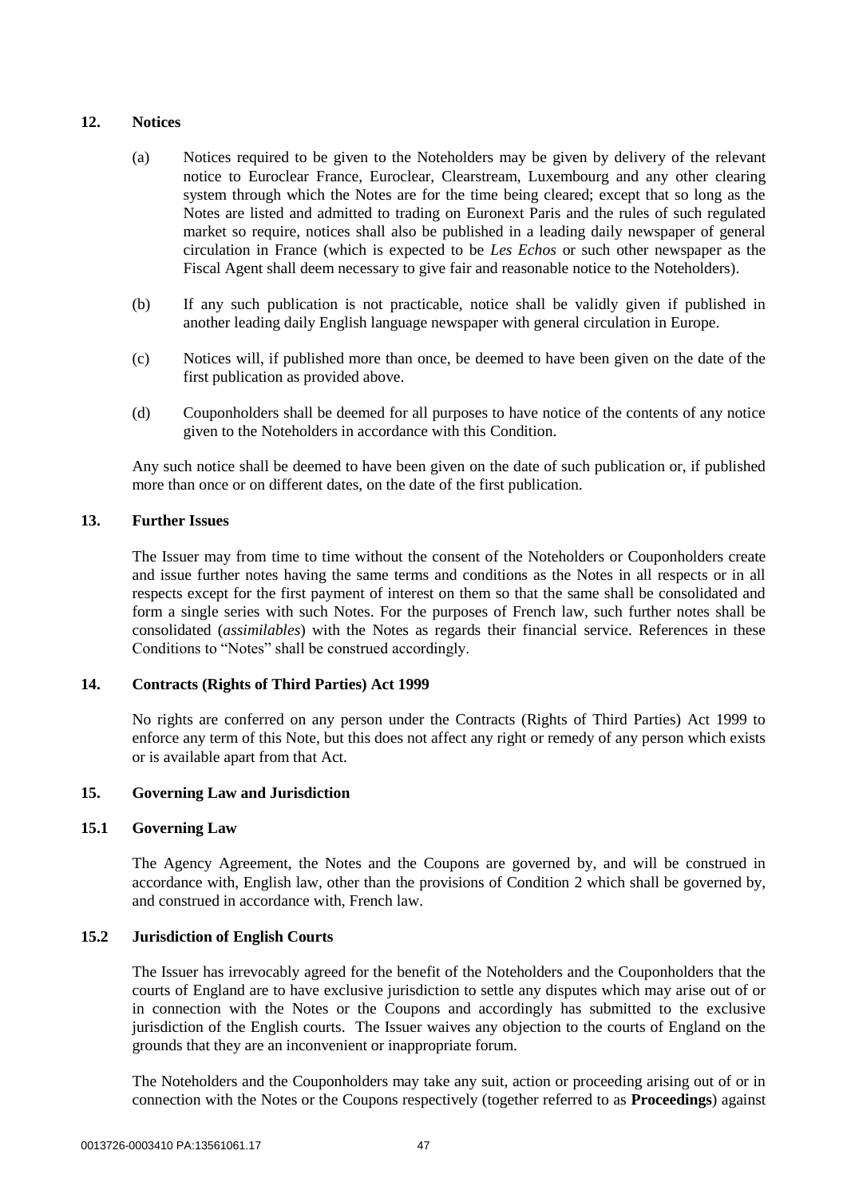# <span id="page-47-0"></span>**12. Notices**

- (a) Notices required to be given to the Noteholders may be given by delivery of the relevant notice to Euroclear France, Euroclear, Clearstream, Luxembourg and any other clearing system through which the Notes are for the time being cleared; except that so long as the Notes are listed and admitted to trading on Euronext Paris and the rules of such regulated market so require, notices shall also be published in a leading daily newspaper of general circulation in France (which is expected to be *Les Echos* or such other newspaper as the Fiscal Agent shall deem necessary to give fair and reasonable notice to the Noteholders).
- (b) If any such publication is not practicable, notice shall be validly given if published in another leading daily English language newspaper with general circulation in Europe.
- (c) Notices will, if published more than once, be deemed to have been given on the date of the first publication as provided above.
- (d) Couponholders shall be deemed for all purposes to have notice of the contents of any notice given to the Noteholders in accordance with this Condition.

Any such notice shall be deemed to have been given on the date of such publication or, if published more than once or on different dates, on the date of the first publication.

# **13. Further Issues**

The Issuer may from time to time without the consent of the Noteholders or Couponholders create and issue further notes having the same terms and conditions as the Notes in all respects or in all respects except for the first payment of interest on them so that the same shall be consolidated and form a single series with such Notes. For the purposes of French law, such further notes shall be consolidated (*assimilables*) with the Notes as regards their financial service. References in these Conditions to "Notes" shall be construed accordingly.

### **14. Contracts (Rights of Third Parties) Act 1999**

No rights are conferred on any person under the Contracts (Rights of Third Parties) Act 1999 to enforce any term of this Note, but this does not affect any right or remedy of any person which exists or is available apart from that Act.

# **15. Governing Law and Jurisdiction**

### **15.1 Governing Law**

The Agency Agreement, the Notes and the Coupons are governed by, and will be construed in accordance with, English law, other than the provisions of Condition [2](#page-31-0) which shall be governed by, and construed in accordance with, French law.

# **15.2 Jurisdiction of English Courts**

The Issuer has irrevocably agreed for the benefit of the Noteholders and the Couponholders that the courts of England are to have exclusive jurisdiction to settle any disputes which may arise out of or in connection with the Notes or the Coupons and accordingly has submitted to the exclusive jurisdiction of the English courts. The Issuer waives any objection to the courts of England on the grounds that they are an inconvenient or inappropriate forum.

The Noteholders and the Couponholders may take any suit, action or proceeding arising out of or in connection with the Notes or the Coupons respectively (together referred to as **Proceedings**) against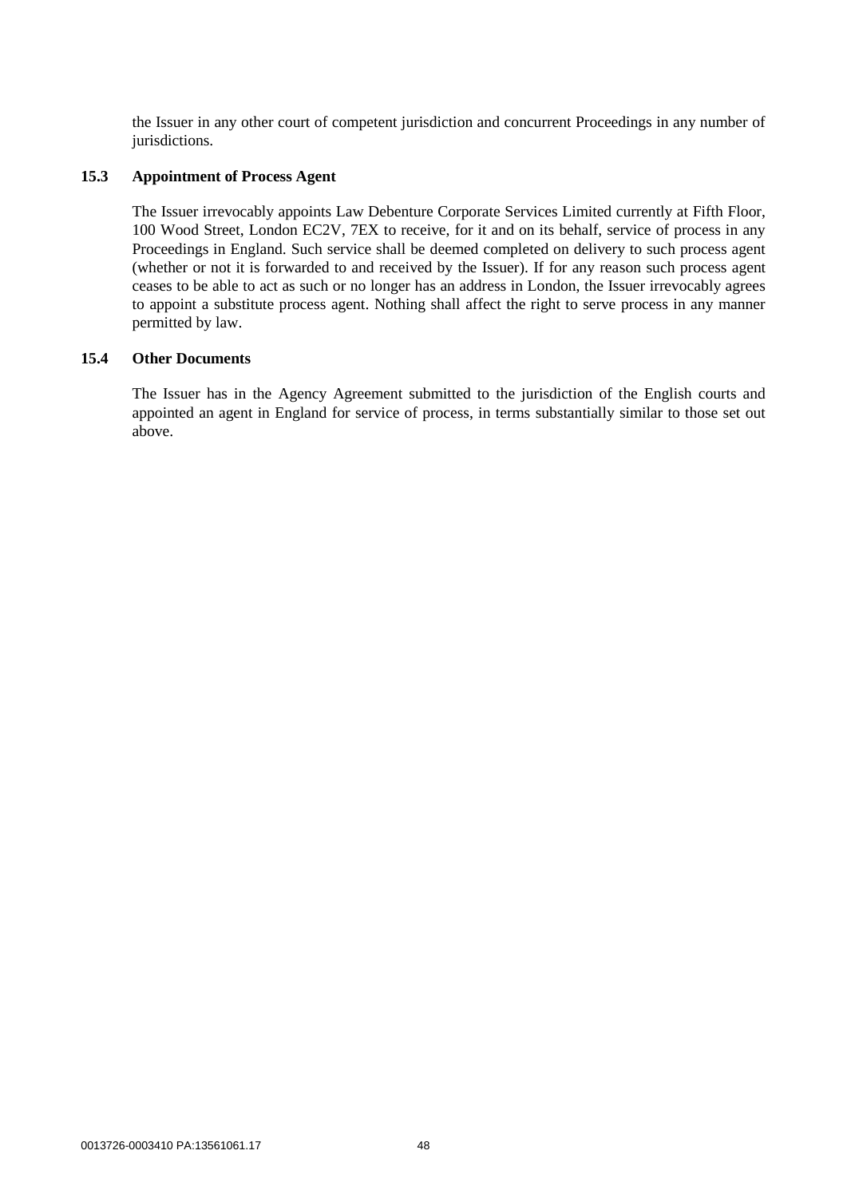the Issuer in any other court of competent jurisdiction and concurrent Proceedings in any number of jurisdictions.

#### **15.3 Appointment of Process Agent**

The Issuer irrevocably appoints Law Debenture Corporate Services Limited currently at Fifth Floor, 100 Wood Street, London EC2V, 7EX to receive, for it and on its behalf, service of process in any Proceedings in England. Such service shall be deemed completed on delivery to such process agent (whether or not it is forwarded to and received by the Issuer). If for any reason such process agent ceases to be able to act as such or no longer has an address in London, the Issuer irrevocably agrees to appoint a substitute process agent. Nothing shall affect the right to serve process in any manner permitted by law.

# **15.4 Other Documents**

The Issuer has in the Agency Agreement submitted to the jurisdiction of the English courts and appointed an agent in England for service of process, in terms substantially similar to those set out above.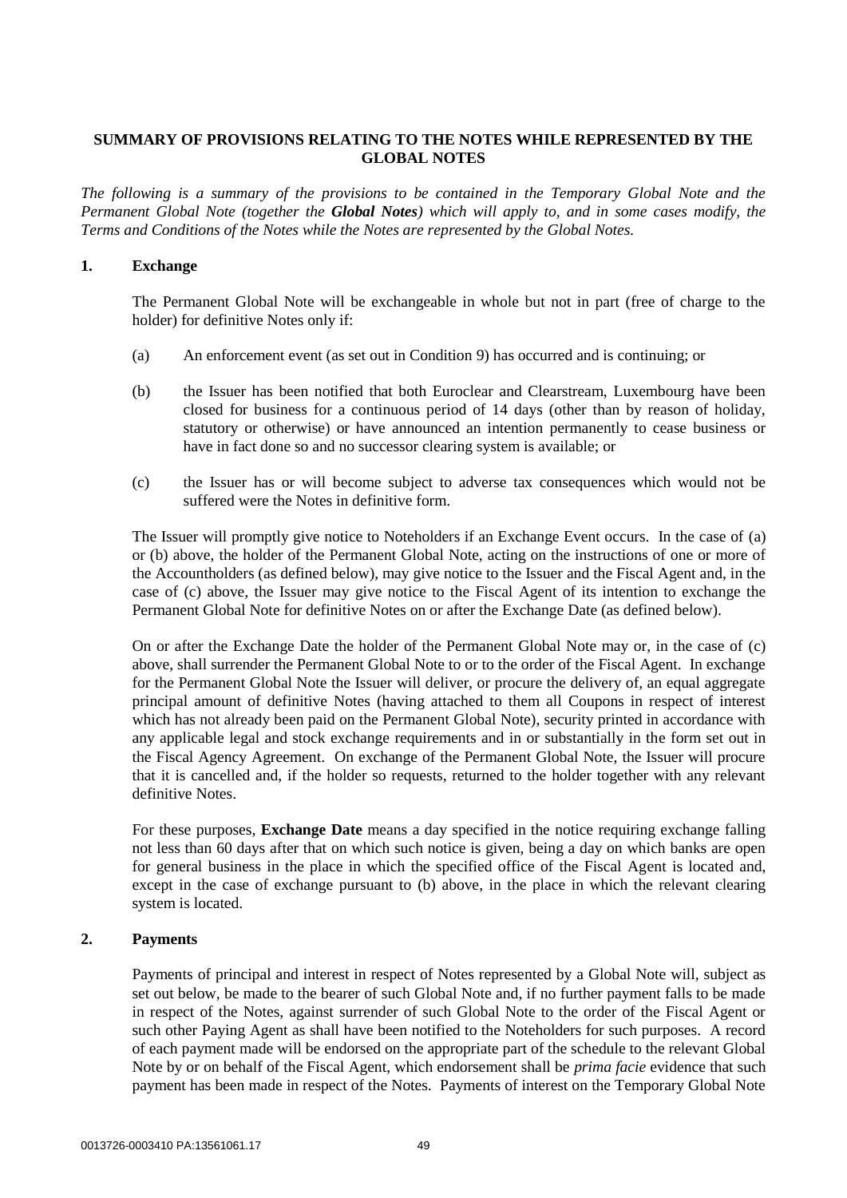# **SUMMARY OF PROVISIONS RELATING TO THE NOTES WHILE REPRESENTED BY THE GLOBAL NOTES**

*The following is a summary of the provisions to be contained in the Temporary Global Note and the Permanent Global Note (together the Global Notes) which will apply to, and in some cases modify, the Terms and Conditions of the Notes while the Notes are represented by the Global Notes.*

## **1. Exchange**

The Permanent Global Note will be exchangeable in whole but not in part (free of charge to the holder) for definitive Notes only if:

- <span id="page-49-1"></span><span id="page-49-0"></span>(a) An enforcement event (as set out in Condition [9\)](#page-46-1) has occurred and is continuing; or
- (b) the Issuer has been notified that both Euroclear and Clearstream, Luxembourg have been closed for business for a continuous period of 14 days (other than by reason of holiday, statutory or otherwise) or have announced an intention permanently to cease business or have in fact done so and no successor clearing system is available; or
- <span id="page-49-2"></span>(c) the Issuer has or will become subject to adverse tax consequences which would not be suffered were the Notes in definitive form.

The Issuer will promptly give notice to Noteholders if an Exchange Event occurs. In the case of [\(a\)](#page-49-0) or [\(b\) above,](#page-49-1) the holder of the Permanent Global Note, acting on the instructions of one or more of the Accountholders (as defined below), may give notice to the Issuer and the Fiscal Agent and, in the case of [\(c\) above,](#page-49-2) the Issuer may give notice to the Fiscal Agent of its intention to exchange the Permanent Global Note for definitive Notes on or after the Exchange Date (as defined below).

On or after the Exchange Date the holder of the Permanent Global Note may or, in the case of [\(c\)](#page-49-2)  [above,](#page-49-2) shall surrender the Permanent Global Note to or to the order of the Fiscal Agent. In exchange for the Permanent Global Note the Issuer will deliver, or procure the delivery of, an equal aggregate principal amount of definitive Notes (having attached to them all Coupons in respect of interest which has not already been paid on the Permanent Global Note), security printed in accordance with any applicable legal and stock exchange requirements and in or substantially in the form set out in the Fiscal Agency Agreement. On exchange of the Permanent Global Note, the Issuer will procure that it is cancelled and, if the holder so requests, returned to the holder together with any relevant definitive Notes.

For these purposes, **Exchange Date** means a day specified in the notice requiring exchange falling not less than 60 days after that on which such notice is given, being a day on which banks are open for general business in the place in which the specified office of the Fiscal Agent is located and, except in the case of exchange pursuant to [\(b\) above,](#page-49-1) in the place in which the relevant clearing system is located.

# **2. Payments**

Payments of principal and interest in respect of Notes represented by a Global Note will, subject as set out below, be made to the bearer of such Global Note and, if no further payment falls to be made in respect of the Notes, against surrender of such Global Note to the order of the Fiscal Agent or such other Paying Agent as shall have been notified to the Noteholders for such purposes. A record of each payment made will be endorsed on the appropriate part of the schedule to the relevant Global Note by or on behalf of the Fiscal Agent, which endorsement shall be *prima facie* evidence that such payment has been made in respect of the Notes. Payments of interest on the Temporary Global Note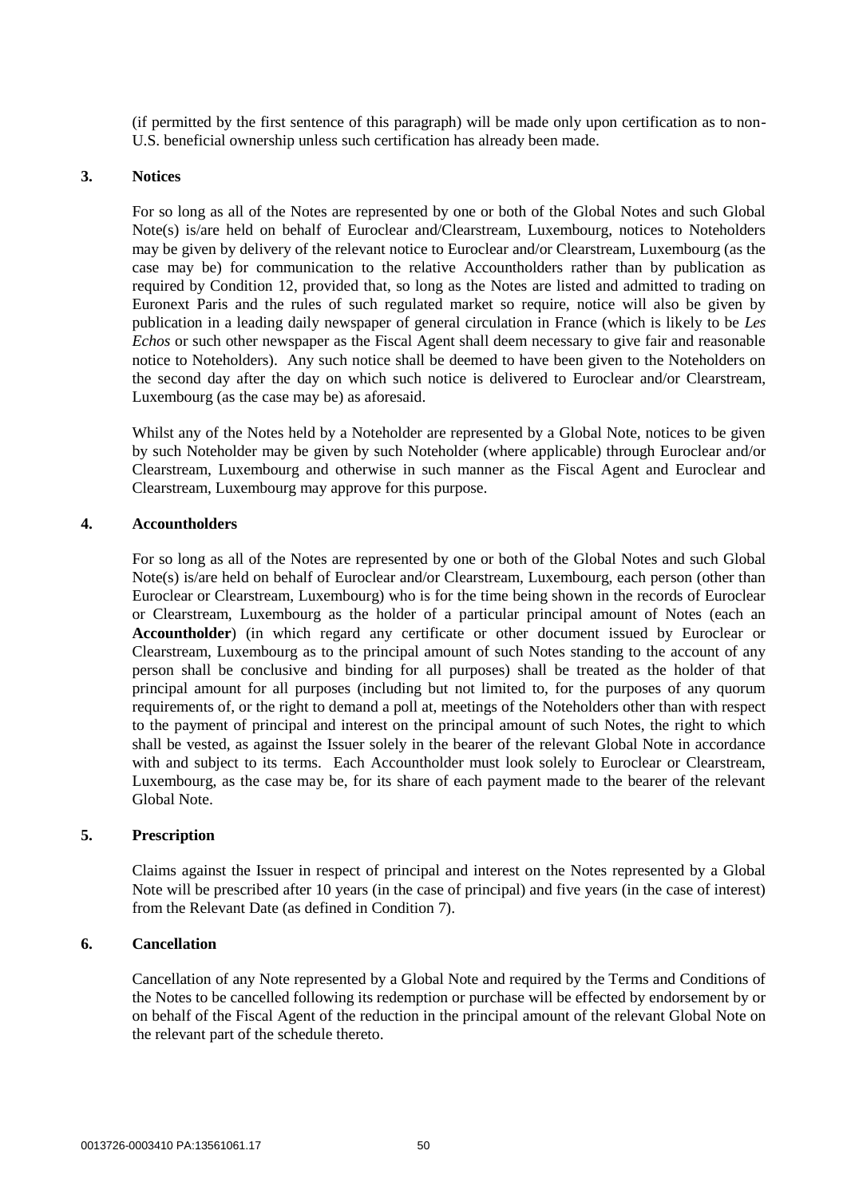(if permitted by the first sentence of this paragraph) will be made only upon certification as to non-U.S. beneficial ownership unless such certification has already been made.

#### **3. Notices**

For so long as all of the Notes are represented by one or both of the Global Notes and such Global Note(s) is/are held on behalf of Euroclear and/Clearstream, Luxembourg, notices to Noteholders may be given by delivery of the relevant notice to Euroclear and/or Clearstream, Luxembourg (as the case may be) for communication to the relative Accountholders rather than by publication as required by Condition [12,](#page-47-0) provided that, so long as the Notes are listed and admitted to trading on Euronext Paris and the rules of such regulated market so require, notice will also be given by publication in a leading daily newspaper of general circulation in France (which is likely to be *Les Echos* or such other newspaper as the Fiscal Agent shall deem necessary to give fair and reasonable notice to Noteholders). Any such notice shall be deemed to have been given to the Noteholders on the second day after the day on which such notice is delivered to Euroclear and/or Clearstream, Luxembourg (as the case may be) as aforesaid.

Whilst any of the Notes held by a Noteholder are represented by a Global Note, notices to be given by such Noteholder may be given by such Noteholder (where applicable) through Euroclear and/or Clearstream, Luxembourg and otherwise in such manner as the Fiscal Agent and Euroclear and Clearstream, Luxembourg may approve for this purpose.

#### **4. Accountholders**

For so long as all of the Notes are represented by one or both of the Global Notes and such Global Note(s) is/are held on behalf of Euroclear and/or Clearstream, Luxembourg, each person (other than Euroclear or Clearstream, Luxembourg) who is for the time being shown in the records of Euroclear or Clearstream, Luxembourg as the holder of a particular principal amount of Notes (each an **Accountholder**) (in which regard any certificate or other document issued by Euroclear or Clearstream, Luxembourg as to the principal amount of such Notes standing to the account of any person shall be conclusive and binding for all purposes) shall be treated as the holder of that principal amount for all purposes (including but not limited to, for the purposes of any quorum requirements of, or the right to demand a poll at, meetings of the Noteholders other than with respect to the payment of principal and interest on the principal amount of such Notes, the right to which shall be vested, as against the Issuer solely in the bearer of the relevant Global Note in accordance with and subject to its terms. Each Accountholder must look solely to Euroclear or Clearstream, Luxembourg, as the case may be, for its share of each payment made to the bearer of the relevant Global Note.

#### **5. Prescription**

Claims against the Issuer in respect of principal and interest on the Notes represented by a Global Note will be prescribed after 10 years (in the case of principal) and five years (in the case of interest) from the Relevant Date (as defined in Condition [7\)](#page-44-0).

### **6. Cancellation**

Cancellation of any Note represented by a Global Note and required by the Terms and Conditions of the Notes to be cancelled following its redemption or purchase will be effected by endorsement by or on behalf of the Fiscal Agent of the reduction in the principal amount of the relevant Global Note on the relevant part of the schedule thereto.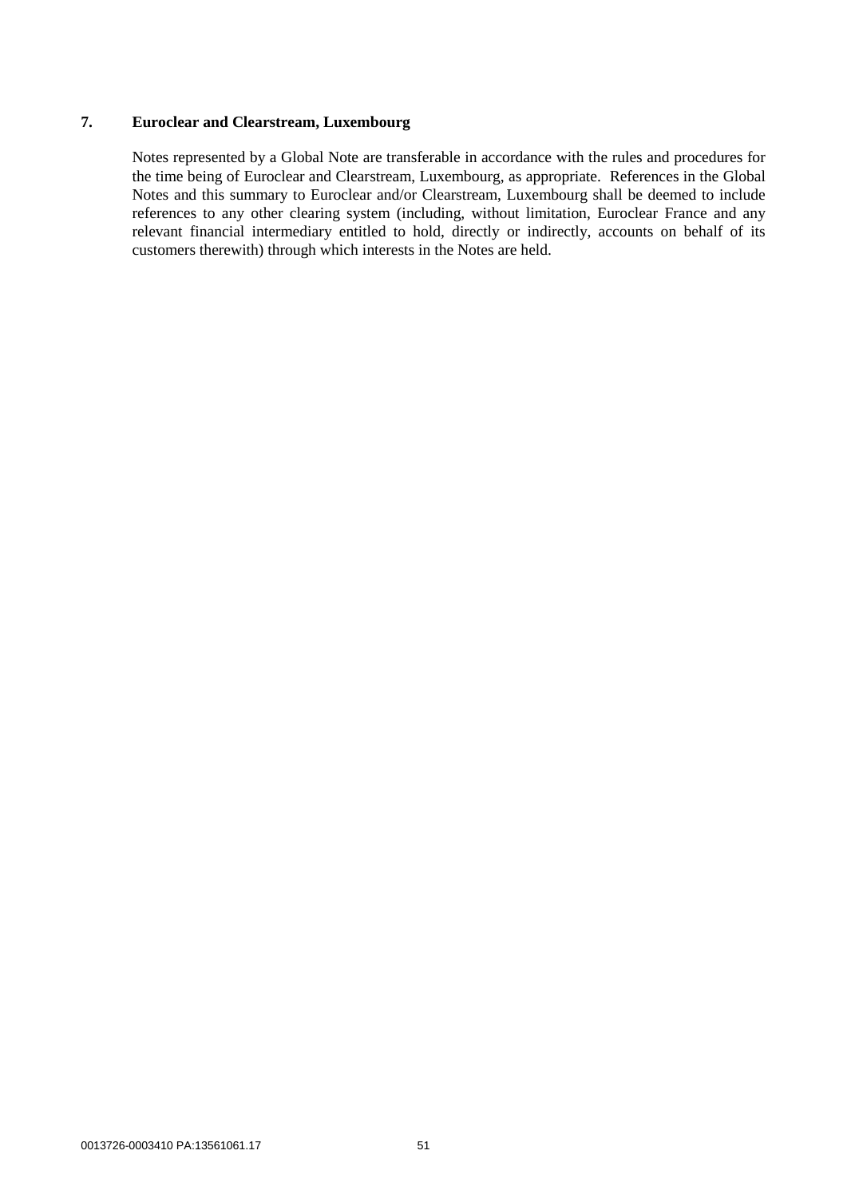# **7. Euroclear and Clearstream, Luxembourg**

Notes represented by a Global Note are transferable in accordance with the rules and procedures for the time being of Euroclear and Clearstream, Luxembourg, as appropriate. References in the Global Notes and this summary to Euroclear and/or Clearstream, Luxembourg shall be deemed to include references to any other clearing system (including, without limitation, Euroclear France and any relevant financial intermediary entitled to hold, directly or indirectly, accounts on behalf of its customers therewith) through which interests in the Notes are held.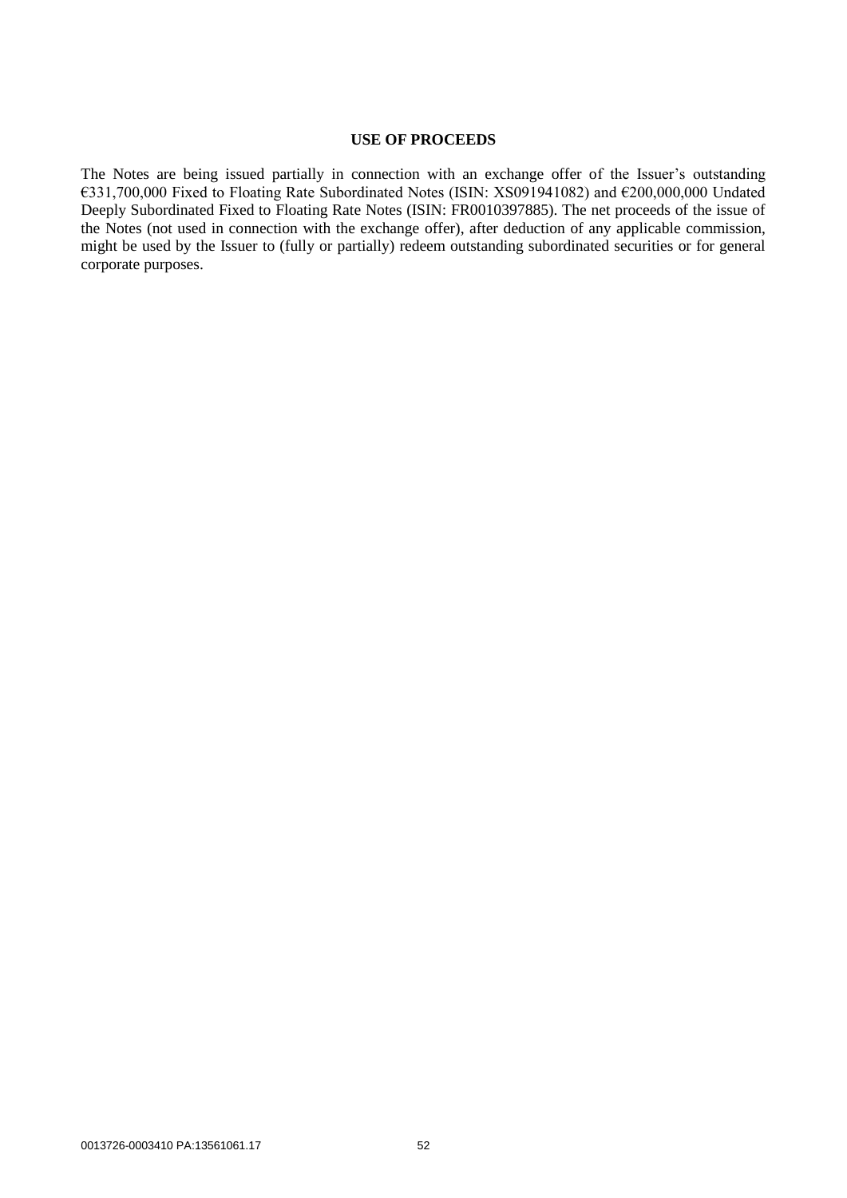#### **USE OF PROCEEDS**

The Notes are being issued partially in connection with an exchange offer of the Issuer's outstanding €331,700,000 Fixed to Floating Rate Subordinated Notes (ISIN: XS091941082) and €200,000,000 Undated Deeply Subordinated Fixed to Floating Rate Notes (ISIN: FR0010397885). The net proceeds of the issue of the Notes (not used in connection with the exchange offer), after deduction of any applicable commission, might be used by the Issuer to (fully or partially) redeem outstanding subordinated securities or for general corporate purposes.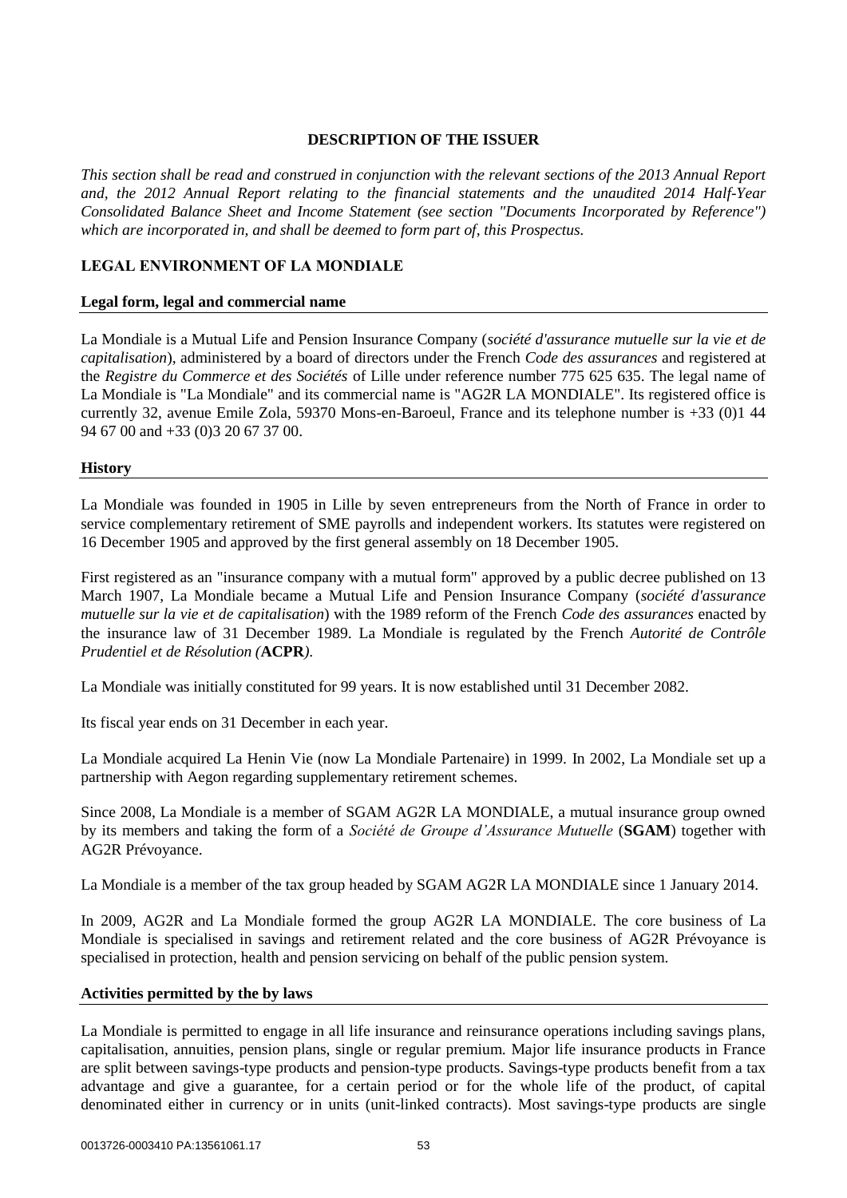## **DESCRIPTION OF THE ISSUER**

*This section shall be read and construed in conjunction with the relevant sections of the 2013 Annual Report and, the 2012 Annual Report relating to the financial statements and the unaudited 2014 Half-Year Consolidated Balance Sheet and Income Statement (see section "Documents Incorporated by Reference") which are incorporated in, and shall be deemed to form part of, this Prospectus.*

# **LEGAL ENVIRONMENT OF LA MONDIALE**

### **Legal form, legal and commercial name**

La Mondiale is a Mutual Life and Pension Insurance Company (*société d'assurance mutuelle sur la vie et de capitalisation*), administered by a board of directors under the French *Code des assurances* and registered at the *Registre du Commerce et des Sociétés* of Lille under reference number 775 625 635. The legal name of La Mondiale is "La Mondiale" and its commercial name is "AG2R LA MONDIALE". Its registered office is currently 32, avenue Emile Zola, 59370 Mons-en-Baroeul, France and its telephone number is +33 (0)1 44 94 67 00 and +33 (0)3 20 67 37 00.

#### **History**

La Mondiale was founded in 1905 in Lille by seven entrepreneurs from the North of France in order to service complementary retirement of SME payrolls and independent workers. Its statutes were registered on 16 December 1905 and approved by the first general assembly on 18 December 1905.

First registered as an "insurance company with a mutual form" approved by a public decree published on 13 March 1907, La Mondiale became a Mutual Life and Pension Insurance Company (*société d'assurance mutuelle sur la vie et de capitalisation*) with the 1989 reform of the French *Code des assurances* enacted by the insurance law of 31 December 1989. La Mondiale is regulated by the French *Autorité de Contrôle Prudentiel et de Résolution (***ACPR***)*.

La Mondiale was initially constituted for 99 years. It is now established until 31 December 2082.

Its fiscal year ends on 31 December in each year.

La Mondiale acquired La Henin Vie (now La Mondiale Partenaire) in 1999. In 2002, La Mondiale set up a partnership with Aegon regarding supplementary retirement schemes.

Since 2008, La Mondiale is a member of SGAM AG2R LA MONDIALE, a mutual insurance group owned by its members and taking the form of a *Société de Groupe d'Assurance Mutuelle* (**SGAM**) together with AG2R Prévoyance.

La Mondiale is a member of the tax group headed by SGAM AG2R LA MONDIALE since 1 January 2014.

In 2009, AG2R and La Mondiale formed the group AG2R LA MONDIALE. The core business of La Mondiale is specialised in savings and retirement related and the core business of AG2R Prévoyance is specialised in protection, health and pension servicing on behalf of the public pension system.

### **Activities permitted by the by laws**

La Mondiale is permitted to engage in all life insurance and reinsurance operations including savings plans, capitalisation, annuities, pension plans, single or regular premium. Major life insurance products in France are split between savings-type products and pension-type products. Savings-type products benefit from a tax advantage and give a guarantee, for a certain period or for the whole life of the product, of capital denominated either in currency or in units (unit-linked contracts). Most savings-type products are single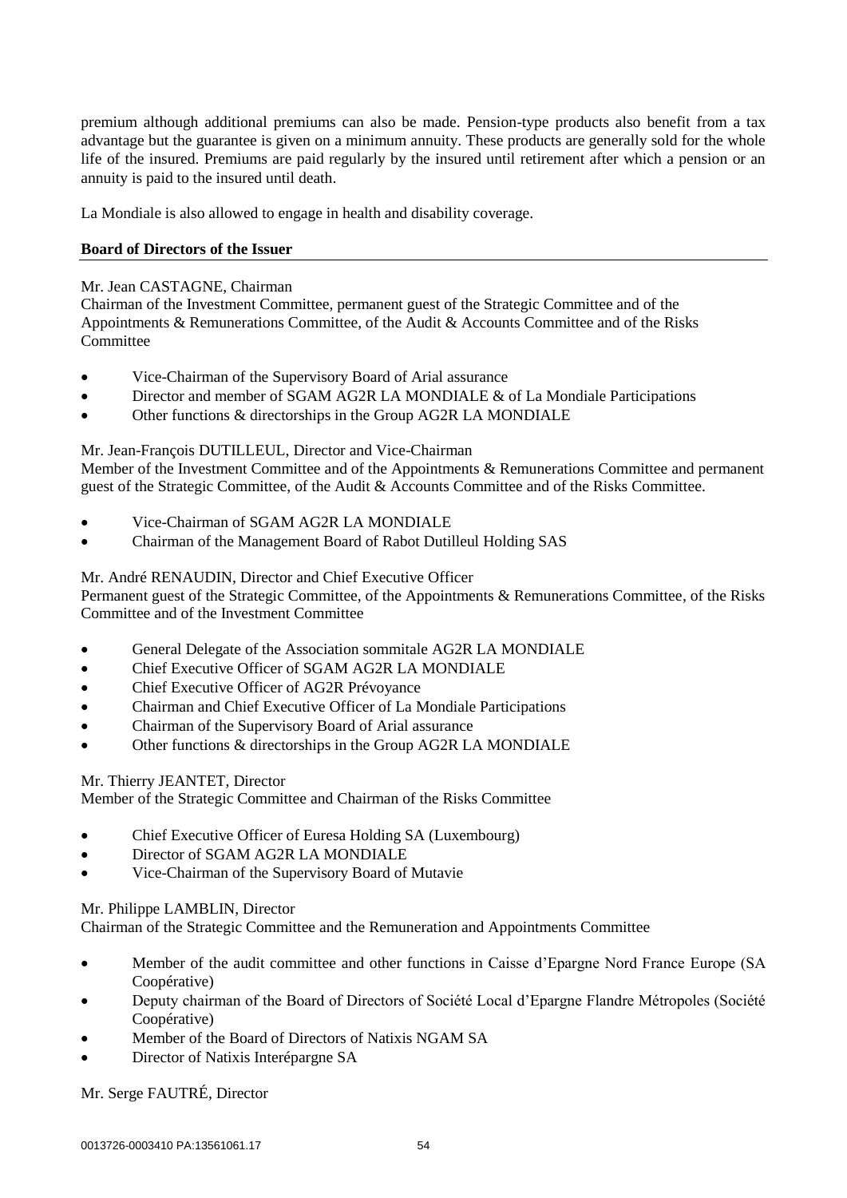premium although additional premiums can also be made. Pension-type products also benefit from a tax advantage but the guarantee is given on a minimum annuity. These products are generally sold for the whole life of the insured. Premiums are paid regularly by the insured until retirement after which a pension or an annuity is paid to the insured until death.

La Mondiale is also allowed to engage in health and disability coverage.

# **Board of Directors of the Issuer**

## Mr. Jean CASTAGNE, Chairman

Chairman of the Investment Committee, permanent guest of the Strategic Committee and of the Appointments & Remunerations Committee, of the Audit & Accounts Committee and of the Risks **Committee** 

- Vice-Chairman of the Supervisory Board of Arial assurance
- Director and member of SGAM AG2R LA MONDIALE & of La Mondiale Participations
- Other functions & directorships in the Group AG2R LA MONDIALE

# Mr. Jean-François DUTILLEUL, Director and Vice-Chairman

Member of the Investment Committee and of the Appointments & Remunerations Committee and permanent guest of the Strategic Committee, of the Audit & Accounts Committee and of the Risks Committee.

- Vice-Chairman of SGAM AG2R LA MONDIALE
- Chairman of the Management Board of Rabot Dutilleul Holding SAS

# Mr. André RENAUDIN, Director and Chief Executive Officer

Permanent guest of the Strategic Committee, of the Appointments & Remunerations Committee, of the Risks Committee and of the Investment Committee

- General Delegate of the Association sommitale AG2R LA MONDIALE
- Chief Executive Officer of SGAM AG2R LA MONDIALE
- Chief Executive Officer of AG2R Prévoyance
- Chairman and Chief Executive Officer of La Mondiale Participations
- Chairman of the Supervisory Board of Arial assurance
- Other functions & directorships in the Group AG2R LA MONDIALE

### Mr. Thierry JEANTET, Director

Member of the Strategic Committee and Chairman of the Risks Committee

- Chief Executive Officer of Euresa Holding SA (Luxembourg)
- Director of SGAM AG2R LA MONDIALE
- Vice-Chairman of the Supervisory Board of Mutavie

### Mr. Philippe LAMBLIN, Director

Chairman of the Strategic Committee and the Remuneration and Appointments Committee

- Member of the audit committee and other functions in Caisse d'Epargne Nord France Europe (SA Coopérative)
- Deputy chairman of the Board of Directors of Société Local d'Epargne Flandre Métropoles (Société Coopérative)
- Member of the Board of Directors of Natixis NGAM SA
- Director of Natixis Interépargne SA

Mr. Serge FAUTRÉ, Director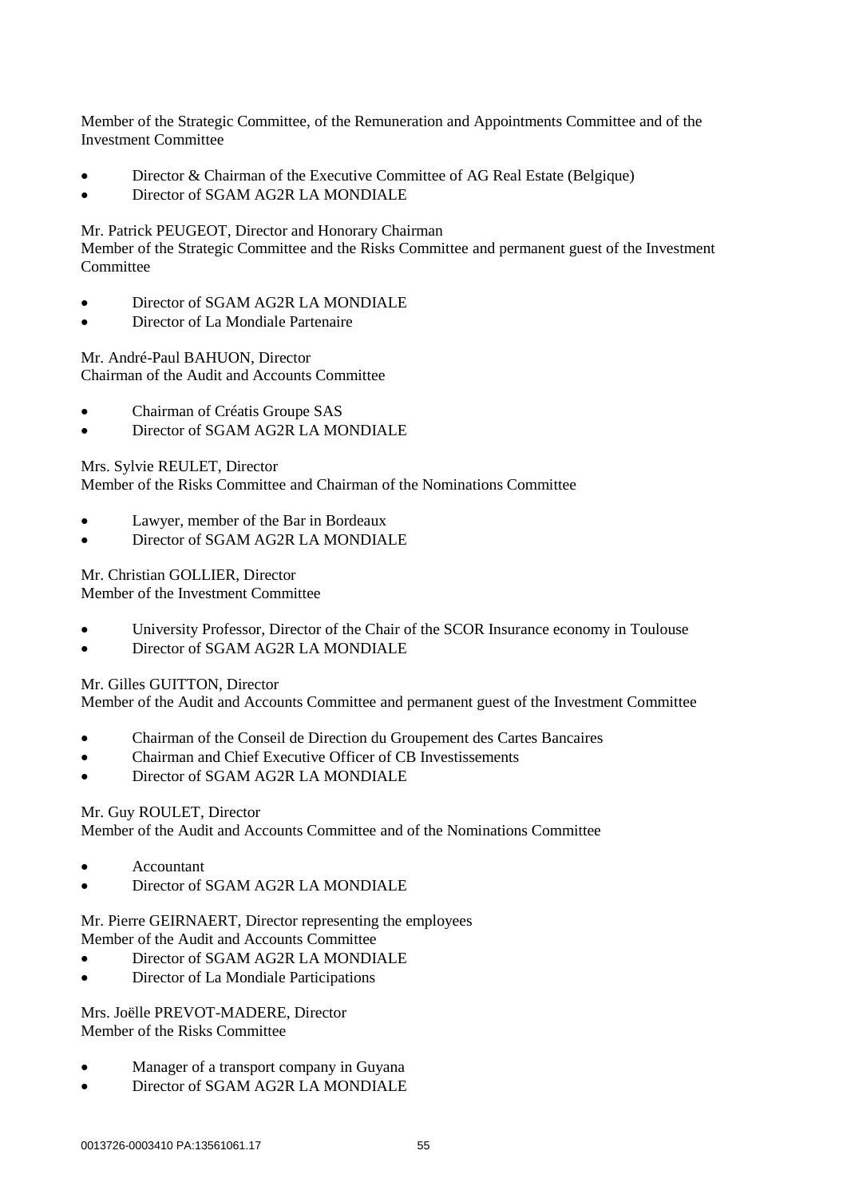Member of the Strategic Committee, of the Remuneration and Appointments Committee and of the Investment Committee

- Director & Chairman of the Executive Committee of AG Real Estate (Belgique)
- Director of SGAM AG2R LA MONDIALE

Mr. Patrick PEUGEOT, Director and Honorary Chairman

Member of the Strategic Committee and the Risks Committee and permanent guest of the Investment Committee

- Director of SGAM AG2R LA MONDIALE
- Director of La Mondiale Partenaire

Mr. André-Paul BAHUON, Director Chairman of the Audit and Accounts Committee

- Chairman of Créatis Groupe SAS
- Director of SGAM AG2R LA MONDIALE

Mrs. Sylvie REULET, Director

Member of the Risks Committee and Chairman of the Nominations Committee

- Lawyer, member of the Bar in Bordeaux
- Director of SGAM AG2R LA MONDIALE

Mr. Christian GOLLIER, Director

Member of the Investment Committee

- University Professor, Director of the Chair of the SCOR Insurance economy in Toulouse
- Director of SGAM AG2R LA MONDIALE

Mr. Gilles GUITTON, Director

Member of the Audit and Accounts Committee and permanent guest of the Investment Committee

- Chairman of the Conseil de Direction du Groupement des Cartes Bancaires
- Chairman and Chief Executive Officer of CB Investissements
- Director of SGAM AG2R LA MONDIALE

### Mr. Guy ROULET, Director

Member of the Audit and Accounts Committee and of the Nominations Committee

- Accountant
- Director of SGAM AG2R LA MONDIALE

Mr. Pierre GEIRNAERT, Director representing the employees Member of the Audit and Accounts Committee

- Director of SGAM AG2R LA MONDIALE
- Director of La Mondiale Participations

Mrs. Joëlle PREVOT-MADERE, Director Member of the Risks Committee

- Manager of a transport company in Guyana
- Director of SGAM AG2R LA MONDIALE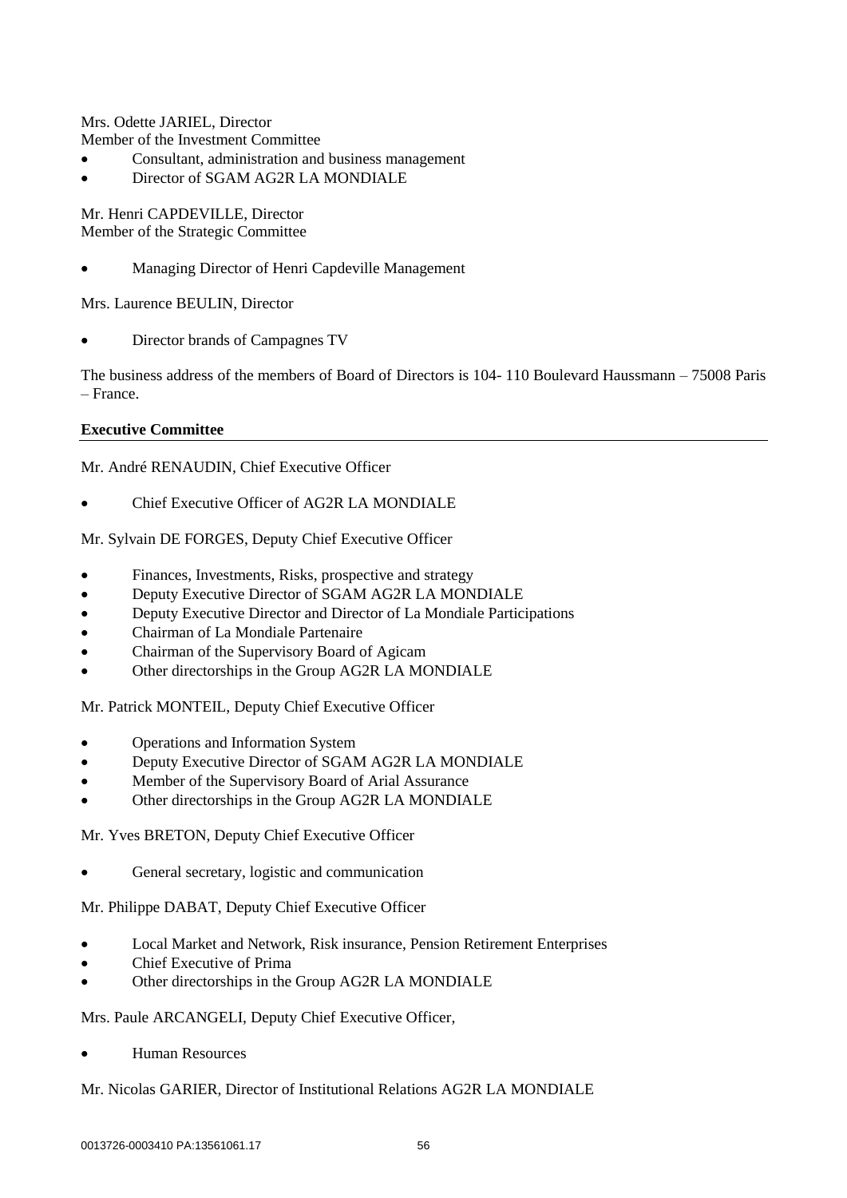Mrs. Odette JARIEL, Director Member of the Investment Committee

- Consultant, administration and business management
- Director of SGAM AG2R LA MONDIALE

Mr. Henri CAPDEVILLE, Director Member of the Strategic Committee

Managing Director of Henri Capdeville Management

Mrs. Laurence BEULIN, Director

Director brands of Campagnes TV

The business address of the members of Board of Directors is 104- 110 Boulevard Haussmann – 75008 Paris – France.

### **Executive Committee**

Mr. André RENAUDIN, Chief Executive Officer

Chief Executive Officer of AG2R LA MONDIALE

# Mr. Sylvain DE FORGES, Deputy Chief Executive Officer

- Finances, Investments, Risks, prospective and strategy
- Deputy Executive Director of SGAM AG2R LA MONDIALE
- Deputy Executive Director and Director of La Mondiale Participations
- Chairman of La Mondiale Partenaire
- Chairman of the Supervisory Board of Agicam
- Other directorships in the Group AG2R LA MONDIALE

Mr. Patrick MONTEIL, Deputy Chief Executive Officer

- Operations and Information System
- Deputy Executive Director of SGAM AG2R LA MONDIALE
- Member of the Supervisory Board of Arial Assurance
- Other directorships in the Group AG2R LA MONDIALE

Mr. Yves BRETON, Deputy Chief Executive Officer

General secretary, logistic and communication

Mr. Philippe DABAT, Deputy Chief Executive Officer

- Local Market and Network, Risk insurance, Pension Retirement Enterprises
- Chief Executive of Prima
- Other directorships in the Group AG2R LA MONDIALE

### Mrs. Paule ARCANGELI, Deputy Chief Executive Officer,

Human Resources

### Mr. Nicolas GARIER, Director of Institutional Relations AG2R LA MONDIALE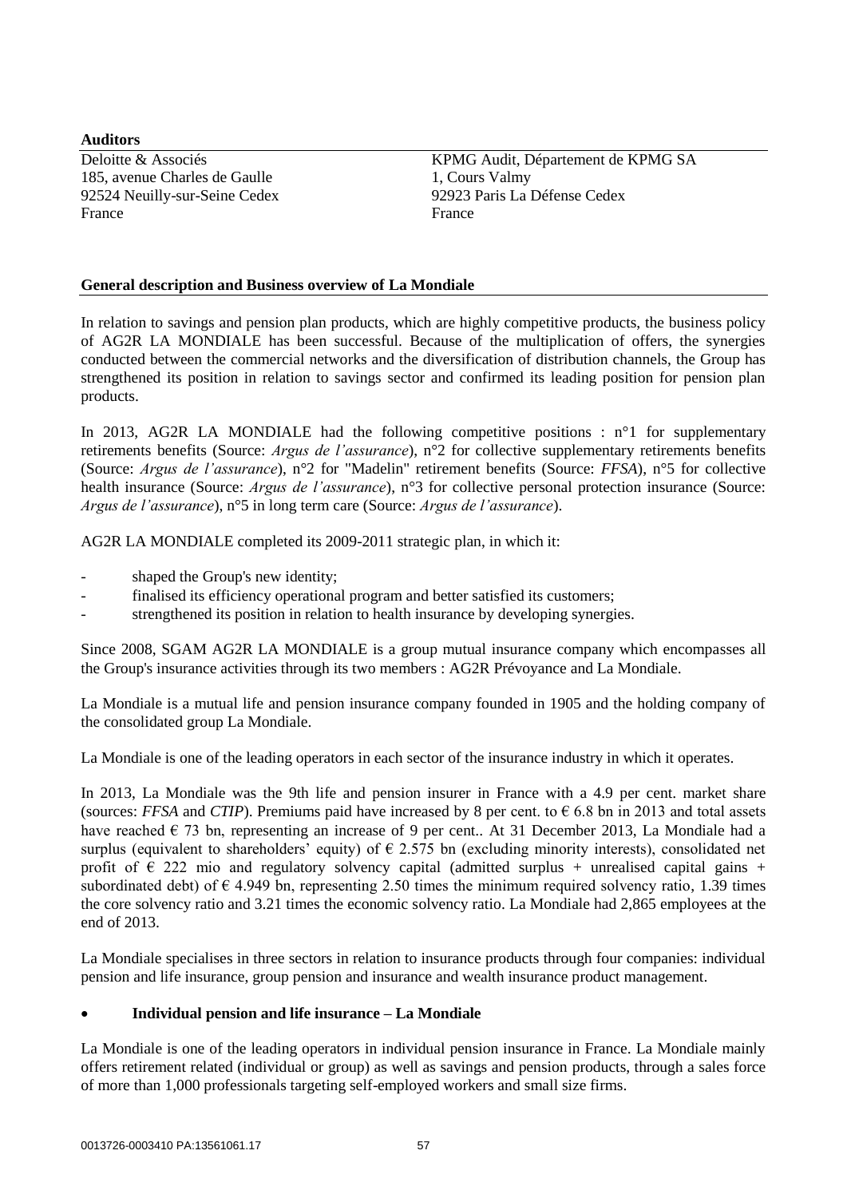**Auditors** 185, avenue Charles de Gaulle France France **France** 

Deloitte & Associés<br>
185. avenue Charles de Gaulle<br>
1, Cours Valmy<br>
1, Cours Valmy 92524 Neuilly-sur-Seine Cedex 92923 Paris La Défense Cedex

# **General description and Business overview of La Mondiale**

In relation to savings and pension plan products, which are highly competitive products, the business policy of AG2R LA MONDIALE has been successful. Because of the multiplication of offers, the synergies conducted between the commercial networks and the diversification of distribution channels, the Group has strengthened its position in relation to savings sector and confirmed its leading position for pension plan products.

In 2013, AG2R LA MONDIALE had the following competitive positions :  $n^{\circ}1$  for supplementary retirements benefits (Source: *Argus de l'assurance*), n°2 for collective supplementary retirements benefits (Source: *Argus de l'assurance*), n°2 for "Madelin" retirement benefits (Source: *FFSA*), n°5 for collective health insurance (Source: *Argus de l'assurance*), n°3 for collective personal protection insurance (Source: *Argus de l'assurance*), n°5 in long term care (Source: *Argus de l'assurance*).

AG2R LA MONDIALE completed its 2009-2011 strategic plan, in which it:

- shaped the Group's new identity;
- finalised its efficiency operational program and better satisfied its customers;
- strengthened its position in relation to health insurance by developing synergies.

Since 2008, SGAM AG2R LA MONDIALE is a group mutual insurance company which encompasses all the Group's insurance activities through its two members : AG2R Prévoyance and La Mondiale.

La Mondiale is a mutual life and pension insurance company founded in 1905 and the holding company of the consolidated group La Mondiale.

La Mondiale is one of the leading operators in each sector of the insurance industry in which it operates.

In 2013, La Mondiale was the 9th life and pension insurer in France with a 4.9 per cent. market share (sources: *FFSA* and *CTIP*). Premiums paid have increased by 8 per cent. to  $\epsilon$  6.8 bn in 2013 and total assets have reached  $\epsilon$  73 bn, representing an increase of 9 per cent.. At 31 December 2013, La Mondiale had a surplus (equivalent to shareholders' equity) of  $\epsilon$  2.575 bn (excluding minority interests), consolidated net profit of  $\epsilon$  222 mio and regulatory solvency capital (admitted surplus + unrealised capital gains + subordinated debt) of  $\epsilon$  4.949 bn, representing 2.50 times the minimum required solvency ratio, 1.39 times the core solvency ratio and 3.21 times the economic solvency ratio. La Mondiale had 2,865 employees at the end of 2013.

La Mondiale specialises in three sectors in relation to insurance products through four companies: individual pension and life insurance, group pension and insurance and wealth insurance product management.

### **Individual pension and life insurance – La Mondiale**

La Mondiale is one of the leading operators in individual pension insurance in France. La Mondiale mainly offers retirement related (individual or group) as well as savings and pension products, through a sales force of more than 1,000 professionals targeting self-employed workers and small size firms.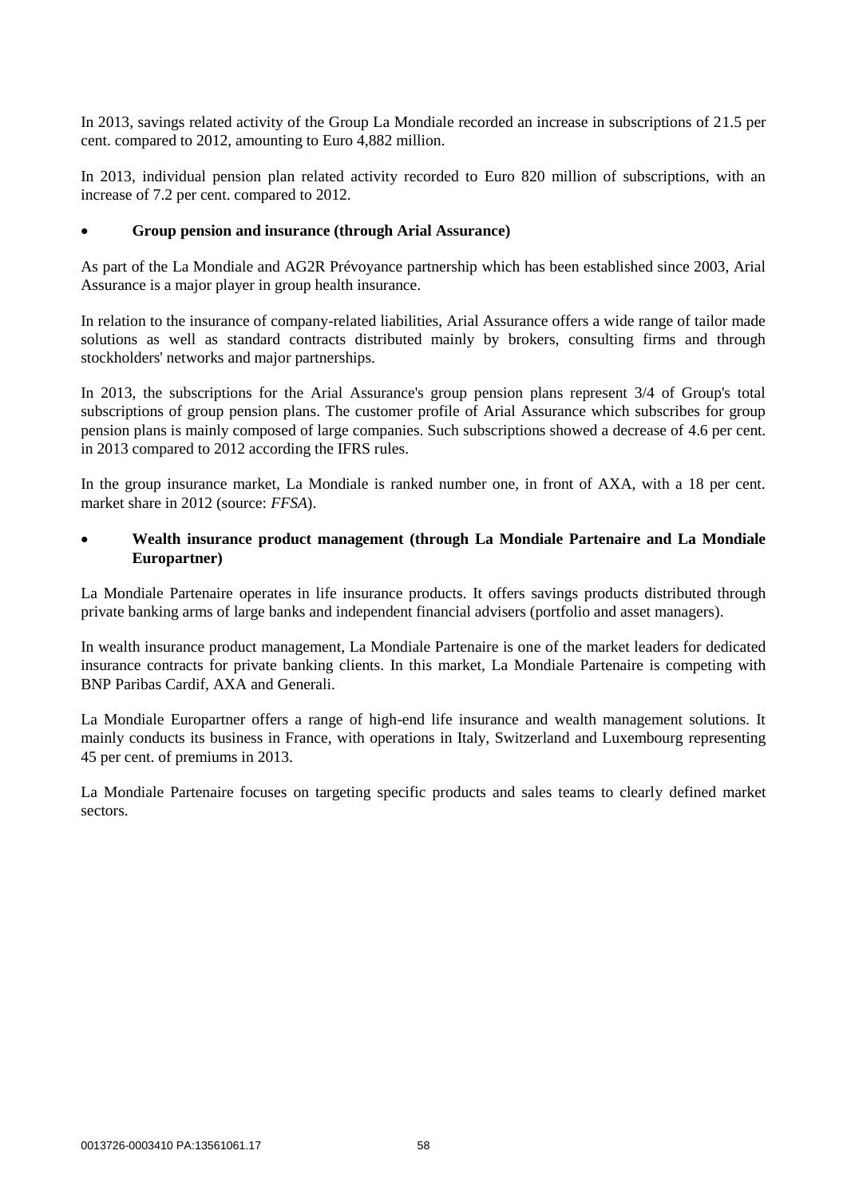In 2013, savings related activity of the Group La Mondiale recorded an increase in subscriptions of 21.5 per cent. compared to 2012, amounting to Euro 4,882 million.

In 2013, individual pension plan related activity recorded to Euro 820 million of subscriptions, with an increase of 7.2 per cent. compared to 2012.

#### **Group pension and insurance (through Arial Assurance)**

As part of the La Mondiale and AG2R Prévoyance partnership which has been established since 2003, Arial Assurance is a major player in group health insurance.

In relation to the insurance of company-related liabilities, Arial Assurance offers a wide range of tailor made solutions as well as standard contracts distributed mainly by brokers, consulting firms and through stockholders' networks and major partnerships.

In 2013, the subscriptions for the Arial Assurance's group pension plans represent 3/4 of Group's total subscriptions of group pension plans. The customer profile of Arial Assurance which subscribes for group pension plans is mainly composed of large companies. Such subscriptions showed a decrease of 4.6 per cent. in 2013 compared to 2012 according the IFRS rules.

In the group insurance market, La Mondiale is ranked number one, in front of AXA, with a 18 per cent. market share in 2012 (source: *FFSA*).

## **Wealth insurance product management (through La Mondiale Partenaire and La Mondiale Europartner)**

La Mondiale Partenaire operates in life insurance products. It offers savings products distributed through private banking arms of large banks and independent financial advisers (portfolio and asset managers).

In wealth insurance product management, La Mondiale Partenaire is one of the market leaders for dedicated insurance contracts for private banking clients. In this market, La Mondiale Partenaire is competing with BNP Paribas Cardif, AXA and Generali.

La Mondiale Europartner offers a range of high-end life insurance and wealth management solutions. It mainly conducts its business in France, with operations in Italy, Switzerland and Luxembourg representing 45 per cent. of premiums in 2013.

La Mondiale Partenaire focuses on targeting specific products and sales teams to clearly defined market sectors.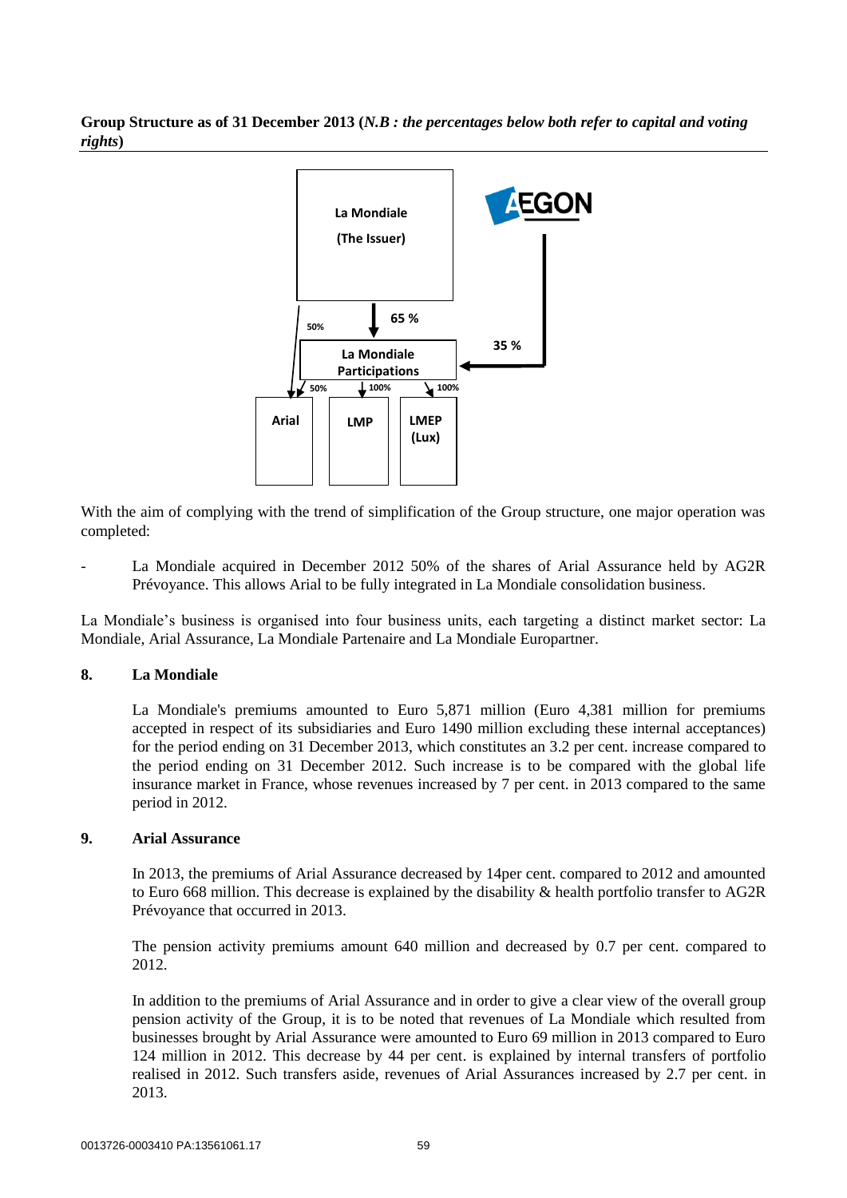**Group Structure as of 31 December 2013 (***N.B : the percentages below both refer to capital and voting rights***)**



With the aim of complying with the trend of simplification of the Group structure, one major operation was completed:

La Mondiale acquired in December 2012 50% of the shares of Arial Assurance held by AG2R Prévoyance. This allows Arial to be fully integrated in La Mondiale consolidation business.

La Mondiale's business is organised into four business units, each targeting a distinct market sector: La Mondiale, Arial Assurance, La Mondiale Partenaire and La Mondiale Europartner.

### **8. La Mondiale**

La Mondiale's premiums amounted to Euro 5,871 million (Euro 4,381 million for premiums accepted in respect of its subsidiaries and Euro 1490 million excluding these internal acceptances) for the period ending on 31 December 2013, which constitutes an 3.2 per cent. increase compared to the period ending on 31 December 2012. Such increase is to be compared with the global life insurance market in France, whose revenues increased by 7 per cent. in 2013 compared to the same period in 2012.

#### **9. Arial Assurance**

In 2013, the premiums of Arial Assurance decreased by 14per cent. compared to 2012 and amounted to Euro 668 million. This decrease is explained by the disability & health portfolio transfer to AG2R Prévoyance that occurred in 2013.

The pension activity premiums amount 640 million and decreased by 0.7 per cent. compared to 2012.

In addition to the premiums of Arial Assurance and in order to give a clear view of the overall group pension activity of the Group, it is to be noted that revenues of La Mondiale which resulted from businesses brought by Arial Assurance were amounted to Euro 69 million in 2013 compared to Euro 124 million in 2012. This decrease by 44 per cent. is explained by internal transfers of portfolio realised in 2012. Such transfers aside, revenues of Arial Assurances increased by 2.7 per cent. in 2013.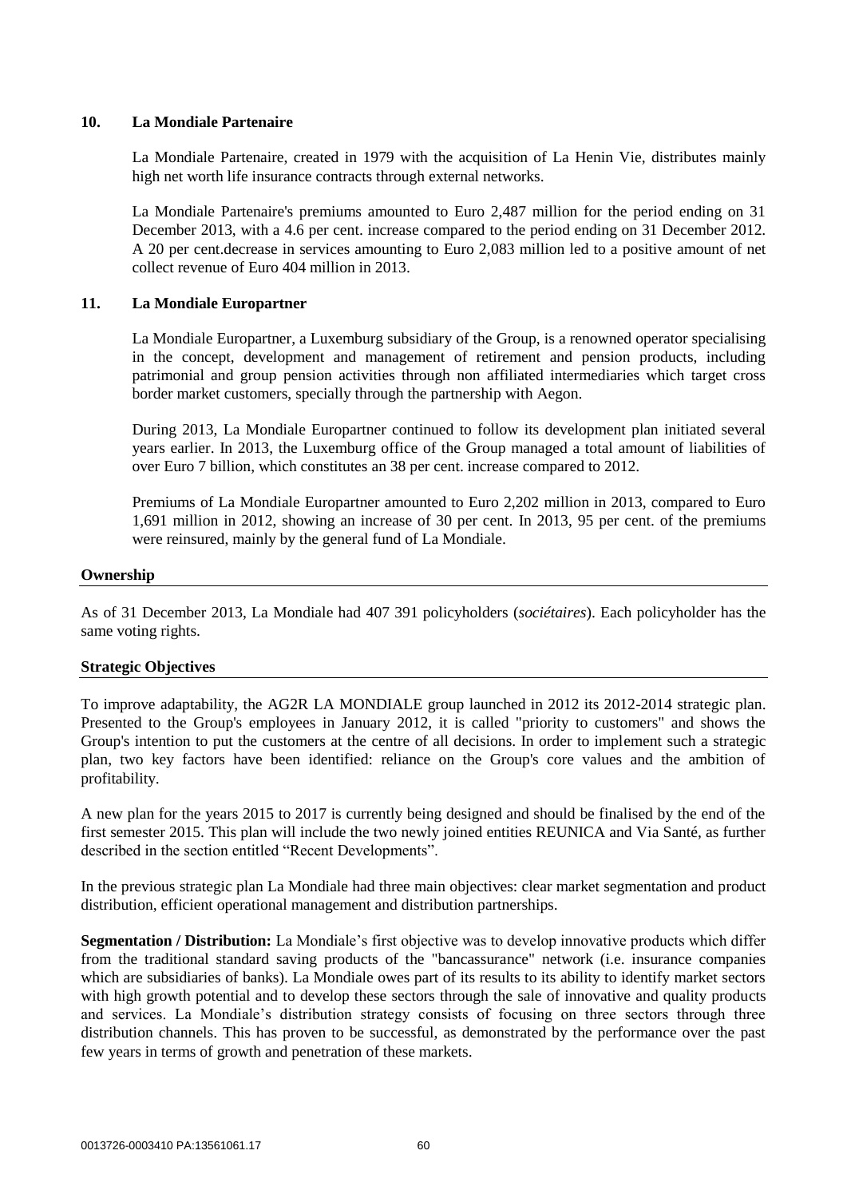### **10. La Mondiale Partenaire**

La Mondiale Partenaire, created in 1979 with the acquisition of La Henin Vie, distributes mainly high net worth life insurance contracts through external networks.

La Mondiale Partenaire's premiums amounted to Euro 2,487 million for the period ending on 31 December 2013, with a 4.6 per cent. increase compared to the period ending on 31 December 2012. A 20 per cent.decrease in services amounting to Euro 2,083 million led to a positive amount of net collect revenue of Euro 404 million in 2013.

### **11. La Mondiale Europartner**

La Mondiale Europartner, a Luxemburg subsidiary of the Group, is a renowned operator specialising in the concept, development and management of retirement and pension products, including patrimonial and group pension activities through non affiliated intermediaries which target cross border market customers, specially through the partnership with Aegon.

During 2013, La Mondiale Europartner continued to follow its development plan initiated several years earlier. In 2013, the Luxemburg office of the Group managed a total amount of liabilities of over Euro 7 billion, which constitutes an 38 per cent. increase compared to 2012.

Premiums of La Mondiale Europartner amounted to Euro 2,202 million in 2013, compared to Euro 1,691 million in 2012, showing an increase of 30 per cent. In 2013, 95 per cent. of the premiums were reinsured, mainly by the general fund of La Mondiale.

#### **Ownership**

As of 31 December 2013, La Mondiale had 407 391 policyholders (*sociétaires*). Each policyholder has the same voting rights.

#### **Strategic Objectives**

To improve adaptability, the AG2R LA MONDIALE group launched in 2012 its 2012-2014 strategic plan. Presented to the Group's employees in January 2012, it is called "priority to customers" and shows the Group's intention to put the customers at the centre of all decisions. In order to implement such a strategic plan, two key factors have been identified: reliance on the Group's core values and the ambition of profitability.

A new plan for the years 2015 to 2017 is currently being designed and should be finalised by the end of the first semester 2015. This plan will include the two newly joined entities REUNICA and Via Santé, as further described in the section entitled "Recent Developments".

In the previous strategic plan La Mondiale had three main objectives: clear market segmentation and product distribution, efficient operational management and distribution partnerships.

**Segmentation / Distribution:** La Mondiale's first objective was to develop innovative products which differ from the traditional standard saving products of the "bancassurance" network (i.e. insurance companies which are subsidiaries of banks). La Mondiale owes part of its results to its ability to identify market sectors with high growth potential and to develop these sectors through the sale of innovative and quality products and services. La Mondiale's distribution strategy consists of focusing on three sectors through three distribution channels. This has proven to be successful, as demonstrated by the performance over the past few years in terms of growth and penetration of these markets.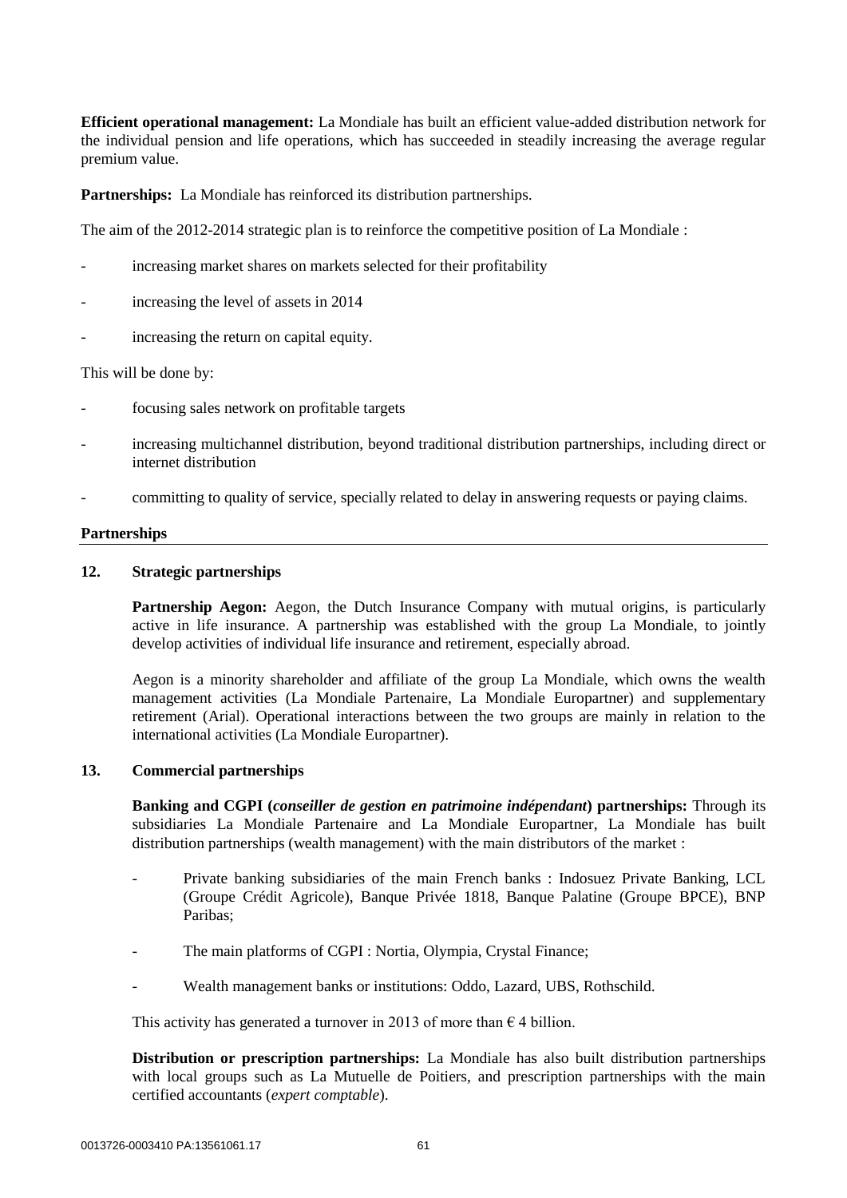**Efficient operational management:** La Mondiale has built an efficient value-added distribution network for the individual pension and life operations, which has succeeded in steadily increasing the average regular premium value.

**Partnerships:** La Mondiale has reinforced its distribution partnerships.

The aim of the 2012-2014 strategic plan is to reinforce the competitive position of La Mondiale :

- increasing market shares on markets selected for their profitability
- increasing the level of assets in 2014
- increasing the return on capital equity.

This will be done by:

- focusing sales network on profitable targets
- increasing multichannel distribution, beyond traditional distribution partnerships, including direct or internet distribution
- committing to quality of service, specially related to delay in answering requests or paying claims.

#### **Partnerships**

### **12. Strategic partnerships**

**Partnership Aegon:** Aegon, the Dutch Insurance Company with mutual origins, is particularly active in life insurance. A partnership was established with the group La Mondiale, to jointly develop activities of individual life insurance and retirement, especially abroad.

Aegon is a minority shareholder and affiliate of the group La Mondiale, which owns the wealth management activities (La Mondiale Partenaire, La Mondiale Europartner) and supplementary retirement (Arial). Operational interactions between the two groups are mainly in relation to the international activities (La Mondiale Europartner).

#### **13. Commercial partnerships**

**Banking and CGPI (***conseiller de gestion en patrimoine indépendant***) partnerships:** Through its subsidiaries La Mondiale Partenaire and La Mondiale Europartner, La Mondiale has built distribution partnerships (wealth management) with the main distributors of the market :

- Private banking subsidiaries of the main French banks : Indosuez Private Banking, LCL (Groupe Crédit Agricole), Banque Privée 1818, Banque Palatine (Groupe BPCE), BNP Paribas<sup>.</sup>
- The main platforms of CGPI : Nortia, Olympia, Crystal Finance;
- Wealth management banks or institutions: Oddo, Lazard, UBS, Rothschild.

This activity has generated a turnover in 2013 of more than  $\epsilon$  4 billion.

**Distribution or prescription partnerships:** La Mondiale has also built distribution partnerships with local groups such as La Mutuelle de Poitiers, and prescription partnerships with the main certified accountants (*expert comptable*).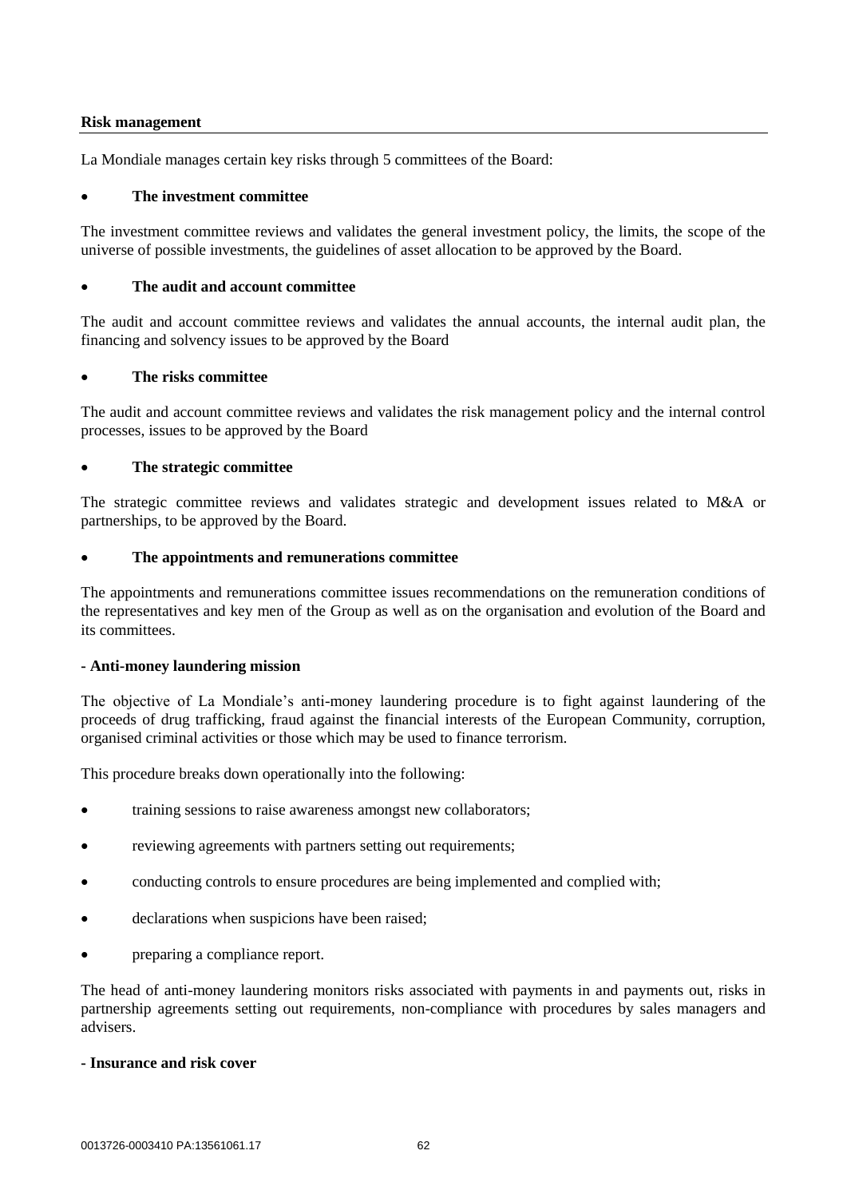#### **Risk management**

La Mondiale manages certain key risks through 5 committees of the Board:

### **The investment committee**

The investment committee reviews and validates the general investment policy, the limits, the scope of the universe of possible investments, the guidelines of asset allocation to be approved by the Board.

## **The audit and account committee**

The audit and account committee reviews and validates the annual accounts, the internal audit plan, the financing and solvency issues to be approved by the Board

# **The risks committee**

The audit and account committee reviews and validates the risk management policy and the internal control processes, issues to be approved by the Board

# **The strategic committee**

The strategic committee reviews and validates strategic and development issues related to M&A or partnerships, to be approved by the Board.

# **The appointments and remunerations committee**

The appointments and remunerations committee issues recommendations on the remuneration conditions of the representatives and key men of the Group as well as on the organisation and evolution of the Board and its committees.

### **- Anti-money laundering mission**

The objective of La Mondiale's anti-money laundering procedure is to fight against laundering of the proceeds of drug trafficking, fraud against the financial interests of the European Community, corruption, organised criminal activities or those which may be used to finance terrorism.

This procedure breaks down operationally into the following:

- training sessions to raise awareness amongst new collaborators;
- reviewing agreements with partners setting out requirements;
- conducting controls to ensure procedures are being implemented and complied with;
- declarations when suspicions have been raised;
- preparing a compliance report.

The head of anti-money laundering monitors risks associated with payments in and payments out, risks in partnership agreements setting out requirements, non-compliance with procedures by sales managers and advisers.

### **- Insurance and risk cover**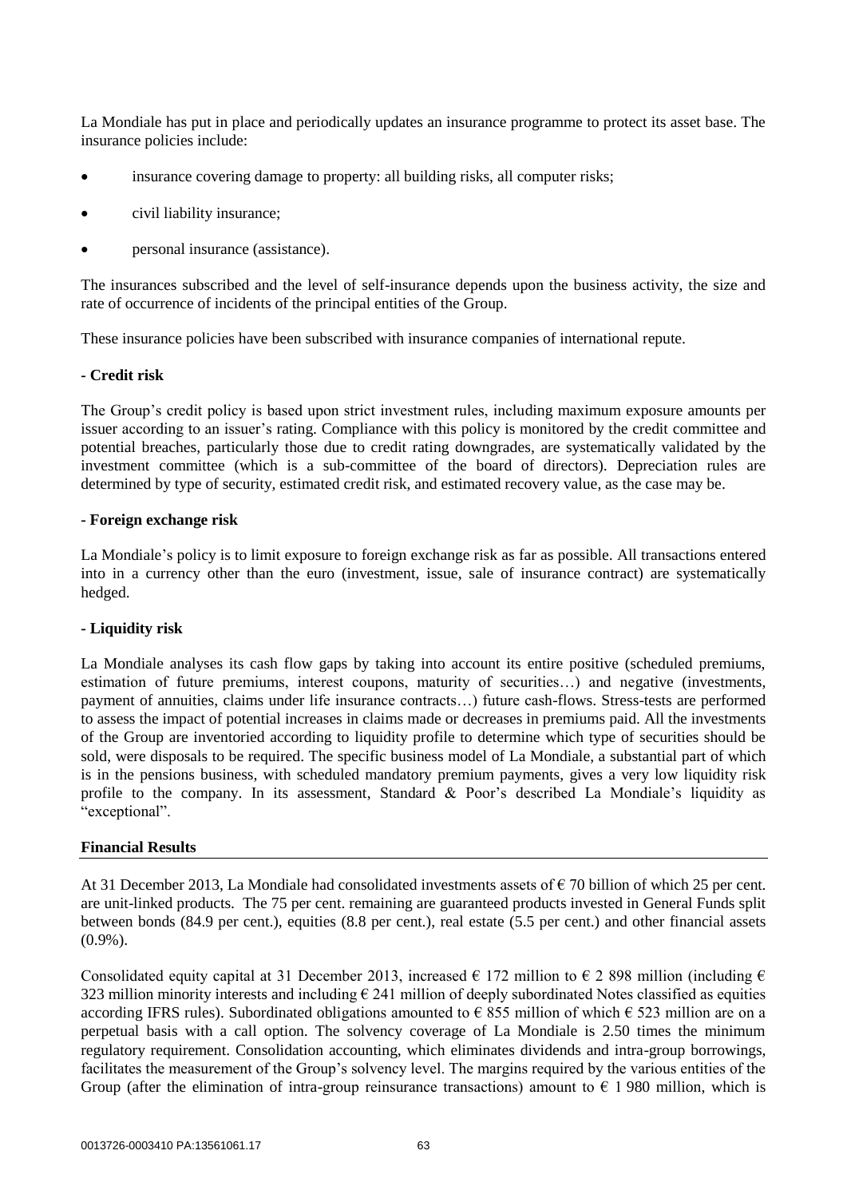La Mondiale has put in place and periodically updates an insurance programme to protect its asset base. The insurance policies include:

- insurance covering damage to property: all building risks, all computer risks;
- civil liability insurance;
- personal insurance (assistance).

The insurances subscribed and the level of self-insurance depends upon the business activity, the size and rate of occurrence of incidents of the principal entities of the Group.

These insurance policies have been subscribed with insurance companies of international repute.

#### **- Credit risk**

The Group's credit policy is based upon strict investment rules, including maximum exposure amounts per issuer according to an issuer's rating. Compliance with this policy is monitored by the credit committee and potential breaches, particularly those due to credit rating downgrades, are systematically validated by the investment committee (which is a sub-committee of the board of directors). Depreciation rules are determined by type of security, estimated credit risk, and estimated recovery value, as the case may be.

#### **- Foreign exchange risk**

La Mondiale's policy is to limit exposure to foreign exchange risk as far as possible. All transactions entered into in a currency other than the euro (investment, issue, sale of insurance contract) are systematically hedged.

#### **- Liquidity risk**

La Mondiale analyses its cash flow gaps by taking into account its entire positive (scheduled premiums, estimation of future premiums, interest coupons, maturity of securities…) and negative (investments, payment of annuities, claims under life insurance contracts…) future cash-flows. Stress-tests are performed to assess the impact of potential increases in claims made or decreases in premiums paid. All the investments of the Group are inventoried according to liquidity profile to determine which type of securities should be sold, were disposals to be required. The specific business model of La Mondiale, a substantial part of which is in the pensions business, with scheduled mandatory premium payments, gives a very low liquidity risk profile to the company. In its assessment, Standard & Poor's described La Mondiale's liquidity as "exceptional".

#### **Financial Results**

At 31 December 2013, La Mondiale had consolidated investments assets of  $\epsilon$  70 billion of which 25 per cent. are unit-linked products. The 75 per cent. remaining are guaranteed products invested in General Funds split between bonds (84.9 per cent.), equities (8.8 per cent.), real estate (5.5 per cent.) and other financial assets  $(0.9\%)$ .

Consolidated equity capital at 31 December 2013, increased  $\epsilon$  172 million to  $\epsilon$  2 898 million (including  $\epsilon$ 323 million minority interests and including  $\epsilon$  241 million of deeply subordinated Notes classified as equities according IFRS rules). Subordinated obligations amounted to  $\epsilon$  855 million of which  $\epsilon$  523 million are on a perpetual basis with a call option. The solvency coverage of La Mondiale is 2.50 times the minimum regulatory requirement. Consolidation accounting, which eliminates dividends and intra-group borrowings, facilitates the measurement of the Group's solvency level. The margins required by the various entities of the Group (after the elimination of intra-group reinsurance transactions) amount to  $\epsilon$  1 980 million, which is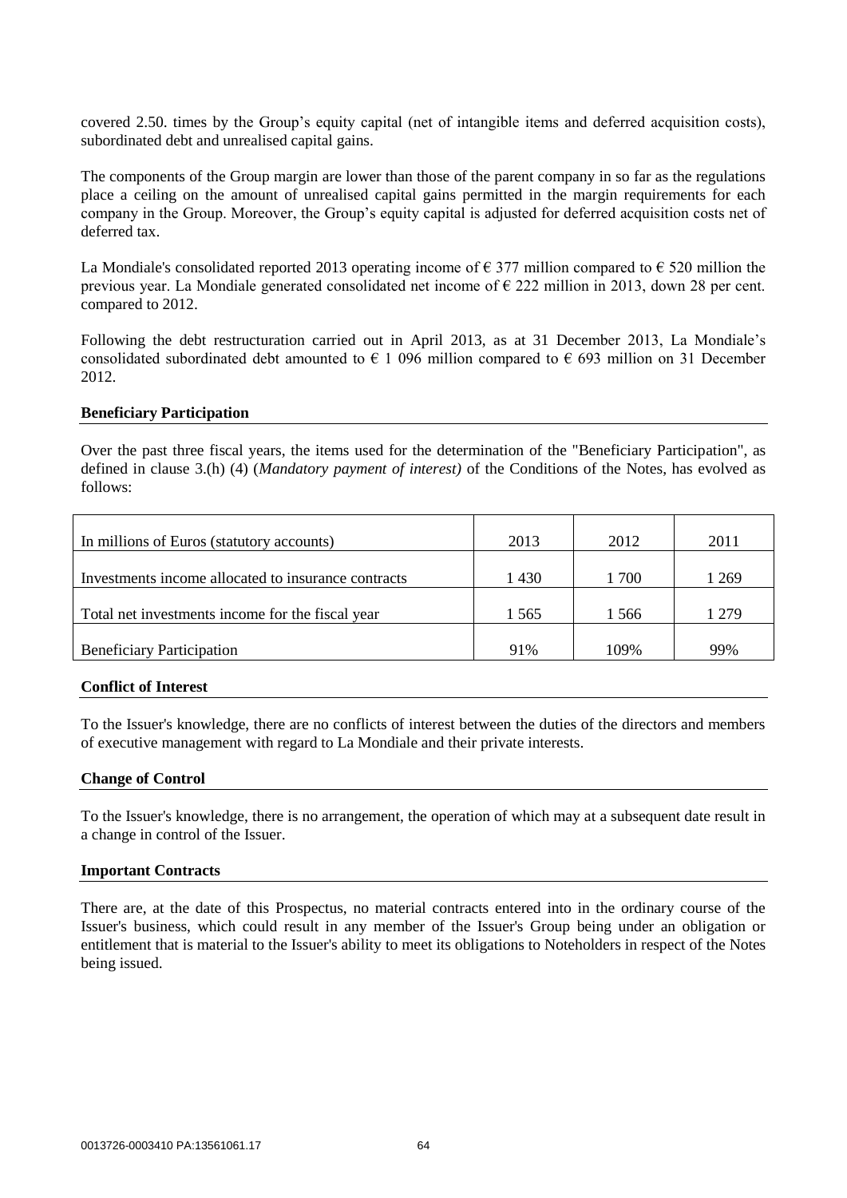covered 2.50. times by the Group's equity capital (net of intangible items and deferred acquisition costs), subordinated debt and unrealised capital gains.

The components of the Group margin are lower than those of the parent company in so far as the regulations place a ceiling on the amount of unrealised capital gains permitted in the margin requirements for each company in the Group. Moreover, the Group's equity capital is adjusted for deferred acquisition costs net of deferred tax.

La Mondiale's consolidated reported 2013 operating income of  $\epsilon$  377 million compared to  $\epsilon$  520 million the previous year. La Mondiale generated consolidated net income of € 222 million in 2013, down 28 per cent. compared to 2012.

Following the debt restructuration carried out in April 2013, as at 31 December 2013, La Mondiale's consolidated subordinated debt amounted to  $\epsilon$  1 096 million compared to  $\epsilon$  693 million on 31 December 2012.

#### **Beneficiary Participation**

Over the past three fiscal years, the items used for the determination of the "Beneficiary Participation", as defined in clause 3.(h) (4) (*Mandatory payment of interest)* of the Conditions of the Notes, has evolved as follows:

| In millions of Euros (statutory accounts)           | 2013    | 2012  | 2011  |
|-----------------------------------------------------|---------|-------|-------|
| Investments income allocated to insurance contracts | 1 4 3 0 | 1 700 | 1 269 |
| Total net investments income for the fiscal year    | 1 565   | 1566  | 1 279 |
| <b>Beneficiary Participation</b>                    | 91%     | 109%  | 99%   |

#### **Conflict of Interest**

To the Issuer's knowledge, there are no conflicts of interest between the duties of the directors and members of executive management with regard to La Mondiale and their private interests.

### **Change of Control**

To the Issuer's knowledge, there is no arrangement, the operation of which may at a subsequent date result in a change in control of the Issuer.

#### **Important Contracts**

There are, at the date of this Prospectus, no material contracts entered into in the ordinary course of the Issuer's business, which could result in any member of the Issuer's Group being under an obligation or entitlement that is material to the Issuer's ability to meet its obligations to Noteholders in respect of the Notes being issued.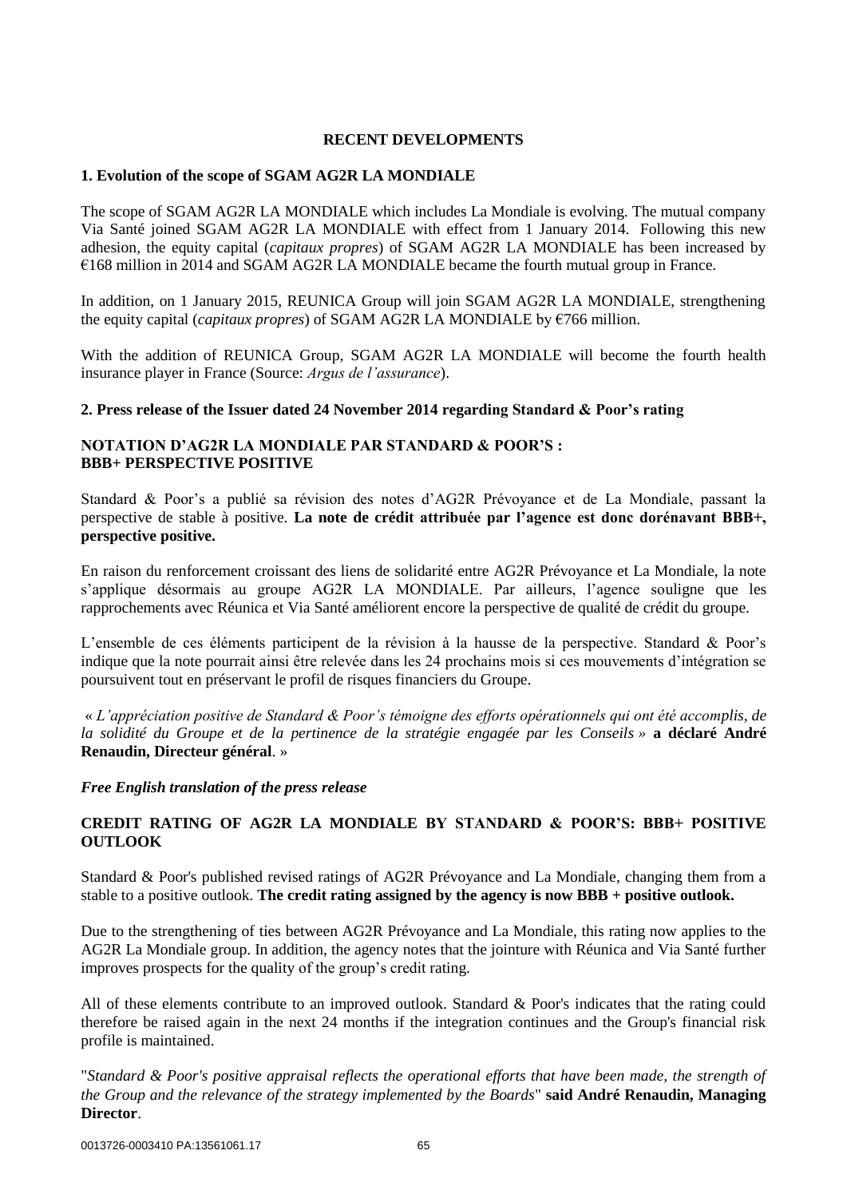### **RECENT DEVELOPMENTS**

### **1. Evolution of the scope of SGAM AG2R LA MONDIALE**

The scope of SGAM AG2R LA MONDIALE which includes La Mondiale is evolving. The mutual company Via Santé joined SGAM AG2R LA MONDIALE with effect from 1 January 2014. Following this new adhesion, the equity capital (*capitaux propres*) of SGAM AG2R LA MONDIALE has been increased by €168 million in 2014 and SGAM AG2R LA MONDIALE became the fourth mutual group in France.

In addition, on 1 January 2015, REUNICA Group will join SGAM AG2R LA MONDIALE, strengthening the equity capital (*capitaux propres*) of SGAM AG2R LA MONDIALE by €766 million.

With the addition of REUNICA Group, SGAM AG2R LA MONDIALE will become the fourth health insurance player in France (Source: *Argus de l'assurance*).

#### **2. Press release of the Issuer dated 24 November 2014 regarding Standard & Poor's rating**

## **NOTATION D'AG2R LA MONDIALE PAR STANDARD & POOR'S : BBB+ PERSPECTIVE POSITIVE**

Standard & Poor's a publié sa révision des notes d'AG2R Prévoyance et de La Mondiale, passant la perspective de stable à positive. **La note de crédit attribuée par l'agence est donc dorénavant BBB+, perspective positive.**

En raison du renforcement croissant des liens de solidarité entre AG2R Prévoyance et La Mondiale, la note s'applique désormais au groupe AG2R LA MONDIALE. Par ailleurs, l'agence souligne que les rapprochements avec Réunica et Via Santé améliorent encore la perspective de qualité de crédit du groupe.

L'ensemble de ces éléments participent de la révision à la hausse de la perspective. Standard & Poor's indique que la note pourrait ainsi être relevée dans les 24 prochains mois si ces mouvements d'intégration se poursuivent tout en préservant le profil de risques financiers du Groupe.

« *L'appréciation positive de Standard & Poor's témoigne des efforts opérationnels qui ont été accomplis, de la solidité du Groupe et de la pertinence de la stratégie engagée par les Conseils »* **a déclaré André Renaudin, Directeur général**. »

### *Free English translation of the press release*

# **CREDIT RATING OF AG2R LA MONDIALE BY STANDARD & POOR'S: BBB+ POSITIVE OUTLOOK**

Standard & Poor's published revised ratings of AG2R Prévoyance and La Mondiale, changing them from a stable to a positive outlook. **The credit rating assigned by the agency is now BBB + positive outlook.**

Due to the strengthening of ties between AG2R Prévoyance and La Mondiale, this rating now applies to the AG2R La Mondiale group. In addition, the agency notes that the jointure with Réunica and Via Santé further improves prospects for the quality of the group's credit rating.

All of these elements contribute to an improved outlook. Standard & Poor's indicates that the rating could therefore be raised again in the next 24 months if the integration continues and the Group's financial risk profile is maintained.

"*Standard & Poor's positive appraisal reflects the operational efforts that have been made, the strength of the Group and the relevance of the strategy implemented by the Boards*" **said André Renaudin, Managing Director**.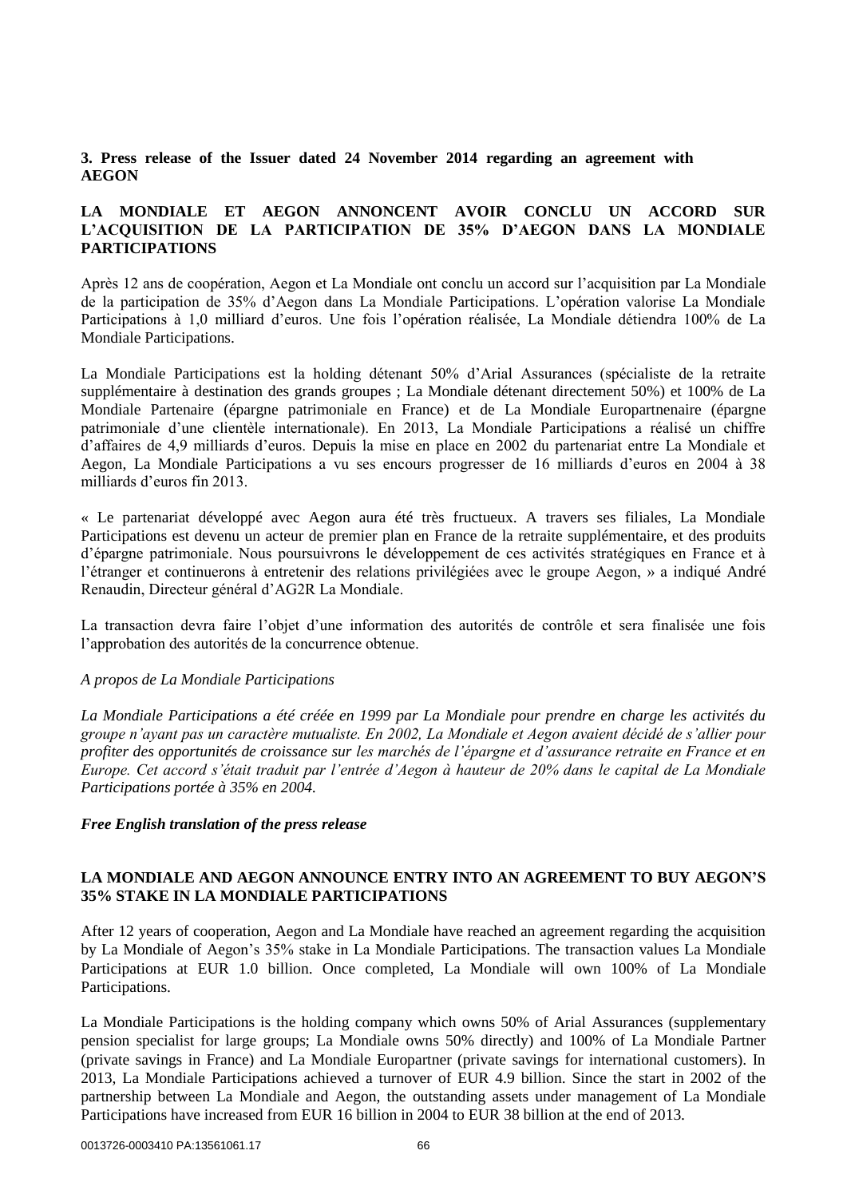# **3. Press release of the Issuer dated 24 November 2014 regarding an agreement with AEGON**

# **LA MONDIALE ET AEGON ANNONCENT AVOIR CONCLU UN ACCORD SUR L'ACQUISITION DE LA PARTICIPATION DE 35% D'AEGON DANS LA MONDIALE PARTICIPATIONS**

Après 12 ans de coopération, Aegon et La Mondiale ont conclu un accord sur l'acquisition par La Mondiale de la participation de 35% d'Aegon dans La Mondiale Participations. L'opération valorise La Mondiale Participations à 1,0 milliard d'euros. Une fois l'opération réalisée, La Mondiale détiendra 100% de La Mondiale Participations.

La Mondiale Participations est la holding détenant 50% d'Arial Assurances (spécialiste de la retraite supplémentaire à destination des grands groupes ; La Mondiale détenant directement 50%) et 100% de La Mondiale Partenaire (épargne patrimoniale en France) et de La Mondiale Europartnenaire (épargne patrimoniale d'une clientèle internationale). En 2013, La Mondiale Participations a réalisé un chiffre d'affaires de 4,9 milliards d'euros. Depuis la mise en place en 2002 du partenariat entre La Mondiale et Aegon, La Mondiale Participations a vu ses encours progresser de 16 milliards d'euros en 2004 à 38 milliards d'euros fin 2013.

« Le partenariat développé avec Aegon aura été très fructueux. A travers ses filiales, La Mondiale Participations est devenu un acteur de premier plan en France de la retraite supplémentaire, et des produits d'épargne patrimoniale. Nous poursuivrons le développement de ces activités stratégiques en France et à l'étranger et continuerons à entretenir des relations privilégiées avec le groupe Aegon, » a indiqué André Renaudin, Directeur général d'AG2R La Mondiale.

La transaction devra faire l'objet d'une information des autorités de contrôle et sera finalisée une fois l'approbation des autorités de la concurrence obtenue.

### *A propos de La Mondiale Participations*

*La Mondiale Participations a été créée en 1999 par La Mondiale pour prendre en charge les activités du groupe n'ayant pas un caractère mutualiste. En 2002, La Mondiale et Aegon avaient décidé de s'allier pour profiter des opportunités de croissance sur les marchés de l'épargne et d'assurance retraite en France et en Europe. Cet accord s'était traduit par l'entrée d'Aegon à hauteur de 20% dans le capital de La Mondiale Participations portée à 35% en 2004.*

#### *Free English translation of the press release*

### **LA MONDIALE AND AEGON ANNOUNCE ENTRY INTO AN AGREEMENT TO BUY AEGON'S 35% STAKE IN LA MONDIALE PARTICIPATIONS**

After 12 years of cooperation, Aegon and La Mondiale have reached an agreement regarding the acquisition by La Mondiale of Aegon's 35% stake in La Mondiale Participations. The transaction values La Mondiale Participations at EUR 1.0 billion. Once completed, La Mondiale will own 100% of La Mondiale Participations.

La Mondiale Participations is the holding company which owns 50% of Arial Assurances (supplementary pension specialist for large groups; La Mondiale owns 50% directly) and 100% of La Mondiale Partner (private savings in France) and La Mondiale Europartner (private savings for international customers). In 2013, La Mondiale Participations achieved a turnover of EUR 4.9 billion. Since the start in 2002 of the partnership between La Mondiale and Aegon, the outstanding assets under management of La Mondiale Participations have increased from EUR 16 billion in 2004 to EUR 38 billion at the end of 2013.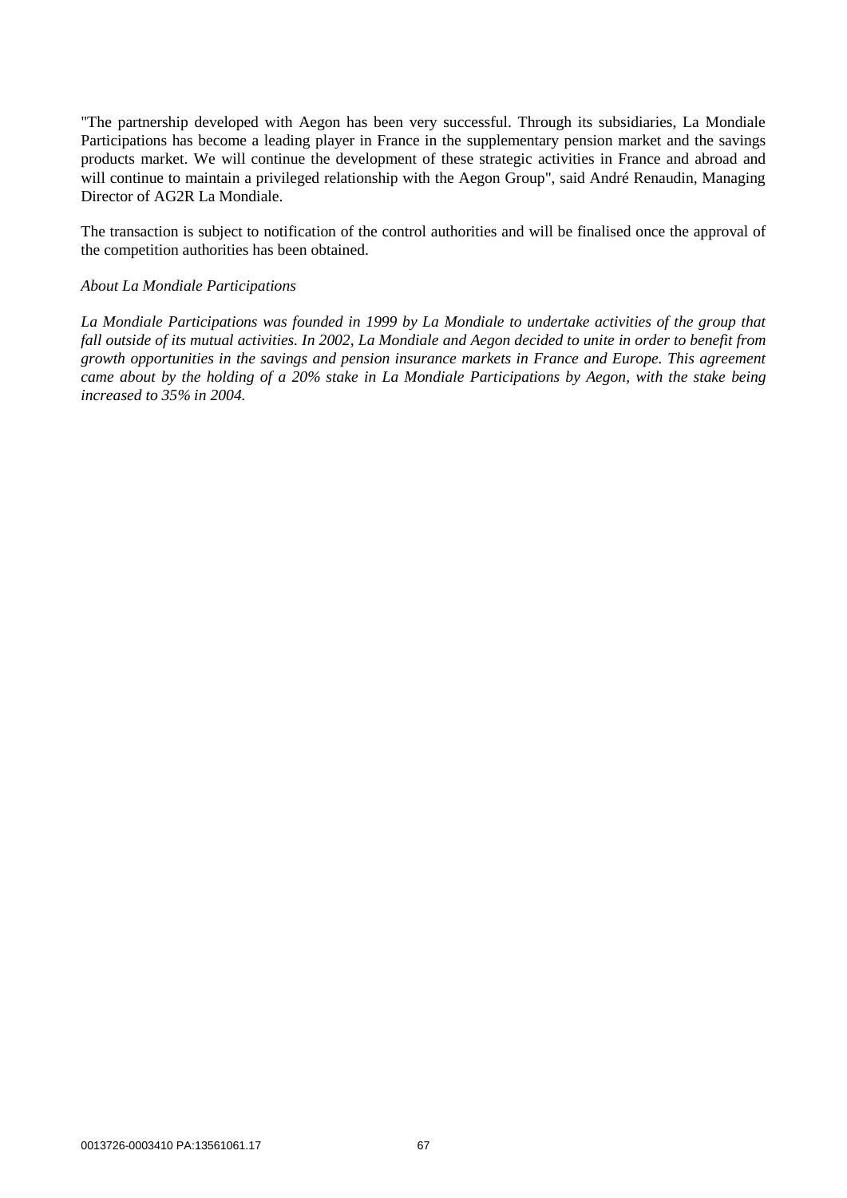"The partnership developed with Aegon has been very successful. Through its subsidiaries, La Mondiale Participations has become a leading player in France in the supplementary pension market and the savings products market. We will continue the development of these strategic activities in France and abroad and will continue to maintain a privileged relationship with the Aegon Group", said André Renaudin, Managing Director of AG2R La Mondiale.

The transaction is subject to notification of the control authorities and will be finalised once the approval of the competition authorities has been obtained.

#### *About La Mondiale Participations*

*La Mondiale Participations was founded in 1999 by La Mondiale to undertake activities of the group that fall outside of its mutual activities. In 2002, La Mondiale and Aegon decided to unite in order to benefit from growth opportunities in the savings and pension insurance markets in France and Europe. This agreement came about by the holding of a 20% stake in La Mondiale Participations by Aegon, with the stake being increased to 35% in 2004.*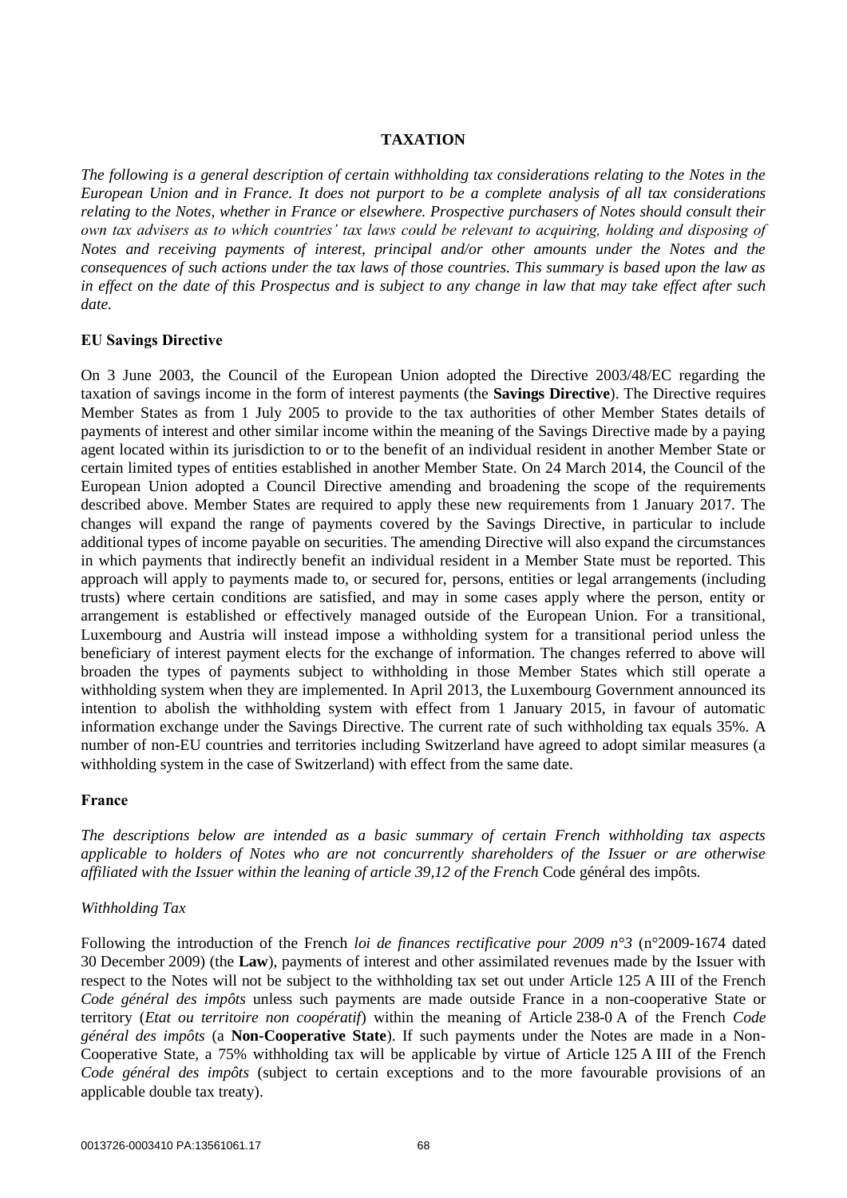### **TAXATION**

*The following is a general description of certain withholding tax considerations relating to the Notes in the European Union and in France. It does not purport to be a complete analysis of all tax considerations relating to the Notes, whether in France or elsewhere. Prospective purchasers of Notes should consult their own tax advisers as to which countries' tax laws could be relevant to acquiring, holding and disposing of Notes and receiving payments of interest, principal and/or other amounts under the Notes and the consequences of such actions under the tax laws of those countries. This summary is based upon the law as in effect on the date of this Prospectus and is subject to any change in law that may take effect after such date.*

#### **EU Savings Directive**

On 3 June 2003, the Council of the European Union adopted the Directive 2003/48/EC regarding the taxation of savings income in the form of interest payments (the **Savings Directive**). The Directive requires Member States as from 1 July 2005 to provide to the tax authorities of other Member States details of payments of interest and other similar income within the meaning of the Savings Directive made by a paying agent located within its jurisdiction to or to the benefit of an individual resident in another Member State or certain limited types of entities established in another Member State. On 24 March 2014, the Council of the European Union adopted a Council Directive amending and broadening the scope of the requirements described above. Member States are required to apply these new requirements from 1 January 2017. The changes will expand the range of payments covered by the Savings Directive, in particular to include additional types of income payable on securities. The amending Directive will also expand the circumstances in which payments that indirectly benefit an individual resident in a Member State must be reported. This approach will apply to payments made to, or secured for, persons, entities or legal arrangements (including trusts) where certain conditions are satisfied, and may in some cases apply where the person, entity or arrangement is established or effectively managed outside of the European Union. For a transitional, Luxembourg and Austria will instead impose a withholding system for a transitional period unless the beneficiary of interest payment elects for the exchange of information. The changes referred to above will broaden the types of payments subject to withholding in those Member States which still operate a withholding system when they are implemented. In April 2013, the Luxembourg Government announced its intention to abolish the withholding system with effect from 1 January 2015, in favour of automatic information exchange under the Savings Directive. The current rate of such withholding tax equals 35%. A number of non-EU countries and territories including Switzerland have agreed to adopt similar measures (a withholding system in the case of Switzerland) with effect from the same date.

#### **France**

*The descriptions below are intended as a basic summary of certain French withholding tax aspects applicable to holders of Notes who are not concurrently shareholders of the Issuer or are otherwise affiliated with the Issuer within the leaning of article 39,12 of the French* Code général des impôts*.* 

#### *Withholding Tax*

Following the introduction of the French *loi de finances rectificative pour 2009 n°3* (n°2009-1674 dated 30 December 2009) (the **Law**), payments of interest and other assimilated revenues made by the Issuer with respect to the Notes will not be subject to the withholding tax set out under Article 125 A III of the French *Code général des impôts* unless such payments are made outside France in a non-cooperative State or territory (*Etat ou territoire non coopératif*) within the meaning of Article 238-0 A of the French *Code général des impôts* (a **Non-Cooperative State**). If such payments under the Notes are made in a Non-Cooperative State, a 75% withholding tax will be applicable by virtue of Article 125 A III of the French *Code général des impôts* (subject to certain exceptions and to the more favourable provisions of an applicable double tax treaty).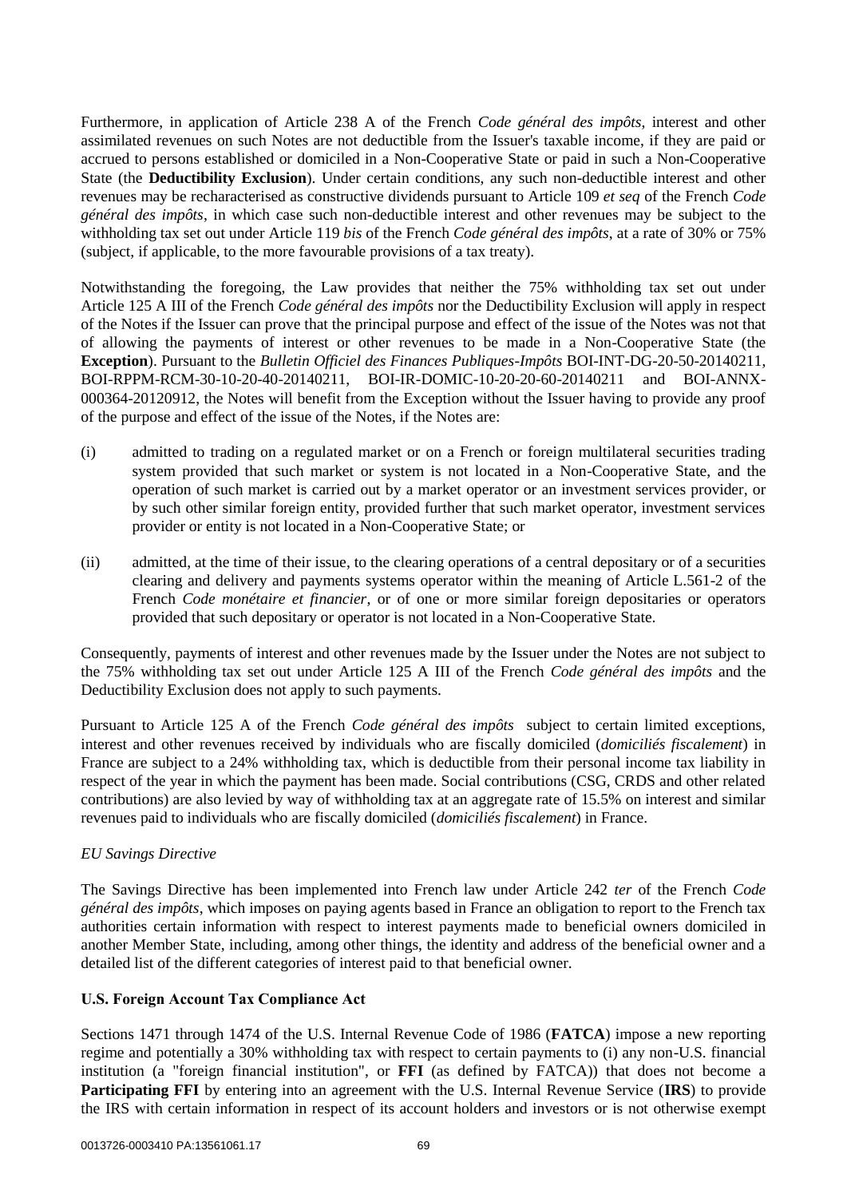Furthermore, in application of Article 238 A of the French *Code général des impôts*, interest and other assimilated revenues on such Notes are not deductible from the Issuer's taxable income, if they are paid or accrued to persons established or domiciled in a Non-Cooperative State or paid in such a Non-Cooperative State (the **Deductibility Exclusion**). Under certain conditions, any such non-deductible interest and other revenues may be recharacterised as constructive dividends pursuant to Article 109 *et seq* of the French *Code général des impôts*, in which case such non-deductible interest and other revenues may be subject to the withholding tax set out under Article 119 *bis* of the French *Code général des impôts*, at a rate of 30% or 75% (subject, if applicable, to the more favourable provisions of a tax treaty).

Notwithstanding the foregoing, the Law provides that neither the 75% withholding tax set out under Article 125 A III of the French *Code général des impôts* nor the Deductibility Exclusion will apply in respect of the Notes if the Issuer can prove that the principal purpose and effect of the issue of the Notes was not that of allowing the payments of interest or other revenues to be made in a Non-Cooperative State (the **Exception**). Pursuant to the *Bulletin Officiel des Finances Publiques-Impôts* BOI-INT-DG-20-50-20140211, BOI-RPPM-RCM-30-10-20-40-20140211, BOI-IR-DOMIC-10-20-20-60-20140211 and BOI-ANNX-000364-20120912, the Notes will benefit from the Exception without the Issuer having to provide any proof of the purpose and effect of the issue of the Notes, if the Notes are:

- (i) admitted to trading on a regulated market or on a French or foreign multilateral securities trading system provided that such market or system is not located in a Non-Cooperative State, and the operation of such market is carried out by a market operator or an investment services provider, or by such other similar foreign entity, provided further that such market operator, investment services provider or entity is not located in a Non-Cooperative State; or
- (ii) admitted, at the time of their issue, to the clearing operations of a central depositary or of a securities clearing and delivery and payments systems operator within the meaning of Article L.561-2 of the French *Code monétaire et financier*, or of one or more similar foreign depositaries or operators provided that such depositary or operator is not located in a Non-Cooperative State.

Consequently, payments of interest and other revenues made by the Issuer under the Notes are not subject to the 75% withholding tax set out under Article 125 A III of the French *Code général des impôts* and the Deductibility Exclusion does not apply to such payments.

Pursuant to Article 125 A of the French *Code général des impôts* subject to certain limited exceptions, interest and other revenues received by individuals who are fiscally domiciled (*domiciliés fiscalement*) in France are subject to a 24% withholding tax, which is deductible from their personal income tax liability in respect of the year in which the payment has been made. Social contributions (CSG, CRDS and other related contributions) are also levied by way of withholding tax at an aggregate rate of 15.5% on interest and similar revenues paid to individuals who are fiscally domiciled (*domiciliés fiscalement*) in France.

# *EU Savings Directive*

The Savings Directive has been implemented into French law under Article 242 *ter* of the French *Code général des impôts*, which imposes on paying agents based in France an obligation to report to the French tax authorities certain information with respect to interest payments made to beneficial owners domiciled in another Member State, including, among other things, the identity and address of the beneficial owner and a detailed list of the different categories of interest paid to that beneficial owner.

### **U.S. Foreign Account Tax Compliance Act**

Sections 1471 through 1474 of the U.S. Internal Revenue Code of 1986 (**FATCA**) impose a new reporting regime and potentially a 30% withholding tax with respect to certain payments to (i) any non-U.S. financial institution (a "foreign financial institution", or **FFI** (as defined by FATCA)) that does not become a **Participating FFI** by entering into an agreement with the U.S. Internal Revenue Service (**IRS**) to provide the IRS with certain information in respect of its account holders and investors or is not otherwise exempt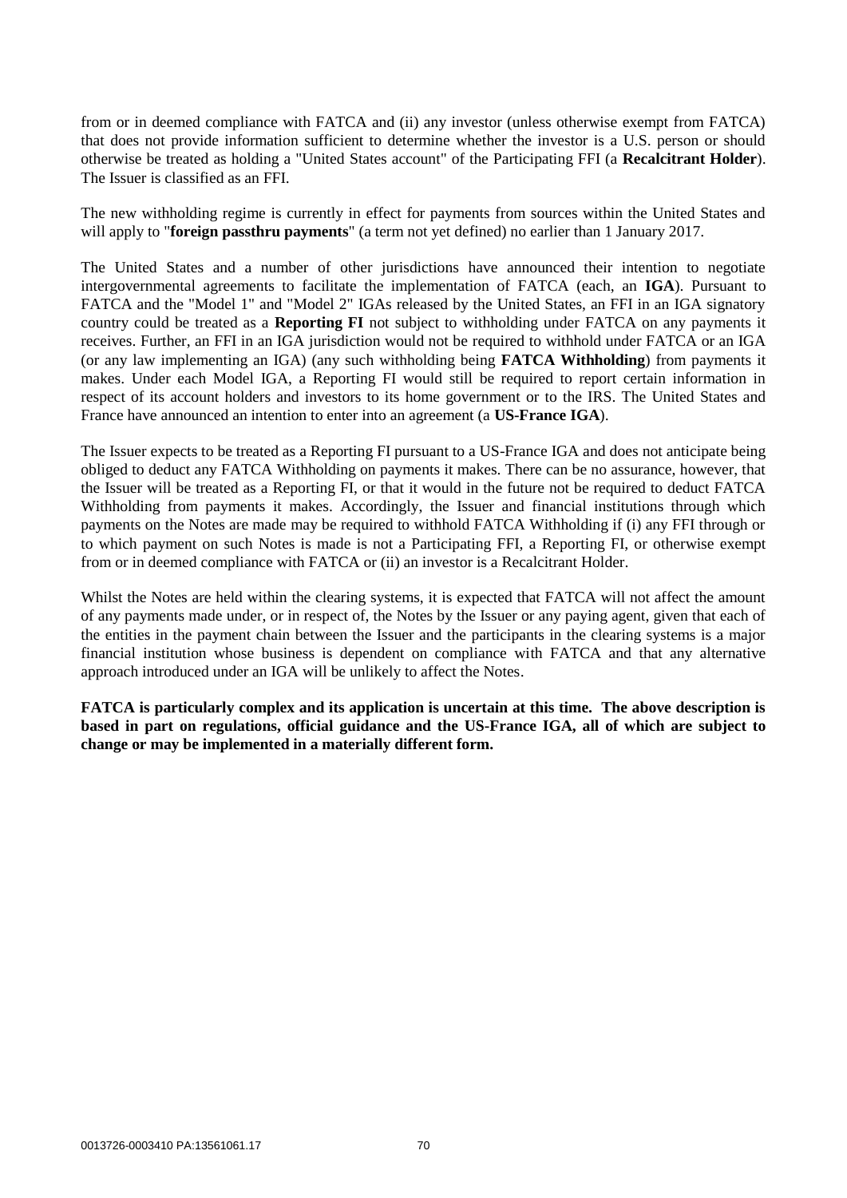from or in deemed compliance with FATCA and (ii) any investor (unless otherwise exempt from FATCA) that does not provide information sufficient to determine whether the investor is a U.S. person or should otherwise be treated as holding a "United States account" of the Participating FFI (a **Recalcitrant Holder**). The Issuer is classified as an FFI.

The new withholding regime is currently in effect for payments from sources within the United States and will apply to "**foreign passthru payments**" (a term not yet defined) no earlier than 1 January 2017.

The United States and a number of other jurisdictions have announced their intention to negotiate intergovernmental agreements to facilitate the implementation of FATCA (each, an **IGA**). Pursuant to FATCA and the "Model 1" and "Model 2" IGAs released by the United States, an FFI in an IGA signatory country could be treated as a **Reporting FI** not subject to withholding under FATCA on any payments it receives. Further, an FFI in an IGA jurisdiction would not be required to withhold under FATCA or an IGA (or any law implementing an IGA) (any such withholding being **FATCA Withholding**) from payments it makes. Under each Model IGA, a Reporting FI would still be required to report certain information in respect of its account holders and investors to its home government or to the IRS. The United States and France have announced an intention to enter into an agreement (a **US-France IGA**).

The Issuer expects to be treated as a Reporting FI pursuant to a US-France IGA and does not anticipate being obliged to deduct any FATCA Withholding on payments it makes. There can be no assurance, however, that the Issuer will be treated as a Reporting FI, or that it would in the future not be required to deduct FATCA Withholding from payments it makes. Accordingly, the Issuer and financial institutions through which payments on the Notes are made may be required to withhold FATCA Withholding if (i) any FFI through or to which payment on such Notes is made is not a Participating FFI, a Reporting FI, or otherwise exempt from or in deemed compliance with FATCA or (ii) an investor is a Recalcitrant Holder.

Whilst the Notes are held within the clearing systems, it is expected that FATCA will not affect the amount of any payments made under, or in respect of, the Notes by the Issuer or any paying agent, given that each of the entities in the payment chain between the Issuer and the participants in the clearing systems is a major financial institution whose business is dependent on compliance with FATCA and that any alternative approach introduced under an IGA will be unlikely to affect the Notes.

**FATCA is particularly complex and its application is uncertain at this time. The above description is based in part on regulations, official guidance and the US-France IGA, all of which are subject to change or may be implemented in a materially different form.**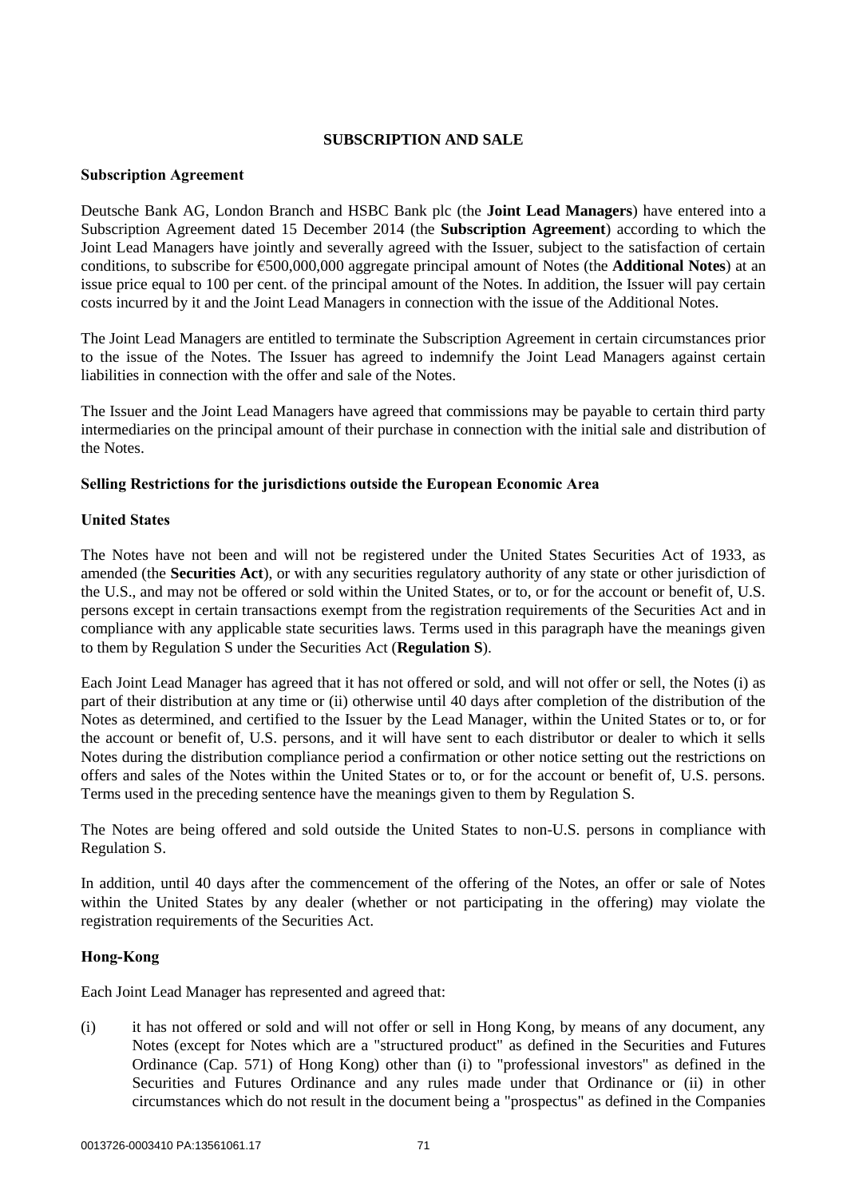### **SUBSCRIPTION AND SALE**

### **Subscription Agreement**

Deutsche Bank AG, London Branch and HSBC Bank plc (the **Joint Lead Managers**) have entered into a Subscription Agreement dated 15 December 2014 (the **Subscription Agreement**) according to which the Joint Lead Managers have jointly and severally agreed with the Issuer, subject to the satisfaction of certain conditions, to subscribe for €500,000,000 aggregate principal amount of Notes (the **Additional Notes**) at an issue price equal to 100 per cent. of the principal amount of the Notes. In addition, the Issuer will pay certain costs incurred by it and the Joint Lead Managers in connection with the issue of the Additional Notes.

The Joint Lead Managers are entitled to terminate the Subscription Agreement in certain circumstances prior to the issue of the Notes. The Issuer has agreed to indemnify the Joint Lead Managers against certain liabilities in connection with the offer and sale of the Notes.

The Issuer and the Joint Lead Managers have agreed that commissions may be payable to certain third party intermediaries on the principal amount of their purchase in connection with the initial sale and distribution of the Notes.

# **Selling Restrictions for the jurisdictions outside the European Economic Area**

# **United States**

The Notes have not been and will not be registered under the United States Securities Act of 1933, as amended (the **Securities Act**), or with any securities regulatory authority of any state or other jurisdiction of the U.S., and may not be offered or sold within the United States, or to, or for the account or benefit of, U.S. persons except in certain transactions exempt from the registration requirements of the Securities Act and in compliance with any applicable state securities laws. Terms used in this paragraph have the meanings given to them by Regulation S under the Securities Act (**Regulation S**).

Each Joint Lead Manager has agreed that it has not offered or sold, and will not offer or sell, the Notes (i) as part of their distribution at any time or (ii) otherwise until 40 days after completion of the distribution of the Notes as determined, and certified to the Issuer by the Lead Manager, within the United States or to, or for the account or benefit of, U.S. persons, and it will have sent to each distributor or dealer to which it sells Notes during the distribution compliance period a confirmation or other notice setting out the restrictions on offers and sales of the Notes within the United States or to, or for the account or benefit of, U.S. persons. Terms used in the preceding sentence have the meanings given to them by Regulation S.

The Notes are being offered and sold outside the United States to non-U.S. persons in compliance with Regulation S.

In addition, until 40 days after the commencement of the offering of the Notes, an offer or sale of Notes within the United States by any dealer (whether or not participating in the offering) may violate the registration requirements of the Securities Act.

# **Hong-Kong**

Each Joint Lead Manager has represented and agreed that:

(i) it has not offered or sold and will not offer or sell in Hong Kong, by means of any document, any Notes (except for Notes which are a "structured product" as defined in the Securities and Futures Ordinance (Cap. 571) of Hong Kong) other than (i) to "professional investors" as defined in the Securities and Futures Ordinance and any rules made under that Ordinance or (ii) in other circumstances which do not result in the document being a "prospectus" as defined in the Companies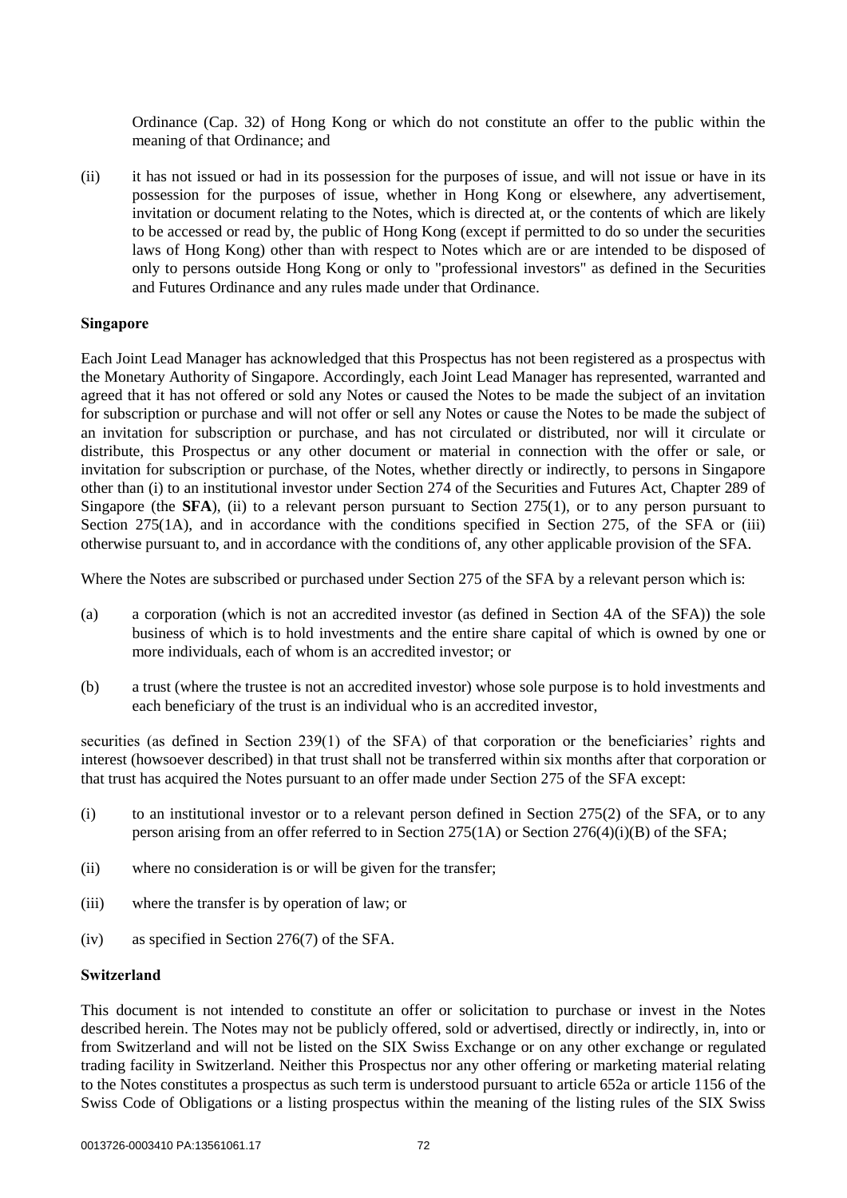Ordinance (Cap. 32) of Hong Kong or which do not constitute an offer to the public within the meaning of that Ordinance; and

(ii) it has not issued or had in its possession for the purposes of issue, and will not issue or have in its possession for the purposes of issue, whether in Hong Kong or elsewhere, any advertisement, invitation or document relating to the Notes, which is directed at, or the contents of which are likely to be accessed or read by, the public of Hong Kong (except if permitted to do so under the securities laws of Hong Kong) other than with respect to Notes which are or are intended to be disposed of only to persons outside Hong Kong or only to "professional investors" as defined in the Securities and Futures Ordinance and any rules made under that Ordinance.

### **Singapore**

Each Joint Lead Manager has acknowledged that this Prospectus has not been registered as a prospectus with the Monetary Authority of Singapore. Accordingly, each Joint Lead Manager has represented, warranted and agreed that it has not offered or sold any Notes or caused the Notes to be made the subject of an invitation for subscription or purchase and will not offer or sell any Notes or cause the Notes to be made the subject of an invitation for subscription or purchase, and has not circulated or distributed, nor will it circulate or distribute, this Prospectus or any other document or material in connection with the offer or sale, or invitation for subscription or purchase, of the Notes, whether directly or indirectly, to persons in Singapore other than (i) to an institutional investor under Section 274 of the Securities and Futures Act, Chapter 289 of Singapore (the **SFA**), (ii) to a relevant person pursuant to Section 275(1), or to any person pursuant to Section 275(1A), and in accordance with the conditions specified in Section 275, of the SFA or (iii) otherwise pursuant to, and in accordance with the conditions of, any other applicable provision of the SFA.

Where the Notes are subscribed or purchased under Section 275 of the SFA by a relevant person which is:

- (a) a corporation (which is not an accredited investor (as defined in Section 4A of the SFA)) the sole business of which is to hold investments and the entire share capital of which is owned by one or more individuals, each of whom is an accredited investor; or
- (b) a trust (where the trustee is not an accredited investor) whose sole purpose is to hold investments and each beneficiary of the trust is an individual who is an accredited investor,

securities (as defined in Section 239(1) of the SFA) of that corporation or the beneficiaries' rights and interest (howsoever described) in that trust shall not be transferred within six months after that corporation or that trust has acquired the Notes pursuant to an offer made under Section 275 of the SFA except:

- (i) to an institutional investor or to a relevant person defined in Section 275(2) of the SFA, or to any person arising from an offer referred to in Section 275(1A) or Section 276(4)(i)(B) of the SFA;
- (ii) where no consideration is or will be given for the transfer;
- (iii) where the transfer is by operation of law; or
- (iv) as specified in Section 276(7) of the SFA.

## **Switzerland**

This document is not intended to constitute an offer or solicitation to purchase or invest in the Notes described herein. The Notes may not be publicly offered, sold or advertised, directly or indirectly, in, into or from Switzerland and will not be listed on the SIX Swiss Exchange or on any other exchange or regulated trading facility in Switzerland. Neither this Prospectus nor any other offering or marketing material relating to the Notes constitutes a prospectus as such term is understood pursuant to article 652a or article 1156 of the Swiss Code of Obligations or a listing prospectus within the meaning of the listing rules of the SIX Swiss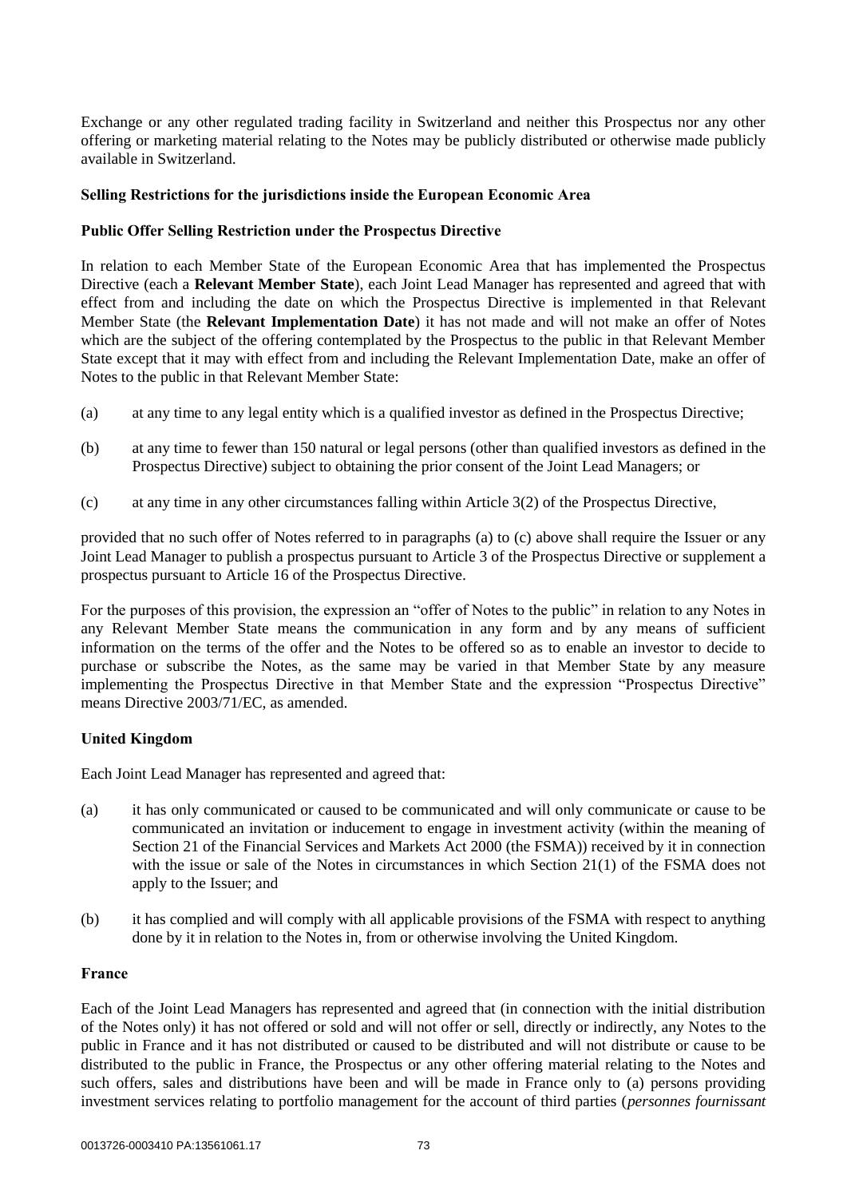Exchange or any other regulated trading facility in Switzerland and neither this Prospectus nor any other offering or marketing material relating to the Notes may be publicly distributed or otherwise made publicly available in Switzerland.

### **Selling Restrictions for the jurisdictions inside the European Economic Area**

### **Public Offer Selling Restriction under the Prospectus Directive**

In relation to each Member State of the European Economic Area that has implemented the Prospectus Directive (each a **Relevant Member State**), each Joint Lead Manager has represented and agreed that with effect from and including the date on which the Prospectus Directive is implemented in that Relevant Member State (the **Relevant Implementation Date**) it has not made and will not make an offer of Notes which are the subject of the offering contemplated by the Prospectus to the public in that Relevant Member State except that it may with effect from and including the Relevant Implementation Date, make an offer of Notes to the public in that Relevant Member State:

- <span id="page-73-0"></span>(a) at any time to any legal entity which is a qualified investor as defined in the Prospectus Directive;
- (b) at any time to fewer than 150 natural or legal persons (other than qualified investors as defined in the Prospectus Directive) subject to obtaining the prior consent of the Joint Lead Managers; or
- <span id="page-73-1"></span>(c) at any time in any other circumstances falling within Article 3(2) of the Prospectus Directive,

provided that no such offer of Notes referred to in paragraphs [\(a\)](#page-73-0) to [\(c\) above](#page-73-1) shall require the Issuer or any Joint Lead Manager to publish a prospectus pursuant to Article 3 of the Prospectus Directive or supplement a prospectus pursuant to Article 16 of the Prospectus Directive.

For the purposes of this provision, the expression an "offer of Notes to the public" in relation to any Notes in any Relevant Member State means the communication in any form and by any means of sufficient information on the terms of the offer and the Notes to be offered so as to enable an investor to decide to purchase or subscribe the Notes, as the same may be varied in that Member State by any measure implementing the Prospectus Directive in that Member State and the expression "Prospectus Directive" means Directive 2003/71/EC, as amended.

## **United Kingdom**

Each Joint Lead Manager has represented and agreed that:

- (a) it has only communicated or caused to be communicated and will only communicate or cause to be communicated an invitation or inducement to engage in investment activity (within the meaning of Section 21 of the Financial Services and Markets Act 2000 (the FSMA)) received by it in connection with the issue or sale of the Notes in circumstances in which Section 21(1) of the FSMA does not apply to the Issuer; and
- (b) it has complied and will comply with all applicable provisions of the FSMA with respect to anything done by it in relation to the Notes in, from or otherwise involving the United Kingdom.

### **France**

Each of the Joint Lead Managers has represented and agreed that (in connection with the initial distribution of the Notes only) it has not offered or sold and will not offer or sell, directly or indirectly, any Notes to the public in France and it has not distributed or caused to be distributed and will not distribute or cause to be distributed to the public in France, the Prospectus or any other offering material relating to the Notes and such offers, sales and distributions have been and will be made in France only to (a) persons providing investment services relating to portfolio management for the account of third parties (*personnes fournissant*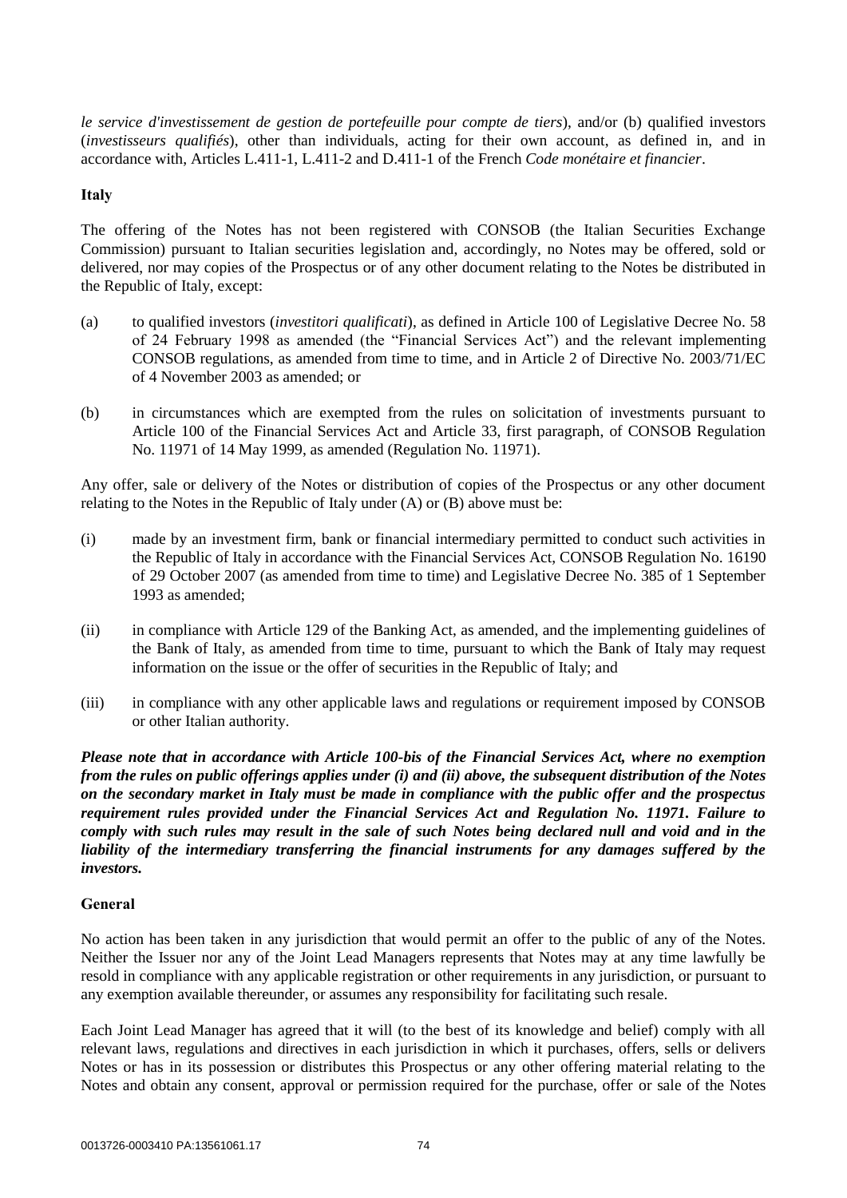*le service d'investissement de gestion de portefeuille pour compte de tiers*), and/or (b) qualified investors (*investisseurs qualifiés*), other than individuals, acting for their own account, as defined in, and in accordance with, Articles L.411-1, L.411-2 and D.411-1 of the French *Code monétaire et financier*.

## **Italy**

The offering of the Notes has not been registered with CONSOB (the Italian Securities Exchange Commission) pursuant to Italian securities legislation and, accordingly, no Notes may be offered, sold or delivered, nor may copies of the Prospectus or of any other document relating to the Notes be distributed in the Republic of Italy, except:

- (a) to qualified investors (*investitori qualificati*), as defined in Article 100 of Legislative Decree No. 58 of 24 February 1998 as amended (the "Financial Services Act") and the relevant implementing CONSOB regulations, as amended from time to time, and in Article 2 of Directive No. 2003/71/EC of 4 November 2003 as amended; or
- (b) in circumstances which are exempted from the rules on solicitation of investments pursuant to Article 100 of the Financial Services Act and Article 33, first paragraph, of CONSOB Regulation No. 11971 of 14 May 1999, as amended (Regulation No. 11971).

Any offer, sale or delivery of the Notes or distribution of copies of the Prospectus or any other document relating to the Notes in the Republic of Italy under (A) or (B) above must be:

- <span id="page-74-0"></span>(i) made by an investment firm, bank or financial intermediary permitted to conduct such activities in the Republic of Italy in accordance with the Financial Services Act, CONSOB Regulation No. 16190 of 29 October 2007 (as amended from time to time) and Legislative Decree No. 385 of 1 September 1993 as amended;
- <span id="page-74-1"></span>(ii) in compliance with Article 129 of the Banking Act, as amended, and the implementing guidelines of the Bank of Italy, as amended from time to time, pursuant to which the Bank of Italy may request information on the issue or the offer of securities in the Republic of Italy; and
- (iii) in compliance with any other applicable laws and regulations or requirement imposed by CONSOB or other Italian authority.

*Please note that in accordance with Article 100-bis of the Financial Services Act, where no exemption from the rules on public offerings applies under [\(i\)](#page-74-0) and [\(ii\) above,](#page-74-1) the subsequent distribution of the Notes on the secondary market in Italy must be made in compliance with the public offer and the prospectus requirement rules provided under the Financial Services Act and Regulation No. 11971. Failure to comply with such rules may result in the sale of such Notes being declared null and void and in the liability of the intermediary transferring the financial instruments for any damages suffered by the investors.*

### **General**

No action has been taken in any jurisdiction that would permit an offer to the public of any of the Notes. Neither the Issuer nor any of the Joint Lead Managers represents that Notes may at any time lawfully be resold in compliance with any applicable registration or other requirements in any jurisdiction, or pursuant to any exemption available thereunder, or assumes any responsibility for facilitating such resale.

Each Joint Lead Manager has agreed that it will (to the best of its knowledge and belief) comply with all relevant laws, regulations and directives in each jurisdiction in which it purchases, offers, sells or delivers Notes or has in its possession or distributes this Prospectus or any other offering material relating to the Notes and obtain any consent, approval or permission required for the purchase, offer or sale of the Notes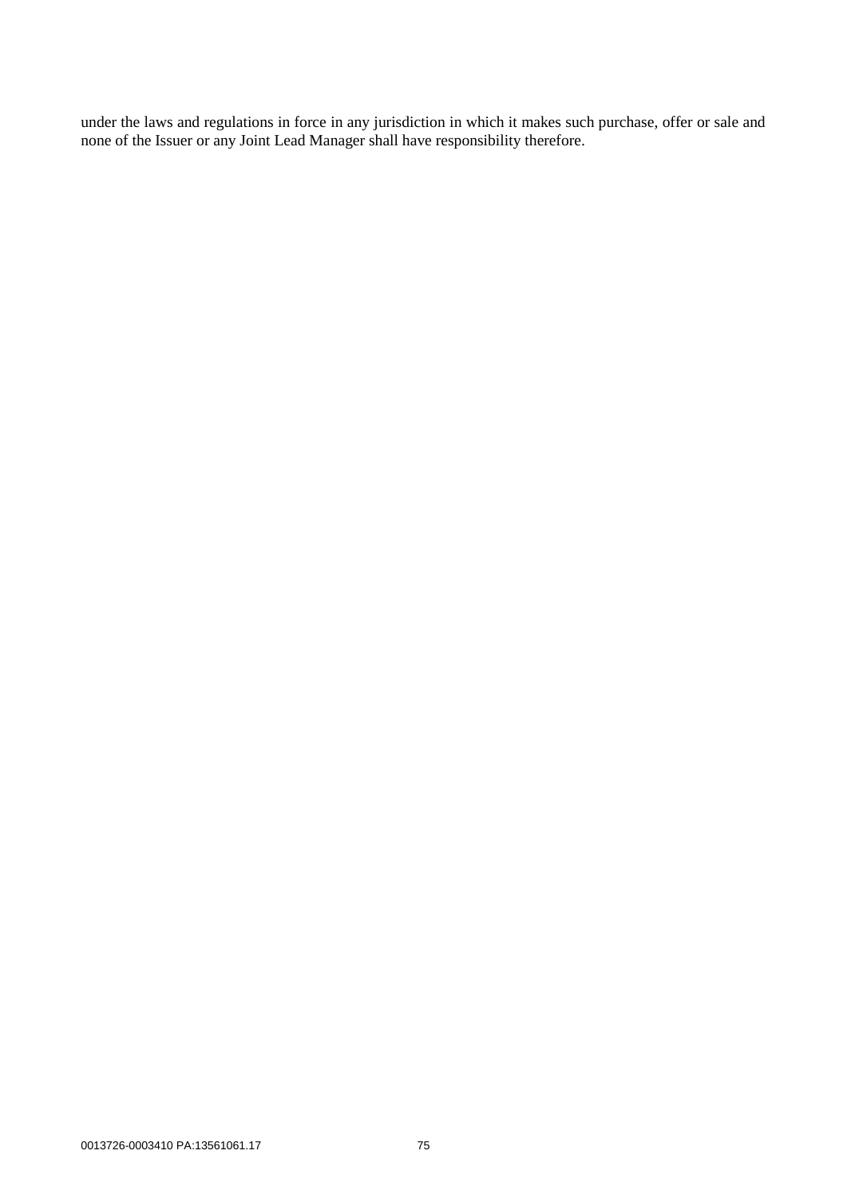under the laws and regulations in force in any jurisdiction in which it makes such purchase, offer or sale and none of the Issuer or any Joint Lead Manager shall have responsibility therefore.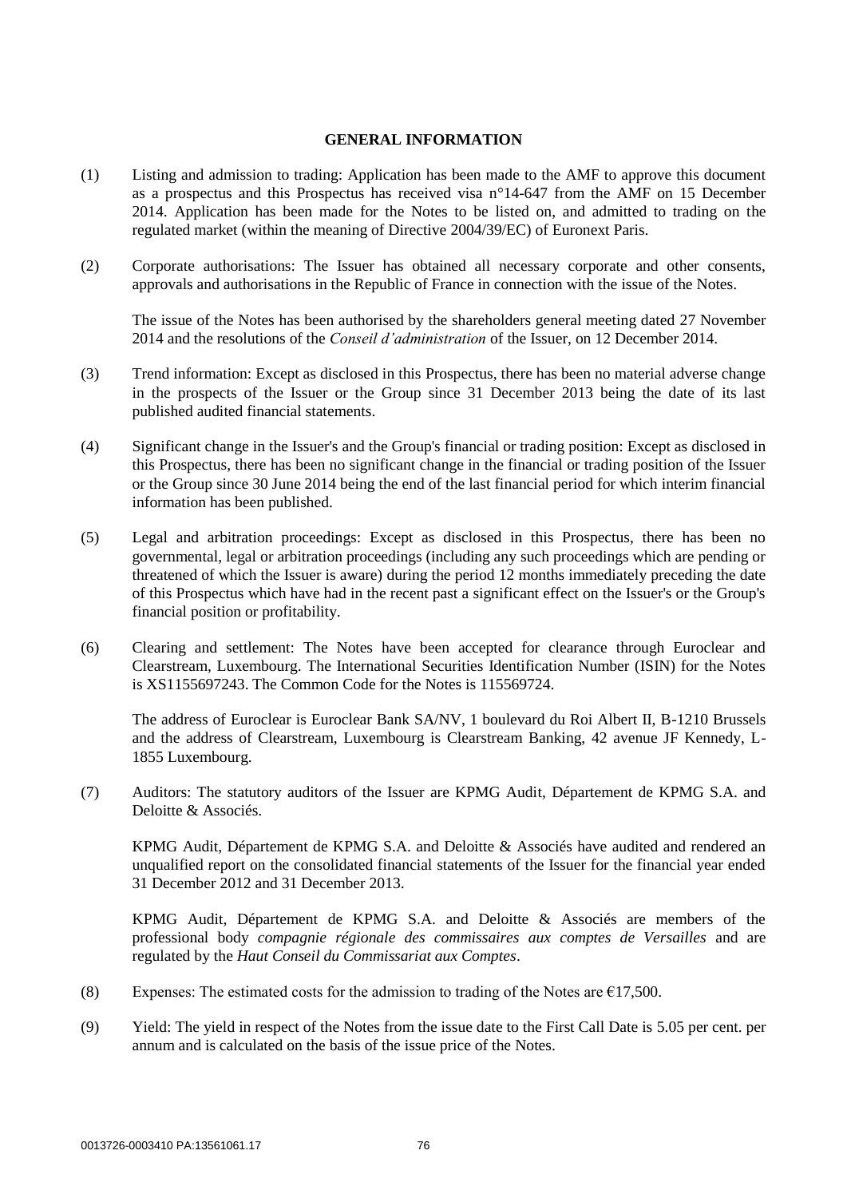### **GENERAL INFORMATION**

- (1) Listing and admission to trading: Application has been made to the AMF to approve this document as a prospectus and this Prospectus has received visa n°14-647 from the AMF on 15 December 2014. Application has been made for the Notes to be listed on, and admitted to trading on the regulated market (within the meaning of Directive 2004/39/EC) of Euronext Paris.
- (2) Corporate authorisations: The Issuer has obtained all necessary corporate and other consents, approvals and authorisations in the Republic of France in connection with the issue of the Notes.

The issue of the Notes has been authorised by the shareholders general meeting dated 27 November 2014 and the resolutions of the *Conseil d'administration* of the Issuer, on 12 December 2014.

- (3) Trend information: Except as disclosed in this Prospectus, there has been no material adverse change in the prospects of the Issuer or the Group since 31 December 2013 being the date of its last published audited financial statements.
- (4) Significant change in the Issuer's and the Group's financial or trading position: Except as disclosed in this Prospectus, there has been no significant change in the financial or trading position of the Issuer or the Group since 30 June 2014 being the end of the last financial period for which interim financial information has been published.
- (5) Legal and arbitration proceedings: Except as disclosed in this Prospectus, there has been no governmental, legal or arbitration proceedings (including any such proceedings which are pending or threatened of which the Issuer is aware) during the period 12 months immediately preceding the date of this Prospectus which have had in the recent past a significant effect on the Issuer's or the Group's financial position or profitability.
- (6) Clearing and settlement: The Notes have been accepted for clearance through Euroclear and Clearstream, Luxembourg. The International Securities Identification Number (ISIN) for the Notes is XS1155697243. The Common Code for the Notes is 115569724.

The address of Euroclear is Euroclear Bank SA/NV, 1 boulevard du Roi Albert II, B-1210 Brussels and the address of Clearstream, Luxembourg is Clearstream Banking, 42 avenue JF Kennedy, L-1855 Luxembourg.

(7) Auditors: The statutory auditors of the Issuer are KPMG Audit, Département de KPMG S.A. and Deloitte & Associés.

KPMG Audit, Département de KPMG S.A. and Deloitte & Associés have audited and rendered an unqualified report on the consolidated financial statements of the Issuer for the financial year ended 31 December 2012 and 31 December 2013.

KPMG Audit, Département de KPMG S.A. and Deloitte & Associés are members of the professional body *compagnie régionale des commissaires aux comptes de Versailles* and are regulated by the *Haut Conseil du Commissariat aux Comptes*.

- (8) Expenses: The estimated costs for the admission to trading of the Notes are  $£17,500$ .
- (9) Yield: The yield in respect of the Notes from the issue date to the First Call Date is 5.05 per cent. per annum and is calculated on the basis of the issue price of the Notes.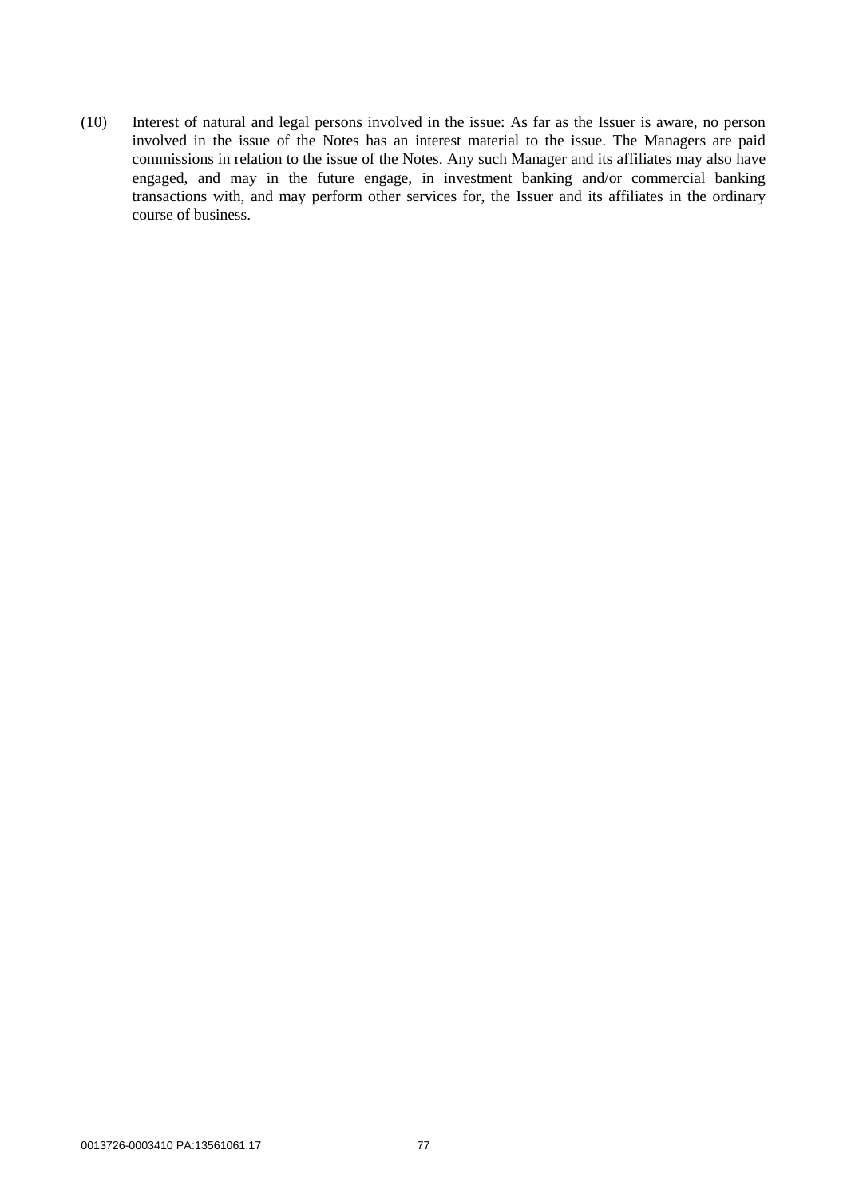(10) Interest of natural and legal persons involved in the issue: As far as the Issuer is aware, no person involved in the issue of the Notes has an interest material to the issue. The Managers are paid commissions in relation to the issue of the Notes. Any such Manager and its affiliates may also have engaged, and may in the future engage, in investment banking and/or commercial banking transactions with, and may perform other services for, the Issuer and its affiliates in the ordinary course of business.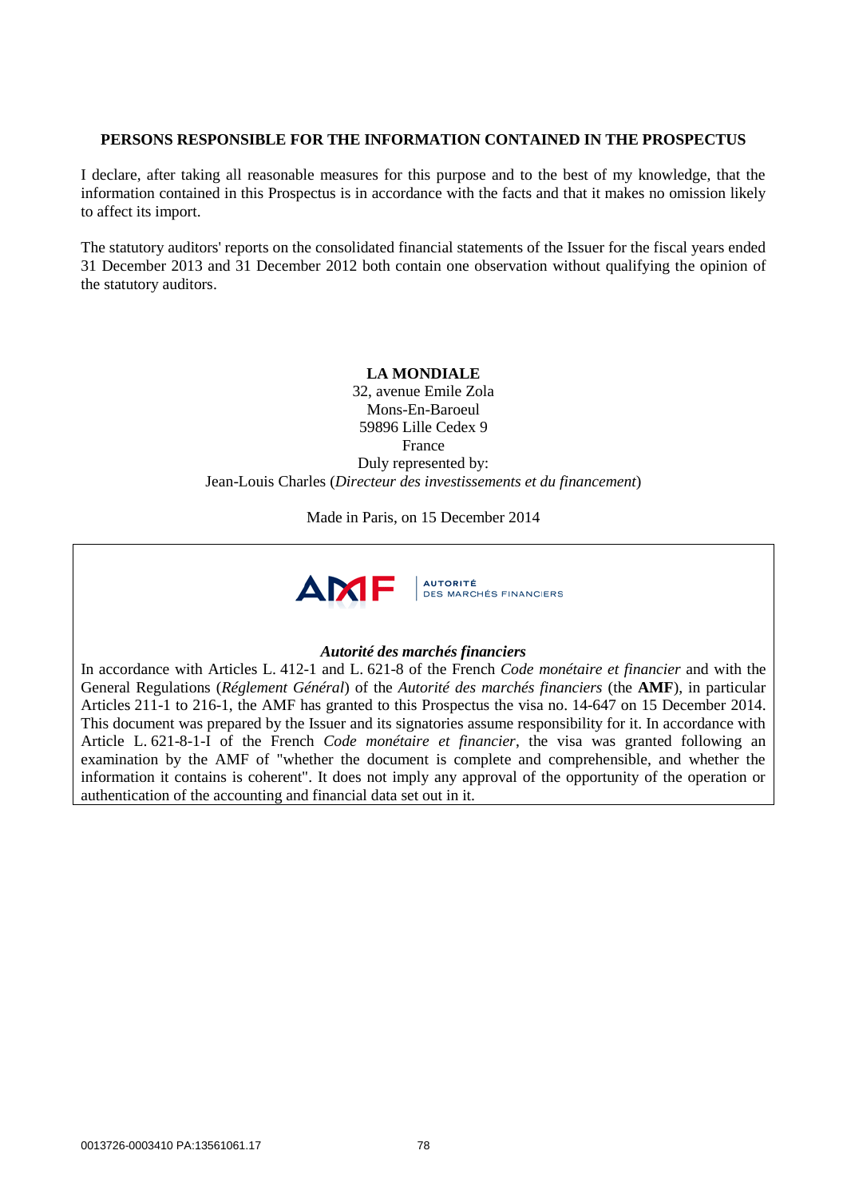## **PERSONS RESPONSIBLE FOR THE INFORMATION CONTAINED IN THE PROSPECTUS**

I declare, after taking all reasonable measures for this purpose and to the best of my knowledge, that the information contained in this Prospectus is in accordance with the facts and that it makes no omission likely to affect its import.

The statutory auditors' reports on the consolidated financial statements of the Issuer for the fiscal years ended 31 December 2013 and 31 December 2012 both contain one observation without qualifying the opinion of the statutory auditors.

## **LA MONDIALE**

32, avenue Emile Zola Mons-En-Baroeul 59896 Lille Cedex 9 France Duly represented by: Jean-Louis Charles (*Directeur des investissements et du financement*)

Made in Paris, on 15 December 2014



## *Autorité des marchés financiers*

In accordance with Articles L. 412-1 and L. 621-8 of the French *Code monétaire et financier* and with the General Regulations (*Réglement Général*) of the *Autorité des marchés financiers* (the **AMF**), in particular Articles 211-1 to 216-1, the AMF has granted to this Prospectus the visa no. 14-647 on 15 December 2014. This document was prepared by the Issuer and its signatories assume responsibility for it. In accordance with Article L. 621-8-1-I of the French *Code monétaire et financier*, the visa was granted following an examination by the AMF of "whether the document is complete and comprehensible, and whether the information it contains is coherent". It does not imply any approval of the opportunity of the operation or authentication of the accounting and financial data set out in it.